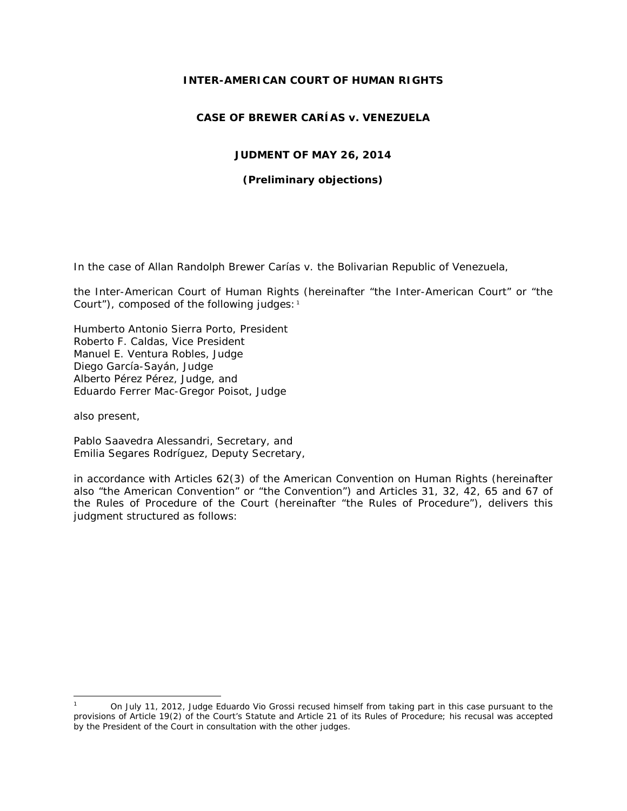### **INTER-AMERICAN COURT OF HUMAN RIGHTS**

# **CASE OF BREWER CARÍAS** *v.* **VENEZUELA**

### **JUDMENT OF MAY 26, 2014**

### *(Preliminary objections)*

In the case of *Allan Randolph Brewer Carías v. the Bolivarian Republic of Venezuela,*

the Inter-American Court of Human Rights (hereinafter "the Inter-American Court" or "the Court"), composed of the following judges:<sup>[1](#page-0-0)</sup>

Humberto Antonio Sierra Porto, President Roberto F. Caldas, Vice President Manuel E. Ventura Robles, Judge Diego García-Sayán, Judge Alberto Pérez Pérez, Judge, and Eduardo Ferrer Mac-Gregor Poisot, Judge

also present,

Pablo Saavedra Alessandri, Secretary, and Emilia Segares Rodríguez, Deputy Secretary,

in accordance with Articles 62(3) of the American Convention on Human Rights (hereinafter also "the American Convention" or "the Convention") and Articles 31, 32, 42, 65 and 67 of the Rules of Procedure of the Court (hereinafter "the Rules of Procedure"), delivers this judgment structured as follows:

<span id="page-0-0"></span>On July 11, 2012, Judge Eduardo Vio Grossi recused himself from taking part in this case pursuant to the provisions of Article 19(2) of the Court's Statute and Article 21 of its Rules of Procedure; his recusal was accepted by the President of the Court in consultation with the other judges.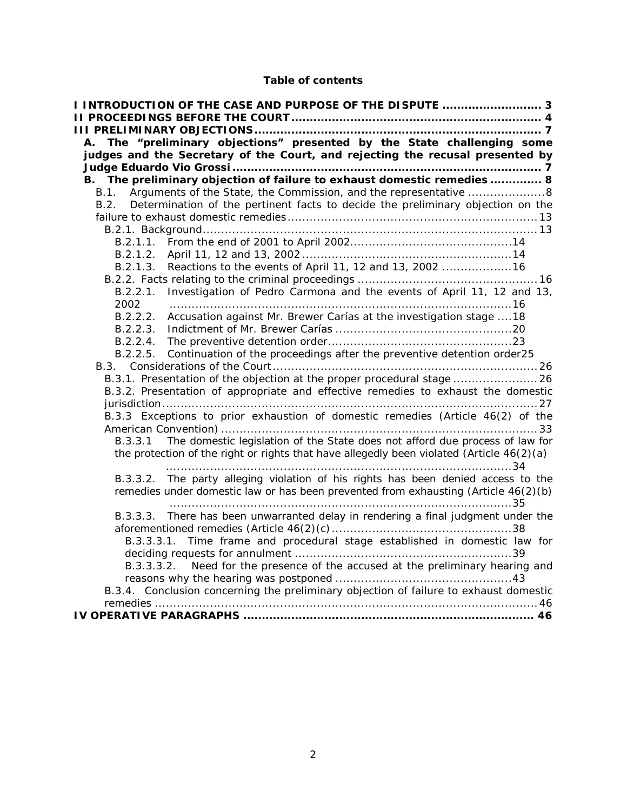# **Table of contents**

<span id="page-1-0"></span>

| I INTRODUCTION OF THE CASE AND PURPOSE OF THE DISPUTE  3                                      |
|-----------------------------------------------------------------------------------------------|
|                                                                                               |
|                                                                                               |
| The "preliminary objections" presented by the State challenging some<br>А.                    |
| judges and the Secretary of the Court, and rejecting the recusal presented by                 |
| B. The preliminary objection of failure to exhaust domestic remedies  8                       |
| Arguments of the State, the Commission, and the representative 8<br>B.1.                      |
| Determination of the pertinent facts to decide the preliminary objection on the<br>B.2        |
|                                                                                               |
|                                                                                               |
|                                                                                               |
|                                                                                               |
| Reactions to the events of April 11, 12 and 13, 2002 16<br>B.2.1.3.                           |
|                                                                                               |
| B.2.2.1. Investigation of Pedro Carmona and the events of April 11, 12 and 13,                |
| 2002                                                                                          |
| Accusation against Mr. Brewer Carías at the investigation stage  18<br>B.2.2.2.               |
|                                                                                               |
|                                                                                               |
| Continuation of the proceedings after the preventive detention order25<br>B.2.2.5.            |
|                                                                                               |
| B.3.1. Presentation of the objection at the proper procedural stage 26                        |
| B.3.2. Presentation of appropriate and effective remedies to exhaust the domestic             |
|                                                                                               |
| B.3.3 Exceptions to prior exhaustion of domestic remedies (Article 46(2) of the               |
|                                                                                               |
| The domestic legislation of the State does not afford due process of law for<br>B.3.3.1       |
| the protection of the right or rights that have allegedly been violated (Article $46(2)(a)$ ) |
| B.3.3.2. The party alleging violation of his rights has been denied access to the             |
| remedies under domestic law or has been prevented from exhausting (Article 46(2)(b)           |
|                                                                                               |
| B.3.3.3. There has been unwarranted delay in rendering a final judgment under the             |
|                                                                                               |
| B.3.3.3.1. Time frame and procedural stage established in domestic law for                    |
|                                                                                               |
| B.3.3.3.2. Need for the presence of the accused at the preliminary hearing and                |
| B.3.4. Conclusion concerning the preliminary objection of failure to exhaust domestic         |
|                                                                                               |
|                                                                                               |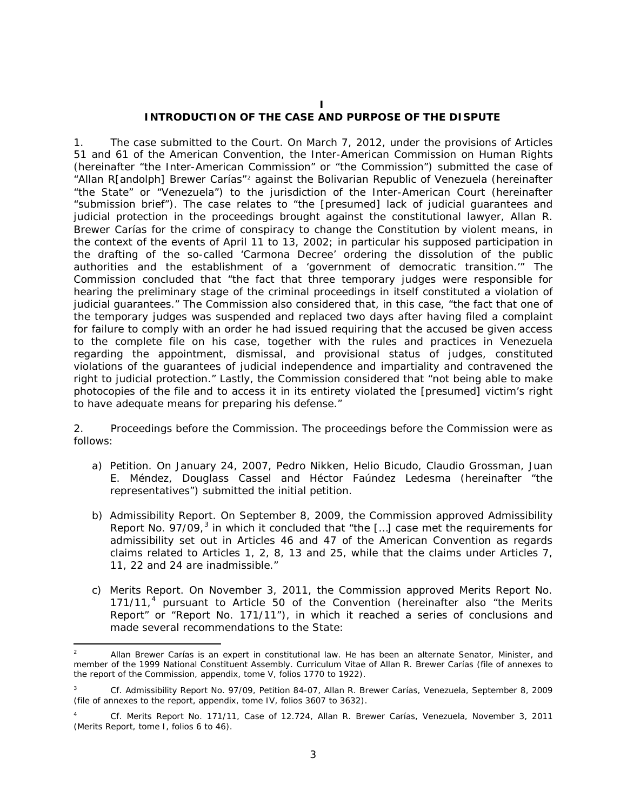#### **I**

### **INTRODUCTION OF THE CASE AND PURPOSE OF THE DISPUTE**

1. *The case submitted to the Court.* On March 7, 2012, under the provisions of Articles 51 and 61 of the American Convention, the Inter-American Commission on Human Rights (hereinafter "the Inter-American Commission" or "the Commission") submitted the case of "Allan R[andolph] Brewer Carías"[2](#page-2-0) against the Bolivarian Republic of Venezuela (hereinafter "the State" or "Venezuela") to the jurisdiction of the Inter-American Court (hereinafter "submission brief"). The case relates to "the [presumed] lack of judicial guarantees and judicial protection in the proceedings brought against the constitutional lawyer, Allan R. Brewer Carías for the crime of conspiracy to change the Constitution by violent means, in the context of the events of April 11 to 13, 2002; in particular his supposed participation in the drafting of the so-called 'Carmona Decree' ordering the dissolution of the public authorities and the establishment of a 'government of democratic transition.'" The Commission concluded that "the fact that three temporary judges were responsible for hearing the preliminary stage of the criminal proceedings in itself constituted a violation of judicial guarantees." The Commission also considered that, in this case, "the fact that one of the temporary judges was suspended and replaced two days after having filed a complaint for failure to comply with an order he had issued requiring that the accused be given access to the complete file on his case, together with the rules and practices in Venezuela regarding the appointment, dismissal, and provisional status of judges, constituted violations of the guarantees of judicial independence and impartiality and contravened the right to judicial protection." Lastly, the Commission considered that "not being able to make photocopies of the file and to access it in its entirety violated the [presumed] victim's right to have adequate means for preparing his defense."

2. *Proceedings before the Commission.* The proceedings before the Commission were as follows:

- a) *Petition.* On January 24*,* 2007, Pedro Nikken, Helio Bicudo, Claudio Grossman, Juan E. Méndez, Douglass Cassel and Héctor Faúndez Ledesma (hereinafter "the representatives") submitted the initial petition.
- b) *Admissibility Report.* On September 8, 2009, the Commission approved Admissibility Report No. 97/09,<sup>[3](#page-2-1)</sup> in which it concluded that "the [...] case met the requirements for admissibility set out in Articles 46 and 47 of the American Convention as regards claims related to Articles 1, 2, 8, 13 and 25, while that the claims under Articles 7, 11, 22 and 24 are inadmissible."
- c) *Merits Report.* On November 3, 2011, the Commission approved Merits Report No. 171/11,<sup>[4](#page-2-2)</sup> pursuant to Article 50 of the Convention (hereinafter also "the Merits Report" or "Report No. 171/11"), in which it reached a series of conclusions and made several recommendations to the State:

<span id="page-2-0"></span> <sup>2</sup> Allan Brewer Carías is an expert in constitutional law. He has been an alternate Senator, Minister, and member of the 1999 National Constituent Assembly. Curriculum Vitae of Allan R. Brewer Carías (file of annexes to the report of the Commission, appendix, tome V, folios 1770 to 1922).

<span id="page-2-1"></span><sup>3</sup> *Cf.* Admissibility Report No. 97/09, Petition 84-07, Allan R. Brewer Carías, Venezuela, September 8, 2009 (file of annexes to the report, appendix, tome IV, folios 3607 to 3632).

<span id="page-2-2"></span><sup>4</sup> *Cf.* Merits Report No. 171/11, Case of 12.724, Allan R. Brewer Carías, Venezuela, November 3, 2011 (Merits Report, tome I, folios 6 to 46).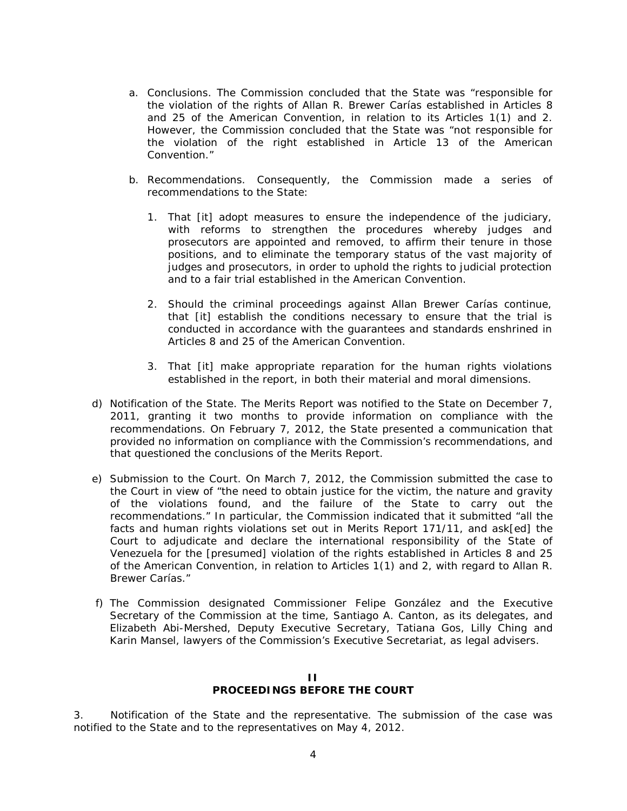- a. *Conclusions.* The Commission concluded that the State was "responsible for the violation of the rights of Allan R. Brewer Carías established in Articles 8 and 25 of the American Convention, in relation to its Articles 1(1) and 2. However, the Commission concluded that the State was "not responsible for the violation of the right established in Article 13 of the American Convention."
- b. *Recommendations*. Consequently, the Commission made a series of recommendations to the State:
	- 1. That [it] adopt measures to ensure the independence of the judiciary, with reforms to strengthen the procedures whereby judges and prosecutors are appointed and removed, to affirm their tenure in those positions, and to eliminate the temporary status of the vast majority of judges and prosecutors, in order to uphold the rights to judicial protection and to a fair trial established in the American Convention.
	- 2. Should the criminal proceedings against Allan Brewer Carías continue, that [it] establish the conditions necessary to ensure that the trial is conducted in accordance with the guarantees and standards enshrined in Articles 8 and 25 of the American Convention.
	- 3. That [it] make appropriate reparation for the human rights violations established in the report, in both their material and moral dimensions.
- d) *Notification of the State.* The Merits Report was notified to the State on December 7, 2011, granting it two months to provide information on compliance with the recommendations. On February 7, 2012, the State presented a communication that provided no information on compliance with the Commission's recommendations, and that questioned the conclusions of the Merits Report.
- e) *Submission to the Court.* On March 7, 2012, the Commission submitted the case to the Court in view of "the need to obtain justice for the victim, the nature and gravity of the violations found, and the failure of the State to carry out the recommendations." In particular, the Commission indicated that it submitted "all the facts and human rights violations set out in Merits Report 171/11, and ask[ed] the Court to adjudicate and declare the international responsibility of the State of Venezuela for the [presumed] violation of the rights established in Articles 8 and 25 of the American Convention, in relation to Articles 1(1) and 2, with regard to Allan R. Brewer Carías."
- f) The Commission designated Commissioner Felipe González and the Executive Secretary of the Commission at the time, Santiago A. Canton, as its delegates, and Elizabeth Abi-Mershed, Deputy Executive Secretary, Tatiana Gos, Lilly Ching and Karin Mansel, lawyers of the Commission's Executive Secretariat, as legal advisers.

### **II PROCEEDINGS BEFORE THE COURT**

<span id="page-3-0"></span>3. *Notification of the State and the representative.* The submission of the case was notified to the State and to the representatives on May 4, 2012.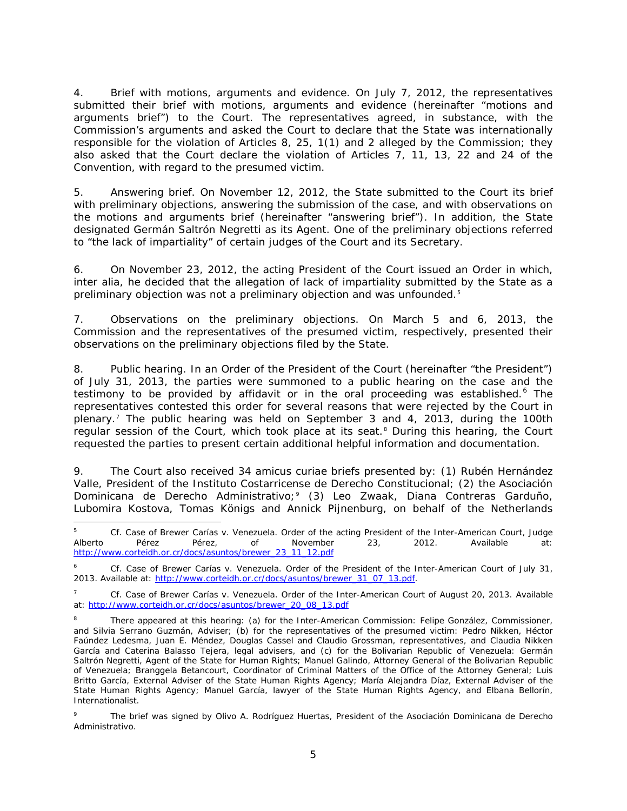4. *Brief with motions, arguments and evidence.* On July 7, 2012, the representatives submitted their brief with motions, arguments and evidence (hereinafter "motions and arguments brief") to the Court. The representatives agreed, in substance, with the Commission's arguments and asked the Court to declare that the State was internationally responsible for the violation of Articles 8, 25, 1(1) and 2 alleged by the Commission; they also asked that the Court declare the violation of Articles 7, 11, 13, 22 and 24 of the Convention, with regard to the presumed victim.

5. *Answering brief.* On November 12, 2012, the State submitted to the Court its brief with preliminary objections, answering the submission of the case, and with observations on the motions and arguments brief (hereinafter "answering brief"). In addition, the State designated Germán Saltrón Negretti as its Agent. One of the preliminary objections referred to "the lack of impartiality" of certain judges of the Court and its Secretary.

6. On November 23, 2012, the acting President of the Court issued an Order in which, *inter alia,* he decided that the allegation of lack of impartiality submitted by the State as a preliminary objection was not a preliminary objection and was unfounded.[5](#page-4-0)

7. *Observations on the preliminary objections.* On March 5 and 6, 2013, the Commission and the representatives of the presumed victim, respectively, presented their observations on the preliminary objections filed by the State.

8. *Public hearing.* In an Order of the President of the Court (hereinafter "the President") of July 31, 2013, the parties were summoned to a public hearing on the case and the testimony to be provided by affidavit or in the oral proceeding was established.<sup>[6](#page-4-1)</sup> The representatives contested this order for several reasons that were rejected by the Court in plenary.[7](#page-4-2) The public hearing was held on September 3 and 4, 2013, during the 100th regular session of the Court, which took place at its seat.<sup>[8](#page-4-3)</sup> During this hearing, the Court requested the parties to present certain additional helpful information and documentation.

9. The Court also received 34 *amicus curiae* briefs presented by: (1) Rubén Hernández Valle, President of the *Instituto Costarricense de Derecho Constitucional*; (2) the *Asociación Dominicana de Derecho Administrativo*;[9](#page-4-4) (3) Leo Zwaak, Diana Contreras Garduño, Lubomira Kostova, Tomas Königs and Annick Pijnenburg, on behalf of the Netherlands

<span id="page-4-0"></span> 5 *Cf. Case of Brewer Carías v. Venezuela*. Order of the acting President of the Inter-American Court, Judge Alberto Pérez Pérez, of November 23, 2012. Available at: [http://www.corteidh.or.cr/docs/asuntos/brewer\\_23\\_11\\_12.pdf](http://www.corteidh.or.cr/docs/asuntos/brewer_23_11_12.pdf) 

<span id="page-4-1"></span><sup>6</sup> *Cf. Case of Brewer Carías v. Venezuela*. Order of the President of the Inter-American Court of July 31, 2013. Available at: [http://www.corteidh.or.cr/docs/asuntos/brewer\\_31\\_07\\_13.pdf.](http://www.corteidh.or.cr/docs/asuntos/brewer_31_07_13.pdf)

<span id="page-4-2"></span><sup>7</sup> *Cf. Case of Brewer Carías v. Venezuela*. Order of the Inter-American Court of August 20, 2013. Available at: [http://www.corteidh.or.cr/docs/asuntos/brewer\\_20\\_08\\_13.pdf](http://www.corteidh.or.cr/docs/asuntos/brewer_20_08_13.pdf)

<span id="page-4-3"></span>There appeared at this hearing: (a) for the Inter-American Commission: Felipe González, Commissioner, and Silvia Serrano Guzmán, Adviser; (b) for the representatives of the presumed victim: Pedro Nikken, Héctor Faúndez Ledesma, Juan E. Méndez, Douglas Cassel and Claudio Grossman, representatives, and Claudia Nikken García and Caterina Balasso Tejera, legal advisers, and (c) for the Bolivarian Republic of Venezuela: Germán Saltrón Negretti, Agent of the State for Human Rights; Manuel Galindo, Attorney General of the Bolivarian Republic of Venezuela; Branggela Betancourt, Coordinator of Criminal Matters of the Office of the Attorney General; Luis Britto García, External Adviser of the State Human Rights Agency; María Alejandra Díaz, External Adviser of the State Human Rights Agency; Manuel García, lawyer of the State Human Rights Agency, and Elbana Bellorín, Internationalist.

<span id="page-4-4"></span><sup>9</sup> The brief was signed by Olivo A. Rodríguez Huertas, President of the *Asociación Dominicana de Derecho Administrativo*.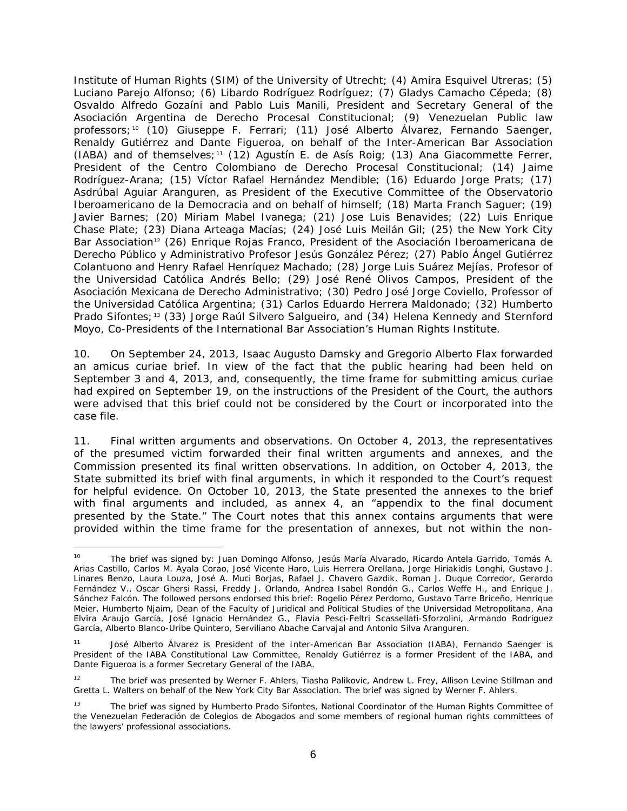Institute of Human Rights (SIM) of the University of Utrecht; (4) Amira Esquivel Utreras; (5) Luciano Parejo Alfonso; (6) Libardo Rodríguez Rodríguez; (7) Gladys Camacho Cépeda; (8) Osvaldo Alfredo Gozaíni and Pablo Luis Manili, President and Secretary General of the *Asociación Argentina de Derecho Procesal Constitucional*; (9) Venezuelan Public law professors;<sup>[10](#page-5-0)</sup> (10) Giuseppe F. Ferrari; (11) José Alberto Álvarez, Fernando Saenger, Renaldy Gutiérrez and Dante Figueroa, on behalf of the Inter-American Bar Association (IABA) and of themselves;<sup>[11](#page-5-1)</sup> (12) Agustín E. de Asís Roig; (13) Ana Giacommette Ferrer, President of the *Centro Colombiano de Derecho Procesal Constitucional*; (14) Jaime Rodríguez-Arana; (15) Víctor Rafael Hernández Mendible; (16) Eduardo Jorge Prats; (17) Asdrúbal Aguiar Aranguren, as President of the Executive Committee of the *Observatorio Iberoamericano de la Democraci*a and on behalf of himself; (18) Marta Franch Saguer; (19) Javier Barnes; (20) Miriam Mabel Ivanega; (21) Jose Luis Benavides; (22) Luis Enrique Chase Plate; (23) Diana Arteaga Macías; (24) José Luis Meilán Gil; (25) the New York City Bar Association<sup>[12](#page-5-2)</sup> (26) Enrique Rojas Franco, President of the Asociación Iberoamericana de *Derecho Público y Administrativo Profesor Jesús González Pérez*; (27) Pablo Ángel Gutiérrez Colantuono and Henry Rafael Henríquez Machado; (28) Jorge Luis Suárez Mejías, Profesor of the *Universidad Católica Andrés Bello*; (29) José René Olivos Campos, President of the *Asociación Mexicana de Derecho Administrativo*; (30) Pedro José Jorge Coviello, Professor of the *Universidad Católica Argentina*; (31) Carlos Eduardo Herrera Maldonado; (32) Humberto Prado Sifontes;<sup>[13](#page-5-3)</sup> (33) Jorge Raúl Silvero Salgueiro, and (34) Helena Kennedy and Sternford Moyo, Co-Presidents of the International Bar Association's Human Rights Institute.

10. On September 24, 2013, Isaac Augusto Damsky and Gregorio Alberto Flax forwarded an *amicus curiae* brief. In view of the fact that the public hearing had been held on September 3 and 4, 2013, and, consequently, the time frame for submitting *amicus curiae*  had expired on September 19, on the instructions of the President of the Court, the authors were advised that this brief could not be considered by the Court or incorporated into the case file.

11. *Final written arguments and observations.* On October 4, 2013, the representatives of the presumed victim forwarded their final written arguments and annexes, and the Commission presented its final written observations. In addition, on October 4, 2013, the State submitted its brief with final arguments, in which it responded to the Court's request for helpful evidence. On October 10, 2013, the State presented the annexes to the brief with final arguments and included, as annex 4, an "appendix to the final document presented by the State." The Court notes that this annex contains arguments that were provided within the time frame for the presentation of annexes, but not within the non-

<span id="page-5-0"></span>The brief was signed by: Juan Domingo Alfonso, Jesús María Alvarado, Ricardo Antela Garrido, Tomás A. Arias Castillo, Carlos M. Ayala Corao, José Vicente Haro, Luis Herrera Orellana, Jorge Hiriakidis Longhi, Gustavo J. Linares Benzo, Laura Louza, José A. Muci Borjas, Rafael J. Chavero Gazdik, Roman J. Duque Corredor, Gerardo Fernández V., Oscar Ghersi Rassi, Freddy J. Orlando, Andrea Isabel Rondón G., Carlos Weffe H., and Enrique J. Sánchez Falcón. The followed persons endorsed this brief: Rogelio Pérez Perdomo, Gustavo Tarre Briceño, Henrique Meier, Humberto Njaim, Dean of the Faculty of Juridical and Political Studies of the *Universidad Metropolitana*, Ana Elvira Araujo García, José Ignacio Hernández G., Flavia Pesci-Feltri Scassellati-Sforzolini, Armando Rodríguez García, Alberto Blanco-Uribe Quintero, Serviliano Abache Carvajal and Antonio Silva Aranguren.

<span id="page-5-1"></span>José Alberto Álvarez is President of the Inter-American Bar Association (IABA), Fernando Saenger is President of the IABA Constitutional Law Committee, Renaldy Gutiérrez is a former President of the IABA, and Dante Figueroa is a former Secretary General of the IABA.

<span id="page-5-2"></span><sup>&</sup>lt;sup>12</sup> The brief was presented by Werner F. Ahlers, Tiasha Palikovic, Andrew L. Frey, Allison Levine Stillman and Gretta L. Walters on behalf of the New York City Bar Association. The brief was signed by Werner F. Ahlers.

<span id="page-5-3"></span><sup>&</sup>lt;sup>13</sup> The brief was signed by Humberto Prado Sifontes, National Coordinator of the Human Rights Committee of the Venezuelan *Federación de Colegios de Abogados* and some members of regional human rights committees of the lawyers' professional associations.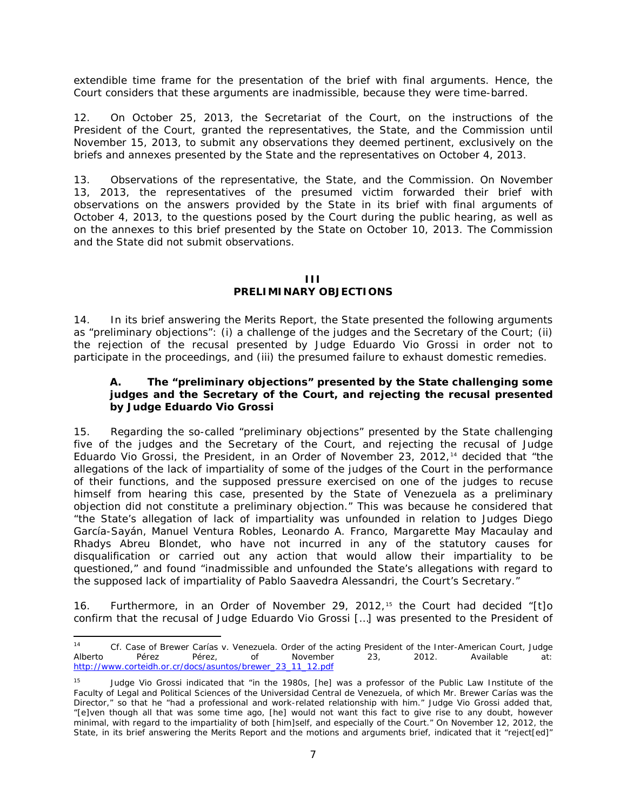extendible time frame for the presentation of the brief with final arguments. Hence, the Court considers that these arguments are inadmissible, because they were time-barred.

12. On October 25, 2013, the Secretariat of the Court, on the instructions of the President of the Court, granted the representatives, the State, and the Commission until November 15, 2013, to submit any observations they deemed pertinent, exclusively on the briefs and annexes presented by the State and the representatives on October 4, 2013.

13. *Observations of the representative, the State, and the Commission.* On November 13, 2013, the representatives of the presumed victim forwarded their brief with observations on the answers provided by the State in its brief with final arguments of October 4, 2013, to the questions posed by the Court during the public hearing, as well as on the annexes to this brief presented by the State on October 10, 2013. The Commission and the State did not submit observations.

### **III**

# **PRELIMINARY OBJECTIONS**

<span id="page-6-0"></span>14. In its brief answering the Merits Report, the State presented the following arguments as "preliminary objections": (i) a challenge of the judges and the Secretary of the Court; (ii) the rejection of the recusal presented by Judge Eduardo Vio Grossi in order not to participate in the proceedings, and (iii) the presumed failure to exhaust domestic remedies.

## <span id="page-6-1"></span>**A. The "preliminary objections" presented by the State challenging some judges and the Secretary of the Court, and rejecting the recusal presented by Judge Eduardo Vio Grossi**

15. Regarding the so-called "preliminary objections" presented by the State challenging five of the judges and the Secretary of the Court, and rejecting the recusal of Judge Eduardo Vio Grossi, the President, in an Order of November 23, 2012,[14](#page-6-2) decided that "the allegations of the lack of impartiality of some of the judges of the Court in the performance of their functions, and the supposed pressure exercised on one of the judges to recuse himself from hearing this case, presented by the State of Venezuela as a preliminary objection did not constitute a preliminary objection." This was because he considered that "the State's allegation of lack of impartiality was unfounded in relation to Judges Diego García-Sayán, Manuel Ventura Robles, Leonardo A. Franco, Margarette May Macaulay and Rhadys Abreu Blondet, who have not incurred in any of the statutory causes for disqualification or carried out any action that would allow their impartiality to be questioned," and found "inadmissible and unfounded the State's allegations with regard to the supposed lack of impartiality of Pablo Saavedra Alessandri, the Court's Secretary."

16. Furthermore, in an Order of November 29, 2012,[15](#page-6-3) the Court had decided "[t]o confirm that the recusal of Judge Eduardo Vio Grossi […] was presented to the President of

<span id="page-6-2"></span> <sup>14</sup> *Cf. Case of Brewer Carías v. Venezuela*. Order of the acting President of the Inter-American Court, Judge Alberto Pérez Pérez, of November 23, 2012. Available at: [http://www.corteidh.or.cr/docs/asuntos/brewer\\_23\\_11\\_12.pdf](http://www.corteidh.or.cr/docs/asuntos/brewer_23_11_12.pdf) 

<span id="page-6-3"></span><sup>&</sup>lt;sup>15</sup> Judge Vio Grossi indicated that "in the 1980s, [he] was a professor of the Public Law Institute of the Faculty of Legal and Political Sciences of the *Universidad Central de Venezuela*, of which Mr. Brewer Carías was the Director," so that he "had a professional and work-related relationship with him." Judge Vio Grossi added that, "[e]ven though all that was some time ago, [he] would not want this fact to give rise to any doubt, however minimal, with regard to the impartiality of both [him]self, and especially of the Court." On November 12, 2012, the State, in its brief answering the Merits Report and the motions and arguments brief, indicated that it "reject[ed]"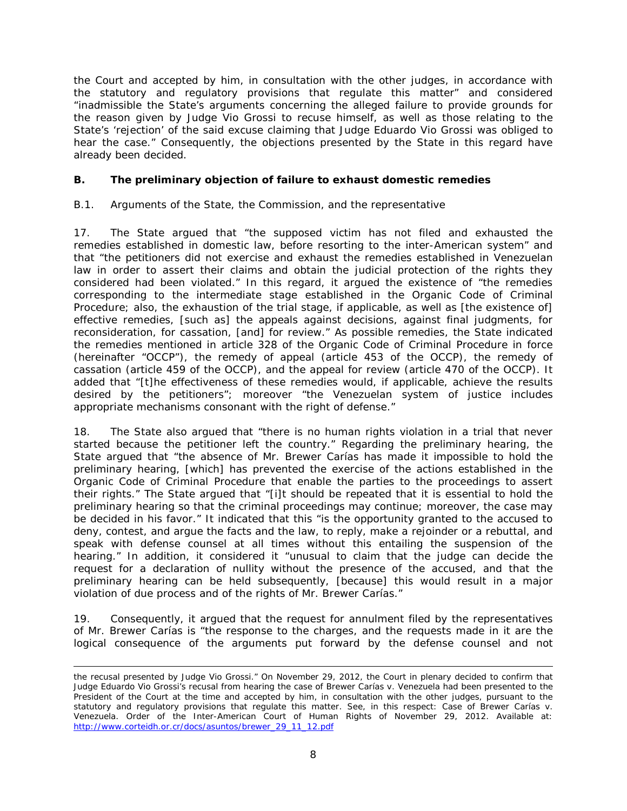the Court and accepted by him, in consultation with the other judges, in accordance with the statutory and regulatory provisions that regulate this matter" and considered "inadmissible the State's arguments concerning the alleged failure to provide grounds for the reason given by Judge Vio Grossi to recuse himself, as well as those relating to the State's 'rejection' of the said excuse claiming that Judge Eduardo Vio Grossi was obliged to hear the case." Consequently, the objections presented by the State in this regard have already been decided.

# <span id="page-7-0"></span>**B. The preliminary objection of failure to exhaust domestic remedies**

### <span id="page-7-1"></span>*B.1. Arguments of the State, the Commission, and the representative*

17. The State argued that "the supposed victim has not filed and exhausted the remedies established in domestic law, before resorting to the inter-American system" and that "the petitioners did not exercise and exhaust the remedies established in Venezuelan law in order to assert their claims and obtain the judicial protection of the rights they considered had been violated." In this regard, it argued the existence of "the remedies corresponding to the intermediate stage established in the Organic Code of Criminal Procedure; also, the exhaustion of the trial stage, if applicable, as well as [the existence of] effective remedies, [such as] the appeals against decisions, against final judgments, for reconsideration, for cassation, [and] for review." As possible remedies, the State indicated the remedies mentioned in article 328 of the Organic Code of Criminal Procedure in force (hereinafter "OCCP"), the remedy of appeal (article 453 of the OCCP), the remedy of cassation (article 459 of the OCCP), and the appeal for review (article 470 of the OCCP). It added that "[t]he effectiveness of these remedies would, if applicable, achieve the results desired by the petitioners"; moreover "the Venezuelan system of justice includes appropriate mechanisms consonant with the right of defense."

18. The State also argued that "there is no human rights violation in a trial that never started because the petitioner left the country." Regarding the preliminary hearing, the State argued that "the absence of Mr. Brewer Carías has made it impossible to hold the preliminary hearing, [which] has prevented the exercise of the actions established in the Organic Code of Criminal Procedure that enable the parties to the proceedings to assert their rights." The State argued that "[i]t should be repeated that it is essential to hold the preliminary hearing so that the criminal proceedings may continue; moreover, the case may be decided in his favor." It indicated that this "is the opportunity granted to the accused to deny, contest, and argue the facts and the law, to reply, make a rejoinder or a rebuttal, and speak with defense counsel at all times without this entailing the suspension of the hearing." In addition, it considered it "unusual to claim that the judge can decide the request for a declaration of nullity without the presence of the accused, and that the preliminary hearing can be held subsequently, [because] this would result in a major violation of due process and of the rights of Mr. Brewer Carías."

19. Consequently, it argued that the request for annulment filed by the representatives of Mr. Brewer Carías is "the response to the charges, and the requests made in it are the logical consequence of the arguments put forward by the defense counsel and not

l the recusal presented by Judge Vio Grossi." On November 29, 2012, the Court in plenary decided to confirm that Judge Eduardo Vio Grossi's recusal from hearing the case of *Brewer Carías v. Venezuela* had been presented to the President of the Court at the time and accepted by him, in consultation with the other judges, pursuant to the statutory and regulatory provisions that regulate this matter. See, in this respect: *Case of Brewer Carías v. Venezuela*. Order of the Inter-American Court of Human Rights of November 29, 2012. Available at: [http://www.corteidh.or.cr/docs/asuntos/brewer\\_29\\_11\\_12.pdf](http://www.corteidh.or.cr/docs/asuntos/brewer_29_11_12.pdf)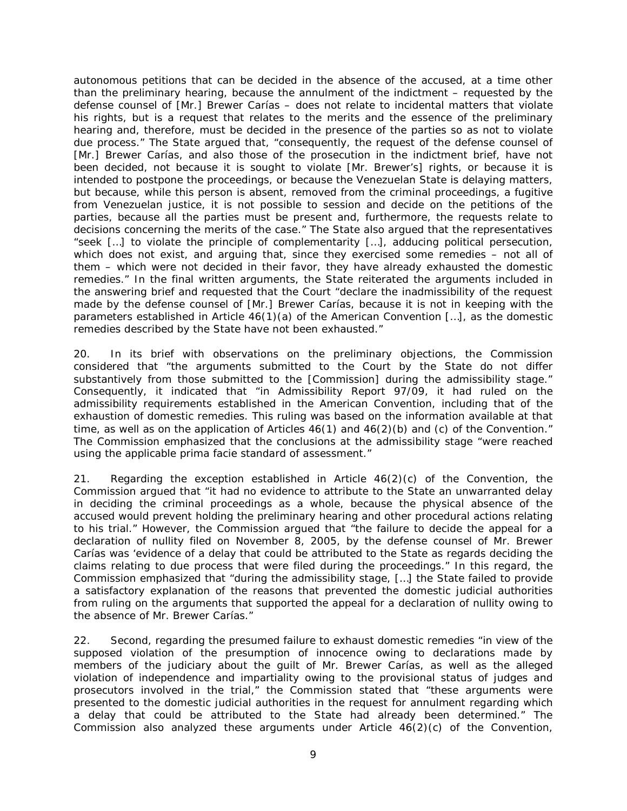autonomous petitions that can be decided in the absence of the accused, at a time other than the preliminary hearing, because the annulment of the indictment – requested by the defense counsel of [Mr.] Brewer Carías – does not relate to incidental matters that violate his rights, but is a request that relates to the merits and the essence of the preliminary hearing and, therefore, must be decided in the presence of the parties so as not to violate due process." The State argued that, "consequently, the request of the defense counsel of [Mr.] Brewer Carías, and also those of the prosecution in the indictment brief, have not been decided, not because it is sought to violate [Mr. Brewer's] rights, or because it is intended to postpone the proceedings, or because the Venezuelan State is delaying matters, but because, while this person is absent, removed from the criminal proceedings, a fugitive from Venezuelan justice, it is not possible to session and decide on the petitions of the parties, because all the parties must be present and, furthermore, the requests relate to decisions concerning the merits of the case." The State also argued that the representatives "seek […] to violate the principle of complementarity […], adducing political persecution, which does not exist, and arguing that, since they exercised some remedies – not all of them – which were not decided in their favor, they have already exhausted the domestic remedies." In the final written arguments, the State reiterated the arguments included in the answering brief and requested that the Court "declare the inadmissibility of the request made by the defense counsel of [Mr.] Brewer Carías, because it is not in keeping with the parameters established in Article 46(1)(a) of the American Convention […], as the domestic remedies described by the State have not been exhausted."

20. In its brief with observations on the preliminary objections, the Commission considered that "the arguments submitted to the Court by the State do not differ substantively from those submitted to the [Commission] during the admissibility stage." Consequently, it indicated that "in Admissibility Report 97/09, it had ruled on the admissibility requirements established in the American Convention, including that of the exhaustion of domestic remedies. This ruling was based on the information available at that time, as well as on the application of Articles  $46(1)$  and  $46(2)(b)$  and (c) of the Convention." The Commission emphasized that the conclusions at the admissibility stage "were reached using the applicable *prima facie* standard of assessment."

21. Regarding the exception established in Article  $46(2)(c)$  of the Convention, the Commission argued that "it had no evidence to attribute to the State an unwarranted delay in deciding the criminal proceedings as a whole, because the physical absence of the accused would prevent holding the preliminary hearing and other procedural actions relating to his trial." However, the Commission argued that "the failure to decide the appeal for a declaration of nullity filed on November 8, 2005, by the defense counsel of Mr. Brewer Carías was 'evidence of a delay that could be attributed to the State as regards deciding the claims relating to due process that were filed during the proceedings." In this regard, the Commission emphasized that "during the admissibility stage, […] the State failed to provide a satisfactory explanation of the reasons that prevented the domestic judicial authorities from ruling on the arguments that supported the appeal for a declaration of nullity owing to the absence of Mr. Brewer Carías."

22. Second, regarding the presumed failure to exhaust domestic remedies "in view of the supposed violation of the presumption of innocence owing to declarations made by members of the judiciary about the guilt of Mr. Brewer Carías, as well as the alleged violation of independence and impartiality owing to the provisional status of judges and prosecutors involved in the trial," the Commission stated that "these arguments were presented to the domestic judicial authorities in the request for annulment regarding which a delay that could be attributed to the State had already been determined." The Commission also analyzed these arguments under Article  $46(2)(c)$  of the Convention,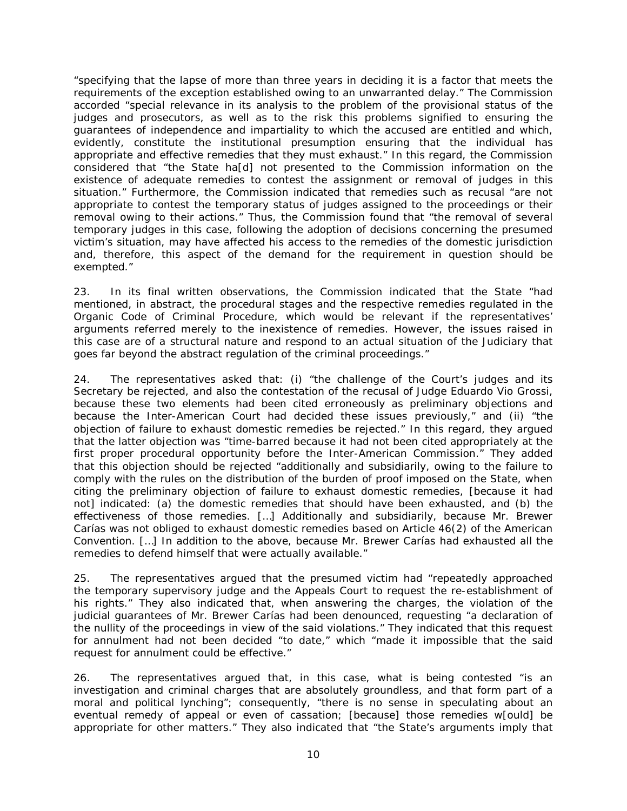"specifying that the lapse of more than three years in deciding it is a factor that meets the requirements of the exception established owing to an unwarranted delay." The Commission accorded "special relevance in its analysis to the problem of the provisional status of the judges and prosecutors, as well as to the risk this problems signified to ensuring the guarantees of independence and impartiality to which the accused are entitled and which, evidently, constitute the institutional presumption ensuring that the individual has appropriate and effective remedies that they must exhaust." In this regard, the Commission considered that "the State ha[d] not presented to the Commission information on the existence of adequate remedies to contest the assignment or removal of judges in this situation." Furthermore, the Commission indicated that remedies such as recusal "are not appropriate to contest the temporary status of judges assigned to the proceedings or their removal owing to their actions." Thus, the Commission found that "the removal of several temporary judges in this case, following the adoption of decisions concerning the presumed victim's situation, may have affected his access to the remedies of the domestic jurisdiction and, therefore, this aspect of the demand for the requirement in question should be exempted."

23. In its final written observations, the Commission indicated that the State "had mentioned, in abstract, the procedural stages and the respective remedies regulated in the Organic Code of Criminal Procedure, which would be relevant if the representatives' arguments referred merely to the inexistence of remedies. However, the issues raised in this case are of a structural nature and respond to an actual situation of the Judiciary that goes far beyond the abstract regulation of the criminal proceedings."

24. The representatives asked that: (i) "the challenge of the Court's judges and its Secretary be rejected, and also the contestation of the recusal of Judge Eduardo Vio Grossi, because these two elements had been cited erroneously as preliminary objections and because the Inter-American Court had decided these issues previously," and (ii) "the objection of failure to exhaust domestic remedies be rejected." In this regard, they argued that the latter objection was "time-barred because it had not been cited appropriately at the first proper procedural opportunity before the Inter-American Commission." They added that this objection should be rejected "additionally and subsidiarily, owing to the failure to comply with the rules on the distribution of the burden of proof imposed on the State, when citing the preliminary objection of failure to exhaust domestic remedies, [because it had not] indicated: (a) the domestic remedies that should have been exhausted, and (b) the effectiveness of those remedies. […] Additionally and subsidiarily, because Mr. Brewer Carías was not obliged to exhaust domestic remedies based on Article 46(2) of the American Convention. […] In addition to the above, because Mr. Brewer Carías had exhausted all the remedies to defend himself that were actually available."

25. The representatives argued that the presumed victim had "repeatedly approached the temporary supervisory judge and the Appeals Court to request the re-establishment of his rights." They also indicated that, when answering the charges, the violation of the judicial guarantees of Mr. Brewer Carías had been denounced, requesting "a declaration of the nullity of the proceedings in view of the said violations." They indicated that this request for annulment had not been decided "to date," which "made it impossible that the said request for annulment could be effective."

26. The representatives argued that, in this case, what is being contested "is an investigation and criminal charges that are absolutely groundless, and that form part of a moral and political lynching"; consequently, "there is no sense in speculating about an eventual remedy of appeal or even of cassation; [because] those remedies w[ould] be appropriate for other matters." They also indicated that "the State's arguments imply that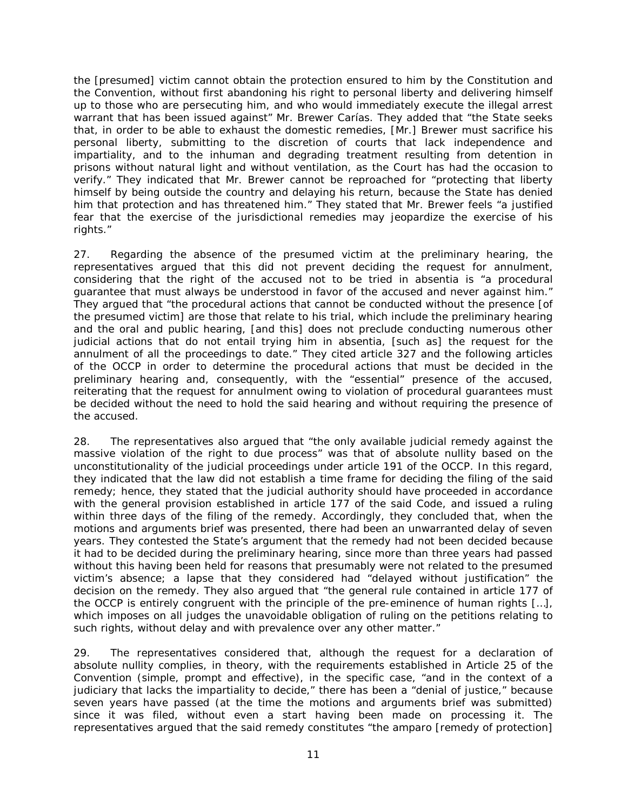the [presumed] victim cannot obtain the protection ensured to him by the Constitution and the Convention, without first abandoning his right to personal liberty and delivering himself up to those who are persecuting him, and who would immediately execute the illegal arrest warrant that has been issued against" Mr. Brewer Carías. They added that "the State seeks that, in order to be able to exhaust the domestic remedies, [Mr.] Brewer must sacrifice his personal liberty, submitting to the discretion of courts that lack independence and impartiality, and to the inhuman and degrading treatment resulting from detention in prisons without natural light and without ventilation, as the Court has had the occasion to verify." They indicated that Mr. Brewer cannot be reproached for "protecting that liberty himself by being outside the country and delaying his return, because the State has denied him that protection and has threatened him." They stated that Mr. Brewer feels "a justified fear that the exercise of the jurisdictional remedies may jeopardize the exercise of his rights."

27. Regarding the absence of the presumed victim at the preliminary hearing, the representatives argued that this did not prevent deciding the request for annulment, considering that the right of the accused not to be tried *in absentia* is "a procedural guarantee that must always be understood in favor of the accused and never against him." They argued that "the procedural actions that cannot be conducted without the presence [of the presumed victim] are those that relate to his trial, which include the preliminary hearing and the oral and public hearing, [and this] does not preclude conducting numerous other judicial actions that do not entail trying him *in absentia*, [such as] the request for the annulment of all the proceedings to date." They cited article 327 and the following articles of the OCCP in order to determine the procedural actions that must be decided in the preliminary hearing and, consequently, with the "essential" presence of the accused, reiterating that the request for annulment owing to violation of procedural guarantees must be decided without the need to hold the said hearing and without requiring the presence of the accused.

28. The representatives also argued that "the only available judicial remedy against the massive violation of the right to due process" was that of absolute nullity based on the unconstitutionality of the judicial proceedings under article 191 of the OCCP. In this regard, they indicated that the law did not establish a time frame for deciding the filing of the said remedy; hence, they stated that the judicial authority should have proceeded in accordance with the general provision established in article 177 of the said Code, and issued a ruling within three days of the filing of the remedy. Accordingly, they concluded that, when the motions and arguments brief was presented, there had been an unwarranted delay of seven years. They contested the State's argument that the remedy had not been decided because it had to be decided during the preliminary hearing, since more than three years had passed without this having been held for reasons that presumably were not related to the presumed victim's absence; a lapse that they considered had "delayed without justification" the decision on the remedy. They also argued that "the general rule contained in article 177 of the OCCP is entirely congruent with the principle of the pre-eminence of human rights […], which imposes on all judges the unavoidable obligation of ruling on the petitions relating to such rights, without delay and with prevalence over any other matter."

29. The representatives considered that, although the request for a declaration of absolute nullity complies, in theory, with the requirements established in Article 25 of the Convention (simple, prompt and effective), in the specific case, "and in the context of a judiciary that lacks the impartiality to decide," there has been a "denial of justice," because seven years have passed (at the time the motions and arguments brief was submitted) since it was filed, without even a start having been made on processing it. The representatives argued that the said remedy constitutes "the *amparo* [remedy of protection]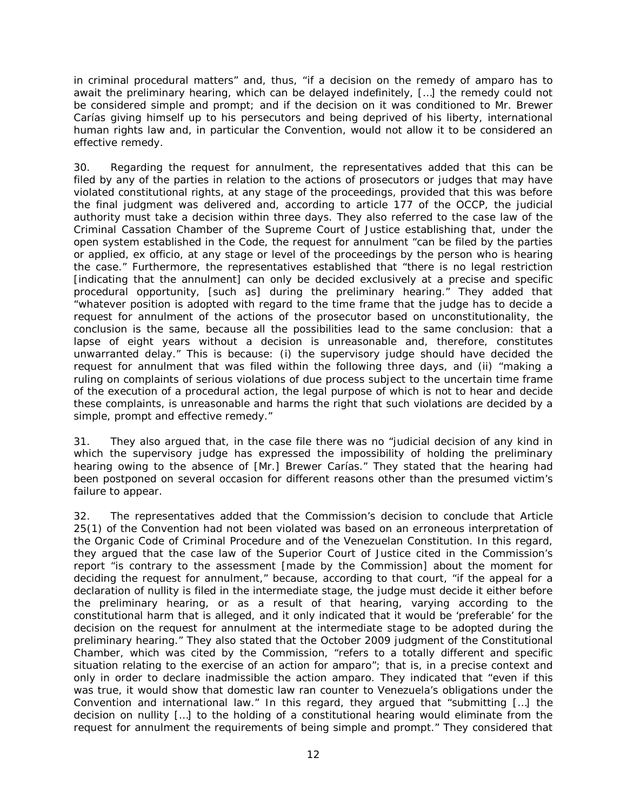in criminal procedural matters" and, thus, "if a decision on the remedy of *amparo* has to await the preliminary hearing, which can be delayed indefinitely, […] the remedy could not be considered simple and prompt; and if the decision on it was conditioned to Mr. Brewer Carías giving himself up to his persecutors and being deprived of his liberty, international human rights law and, in particular the Convention, would not allow it to be considered an effective remedy.

30. Regarding the request for annulment, the representatives added that this can be filed by any of the parties in relation to the actions of prosecutors or judges that may have violated constitutional rights, at any stage of the proceedings, provided that this was before the final judgment was delivered and, according to article 177 of the OCCP, the judicial authority must take a decision within three days. They also referred to the case law of the Criminal Cassation Chamber of the Supreme Court of Justice establishing that, under the open system established in the Code, the request for annulment "can be filed by the parties or applied, *ex officio,* at any stage or level of the proceedings by the person who is hearing the case." Furthermore, the representatives established that "there is no legal restriction [indicating that the annulment] can only be decided exclusively at a precise and specific procedural opportunity, [such as] during the preliminary hearing." They added that "whatever position is adopted with regard to the time frame that the judge has to decide a request for annulment of the actions of the prosecutor based on unconstitutionality, the conclusion is the same, because all the possibilities lead to the same conclusion: that a lapse of eight years without a decision is unreasonable and, therefore, constitutes unwarranted delay." This is because: (i) the supervisory judge should have decided the request for annulment that was filed within the following three days, and (ii) "making a ruling on complaints of serious violations of due process subject to the uncertain time frame of the execution of a procedural action, the legal purpose of which is not to hear and decide these complaints, is unreasonable and harms the right that such violations are decided by a simple, prompt and effective remedy."

31. They also argued that, in the case file there was no "judicial decision of any kind in which the supervisory judge has expressed the impossibility of holding the preliminary hearing owing to the absence of [Mr.] Brewer Carías." They stated that the hearing had been postponed on several occasion for different reasons other than the presumed victim's failure to appear.

32. The representatives added that the Commission's decision to conclude that Article 25(1) of the Convention had not been violated was based on an erroneous interpretation of the Organic Code of Criminal Procedure and of the Venezuelan Constitution. In this regard, they argued that the case law of the Superior Court of Justice cited in the Commission's report "is contrary to the assessment [made by the Commission] about the moment for deciding the request for annulment," because, according to that court, "if the appeal for a declaration of nullity is filed in the intermediate stage, the judge must decide it either before the preliminary hearing, or as a result of that hearing, varying according to the constitutional harm that is alleged, and it only indicated that it would be 'preferable' for the decision on the request for annulment at the intermediate stage to be adopted during the preliminary hearing." They also stated that the October 2009 judgment of the Constitutional Chamber, which was cited by the Commission, "refers to a totally different and specific situation relating to the exercise of an action for *amparo*"; that is, in a precise context and only in order to declare inadmissible the action *amparo*. They indicated that "even if this was true, it would show that domestic law ran counter to Venezuela's obligations under the Convention and international law." In this regard, they argued that "submitting […] the decision on nullity […] to the holding of a constitutional hearing would eliminate from the request for annulment the requirements of being simple and prompt." They considered that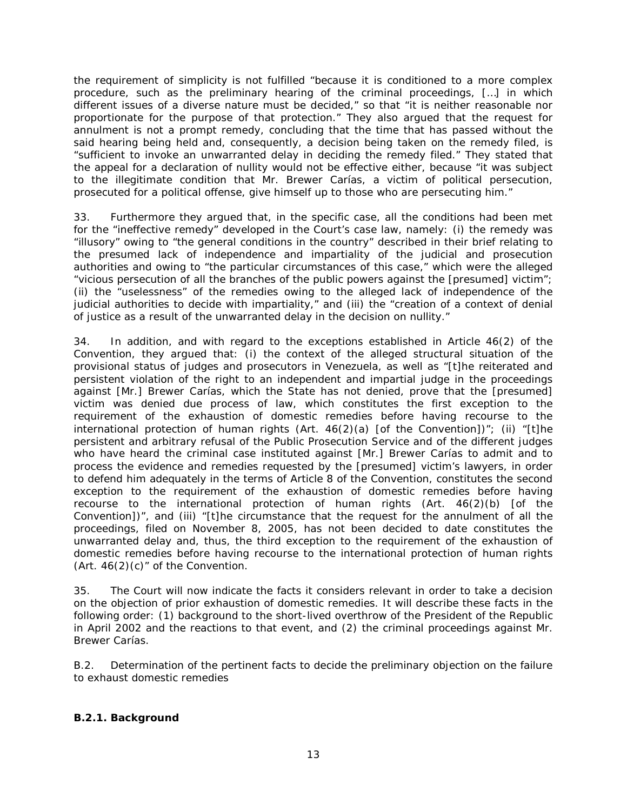the requirement of simplicity is not fulfilled "because it is conditioned to a more complex procedure, such as the preliminary hearing of the criminal proceedings, […] in which different issues of a diverse nature must be decided," so that "it is neither reasonable nor proportionate for the purpose of that protection." They also argued that the request for annulment is not a prompt remedy, concluding that the time that has passed without the said hearing being held and, consequently, a decision being taken on the remedy filed, is "sufficient to invoke an unwarranted delay in deciding the remedy filed." They stated that the appeal for a declaration of nullity would not be effective either, because "it was subject to the illegitimate condition that Mr. Brewer Carías, a victim of political persecution, prosecuted for a political offense, give himself up to those who are persecuting him."

33. Furthermore they argued that, in the specific case, all the conditions had been met for the "ineffective remedy" developed in the Court's case law, namely: (i) the remedy was "illusory" owing to "the general conditions in the country" described in their brief relating to the presumed lack of independence and impartiality of the judicial and prosecution authorities and owing to "the particular circumstances of this case," which were the alleged "vicious persecution of all the branches of the public powers against the [presumed] victim"; (ii) the "uselessness" of the remedies owing to the alleged lack of independence of the judicial authorities to decide with impartiality," and (iii) the "creation of a context of denial of justice as a result of the unwarranted delay in the decision on nullity."

34. In addition, and with regard to the exceptions established in Article 46(2) of the Convention, they argued that: (i) the context of the alleged structural situation of the provisional status of judges and prosecutors in Venezuela, as well as "[t]he reiterated and persistent violation of the right to an independent and impartial judge in the proceedings against [Mr.] Brewer Carías, which the State has not denied, prove that the [presumed] victim was denied due process of law, which constitutes the first exception to the requirement of the exhaustion of domestic remedies before having recourse to the international protection of human rights (Art.  $46(2)(a)$  [of the Convention])"; (ii) "[t]he persistent and arbitrary refusal of the Public Prosecution Service and of the different judges who have heard the criminal case instituted against [Mr.] Brewer Carías to admit and to process the evidence and remedies requested by the [presumed] victim's lawyers, in order to defend him adequately in the terms of Article 8 of the Convention, constitutes the second exception to the requirement of the exhaustion of domestic remedies before having recourse to the international protection of human rights (Art. 46(2)(b) [of the Convention])", and (iii) *"*[t]he circumstance that the request for the annulment of all the proceedings, filed on November 8, 2005, has not been decided to date constitutes the unwarranted delay and, thus, the third exception to the requirement of the exhaustion of domestic remedies before having recourse to the international protection of human rights (Art.  $46(2)(c)$ " of the Convention.

35. The Court will now indicate the facts it considers relevant in order to take a decision on the objection of prior exhaustion of domestic remedies. It will describe these facts in the following order: (1) background to the short-lived overthrow of the President of the Republic in April 2002 and the reactions to that event, and (2) the criminal proceedings against Mr. Brewer Carías.

<span id="page-12-0"></span>*B.2. Determination of the pertinent facts to decide the preliminary objection on the failure to exhaust domestic remedies*

### <span id="page-12-1"></span>*B.2.1. Background*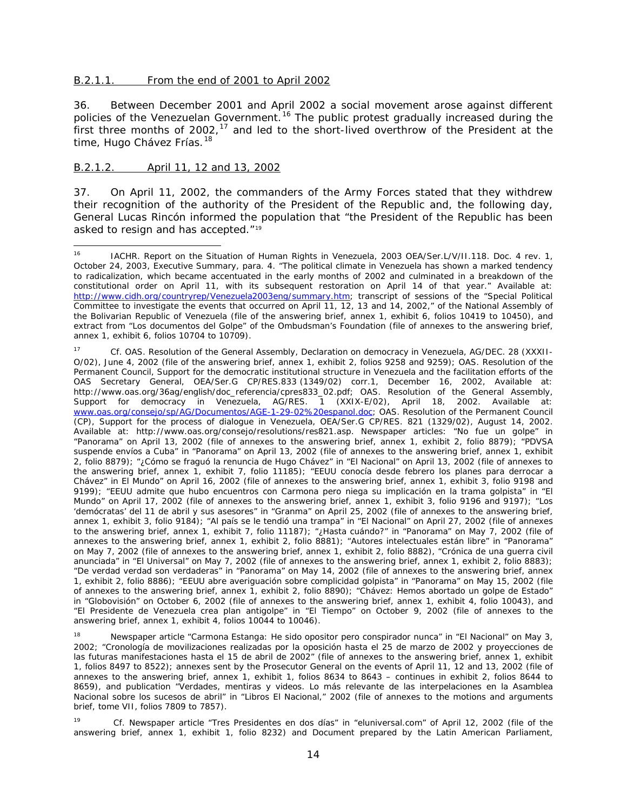#### <span id="page-13-0"></span>B.2.1.1. From the end of 2001 to April 2002

36. Between December 2001 and April 2002 a social movement arose against different policies of the Venezuelan Government.<sup>[16](#page-13-2)</sup> The public protest gradually increased during the first three months of 2002,<sup>[17](#page-13-3)</sup> and led to the short-lived overthrow of the President at the time, Hugo Chávez Frías.<sup>[18](#page-13-4)</sup>

#### <span id="page-13-1"></span>B.2.1.2. April 11, 12 and 13, 2002

37. On April 11, 2002, the commanders of the Army Forces stated that they withdrew their recognition of the authority of the President of the Republic and, the following day, General Lucas Rincón informed the population that "the President of the Republic has been asked to resign and has accepted."[19](#page-13-5)

<span id="page-13-2"></span><sup>&</sup>lt;sup>16</sup> IACHR. Report on the Situation of Human Rights in Venezuela, 2003 OEA/Ser.L/V/II.118. Doc. 4 rev. 1, October 24, 2003, Executive Summary, para. 4. "The political climate in Venezuela has shown a marked tendency to radicalization, which became accentuated in the early months of 2002 and culminated in a breakdown of the constitutional order on April 11, with its subsequent restoration on April 14 of that year." Available at: [http://www.cidh.org/countryrep/Venezuela2003eng/summary.htm;](http://www.cidh.org/countryrep/Venezuela2003eng/summary.htm) transcript of sessions of the "Special Political Committee to investigate the events that occurred on April 11, 12, 13 and 14, 2002," of the National Assembly of the Bolivarian Republic of Venezuela (file of the answering brief, annex 1, exhibit 6, folios 10419 to 10450), and extract from "*Los documentos del Golpe*" of the Ombudsman's Foundation (file of annexes to the answering brief, annex 1, exhibit 6, folios 10704 to 10709).

<span id="page-13-3"></span><sup>17</sup> *Cf.* OAS. Resolution of the General Assembly, Declaration on democracy in Venezuela, AG/DEC. 28 (XXXII-O/02), June 4, 2002 (file of the answering brief, annex 1, exhibit 2, folios 9258 and 9259); OAS. Resolution of the Permanent Council, Support for the democratic institutional structure in Venezuela and the facilitation efforts of the OAS Secretary General, OEA/Ser.G CP/RES.833 (1349/02) corr.1, December 16, 2002, Available at: http://www.oas.org/36ag/english/doc\_referencia/cpres833\_02.pdf; OAS. Resolution of the General Assembly, Support for democracy in Venezuela, AG/RES. 1 (XXIX-E/02), April 18, 2002. Available at: [www.oas.org/consejo/sp/AG/Documentos/AGE-1-29-02%20espanol.doc;](http://www.oas.org/consejo/sp/AG/Documentos/AGE-1-29-02%20espanol.doc) OAS. Resolution of the Permanent Council (CP), Support for the process of dialogue in Venezuela, OEA/Ser.G CP/RES. 821 (1329/02), August 14, 2002. Available at: http://www.oas.org/consejo/resolutions/res821.asp. Newspaper articles: "*No fue un golpe*" in "Panorama" on April 13, 2002 (file of annexes to the answering brief, annex 1, exhibit 2, folio 8879); "*PDVSA suspende envíos a Cuba*" in "Panorama" on April 13, 2002 (file of annexes to the answering brief, annex 1, exhibit 2, folio 8879); "¿*Cómo se fraguó la renuncia de Hugo Chávez*" in "El Nacional" on April 13, 2002 (file of annexes to the answering brief, annex 1, exhibit 7, folio 11185); "*EEUU conocía desde febrero los planes para derrocar a Chávez*" in El Mundo" on April 16, 2002 (file of annexes to the answering brief, annex 1, exhibit 3, folio 9198 and 9199); "*EEUU admite que hubo encuentros con Carmona pero niega su implicación en la trama golpista*" in "El Mundo" on April 17, 2002 (file of annexes to the answering brief, annex 1, exhibit 3, folio 9196 and 9197); "*Los 'demócratas' del 11 de abril y sus asesores*" in "Granma" on April 25, 2002 (file of annexes to the answering brief, annex 1, exhibit 3, folio 9184); "*Al país se le tendió una trampa*" in "El Nacional" on April 27, 2002 (file of annexes to the answering brief, annex 1, exhibit 7, folio 11187); "¿*Hasta cuándo?"* in "Panorama" on May 7, 2002 (file of annexes to the answering brief, annex 1, exhibit 2, folio 8881); "*Autores intelectuales están libre*" in "Panorama" on May 7, 2002 (file of annexes to the answering brief, annex 1, exhibit 2, folio 8882), "*Crónica de una guerra civil anunciada*" in "El Universal" on May 7, 2002 (file of annexes to the answering brief, annex 1, exhibit 2, folio 8883); "*De verdad verdad son verdaderas*" in "Panorama" on May 14, 2002 (file of annexes to the answering brief, annex 1, exhibit 2, folio 8886); "*EEUU abre averiguación sobre complicidad golpista*" in "Panorama" on May 15, 2002 (file of annexes to the answering brief, annex 1, exhibit 2, folio 8890); "*Chávez: Hemos abortado un golpe de Estado*" in "Globovisión" on October 6, 2002 (file of annexes to the answering brief, annex 1, exhibit 4, folio 10043), and "*El Presidente de Venezuela crea plan antigolpe*" in "El Tiempo" on October 9, 2002 (file of annexes to the answering brief, annex 1, exhibit 4, folios 10044 to 10046).

<span id="page-13-4"></span><sup>18</sup> Newspaper article "*Carmona Estanga: He sido opositor pero conspirador nunca*" in "El Nacional" on May 3, 2002; "*Cronología de movilizaciones realizadas por la oposición hasta el 25 de marzo de 2002 y proyecciones de las futuras manifestaciones hasta el 15 de abril de 2002*" (file of annexes to the answering brief, annex 1, exhibit 1, folios 8497 to 8522); annexes sent by the Prosecutor General on the events of April 11, 12 and 13, 2002 (file of annexes to the answering brief, annex 1, exhibit 1, folios 8634 to 8643 – continues in exhibit 2, folios 8644 to 8659), and publication "*Verdades, mentiras y videos. Lo más relevante de las interpelaciones en la Asamblea Nacional sobre los sucesos de abril*" in "Libros El Nacional," 2002 (file of annexes to the motions and arguments brief, tome VII, folios 7809 to 7857).

<span id="page-13-5"></span><sup>19</sup> *Cf.* Newspaper article "*Tres Presidentes en dos días"* in "eluniversal.com" of April 12, 2002 (file of the answering brief, annex 1, exhibit 1, folio 8232) and Document prepared by the Latin American Parliament,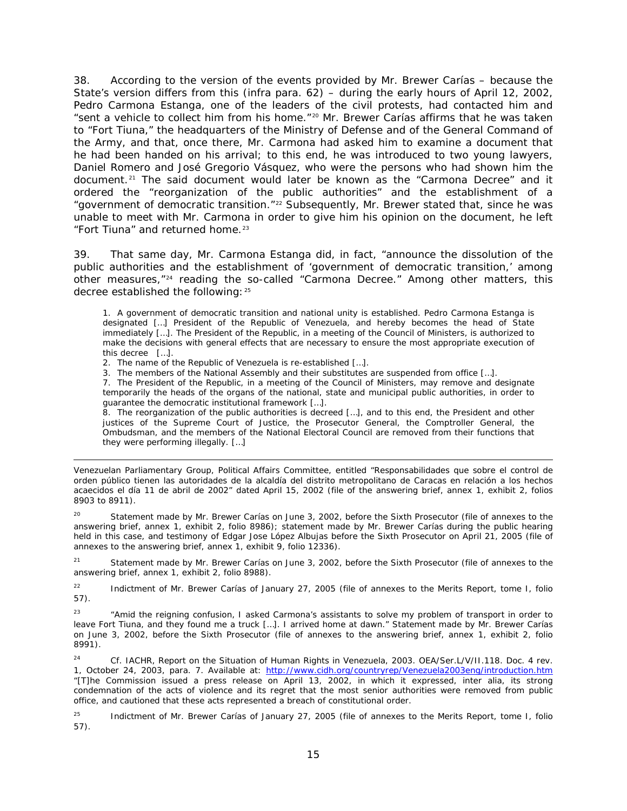38. According to the version of the events provided by Mr. Brewer Carías – because the State's version differs from this (*infra* para. 62) – during the early hours of April 12, 2002, Pedro Carmona Estanga, one of the leaders of the civil protests, had contacted him and "sent a vehicle to collect him from his home."[20](#page-14-0) Mr. Brewer Carías affirms that he was taken to "Fort Tiuna," the headquarters of the Ministry of Defense and of the General Command of the Army, and that, once there, Mr. Carmona had asked him to examine a document that he had been handed on his arrival; to this end, he was introduced to two young lawyers, Daniel Romero and José Gregorio Vásquez, who were the persons who had shown him the document.[21](#page-14-1) The said document would later be known as the "Carmona Decree" and it ordered the "reorganization of the public authorities" and the establishment of a "government of democratic transition."<sup>[22](#page-14-2)</sup> Subsequently, Mr. Brewer stated that, since he was unable to meet with Mr. Carmona in order to give him his opinion on the document, he left "Fort Tiuna" and returned home.<sup>[23](#page-14-3)</sup>

39. That same day, Mr. Carmona Estanga did, in fact, "announce the dissolution of the public authorities and the establishment of 'government of democratic transition,' among other measures,"[24](#page-14-4) reading the so-called "Carmona Decree." Among other matters, this decree established the following: [25](#page-14-5)

1. A government of democratic transition and national unity is established. Pedro Carmona Estanga is designated […] President of the Republic of Venezuela, and hereby becomes the head of State immediately […]. The President of the Republic, in a meeting of the Council of Ministers, is authorized to make the decisions with general effects that are necessary to ensure the most appropriate execution of this decree […].

2. The name of the Republic of Venezuela is re-established […].

i,

3. The members of the National Assembly and their substitutes are suspended from office […].

7. The President of the Republic, in a meeting of the Council of Ministers, may remove and designate temporarily the heads of the organs of the national, state and municipal public authorities, in order to guarantee the democratic institutional framework […].

8. The reorganization of the public authorities is decreed […], and to this end, the President and other justices of the Supreme Court of Justice, the Prosecutor General, the Comptroller General, the Ombudsman, and the members of the National Electoral Council are removed from their functions that they were performing illegally. […]

Venezuelan Parliamentary Group, Political Affairs Committee, entitled "*Responsabilidades que sobre el control de orden público tienen las autoridades de la alcaldía del distrito metropolitano de Caracas en relación a los hechos acaecidos el día 11 de abril de 2002*" dated April 15, 2002 (file of the answering brief, annex 1, exhibit 2, folios 8903 to 8911).

<span id="page-14-0"></span>Statement made by Mr. Brewer Carías on June 3, 2002, before the Sixth Prosecutor (file of annexes to the answering brief, annex 1, exhibit 2, folio 8986); statement made by Mr. Brewer Carías during the public hearing held in this case, and testimony of Edgar Jose López Albujas before the Sixth Prosecutor on April 21, 2005 (file of annexes to the answering brief, annex 1, exhibit 9, folio 12336).

<span id="page-14-1"></span><sup>21</sup> Statement made by Mr. Brewer Carías on June 3, 2002, before the Sixth Prosecutor (file of annexes to the answering brief, annex 1, exhibit 2, folio 8988).

<span id="page-14-2"></span><sup>22</sup> Indictment of Mr. Brewer Carías of January 27, 2005 (file of annexes to the Merits Report, tome I, folio 57).

<span id="page-14-3"></span><sup>23</sup> "Amid the reigning confusion, I asked Carmona's assistants to solve my problem of transport in order to leave Fort Tiuna, and they found me a truck […]. I arrived home at dawn." Statement made by Mr. Brewer Carías on June 3, 2002, before the Sixth Prosecutor (file of annexes to the answering brief, annex 1, exhibit 2, folio 8991).

<span id="page-14-4"></span><sup>24</sup> *Cf.* IACHR, Report on the Situation of Human Rights in Venezuela, 2003. OEA/Ser.L/V/II.118. Doc. 4 rev. 1, October 24, 2003, para. 7. Available at:<http://www.cidh.org/countryrep/Venezuela2003eng/introduction.htm> "[T]he Commission issued a press release on April 13, 2002, in which it expressed, *inter alia,* its strong condemnation of the acts of violence and its regret that the most senior authorities were removed from public office, and cautioned that these acts represented a breach of constitutional order.

<span id="page-14-5"></span><sup>25</sup> Indictment of Mr. Brewer Carías of January 27, 2005 (file of annexes to the Merits Report, tome I, folio 57).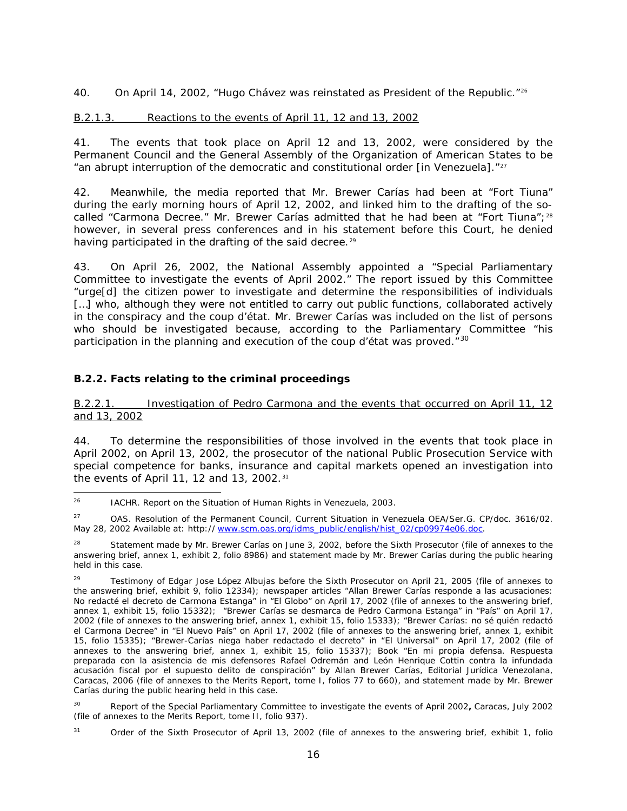40. On April 14, 2002, "Hugo Chávez was reinstated as President of the Republic."<sup>[26](#page-15-3)</sup>

### <span id="page-15-0"></span>B.2.1.3. Reactions to the events of April 11, 12 and 13, 2002

41. The events that took place on April 12 and 13, 2002, were considered by the Permanent Council and the General Assembly of the Organization of American States to be "an abrupt interruption of the democratic and constitutional order [in Venezuela]."[27](#page-15-4)

42. Meanwhile, the media reported that Mr. Brewer Carías had been at "Fort Tiuna" during the early morning hours of April 12, 2002, and linked him to the drafting of the so-called "Carmona Decree." Mr. Brewer Carías admitted that he had been at "Fort Tiuna";<sup>[28](#page-15-5)</sup> however, in several press conferences and in his statement before this Court, he denied having participated in the drafting of the said decree.<sup>[29](#page-15-6)</sup>

43. On April 26, 2002, the National Assembly appointed a "Special Parliamentary Committee to investigate the events of April 2002." The report issued by this Committee "urge[d] the citizen power to investigate and determine the responsibilities of individuals [...] who, although they were not entitled to carry out public functions, collaborated actively in the conspiracy and the coup d'état. Mr. Brewer Carías was included on the list of persons who should be investigated because, according to the Parliamentary Committee "his participation in the planning and execution of the coup d'état was proved. $^{\prime\prime}$ <sup>[30](#page-15-7)</sup>

# <span id="page-15-1"></span>*B.2.2. Facts relating to the criminal proceedings*

<span id="page-15-2"></span>B.2.2.1. Investigation of Pedro Carmona and the events that occurred on April 11, 12 and 13, 2002

44. To determine the responsibilities of those involved in the events that took place in April 2002, on April 13, 2002, the prosecutor of the national Public Prosecution Service with special competence for banks, insurance and capital markets opened an investigation into the events of April 11, 12 and 13, 2002.<sup>[31](#page-15-8)</sup>

<span id="page-15-3"></span><sup>&</sup>lt;sup>26</sup> IACHR. Report on the Situation of Human Rights in Venezuela, 2003.

<span id="page-15-4"></span><sup>&</sup>lt;sup>27</sup> OAS. Resolution of the Permanent Council, Current Situation in Venezuela OEA/Ser.G. CP/doc. 3616/02. May 28, 2002 Available at: http*://* [www.scm.oas.org/idms\\_public/english/hist\\_02/cp09974e06.doc](http://www.scm.oas.org/idms_public/english/hist_02/cp09974e06.doc)*.*

<span id="page-15-5"></span><sup>&</sup>lt;sup>28</sup> Statement made by Mr. Brewer Carías on June 3, 2002, before the Sixth Prosecutor (file of annexes to the answering brief, annex 1, exhibit 2, folio 8986) and statement made by Mr. Brewer Carías during the public hearing held in this case.

<span id="page-15-6"></span>Testimony of Edgar Jose López Albujas before the Sixth Prosecutor on April 21, 2005 (file of annexes to the answering brief, exhibit 9, folio 12334); newspaper articles "*Allan Brewer Carías responde a las acusaciones: No redacté el decreto de Carmona Estanga*" in "El Globo" on April 17, 2002 (file of annexes to the answering brief, annex 1, exhibit 15, folio 15332); "*Brewer Carías se desmarca de Pedro Carmona Estanga*" in "País" on April 17, 2002 (file of annexes to the answering brief, annex 1, exhibit 15, folio 15333); "Brewer Carías: no sé quién redactó el Carmona Decree" in "El Nuevo País" on April 17, 2002 (file of annexes to the answering brief, annex 1, exhibit 15, folio 15335); "*Brewer-Carías niega haber redactado el decreto*" in "El Universal" on April 17, 2002 (file of annexes to the answering brief, annex 1, exhibit 15, folio 15337); Book "*En mi propia defensa. Respuesta preparada con la asistencia de mis defensores Rafael Odremán and León Henrique Cottin contra la infundada acusación fiscal por el supuesto delito de conspiración*" by Allan Brewer Carías, Editorial Jurídica Venezolana, Caracas, 2006 (file of annexes to the Merits Report, tome I, folios 77 to 660), and statement made by Mr. Brewer Carías during the public hearing held in this case.

<span id="page-15-7"></span><sup>30</sup> Report of the Special Parliamentary Committee to investigate the events of April 2002**,** Caracas, July 2002 (file of annexes to the Merits Report, tome II, folio 937).

<span id="page-15-8"></span><sup>31</sup> Order of the Sixth Prosecutor of April 13, 2002 (file of annexes to the answering brief, exhibit 1, folio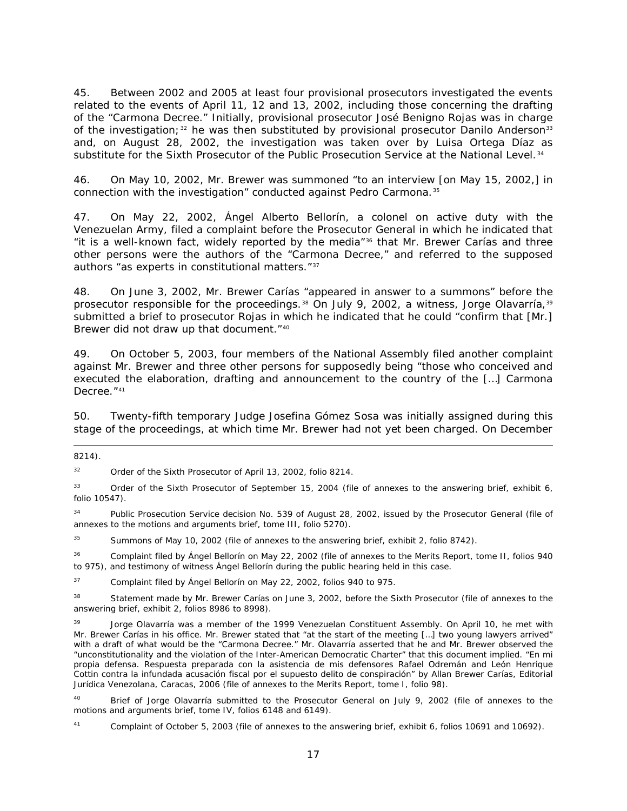45. Between 2002 and 2005 at least four provisional prosecutors investigated the events related to the events of April 11, 12 and 13, 2002, including those concerning the drafting of the "Carmona Decree." Initially, provisional prosecutor José Benigno Rojas was in charge of the investigation;<sup>[32](#page-16-0)</sup> he was then substituted by provisional prosecutor Danilo Anderson<sup>[33](#page-16-1)</sup> and, on August 28, 2002, the investigation was taken over by Luisa Ortega Díaz as substitute for the Sixth Prosecutor of the Public Prosecution Service at the National Level.<sup>[34](#page-16-2)</sup>

46. On May 10, 2002, Mr. Brewer was summoned "to an interview [on May 15, 2002,] in connection with the investigation" conducted against Pedro Carmona.[35](#page-16-3)

47. On May 22, 2002, Ángel Alberto Bellorín, a colonel on active duty with the Venezuelan Army, filed a complaint before the Prosecutor General in which he indicated that "it is a well-known fact, widely reported by the media"[36](#page-16-4) that Mr. Brewer Carías and three other persons were the authors of the "Carmona Decree," and referred to the supposed authors "as experts in constitutional matters."[37](#page-16-5)

48. On June 3, 2002, Mr. Brewer Carías "appeared in answer to a summons" before the prosecutor responsible for the proceedings.<sup>[38](#page-16-6)</sup> On July 9, 2002, a witness, Jorge Olavarría,<sup>[39](#page-16-7)</sup> submitted a brief to prosecutor Rojas in which he indicated that he could "confirm that [Mr.] Brewer did not draw up that document."<sup>[40](#page-16-8)</sup>

49. On October 5, 2003, four members of the National Assembly filed another complaint against Mr. Brewer and three other persons for supposedly being "those who conceived and executed the elaboration, drafting and announcement to the country of the […] Carmona Decree."<sup>[41](#page-16-9)</sup>

50. Twenty-fifth temporary Judge Josefina Gómez Sosa was initially assigned during this stage of the proceedings, at which time Mr. Brewer had not yet been charged. On December

l

<span id="page-16-0"></span><sup>32</sup> Order of the Sixth Prosecutor of April 13, 2002, folio 8214.

<span id="page-16-1"></span>33 Order of the Sixth Prosecutor of September 15, 2004 (file of annexes to the answering brief, exhibit 6, folio 10547).

<span id="page-16-2"></span><sup>34</sup> Public Prosecution Service decision No. 539 of August 28, 2002, issued by the Prosecutor General (file of annexes to the motions and arguments brief, tome III, folio 5270).

<span id="page-16-3"></span><sup>35</sup> Summons of May 10, 2002 (file of annexes to the answering brief, exhibit 2, folio 8742).

<span id="page-16-4"></span><sup>36</sup> Complaint filed by Ángel Bellorín on May 22, 2002 (file of annexes to the Merits Report, tome II, folios 940 to 975), and testimony of witness Ángel Bellorín during the public hearing held in this case.

<span id="page-16-5"></span><sup>37</sup> Complaint filed by Ángel Bellorín on May 22, 2002, folios 940 to 975.

<span id="page-16-6"></span><sup>38</sup> Statement made by Mr. Brewer Carías on June 3, 2002, before the Sixth Prosecutor (file of annexes to the answering brief, exhibit 2, folios 8986 to 8998).

<span id="page-16-7"></span><sup>39</sup> Jorge Olavarría was a member of the 1999 Venezuelan Constituent Assembly. On April 10, he met with Mr. Brewer Carías in his office. Mr. Brewer stated that "at the start of the meeting […] two young lawyers arrived" with a draft of what would be the "Carmona Decree." Mr. Olavarría asserted that he and Mr. Brewer observed the "unconstitutionality and the violation of the Inter-American Democratic Charter" that this document implied. "*En mi propia defensa. Respuesta preparada con la asistencia de mis defensores Rafael Odremán and León Henrique Cottin contra la infundada acusación fiscal por el supuesto delito de conspiración*" by Allan Brewer Carías, Editorial Jurídica Venezolana, Caracas, 2006 (file of annexes to the Merits Report, tome I, folio 98).

<span id="page-16-8"></span>Brief of Jorge Olavarría submitted to the Prosecutor General on July 9, 2002 (file of annexes to the motions and arguments brief, tome IV, folios 6148 and 6149).

<span id="page-16-9"></span>Complaint of October 5, 2003 (file of annexes to the answering brief, exhibit 6, folios 10691 and 10692).

<sup>8214).</sup>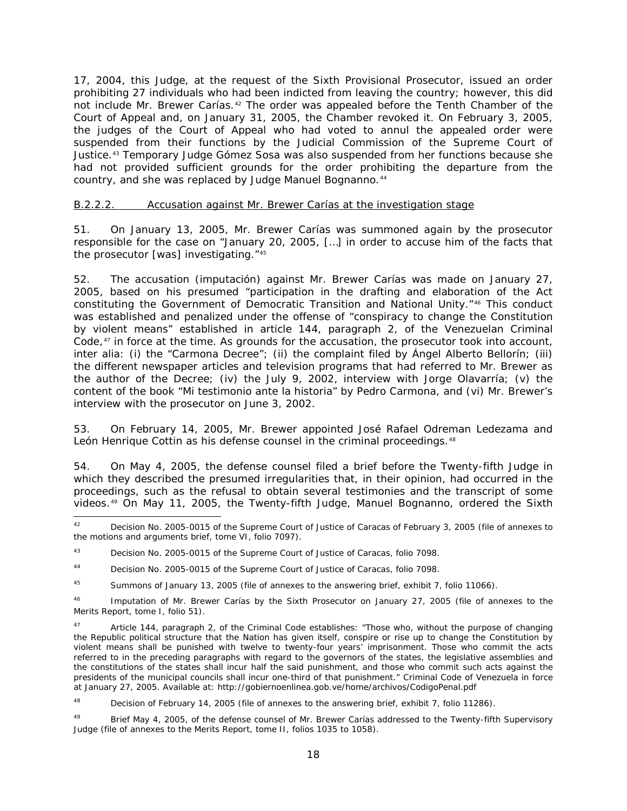17, 2004, this Judge, at the request of the Sixth Provisional Prosecutor, issued an order prohibiting 27 individuals who had been indicted from leaving the country; however, this did not include Mr. Brewer Carías.<sup>[42](#page-17-1)</sup> The order was appealed before the Tenth Chamber of the Court of Appeal and, on January 31, 2005, the Chamber revoked it. On February 3, 2005, the judges of the Court of Appeal who had voted to annul the appealed order were suspended from their functions by the Judicial Commission of the Supreme Court of Justice.[43](#page-17-2) Temporary Judge Gómez Sosa was also suspended from her functions because she had not provided sufficient grounds for the order prohibiting the departure from the country, and she was replaced by Judge Manuel Bognanno.<sup>[44](#page-17-3)</sup>

### <span id="page-17-0"></span>B.2.2.2. Accusation against Mr. Brewer Carías at the investigation stage

51. On January 13, 2005, Mr. Brewer Carías was summoned again by the prosecutor responsible for the case on "January 20, 2005, […] in order to accuse him of the facts that the prosecutor [was] investigating."[45](#page-17-4)

52. The accusation (*imputación*) against Mr. Brewer Carías was made on January 27, 2005, based on his presumed "participation in the drafting and elaboration of the Act constituting the Government of Democratic Transition and National Unity."[46](#page-17-5) This conduct was established and penalized under the offense of "conspiracy to change the Constitution by violent means" established in article 144, paragraph 2, of the Venezuelan Criminal Code, $^{47}$  $^{47}$  $^{47}$  in force at the time. As grounds for the accusation, the prosecutor took into account, *inter alia*: (i) the "Carmona Decree"; (ii) the complaint filed by Ángel Alberto Bellorín; (iii) the different newspaper articles and television programs that had referred to Mr. Brewer as the author of the Decree; (iv) the July 9, 2002, interview with Jorge Olavarría; (v) the content of the book "*Mi testimonio ante la historia*" by Pedro Carmona, and (vi) Mr. Brewer's interview with the prosecutor on June 3, 2002.

53. On February 14, 2005, Mr. Brewer appointed José Rafael Odreman Ledezama and León Henrique Cottin as his defense counsel in the criminal proceedings.<sup>[48](#page-17-7)</sup>

54. On May 4, 2005, the defense counsel filed a brief before the Twenty-fifth Judge in which they described the presumed irregularities that, in their opinion, had occurred in the proceedings, such as the refusal to obtain several testimonies and the transcript of some videos.[49](#page-17-8) On May 11, 2005, the Twenty-fifth Judge, Manuel Bognanno, ordered the Sixth

<span id="page-17-7"></span><sup>48</sup> Decision of February 14, 2005 (file of annexes to the answering brief, exhibit 7, folio 11286).

<span id="page-17-8"></span>49 Brief May 4, 2005, of the defense counsel of Mr. Brewer Carías addressed to the Twenty-fifth Supervisory Judge (file of annexes to the Merits Report, tome II, folios 1035 to 1058).

<span id="page-17-1"></span><sup>&</sup>lt;sup>42</sup> Decision No. 2005-0015 of the Supreme Court of Justice of Caracas of February 3, 2005 (file of annexes to the motions and arguments brief, tome VI, folio 7097).

<span id="page-17-2"></span><sup>43</sup> Decision No. 2005-0015 of the Supreme Court of Justice of Caracas, folio 7098.

<span id="page-17-3"></span><sup>44</sup> Decision No. 2005-0015 of the Supreme Court of Justice of Caracas, folio 7098.

<span id="page-17-4"></span><sup>&</sup>lt;sup>45</sup> Summons of January 13, 2005 (file of annexes to the answering brief, exhibit 7, folio 11066).

<span id="page-17-5"></span><sup>46</sup> Imputation of Mr. Brewer Carías by the Sixth Prosecutor on January 27, 2005 (file of annexes to the Merits Report, tome I, folio 51).

<span id="page-17-6"></span><sup>&</sup>lt;sup>47</sup> Article 144, paragraph 2, of the Criminal Code establishes: "Those who, without the purpose of changing the Republic political structure that the Nation has given itself, conspire or rise up to change the Constitution by violent means shall be punished with twelve to twenty-four years' imprisonment. Those who commit the acts referred to in the preceding paragraphs with regard to the governors of the states, the legislative assemblies and the constitutions of the states shall incur half the said punishment, and those who commit such acts against the presidents of the municipal councils shall incur one-third of that punishment." Criminal Code of Venezuela in force at January 27, 2005. Available at: http://gobiernoenlinea.gob.ve/home/archivos/CodigoPenal.pdf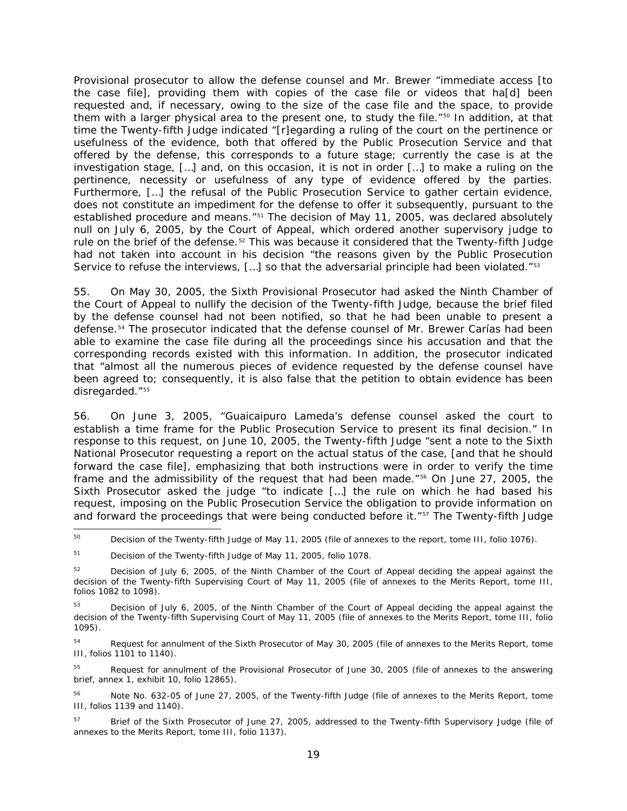Provisional prosecutor to allow the defense counsel and Mr. Brewer "immediate access [to the case file], providing them with copies of the case file or videos that ha[d] been requested and, if necessary, owing to the size of the case file and the space, to provide them with a larger physical area to the present one, to study the file."<sup>[50](#page-18-0)</sup> In addition, at that time the Twenty-fifth Judge indicated "[r]egarding a ruling of the court on the pertinence or usefulness of the evidence, both that offered by the Public Prosecution Service and that offered by the defense, this corresponds to a future stage; currently the case is at the investigation stage, […] and, on this occasion, it is not in order […] to make a ruling on the pertinence, necessity or usefulness of any type of evidence offered by the parties. Furthermore, […] the refusal of the Public Prosecution Service to gather certain evidence, does not constitute an impediment for the defense to offer it subsequently, pursuant to the established procedure and means."<sup>[51](#page-18-1)</sup> The decision of May 11, 2005, was declared absolutely null on July 6, 2005, by the Court of Appeal, which ordered another supervisory judge to rule on the brief of the defense.<sup>[52](#page-18-2)</sup> This was because it considered that the Twenty-fifth Judge had not taken into account in his decision "the reasons given by the Public Prosecution Service to refuse the interviews, [...] so that the adversarial principle had been violated."<sup>[53](#page-18-3)</sup>

55. On May 30, 2005, the Sixth Provisional Prosecutor had asked the Ninth Chamber of the Court of Appeal to nullify the decision of the Twenty-fifth Judge, because the brief filed by the defense counsel had not been notified, so that he had been unable to present a defense.[54](#page-18-4) The prosecutor indicated that the defense counsel of Mr. Brewer Carías had been able to examine the case file during all the proceedings since his accusation and that the corresponding records existed with this information. In addition, the prosecutor indicated that "almost all the numerous pieces of evidence requested by the defense counsel have been agreed to; consequently, it is also false that the petition to obtain evidence has been disregarded."[55](#page-18-5)

56. On June 3, 2005, "Guaicaipuro Lameda's defense counsel asked the court to establish a time frame for the Public Prosecution Service to present its final decision." In response to this request, on June 10, 2005, the Twenty-fifth Judge "sent a note to the Sixth National Prosecutor requesting a report on the actual status of the case, [and that he should forward the case file], emphasizing that both instructions were in order to verify the time frame and the admissibility of the request that had been made."<sup>[56](#page-18-6)</sup> On June 27, 2005, the Sixth Prosecutor asked the judge "to indicate […] the rule on which he had based his request, imposing on the Public Prosecution Service the obligation to provide information on and forward the proceedings that were being conducted before it."<sup>[57](#page-18-7)</sup> The Twenty-fifth Judge

<span id="page-18-4"></span><sup>54</sup> Request for annulment of the Sixth Prosecutor of May 30, 2005 (file of annexes to the Merits Report, tome III, folios 1101 to 1140).

<span id="page-18-5"></span><sup>55</sup> Request for annulment of the Provisional Prosecutor of June 30, 2005 (file of annexes to the answering brief, annex 1, exhibit 10, folio 12865).

<span id="page-18-6"></span><sup>56</sup> Note No. 632-05 of June 27, 2005, of the Twenty-fifth Judge (file of annexes to the Merits Report, tome III, folios 1139 and 1140).

<span id="page-18-7"></span><sup>57</sup> Brief of the Sixth Prosecutor of June 27, 2005, addressed to the Twenty-fifth Supervisory Judge (file of annexes to the Merits Report, tome III, folio 1137).

<span id="page-18-0"></span><sup>&</sup>lt;sup>50</sup> Decision of the Twenty-fifth Judge of May 11, 2005 (file of annexes to the report, tome III, folio 1076).

<span id="page-18-1"></span><sup>51</sup> Decision of the Twenty-fifth Judge of May 11, 2005, folio 1078.

<span id="page-18-2"></span><sup>&</sup>lt;sup>52</sup> Decision of July 6, 2005, of the Ninth Chamber of the Court of Appeal deciding the appeal against the decision of the Twenty-fifth Supervising Court of May 11, 2005 (file of annexes to the Merits Report, tome III, folios 1082 to 1098).

<span id="page-18-3"></span>Decision of July 6, 2005, of the Ninth Chamber of the Court of Appeal deciding the appeal against the decision of the Twenty-fifth Supervising Court of May 11, 2005 (file of annexes to the Merits Report, tome III, folio 1095).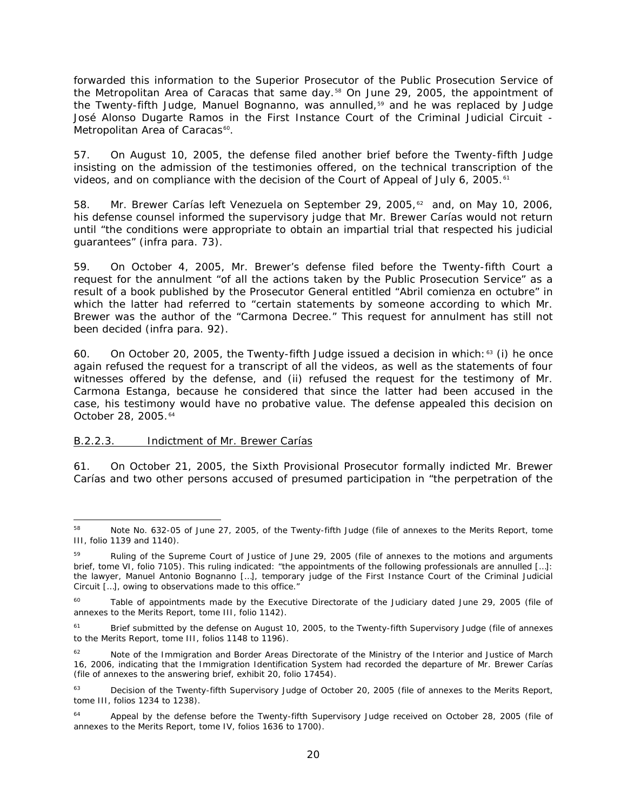forwarded this information to the Superior Prosecutor of the Public Prosecution Service of the Metropolitan Area of Caracas that same day.<sup>[58](#page-19-1)</sup> On June 29, 2005, the appointment of the Twenty-fifth Judge, Manuel Bognanno, was annulled,<sup>[59](#page-19-2)</sup> and he was replaced by Judge José Alonso Dugarte Ramos in the First Instance Court of the Criminal Judicial Circuit - Metropolitan Area of Caracas<sup>60</sup>.

57. On August 10, 2005, the defense filed another brief before the Twenty-fifth Judge insisting on the admission of the testimonies offered, on the technical transcription of the videos, and on compliance with the decision of the Court of Appeal of July 6, 2005.<sup>[61](#page-19-4)</sup>

58. Mr. Brewer Carías left Venezuela on September 29, 2005, $62$  and, on May 10, 2006, his defense counsel informed the supervisory judge that Mr. Brewer Carías would not return until "the conditions were appropriate to obtain an impartial trial that respected his judicial guarantees" (*infra* para. 73).

59. On October 4, 2005, Mr. Brewer's defense filed before the Twenty-fifth Court a request for the annulment "of all the actions taken by the Public Prosecution Service" as a result of a book published by the Prosecutor General entitled "*Abril comienza en octubre*" in which the latter had referred to "certain statements by someone according to which Mr. Brewer was the author of the "Carmona Decree." This request for annulment has still not been decided (*infra* para. 92).

60. On October 20, 2005, the Twenty-fifth Judge issued a decision in which:  $63$  (i) he once again refused the request for a transcript of all the videos, as well as the statements of four witnesses offered by the defense, and (ii) refused the request for the testimony of Mr. Carmona Estanga, because he considered that since the latter had been accused in the case, his testimony would have no probative value. The defense appealed this decision on October 28, 2005.<sup>[64](#page-19-7)</sup>

### <span id="page-19-0"></span>B.2.2.3. Indictment of Mr. Brewer Carías

61. On October 21, 2005, the Sixth Provisional Prosecutor formally indicted Mr. Brewer Carías and two other persons accused of presumed participation in "the perpetration of the

<span id="page-19-1"></span><sup>&</sup>lt;sup>58</sup> Note No. 632-05 of June 27, 2005, of the Twenty-fifth Judge (file of annexes to the Merits Report, tome III, folio 1139 and 1140).

<span id="page-19-2"></span>Ruling of the Supreme Court of Justice of June 29, 2005 (file of annexes to the motions and arguments brief, tome VI, folio 7105). This ruling indicated: "the appointments of the following professionals are annulled […]: the lawyer, Manuel Antonio Bognanno […], temporary judge of the First Instance Court of the Criminal Judicial Circuit […], owing to observations made to this office."

<span id="page-19-3"></span>Table of appointments made by the Executive Directorate of the Judiciary dated June 29, 2005 (file of annexes to the Merits Report, tome III, folio 1142).

<span id="page-19-4"></span><sup>&</sup>lt;sup>61</sup> Brief submitted by the defense on August 10, 2005, to the Twenty-fifth Supervisory Judge (file of annexes to the Merits Report, tome III, folios 1148 to 1196).

<span id="page-19-5"></span><sup>&</sup>lt;sup>62</sup> Note of the Immigration and Border Areas Directorate of the Ministry of the Interior and Justice of March 16, 2006, indicating that the Immigration Identification System had recorded the departure of Mr. Brewer Carías (file of annexes to the answering brief, exhibit 20, folio 17454).

<span id="page-19-6"></span><sup>&</sup>lt;sup>63</sup> Decision of the Twenty-fifth Supervisory Judge of October 20, 2005 (file of annexes to the Merits Report, tome III, folios 1234 to 1238).

<span id="page-19-7"></span><sup>&</sup>lt;sup>64</sup> Appeal by the defense before the Twenty-fifth Supervisory Judge received on October 28, 2005 (file of annexes to the Merits Report, tome IV, folios 1636 to 1700).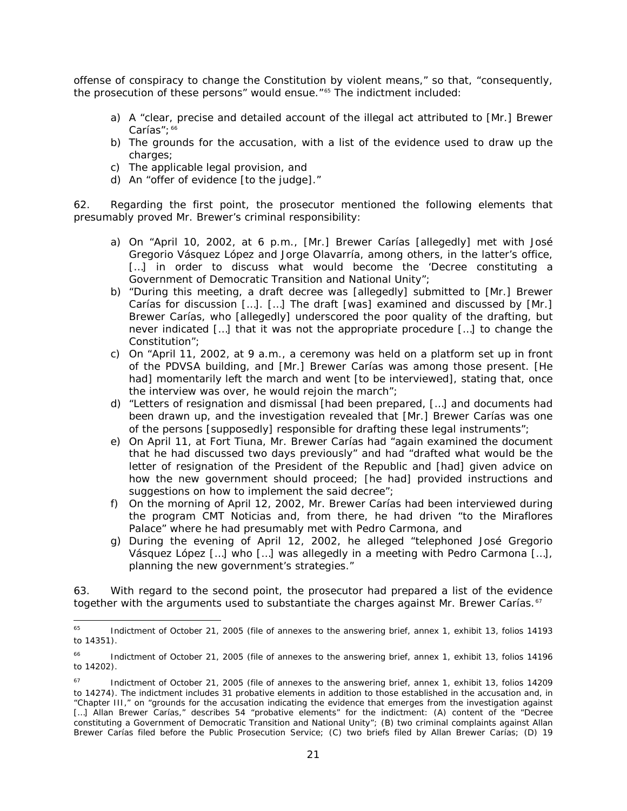offense of conspiracy to change the Constitution by violent means," so that, "consequently, the prosecution of these persons" would ensue."[65](#page-20-0) The indictment included:

- a) A "clear, precise and detailed account of the illegal act attributed to [Mr.] Brewer Carías"; [66](#page-20-1)
- b) The grounds for the accusation, with a list of the evidence used to draw up the charges;
- c) The applicable legal provision, and
- d) An "offer of evidence [to the judge]."

62. Regarding the first point, the prosecutor mentioned the following elements that presumably proved Mr. Brewer's criminal responsibility:

- a) On "April 10, 2002, at 6 p.m., [Mr.] Brewer Carías [allegedly] met with José Gregorio Vásquez López and Jorge Olavarría, among others, in the latter's office, [...] in order to discuss what would become the 'Decree constituting a Government of Democratic Transition and National Unity";
- b) "During this meeting, a draft decree was [allegedly] submitted to [Mr.] Brewer Carías for discussion […]. […] The draft [was] examined and discussed by [Mr.] Brewer Carías, who [allegedly] underscored the poor quality of the drafting, but never indicated […] that it was not the appropriate procedure […] to change the Constitution";
- c) On "April 11, 2002, at 9 a.m., a ceremony was held on a platform set up in front of the PDVSA building, and [Mr.] Brewer Carías was among those present. [He had] momentarily left the march and went [to be interviewed], stating that, once the interview was over, he would rejoin the march";
- d) "Letters of resignation and dismissal [had been prepared, […] and documents had been drawn up, and the investigation revealed that [Mr.] Brewer Carías was one of the persons [supposedly] responsible for drafting these legal instruments";
- e) On April 11, at Fort Tiuna, Mr. Brewer Carías had "again examined the document that he had discussed two days previously" and had "drafted what would be the letter of resignation of the President of the Republic and [had] given advice on how the new government should proceed; [he had] provided instructions and suggestions on how to implement the said decree";
- f) On the morning of April 12, 2002, Mr. Brewer Carías had been interviewed during the program *CMT Noticias* and, from there, he had driven "to the Miraflores Palace" where he had presumably met with Pedro Carmona, and
- g) During the evening of April 12, 2002, he alleged "telephoned José Gregorio Vásquez López […] who […] was allegedly in a meeting with Pedro Carmona […], planning the new government's strategies."

63. With regard to the second point, the prosecutor had prepared a list of the evidence together with the arguments used to substantiate the charges against Mr. Brewer Carías.<sup>[67](#page-20-2)</sup>

<span id="page-20-0"></span><sup>&</sup>lt;sup>65</sup> Indictment of October 21, 2005 (file of annexes to the answering brief, annex 1, exhibit 13, folios 14193 to 14351).

<span id="page-20-1"></span><sup>&</sup>lt;sup>66</sup> Indictment of October 21, 2005 (file of annexes to the answering brief, annex 1, exhibit 13, folios 14196 to 14202).

<span id="page-20-2"></span> $67$  Indictment of October 21, 2005 (file of annexes to the answering brief, annex 1, exhibit 13, folios 14209 to 14274). The indictment includes 31 probative elements in addition to those established in the accusation and, in "Chapter III," on "grounds for the accusation indicating the evidence that emerges from the investigation against [...] Allan Brewer Carías," describes 54 "probative elements" for the indictment: (A) content of the "Decree constituting a Government of Democratic Transition and National Unity"; (B) two criminal complaints against Allan Brewer Carías filed before the Public Prosecution Service; (C) two briefs filed by Allan Brewer Carías; (D) 19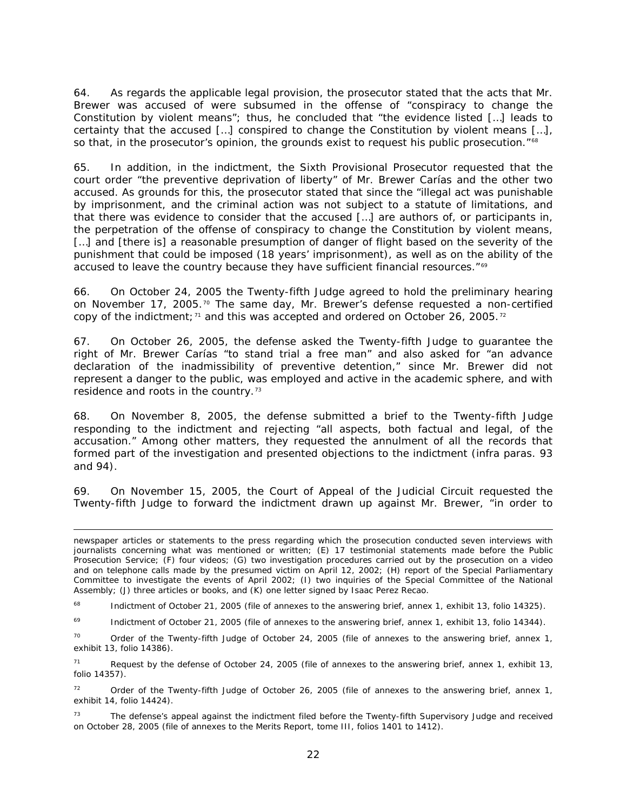64. As regards the applicable legal provision, the prosecutor stated that the acts that Mr. Brewer was accused of were subsumed in the offense of "conspiracy to change the Constitution by violent means"; thus, he concluded that "the evidence listed […] leads to certainty that the accused […] conspired to change the Constitution by violent means […], so that, in the prosecutor's opinion, the grounds exist to request his public prosecution."<sup>[68](#page-21-0)</sup>

65. In addition, in the indictment, the Sixth Provisional Prosecutor requested that the court order "the preventive deprivation of liberty" of Mr. Brewer Carías and the other two accused. As grounds for this, the prosecutor stated that since the "illegal act was punishable by imprisonment, and the criminal action was not subject to a statute of limitations, and that there was evidence to consider that the accused […] are authors of, or participants in, the perpetration of the offense of conspiracy to change the Constitution by violent means, [...] and [there is] a reasonable presumption of danger of flight based on the severity of the punishment that could be imposed (18 years' imprisonment), as well as on the ability of the accused to leave the country because they have sufficient financial resources."<sup>[69](#page-21-1)</sup>

66. On October 24, 2005 the Twenty-fifth Judge agreed to hold the preliminary hearing on November 17, 2005.<sup>[70](#page-21-2)</sup> The same day, Mr. Brewer's defense requested a non-certified copy of the indictment;  $71$  and this was accepted and ordered on October 26, 2005.<sup>[72](#page-21-4)</sup>

67. On October 26, 2005, the defense asked the Twenty-fifth Judge to guarantee the right of Mr. Brewer Carías "to stand trial a free man" and also asked for "an advance declaration of the inadmissibility of preventive detention," since Mr. Brewer did not represent a danger to the public, was employed and active in the academic sphere, and with residence and roots in the country.<sup>[73](#page-21-5)</sup>

68. On November 8, 2005, the defense submitted a brief to the Twenty-fifth Judge responding to the indictment and rejecting "all aspects, both factual and legal, of the accusation." Among other matters, they requested the annulment of all the records that formed part of the investigation and presented objections to the indictment (*infra* paras. 93 and 94).

69. On November 15, 2005, the Court of Appeal of the Judicial Circuit requested the Twenty-fifth Judge to forward the indictment drawn up against Mr. Brewer, "in order to

<span id="page-21-0"></span><sup>68</sup> Indictment of October 21, 2005 (file of annexes to the answering brief, annex 1, exhibit 13, folio 14325).

<span id="page-21-1"></span><sup>69</sup> Indictment of October 21, 2005 (file of annexes to the answering brief, annex 1, exhibit 13, folio 14344).

<span id="page-21-2"></span><sup>70</sup> Order of the Twenty-fifth Judge of October 24, 2005 (file of annexes to the answering brief, annex 1, exhibit 13, folio 14386).

<span id="page-21-3"></span> $71$  Request by the defense of October 24, 2005 (file of annexes to the answering brief, annex 1, exhibit 13, folio 14357).

<span id="page-21-4"></span><sup>72</sup> Order of the Twenty-fifth Judge of October 26, 2005 (file of annexes to the answering brief, annex 1, exhibit 14, folio 14424).

<span id="page-21-5"></span> $73$  The defense's appeal against the indictment filed before the Twenty-fifth Supervisory Judge and received on October 28, 2005 (file of annexes to the Merits Report, tome III, folios 1401 to 1412).

i, newspaper articles or statements to the press regarding which the prosecution conducted seven interviews with journalists concerning what was mentioned or written; (E) 17 testimonial statements made before the Public Prosecution Service; (F) four videos; (G) two investigation procedures carried out by the prosecution on a video and on telephone calls made by the presumed victim on April 12, 2002; (H) report of the Special Parliamentary Committee to investigate the events of April 2002; (I) two inquiries of the Special Committee of the National Assembly; (J) three articles or books, and (K) one letter signed by Isaac Perez Recao.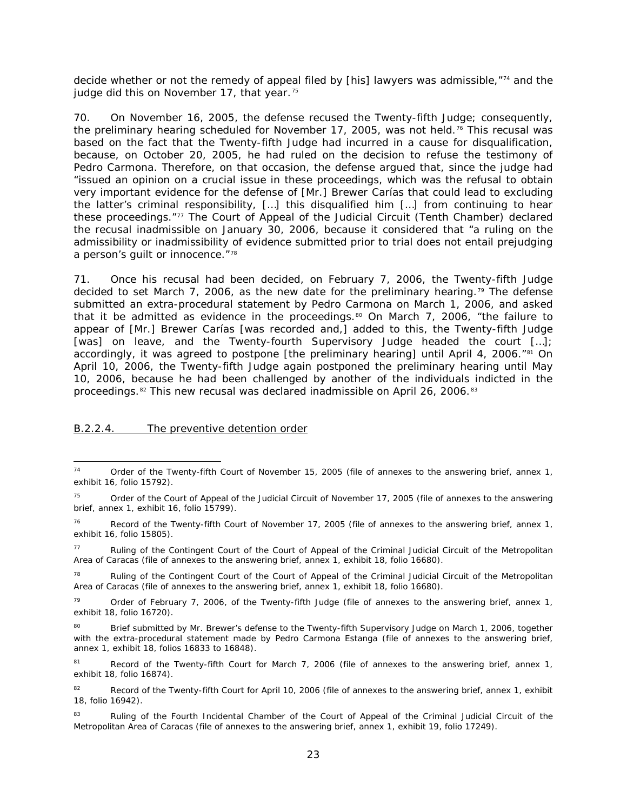decide whether or not the remedy of appeal filed by [his] lawyers was admissible,"[74](#page-22-1) and the judge did this on November 17, that year.<sup>[75](#page-22-2)</sup>

70. On November 16, 2005, the defense recused the Twenty-fifth Judge; consequently, the preliminary hearing scheduled for November 17, 2005, was not held.<sup>[76](#page-22-3)</sup> This recusal was based on the fact that the Twenty-fifth Judge had incurred in a cause for disqualification, because, on October 20, 2005, he had ruled on the decision to refuse the testimony of Pedro Carmona. Therefore, on that occasion, the defense argued that, since the judge had "issued an opinion on a crucial issue in these proceedings, which was the refusal to obtain very important evidence for the defense of [Mr.] Brewer Carías that could lead to excluding the latter's criminal responsibility, […] this disqualified him […] from continuing to hear these proceedings."[77](#page-22-4) The Court of Appeal of the Judicial Circuit (Tenth Chamber) declared the recusal inadmissible on January 30, 2006, because it considered that "a ruling on the admissibility or inadmissibility of evidence submitted prior to trial does not entail prejudging a person's quilt or innocence."<sup>[78](#page-22-5)</sup>

71. Once his recusal had been decided, on February 7, 2006, the Twenty-fifth Judge decided to set March 7, 2006, as the new date for the preliminary hearing.<sup>[79](#page-22-6)</sup> The defense submitted an extra-procedural statement by Pedro Carmona on March 1, 2006, and asked that it be admitted as evidence in the proceedings.<sup>[80](#page-22-7)</sup> On March 7, 2006, "the failure to appear of [Mr.] Brewer Carías [was recorded and,] added to this, the Twenty-fifth Judge [was] on leave, and the Twenty-fourth Supervisory Judge headed the court […]; accordingly, it was agreed to postpone [the preliminary hearing] until April 4, 2006. $^{\prime\prime}$ <sup>[81](#page-22-8)</sup> On April 10, 2006, the Twenty-fifth Judge again postponed the preliminary hearing until May 10, 2006, because he had been challenged by another of the individuals indicted in the proceedings.[82](#page-22-9) This new recusal was declared inadmissible on April 26, 2006.[83](#page-22-10)

#### <span id="page-22-0"></span>B.2.2.4. The preventive detention order

<span id="page-22-5"></span><sup>78</sup> Ruling of the Contingent Court of the Court of Appeal of the Criminal Judicial Circuit of the Metropolitan Area of Caracas (file of annexes to the answering brief, annex 1, exhibit 18, folio 16680).

<span id="page-22-1"></span><sup>&</sup>lt;sup>74</sup> Order of the Twenty-fifth Court of November 15, 2005 (file of annexes to the answering brief, annex 1, exhibit 16, folio 15792).

<span id="page-22-2"></span><sup>&</sup>lt;sup>75</sup> Order of the Court of Appeal of the Judicial Circuit of November 17, 2005 (file of annexes to the answering brief, annex 1, exhibit 16, folio 15799).

<span id="page-22-3"></span><sup>&</sup>lt;sup>76</sup> Record of the Twenty-fifth Court of November 17, 2005 (file of annexes to the answering brief, annex 1, exhibit 16, folio 15805).

<span id="page-22-4"></span><sup>77</sup> Ruling of the Contingent Court of the Court of Appeal of the Criminal Judicial Circuit of the Metropolitan Area of Caracas (file of annexes to the answering brief, annex 1, exhibit 18, folio 16680).

<span id="page-22-6"></span> $79$  Order of February 7, 2006, of the Twenty-fifth Judge (file of annexes to the answering brief, annex 1, exhibit 18, folio 16720).

<span id="page-22-7"></span><sup>&</sup>lt;sup>80</sup> Brief submitted by Mr. Brewer's defense to the Twenty-fifth Supervisory Judge on March 1, 2006, together with the extra-procedural statement made by Pedro Carmona Estanga (file of annexes to the answering brief, annex 1, exhibit 18, folios 16833 to 16848).

<span id="page-22-8"></span><sup>&</sup>lt;sup>81</sup> Record of the Twenty-fifth Court for March 7, 2006 (file of annexes to the answering brief, annex 1, exhibit 18, folio 16874).

<span id="page-22-9"></span><sup>82</sup> Record of the Twenty-fifth Court for April 10, 2006 (file of annexes to the answering brief, annex 1, exhibit 18, folio 16942).

<span id="page-22-10"></span><sup>83</sup> Ruling of the Fourth Incidental Chamber of the Court of Appeal of the Criminal Judicial Circuit of the Metropolitan Area of Caracas (file of annexes to the answering brief, annex 1, exhibit 19, folio 17249).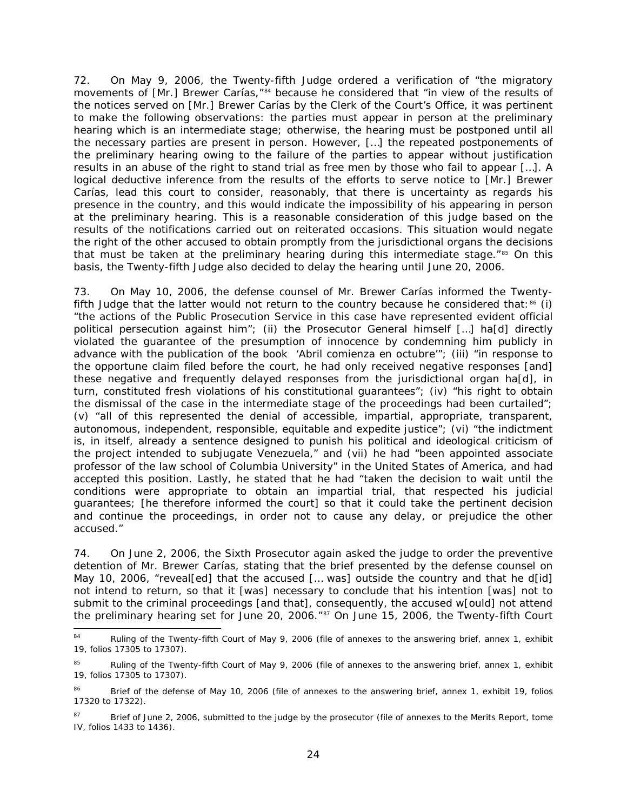72. On May 9, 2006, the Twenty-fifth Judge ordered a verification of "the migratory movements of [Mr.] Brewer Carías,"<sup>[84](#page-23-0)</sup> because he considered that "in view of the results of the notices served on [Mr.] Brewer Carías by the Clerk of the Court's Office, it was pertinent to make the following observations: the parties must appear in person at the preliminary hearing which is an intermediate stage; otherwise, the hearing must be postponed until all the necessary parties are present in person. However, […] the repeated postponements of the preliminary hearing owing to the failure of the parties to appear without justification results in an abuse of the right to stand trial as free men by those who fail to appear […]. A logical deductive inference from the results of the efforts to serve notice to [Mr.] Brewer Carías, lead this court to consider, reasonably, that there is uncertainty as regards his presence in the country, and this would indicate the impossibility of his appearing in person at the preliminary hearing. This is a reasonable consideration of this judge based on the results of the notifications carried out on reiterated occasions. This situation would negate the right of the other accused to obtain promptly from the jurisdictional organs the decisions that must be taken at the preliminary hearing during this intermediate stage.<sup>"[85](#page-23-1)</sup> On this basis, the Twenty-fifth Judge also decided to delay the hearing until June 20, 2006.

73. On May 10, 2006, the defense counsel of Mr. Brewer Carías informed the Twentyfifth Judge that the latter would not return to the country because he considered that: $86$  (i) "the actions of the Public Prosecution Service in this case have represented evident official political persecution against him"; (ii) the Prosecutor General himself […] ha[d] directly violated the guarantee of the presumption of innocence by condemning him publicly in advance with the publication of the book '*Abril comienza en octubre'*"; (iii) "in response to the opportune claim filed before the court, he had only received negative responses [and] these negative and frequently delayed responses from the jurisdictional organ ha[d], in turn, constituted fresh violations of his constitutional guarantees"; (iv) "his right to obtain the dismissal of the case in the intermediate stage of the proceedings had been curtailed"; (v) "all of this represented the denial of accessible, impartial, appropriate, transparent, autonomous, independent, responsible, equitable and expedite justice"; (vi) "the indictment is, in itself, already a sentence designed to punish his political and ideological criticism of the project intended to subjugate Venezuela," and (vii) he had "been appointed associate professor of the law school of Columbia University" in the United States of America, and had accepted this position. Lastly, he stated that he had "taken the decision to wait until the conditions were appropriate to obtain an impartial trial, that respected his judicial guarantees; [he therefore informed the court] so that it could take the pertinent decision and continue the proceedings, in order not to cause any delay, or prejudice the other accused."

74. On June 2, 2006, the Sixth Prosecutor again asked the judge to order the preventive detention of Mr. Brewer Carías, stating that the brief presented by the defense counsel on May 10, 2006, "reveal[ed] that the accused [... was] outside the country and that he d[id] not intend to return, so that it [was] necessary to conclude that his intention [was] not to submit to the criminal proceedings [and that], consequently, the accused w[ould] not attend the preliminary hearing set for June 20, 2006."[87](#page-23-3) On June 15, 2006, the Twenty-fifth Court

<span id="page-23-0"></span><sup>&</sup>lt;sup>84</sup> Ruling of the Twenty-fifth Court of May 9, 2006 (file of annexes to the answering brief, annex 1, exhibit 19, folios 17305 to 17307).

<span id="page-23-1"></span>Ruling of the Twenty-fifth Court of May 9, 2006 (file of annexes to the answering brief, annex 1, exhibit 19, folios 17305 to 17307).

<span id="page-23-2"></span><sup>86</sup> Brief of the defense of May 10, 2006 (file of annexes to the answering brief, annex 1, exhibit 19, folios 17320 to 17322).

<span id="page-23-3"></span><sup>&</sup>lt;sup>87</sup> Brief of June 2, 2006, submitted to the judge by the prosecutor (file of annexes to the Merits Report, tome IV, folios 1433 to 1436).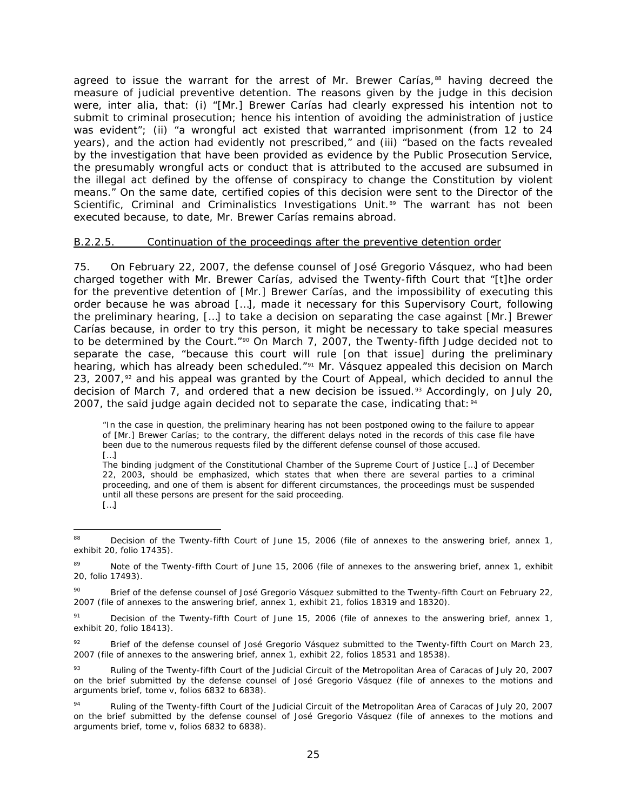agreed to issue the warrant for the arrest of Mr. Brewer Carías,<sup>[88](#page-24-1)</sup> having decreed the measure of judicial preventive detention. The reasons given by the judge in this decision were, *inter alia*, that: (i) "[Mr.] Brewer Carías had clearly expressed his intention not to submit to criminal prosecution; hence his intention of avoiding the administration of justice was evident"; (ii) "a wrongful act existed that warranted imprisonment (from 12 to 24 years), and the action had evidently not prescribed," and (iii) "based on the facts revealed by the investigation that have been provided as evidence by the Public Prosecution Service, the presumably wrongful acts or conduct that is attributed to the accused are subsumed in the illegal act defined by the offense of conspiracy to change the Constitution by violent means." On the same date, certified copies of this decision were sent to the Director of the Scientific, Criminal and Criminalistics Investigations Unit.<sup>[89](#page-24-2)</sup> The warrant has not been executed because, to date, Mr. Brewer Carías remains abroad.

### <span id="page-24-0"></span>B.2.2.5. Continuation of the proceedings after the preventive detention order

75. On February 22, 2007, the defense counsel of José Gregorio Vásquez, who had been charged together with Mr. Brewer Carías, advised the Twenty-fifth Court that "[t]he order for the preventive detention of [Mr.] Brewer Carías, and the impossibility of executing this order because he was abroad […], made it necessary for this Supervisory Court, following the preliminary hearing, […] to take a decision on separating the case against [Mr.] Brewer Carías because, in order to try this person, it might be necessary to take special measures to be determined by the Court."<sup>[90](#page-24-3)</sup> On March 7, 2007, the Twenty-fifth Judge decided not to separate the case, "because this court will rule [on that issue] during the preliminary hearing, which has already been scheduled."[91](#page-24-4) Mr. Vásquez appealed this decision on March 23, 2007, $92$  and his appeal was granted by the Court of Appeal, which decided to annul the decision of March 7, and ordered that a new decision be issued.<sup>[93](#page-24-6)</sup> Accordingly, on July 20, 2007, the said judge again decided not to separate the case, indicating that:  $94$ 

The binding judgment of the Constitutional Chamber of the Supreme Court of Justice […] of December 22, 2003, should be emphasized, which states that when there are several parties to a criminal proceeding, and one of them is absent for different circumstances, the proceedings must be suspended until all these persons are present for the said proceeding. […]

<sup>&</sup>quot;In the case in question, the preliminary hearing has not been postponed owing to the failure to appear of [Mr.] Brewer Carías; to the contrary, the different delays noted in the records of this case file have been due to the numerous requests filed by the different defense counsel of those accused. […]

<span id="page-24-1"></span><sup>&</sup>lt;sup>88</sup> Decision of the Twenty-fifth Court of June 15, 2006 (file of annexes to the answering brief, annex 1, exhibit 20, folio 17435).

<span id="page-24-2"></span><sup>&</sup>lt;sup>89</sup> Note of the Twenty-fifth Court of June 15, 2006 (file of annexes to the answering brief, annex 1, exhibit 20, folio 17493).

<span id="page-24-3"></span><sup>&</sup>lt;sup>90</sup> Brief of the defense counsel of José Gregorio Vásquez submitted to the Twenty-fifth Court on February 22, 2007 (file of annexes to the answering brief, annex 1, exhibit 21, folios 18319 and 18320).

<span id="page-24-4"></span><sup>&</sup>lt;sup>91</sup> Decision of the Twenty-fifth Court of June 15, 2006 (file of annexes to the answering brief, annex 1, exhibit 20, folio 18413).

<span id="page-24-5"></span> $92$  Brief of the defense counsel of José Gregorio Vásquez submitted to the Twenty-fifth Court on March 23, 2007 (file of annexes to the answering brief, annex 1, exhibit 22, folios 18531 and 18538).

<span id="page-24-6"></span><sup>93</sup> Ruling of the Twenty-fifth Court of the Judicial Circuit of the Metropolitan Area of Caracas of July 20, 2007 on the brief submitted by the defense counsel of José Gregorio Vásquez (file of annexes to the motions and arguments brief, tome v, folios 6832 to 6838).

<span id="page-24-7"></span><sup>94</sup> Ruling of the Twenty-fifth Court of the Judicial Circuit of the Metropolitan Area of Caracas of July 20, 2007 on the brief submitted by the defense counsel of José Gregorio Vásquez (file of annexes to the motions and arguments brief, tome v, folios 6832 to 6838).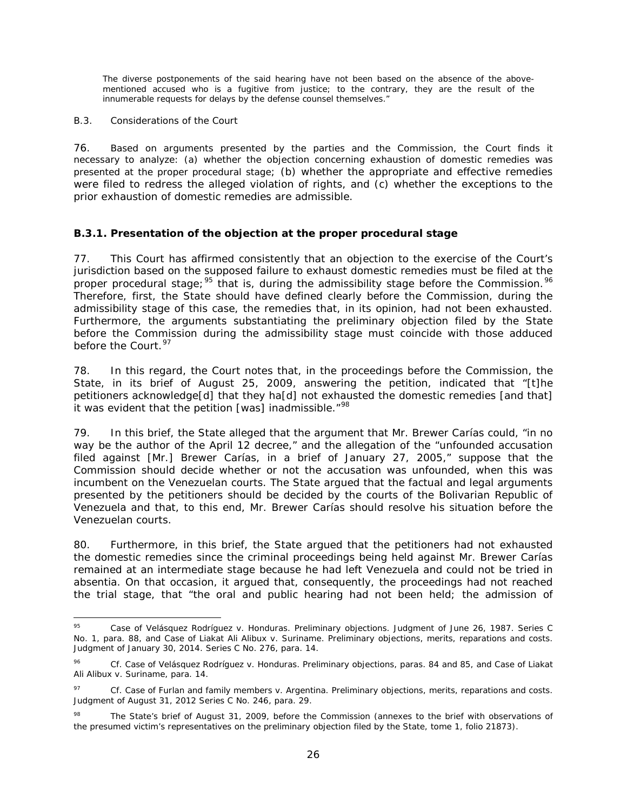The diverse postponements of the said hearing have not been based on the absence of the abovementioned accused who is a fugitive from justice; to the contrary, they are the result of the innumerable requests for delays by the defense counsel themselves."

### <span id="page-25-0"></span>*B.3. Considerations of the Court*

76. Based on arguments presented by the parties and the Commission, the Court finds it necessary to analyze: (a) whether the objection concerning exhaustion of domestic remedies was presented at the proper procedural stage; (b) whether the appropriate and effective remedies were filed to redress the alleged violation of rights, and (c) whether the exceptions to the prior exhaustion of domestic remedies are admissible.

# <span id="page-25-1"></span>*B.3.1. Presentation of the objection at the proper procedural stage*

77. This Court has affirmed consistently that an objection to the exercise of the Court's jurisdiction based on the supposed failure to exhaust domestic remedies must be filed at the proper procedural stage;  $95$  that is, during the admissibility stage before the Commission.  $96$ Therefore, first, the State should have defined clearly before the Commission, during the admissibility stage of this case, the remedies that, in its opinion, had not been exhausted. Furthermore, the arguments substantiating the preliminary objection filed by the State before the Commission during the admissibility stage must coincide with those adduced before the Court.<sup>[97](#page-25-4)</sup>

78. In this regard, the Court notes that, in the proceedings before the Commission, the State, in its brief of August 25, 2009, answering the petition, indicated that "[t]he petitioners acknowledge[d] that they ha[d] not exhausted the domestic remedies [and that] it was evident that the petition [was] inadmissible."<sup>[98](#page-25-5)</sup>

79. In this brief, the State alleged that the argument that Mr. Brewer Carías could, "in no way be the author of the April 12 decree," and the allegation of the "unfounded accusation filed against [Mr.] Brewer Carías, in a brief of January 27, 2005," suppose that the Commission should decide whether or not the accusation was unfounded, when this was incumbent on the Venezuelan courts. The State argued that the factual and legal arguments presented by the petitioners should be decided by the courts of the Bolivarian Republic of Venezuela and that, to this end, Mr. Brewer Carías should resolve his situation before the Venezuelan courts.

80. Furthermore, in this brief, the State argued that the petitioners had not exhausted the domestic remedies since the criminal proceedings being held against Mr. Brewer Carías remained at an intermediate stage because he had left Venezuela and could not be tried *in absentia*. On that occasion, it argued that, consequently, the proceedings had not reached the trial stage, that "the oral and public hearing had not been held; the admission of

<span id="page-25-2"></span> <sup>95</sup> *Case of Velásquez Rodríguez v. Honduras. Preliminary objections.* Judgment of June 26, 1987. Series C No. 1, para. 88, and *Case of Liakat Ali Alibux v. Suriname. Preliminary objections, merits, reparations and costs*. Judgment of January 30, 2014. Series C No. 276, para. 14.

<span id="page-25-3"></span><sup>96</sup> *Cf. Case of Velásquez Rodríguez v. Honduras. Preliminary objections*, paras. 84 and 85, and *Case of Liakat Ali Alibux v. Suriname*, para. 14.

<span id="page-25-4"></span><sup>97</sup> *Cf. Case of Furlan and family members v. Argentina. Preliminary objections, merits, reparations and costs.*  Judgment of August 31, 2012 Series C No. 246, para. 29.

<span id="page-25-5"></span>The State's brief of August 31, 2009, before the Commission (annexes to the brief with observations of the presumed victim's representatives on the preliminary objection filed by the State, tome 1, folio 21873).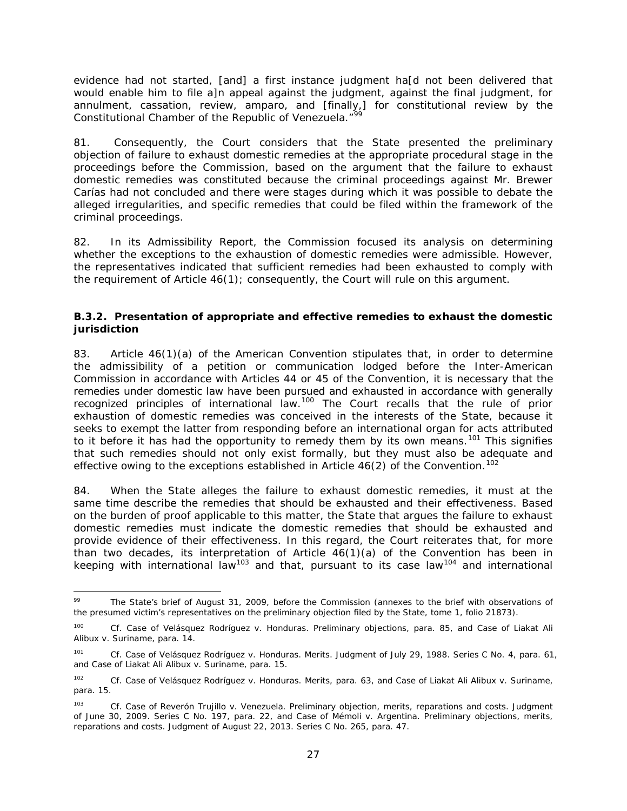evidence had not started, [and] a first instance judgment ha[d not been delivered that would enable him to file a]n appeal against the judgment, against the final judgment, for annulment, cassation, review, *amparo*, and [finally,] for constitutional review by the Constitutional Chamber of the Republic of Venezuela."<sup>9</sup>

81. Consequently, the Court considers that the State presented the preliminary objection of failure to exhaust domestic remedies at the appropriate procedural stage in the proceedings before the Commission, based on the argument that the failure to exhaust domestic remedies was constituted because the criminal proceedings against Mr. Brewer Carías had not concluded and there were stages during which it was possible to debate the alleged irregularities, and specific remedies that could be filed within the framework of the criminal proceedings.

82. In its Admissibility Report, the Commission focused its analysis on determining whether the exceptions to the exhaustion of domestic remedies were admissible. However, the representatives indicated that sufficient remedies had been exhausted to comply with the requirement of Article 46(1); consequently, the Court will rule on this argument.

# <span id="page-26-0"></span>*B.3.2. Presentation of appropriate and effective remedies to exhaust the domestic jurisdiction*

83. Article 46(1)(a) of the American Convention stipulates that, in order to determine the admissibility of a petition or communication lodged before the Inter-American Commission in accordance with Articles 44 or 45 of the Convention, it is necessary that the remedies under domestic law have been pursued and exhausted in accordance with generally recognized principles of international law.<sup>[100](#page-26-2)</sup> The Court recalls that the rule of prior exhaustion of domestic remedies was conceived in the interests of the State, because it seeks to exempt the latter from responding before an international organ for acts attributed to it before it has had the opportunity to remedy them by its own means.<sup>[101](#page-26-3)</sup> This signifies that such remedies should not only exist formally, but they must also be adequate and effective owing to the exceptions established in Article  $46(2)$  of the Convention.<sup>[102](#page-26-4)</sup>

84. When the State alleges the failure to exhaust domestic remedies, it must at the same time describe the remedies that should be exhausted and their effectiveness. Based on the burden of proof applicable to this matter, the State that argues the failure to exhaust domestic remedies must indicate the domestic remedies that should be exhausted and provide evidence of their effectiveness. In this regard, the Court reiterates that, for more than two decades, its interpretation of Article  $46(1)(a)$  of the Convention has been in keeping with international law<sup>[103](#page-26-5)</sup> and that, pursuant to its case law<sup>[104](#page-26-6)</sup> and international

<span id="page-26-6"></span><span id="page-26-1"></span>The State's brief of August 31, 2009, before the Commission (annexes to the brief with observations of the presumed victim's representatives on the preliminary objection filed by the State, tome 1, folio 21873).

<span id="page-26-2"></span><sup>100</sup> *Cf. Case of Velásquez Rodríguez v. Honduras. Preliminary objections*, para. 85, and *Case of Liakat Ali Alibux v. Suriname*, para. 14.

<span id="page-26-3"></span><sup>101</sup> *Cf. Case of Velásquez Rodríguez v. Honduras*. *Merits*. Judgment of July 29, 1988. Series C No. 4, para. 61, and *Case of Liakat Ali Alibux v. Suriname*, para. 15.

<span id="page-26-4"></span><sup>102</sup> *Cf. Case of Velásquez Rodríguez v. Honduras*. *Merits*, para. 63, and *Case of Liakat Ali Alibux v. Suriname*, para. 15.

<span id="page-26-5"></span><sup>103</sup> *Cf. Case of Reverón Trujillo v. Venezuela*. *Preliminary objection, merits, reparations and costs*. Judgment of June 30, 2009. Series C No. 197, para. 22, and *Case of Mémoli v. Argentina. Preliminary objections, merits, reparations and costs*. Judgment of August 22, 2013. Series C No. 265, para. 47.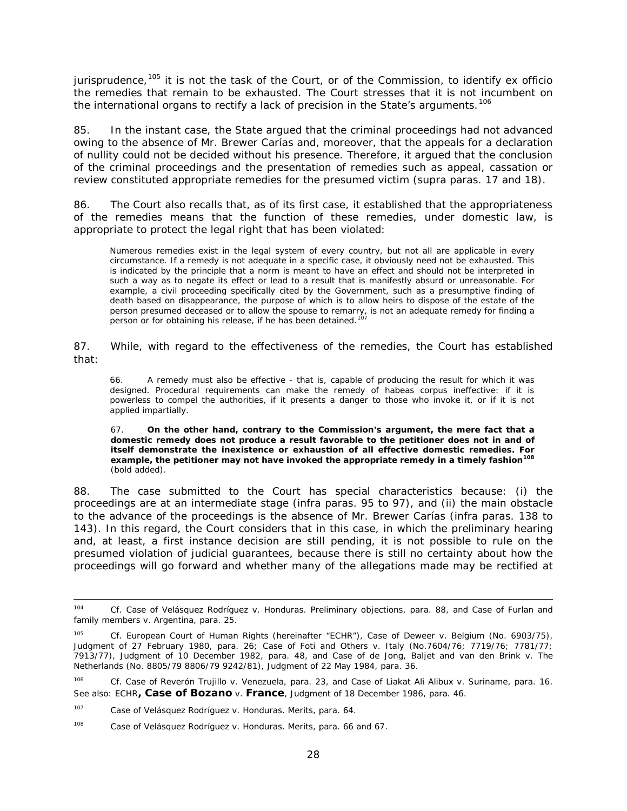jurisprudence, [105](#page-27-0) it is not the task of the Court, or of the Commission, to identify *ex officio* the remedies that remain to be exhausted. The Court stresses that it is not incumbent on the international organs to rectify a lack of precision in the State's arguments.<sup>[106](#page-27-1)</sup>

85. In the instant case, the State argued that the criminal proceedings had not advanced owing to the absence of Mr. Brewer Carías and, moreover, that the appeals for a declaration of nullity could not be decided without his presence. Therefore, it argued that the conclusion of the criminal proceedings and the presentation of remedies such as appeal, cassation or review constituted appropriate remedies for the presumed victim (*supra* paras. 17 and 18).

86. The Court also recalls that, as of its first case, it established that the appropriateness of the remedies means that the function of these remedies, under domestic law, is appropriate to protect the legal right that has been violated:

Numerous remedies exist in the legal system of every country, but not all are applicable in every circumstance. If a remedy is not adequate in a specific case, it obviously need not be exhausted. This is indicated by the principle that a norm is meant to have an effect and should not be interpreted in such a way as to negate its effect or lead to a result that is manifestly absurd or unreasonable. For example, a civil proceeding specifically cited by the Government, such as a presumptive finding of death based on disappearance, the purpose of which is to allow heirs to dispose of the estate of the person presumed deceased or to allow the spouse to remarry, is not an adequate remedy for finding a person or for obtaining his release, if he has been detained.<sup>[107](#page-27-2)</sup>

87. While, with regard to the effectiveness of the remedies, the Court has established that:

66. A remedy must also be effective - that is, capable of producing the result for which it was designed. Procedural requirements can make the remedy of *habeas corpus* ineffective: if it is powerless to compel the authorities, if it presents a danger to those who invoke it, or if it is not applied impartially.

67. **On the other hand, contrary to the Commission's argument, the mere fact that a domestic remedy does not produce a result favorable to the petitioner does not in and of itself demonstrate the inexistence or exhaustion of all effective domestic remedies. For example, the petitioner may not have invoked the appropriate remedy in a timely fashion[108](#page-27-3)** (bold added).

88. The case submitted to the Court has special characteristics because: (i) the proceedings are at an intermediate stage (*infra* paras. 95 to 97), and (ii) the main obstacle to the advance of the proceedings is the absence of Mr. Brewer Carías (*infra* paras. 138 to 143). In this regard, the Court considers that in this case, in which the preliminary hearing and, at least, a first instance decision are still pending, it is not possible to rule on the presumed violation of judicial guarantees, because there is still no certainty about how the proceedings will go forward and whether many of the allegations made may be rectified at

 <sup>104</sup> *Cf. Case of Velásquez Rodríguez v. Honduras. Preliminary objections*, para. 88, and *Case of Furlan and family members v. Argentina*, para. 25.

<span id="page-27-0"></span><sup>105</sup> *Cf.* European Court of Human Rights (hereinafter "ECHR")*, Case of Deweer v. Belgium* (No. 6903/75), Judgment of 27 February 1980, para. 26; *Case of Foti and Others v. Italy* (No.7604/76; 7719/76; 7781/77; 7913/77), Judgment of 10 December 1982, para. 48, and *Case of de Jong, Baljet and van den Brink v. The Netherlands* (No. 8805/79 8806/79 9242/81), Judgment of 22 May 1984, para. 36.

<span id="page-27-1"></span><sup>106</sup> *Cf. Case of Reverón Trujillo v. Venezuela*, para. 23, and *Case of Liakat Ali Alibux v. Suriname*, para. 16. See also: ECHR**,** *Case of Bozano v. France*, Judgment of 18 December 1986, para. 46.

<span id="page-27-2"></span><sup>107</sup> *Case of Velásquez Rodríguez v. Honduras*. *Merits*, para. 64.

<span id="page-27-3"></span><sup>108</sup> *Case of Velásquez Rodríguez v. Honduras*. *Merits*, para. 66 and 67.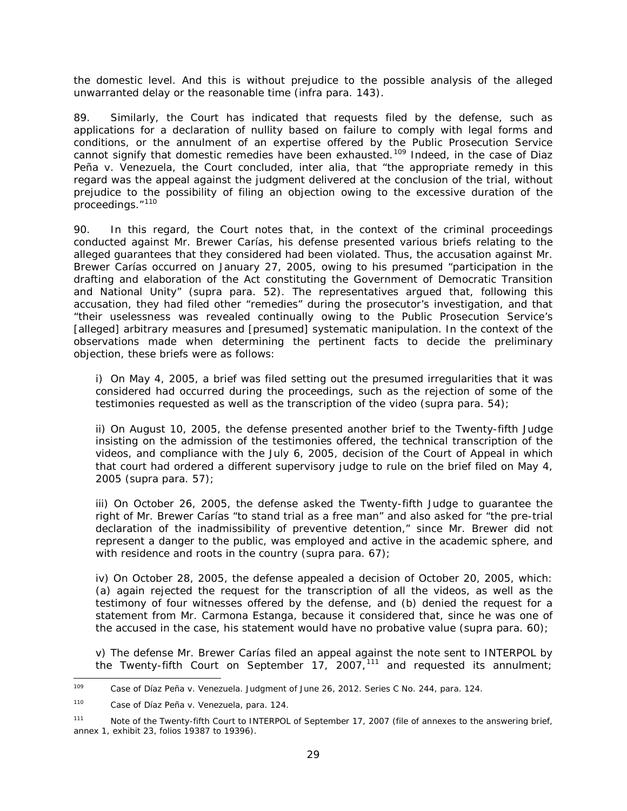the domestic level. And this is without prejudice to the possible analysis of the alleged unwarranted delay or the reasonable time (*infra* para. 143).

89. Similarly, the Court has indicated that requests filed by the defense, such as applications for a declaration of nullity based on failure to comply with legal forms and conditions, or the annulment of an expertise offered by the Public Prosecution Service cannot signify that domestic remedies have been exhausted.[109](#page-28-0) Indeed, in the case of *Diaz Peña v. Venezuela*, the Court concluded, *inter alia*, that "the appropriate remedy in this regard was the appeal against the judgment delivered at the conclusion of the trial, without prejudice to the possibility of filing an objection owing to the excessive duration of the proceedings."[110](#page-28-1)

90. In this regard, the Court notes that, in the context of the criminal proceedings conducted against Mr. Brewer Carías, his defense presented various briefs relating to the alleged guarantees that they considered had been violated. Thus, the accusation against Mr. Brewer Carías occurred on January 27, 2005, owing to his presumed "participation in the drafting and elaboration of the Act constituting the Government of Democratic Transition and National Unity" (*supra* para. 52). The representatives argued that, following this accusation, they had filed other "remedies" during the prosecutor's investigation, and that "their uselessness was revealed continually owing to the Public Prosecution Service's [alleged] arbitrary measures and [presumed] systematic manipulation. In the context of the observations made when determining the pertinent facts to decide the preliminary objection, these briefs were as follows:

i) On May 4, 2005, a brief was filed setting out the presumed irregularities that it was considered had occurred during the proceedings, such as the rejection of some of the testimonies requested as well as the transcription of the video (*supra* para. 54);

ii) On August 10, 2005, the defense presented another brief to the Twenty-fifth Judge insisting on the admission of the testimonies offered, the technical transcription of the videos, and compliance with the July 6, 2005, decision of the Court of Appeal in which that court had ordered a different supervisory judge to rule on the brief filed on May 4, 2005 (*supra* para. 57);

iii) On October 26, 2005, the defense asked the Twenty-fifth Judge to guarantee the right of Mr. Brewer Carías "to stand trial as a free man" and also asked for "the pre-trial declaration of the inadmissibility of preventive detention," since Mr. Brewer did not represent a danger to the public, was employed and active in the academic sphere, and with residence and roots in the country (*supra* para. 67);

iv) On October 28, 2005, the defense appealed a decision of October 20, 2005, which: (a) again rejected the request for the transcription of all the videos, as well as the testimony of four witnesses offered by the defense, and (b) denied the request for a statement from Mr. Carmona Estanga, because it considered that, since he was one of the accused in the case, his statement would have no probative value (*supra* para. 60);

v) The defense Mr. Brewer Carías filed an appeal against the note sent to INTERPOL by the Twenty-fifth Court on September 17, 2007,<sup>[111](#page-28-2)</sup> and requested its annulment;

<span id="page-28-0"></span> <sup>109</sup> *Case of Díaz Peña v. Venezuela.* Judgment of June 26, 2012. Series C No. 244, para. 124.

<span id="page-28-1"></span><sup>110</sup> *Case of Díaz Peña v. Venezuela*, para. 124.

<span id="page-28-2"></span><sup>111</sup> Note of the Twenty-fifth Court to INTERPOL of September 17, 2007 (file of annexes to the answering brief, annex 1, exhibit 23, folios 19387 to 19396).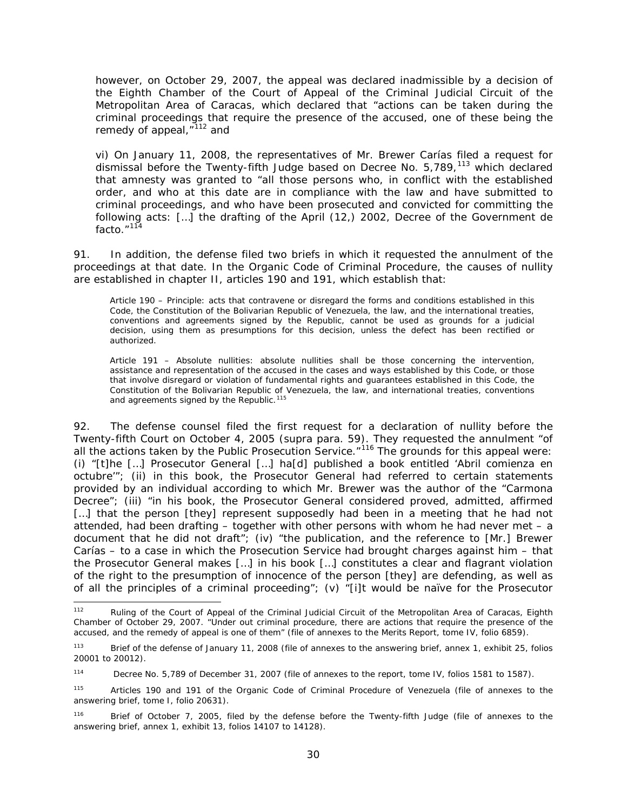however, on October 29, 2007, the appeal was declared inadmissible by a decision of the Eighth Chamber of the Court of Appeal of the Criminal Judicial Circuit of the Metropolitan Area of Caracas, which declared that "actions can be taken during the criminal proceedings that require the presence of the accused, one of these being the remedy of appeal,"<sup>[112](#page-29-0)</sup> and

vi) On January 11, 2008, the representatives of Mr. Brewer Carías filed a request for dismissal before the Twenty-fifth Judge based on Decree No. 5,789,<sup>[113](#page-29-1)</sup> which declared that amnesty was granted to "all those persons who, in conflict with the established order, and who at this date are in compliance with the law and have submitted to criminal proceedings, and who have been prosecuted and convicted for committing the following acts: […] the drafting of the April (12,) 2002, Decree of the Government *de facto*."[114](#page-29-2)

91. In addition, the defense filed two briefs in which it requested the annulment of the proceedings at that date. In the Organic Code of Criminal Procedure, the causes of nullity are established in chapter II, articles 190 and 191, which establish that:

Article 190 – Principle: acts that contravene or disregard the forms and conditions established in this Code, the Constitution of the Bolivarian Republic of Venezuela, the law, and the international treaties, conventions and agreements signed by the Republic, cannot be used as grounds for a judicial decision, using them as presumptions for this decision, unless the defect has been rectified or authorized.

Article 191 – Absolute nullities: absolute nullities shall be those concerning the intervention, assistance and representation of the accused in the cases and ways established by this Code, or those that involve disregard or violation of fundamental rights and guarantees established in this Code, the Constitution of the Bolivarian Republic of Venezuela, the law, and international treaties, conventions and agreements signed by the Republic.<sup>[115](#page-29-3)</sup>

92. The defense counsel filed the first request for a declaration of nullity before the Twenty-fifth Court on October 4, 2005 (*supra* para. 59). They requested the annulment "of all the actions taken by the Public Prosecution Service."<sup>[116](#page-29-4)</sup> The grounds for this appeal were: (i) "[t]he […] Prosecutor General […] ha[d] published a book entitled '*Abril comienza en octubre'*"; (ii) in this book, the Prosecutor General had referred to certain statements provided by an individual according to which Mr. Brewer was the author of the "Carmona Decree"; (iii) "in his book, the Prosecutor General considered proved, admitted, affirmed [...] that the person [they] represent supposedly had been in a meeting that he had not attended, had been drafting  $-$  together with other persons with whom he had never met  $-$  a document that he did not draft"; (iv) "the publication, and the reference to [Mr.] Brewer Carías – to a case in which the Prosecution Service had brought charges against him – that the Prosecutor General makes […] in his book […] constitutes a clear and flagrant violation of the right to the presumption of innocence of the person [they] are defending, as well as of all the principles of a criminal proceeding"; (v) "[i]t would be naïve for the Prosecutor

<span id="page-29-0"></span><sup>&</sup>lt;sup>112</sup> Ruling of the Court of Appeal of the Criminal Judicial Circuit of the Metropolitan Area of Caracas, Eighth Chamber of October 29, 2007. "Under out criminal procedure, there are actions that require the presence of the accused, and the remedy of appeal is one of them" (file of annexes to the Merits Report, tome IV, folio 6859).

<span id="page-29-1"></span><sup>113</sup> Brief of the defense of January 11, 2008 (file of annexes to the answering brief, annex 1, exhibit 25, folios 20001 to 20012).

<span id="page-29-2"></span><sup>114</sup> Decree No. 5,789 of December 31, 2007 (file of annexes to the report, tome IV, folios 1581 to 1587).

<span id="page-29-3"></span><sup>115</sup> Articles 190 and 191 of the Organic Code of Criminal Procedure of Venezuela (file of annexes to the answering brief, tome I, folio 20631).

<span id="page-29-4"></span><sup>116</sup> Brief of October 7, 2005, filed by the defense before the Twenty-fifth Judge (file of annexes to the answering brief, annex 1, exhibit 13, folios 14107 to 14128).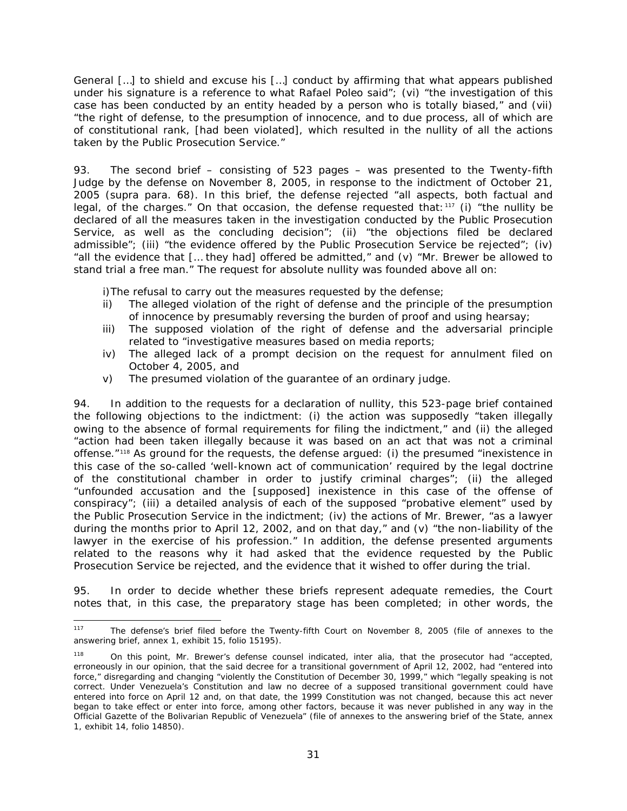General […] to shield and excuse his […] conduct by affirming that what appears published under his signature is a reference to what Rafael Poleo said"; (vi) "the investigation of this case has been conducted by an entity headed by a person who is totally biased," and (vii) "the right of defense, to the presumption of innocence, and to due process, all of which are of constitutional rank, [had been violated], which resulted in the nullity of all the actions taken by the Public Prosecution Service."

93. The second brief – consisting of 523 pages – was presented to the Twenty-fifth Judge by the defense on November 8, 2005, in response to the indictment of October 21, 2005 (*supra* para. 68). In this brief, the defense rejected "all aspects, both factual and legal, of the charges." On that occasion, the defense requested that:<sup>[117](#page-30-0)</sup> (i) "the nullity be declared of all the measures taken in the investigation conducted by the Public Prosecution Service, as well as the concluding decision"; (ii) "the objections filed be declared admissible"; (iii) "the evidence offered by the Public Prosecution Service be rejected"; (iv) "all the evidence that [… they had] offered be admitted," and (v) "Mr. Brewer be allowed to stand trial a free man." The request for absolute nullity was founded above all on:

i)The refusal to carry out the measures requested by the defense;

- ii) The alleged violation of the right of defense and the principle of the presumption of innocence by presumably reversing the burden of proof and using hearsay;
- iii) The supposed violation of the right of defense and the adversarial principle related to "investigative measures based on media reports;
- iv) The alleged lack of a prompt decision on the request for annulment filed on October 4, 2005, and
- v) The presumed violation of the guarantee of an ordinary judge.

94. In addition to the requests for a declaration of nullity, this 523-page brief contained the following objections to the indictment: (i) the action was supposedly "taken illegally owing to the absence of formal requirements for filing the indictment," and (ii) the alleged "action had been taken illegally because it was based on an act that was not a criminal offense."[118](#page-30-1) As ground for the requests, the defense argued: (i) the presumed "inexistence in this case of the so-called 'well-known act of communication' required by the legal doctrine of the constitutional chamber in order to justify criminal charges"; (ii) the alleged "unfounded accusation and the [supposed] inexistence in this case of the offense of conspiracy"; (iii) a detailed analysis of each of the supposed "probative element" used by the Public Prosecution Service in the indictment; (iv) the actions of Mr. Brewer, "as a lawyer during the months prior to April 12, 2002, and on that day," and (v) "the non-liability of the lawyer in the exercise of his profession." In addition, the defense presented arguments related to the reasons why it had asked that the evidence requested by the Public Prosecution Service be rejected, and the evidence that it wished to offer during the trial.

95. In order to decide whether these briefs represent adequate remedies, the Court notes that, in this case, the preparatory stage has been completed; in other words, the

<span id="page-30-0"></span> <sup>117</sup> The defense's brief filed before the Twenty-fifth Court on November 8, 2005 (file of annexes to the answering brief, annex 1, exhibit 15, folio 15195).

<span id="page-30-1"></span><sup>118</sup> On this point, Mr. Brewer's defense counsel indicated, *inter alia*, that the prosecutor had "accepted, erroneously in our opinion, that the said decree for a transitional government of April 12, 2002, had "entered into force," disregarding and changing "violently the Constitution of December 30, 1999," which "legally speaking is not correct. Under Venezuela's Constitution and law no decree of a supposed transitional government could have entered into force on April 12 and, on that date, the 1999 Constitution was not changed, because this act never began to take effect or enter into force, among other factors, because it was never published in any way in the Official Gazette of the Bolivarian Republic of Venezuela*"* (file of annexes to the answering brief of the State, annex 1, exhibit 14, folio 14850).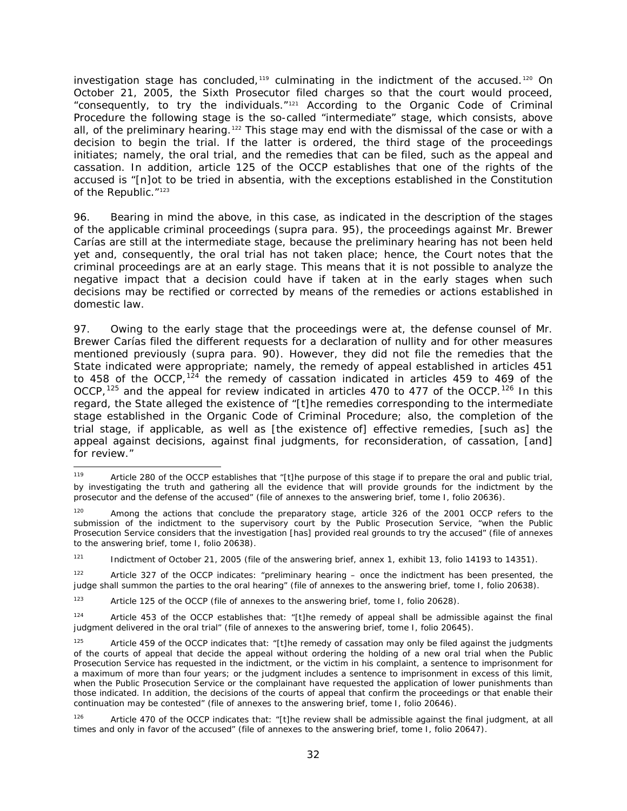investigation stage has concluded, $119$  culminating in the indictment of the accused.<sup>[120](#page-31-1)</sup> On October 21, 2005, the Sixth Prosecutor filed charges so that the court would proceed, "consequently, to try the individuals."[121](#page-31-2) According to the Organic Code of Criminal Procedure the following stage is the so-called "intermediate" stage, which consists, above all, of the preliminary hearing.<sup>[122](#page-31-3)</sup> This stage may end with the dismissal of the case or with a decision to begin the trial. If the latter is ordered, the third stage of the proceedings initiates; namely, the oral trial, and the remedies that can be filed, such as the appeal and cassation. In addition, article 125 of the OCCP establishes that one of the rights of the accused is "[n]ot to be tried *in absentia*, with the exceptions established in the Constitution of the Republic."<sup>[123](#page-31-4)</sup>

96. Bearing in mind the above, in this case, as indicated in the description of the stages of the applicable criminal proceedings (*supra* para. 95), the proceedings against Mr. Brewer Carías are still at the intermediate stage, because the preliminary hearing has not been held yet and, consequently, the oral trial has not taken place; hence, the Court notes that the criminal proceedings are at an early stage. This means that it is not possible to analyze the negative impact that a decision could have if taken at in the early stages when such decisions may be rectified or corrected by means of the remedies or actions established in domestic law.

97. Owing to the early stage that the proceedings were at, the defense counsel of Mr. Brewer Carías filed the different requests for a declaration of nullity and for other measures mentioned previously (*supra* para. 90). However, they did not file the remedies that the State indicated were appropriate; namely, the remedy of appeal established in articles 451 to 458 of the OCCP,  $124$  the remedy of cassation indicated in articles 459 to 469 of the OCCP,  $125$  and the appeal for review indicated in articles 470 to 477 of the OCCP.  $126$  In this regard, the State alleged the existence of "[t]he remedies corresponding to the intermediate stage established in the Organic Code of Criminal Procedure; also, the completion of the trial stage, if applicable, as well as [the existence of] effective remedies, [such as] the appeal against decisions, against final judgments, for reconsideration, of cassation, [and] for review."

<span id="page-31-0"></span><sup>119</sup> Article 280 of the OCCP establishes that "[t]he purpose of this stage if to prepare the oral and public trial, by investigating the truth and gathering all the evidence that will provide grounds for the indictment by the prosecutor and the defense of the accused" (file of annexes to the answering brief, tome I, folio 20636).

<span id="page-31-1"></span>Among the actions that conclude the preparatory stage, article 326 of the 2001 OCCP refers to the submission of the indictment to the supervisory court by the Public Prosecution Service, "when the Public Prosecution Service considers that the investigation [has] provided real grounds to try the accused" (file of annexes to the answering brief, tome I, folio 20638).

<span id="page-31-2"></span> $121$  Indictment of October 21, 2005 (file of the answering brief, annex 1, exhibit 13, folio 14193 to 14351).

<span id="page-31-3"></span><sup>122</sup> Article 327 of the OCCP indicates: "preliminary hearing – once the indictment has been presented, the judge shall summon the parties to the oral hearing" (file of annexes to the answering brief, tome I, folio 20638).

<span id="page-31-4"></span><sup>123</sup> Article 125 of the OCCP (file of annexes to the answering brief, tome I, folio 20628).

<span id="page-31-5"></span><sup>124</sup> Article 453 of the OCCP establishes that: "[t]he remedy of appeal shall be admissible against the final judgment delivered in the oral trial" (file of annexes to the answering brief, tome I, folio 20645).

<span id="page-31-6"></span>Article 459 of the OCCP indicates that: "[t]he remedy of cassation may only be filed against the judgments of the courts of appeal that decide the appeal without ordering the holding of a new oral trial when the Public Prosecution Service has requested in the indictment, or the victim in his complaint, a sentence to imprisonment for a maximum of more than four years; or the judgment includes a sentence to imprisonment in excess of this limit, when the Public Prosecution Service or the complainant have requested the application of lower punishments than those indicated. In addition, the decisions of the courts of appeal that confirm the proceedings or that enable their continuation may be contested" (file of annexes to the answering brief, tome I, folio 20646).

<span id="page-31-7"></span><sup>126</sup> Article 470 of the OCCP indicates that: "[t]he review shall be admissible against the final judgment, at all times and only in favor of the accused" (file of annexes to the answering brief, tome I, folio 20647).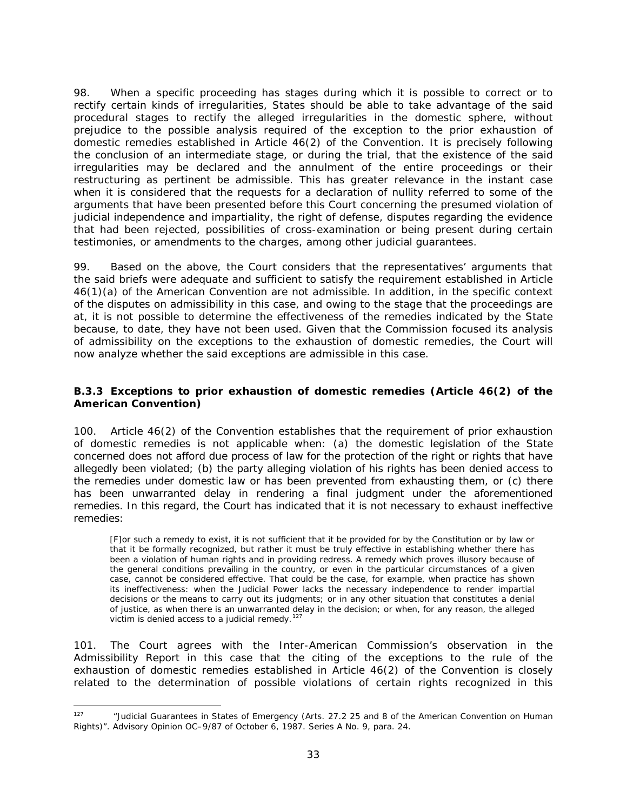98. When a specific proceeding has stages during which it is possible to correct or to rectify certain kinds of irregularities, States should be able to take advantage of the said procedural stages to rectify the alleged irregularities in the domestic sphere, without prejudice to the possible analysis required of the exception to the prior exhaustion of domestic remedies established in Article 46(2) of the Convention. It is precisely following the conclusion of an intermediate stage, or during the trial, that the existence of the said irregularities may be declared and the annulment of the entire proceedings or their restructuring as pertinent be admissible. This has greater relevance in the instant case when it is considered that the requests for a declaration of nullity referred to some of the arguments that have been presented before this Court concerning the presumed violation of judicial independence and impartiality, the right of defense, disputes regarding the evidence that had been rejected, possibilities of cross-examination or being present during certain testimonies, or amendments to the charges, among other judicial guarantees.

99. Based on the above, the Court considers that the representatives' arguments that the said briefs were adequate and sufficient to satisfy the requirement established in Article 46(1)(a) of the American Convention are not admissible. In addition, in the specific context of the disputes on admissibility in this case, and owing to the stage that the proceedings are at, it is not possible to determine the effectiveness of the remedies indicated by the State because, to date, they have not been used. Given that the Commission focused its analysis of admissibility on the exceptions to the exhaustion of domestic remedies, the Court will now analyze whether the said exceptions are admissible in this case.

# <span id="page-32-0"></span>*B.3.3 Exceptions to prior exhaustion of domestic remedies (Article 46(2) of the American Convention)*

100. Article 46(2) of the Convention establishes that the requirement of prior exhaustion of domestic remedies is not applicable when: (a) the domestic legislation of the State concerned does not afford due process of law for the protection of the right or rights that have allegedly been violated; (b) the party alleging violation of his rights has been denied access to the remedies under domestic law or has been prevented from exhausting them, or (c) there has been unwarranted delay in rendering a final judgment under the aforementioned remedies. In this regard, the Court has indicated that it is not necessary to exhaust ineffective remedies:

[F]or such a remedy to exist, it is not sufficient that it be provided for by the Constitution or by law or that it be formally recognized, but rather it must be truly effective in establishing whether there has been a violation of human rights and in providing redress. A remedy which proves illusory because of the general conditions prevailing in the country, or even in the particular circumstances of a given case, cannot be considered effective. That could be the case, for example, when practice has shown its ineffectiveness: when the Judicial Power lacks the necessary independence to render impartial decisions or the means to carry out its judgments; or in any other situation that constitutes a denial of justice, as when there is an unwarranted delay in the decision; or when, for any reason, the alleged victim is denied access to a judicial remedy.<sup>[127](#page-32-1)</sup>

101. The Court agrees with the Inter-American Commission's observation in the Admissibility Report in this case that the citing of the exceptions to the rule of the exhaustion of domestic remedies established in Article 46(2) of the Convention is closely related to the determination of possible violations of certain rights recognized in this

<span id="page-32-1"></span><sup>&</sup>lt;sup>127</sup> "Judicial Guarantees in States of Emergency (Arts. 27.2 25 and 8 of the American Convention on Human Rights)". Advisory Opinion OC–9/87 of October 6, 1987. Series A No. 9, para. 24.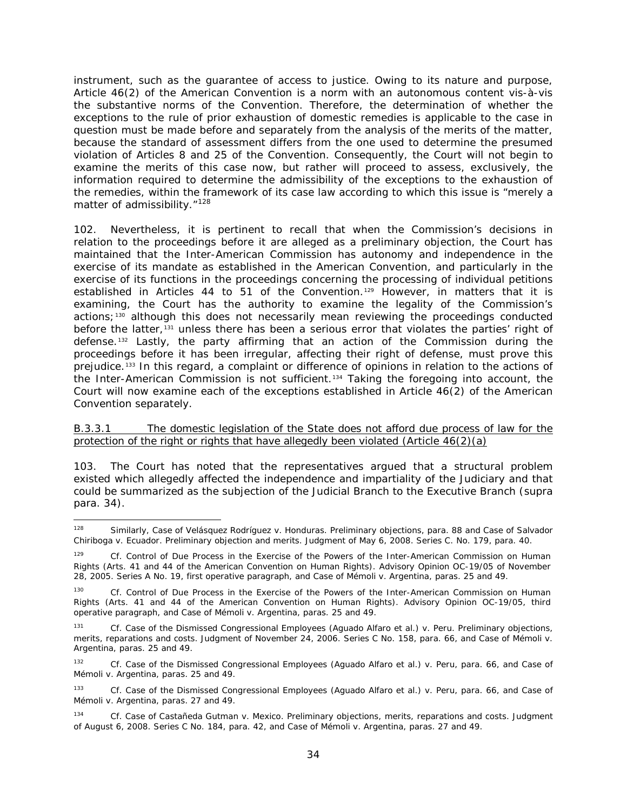instrument, such as the guarantee of access to justice. Owing to its nature and purpose, Article 46(2) of the American Convention is a norm with an autonomous content *vis-à-vis* the substantive norms of the Convention. Therefore, the determination of whether the exceptions to the rule of prior exhaustion of domestic remedies is applicable to the case in question must be made before and separately from the analysis of the merits of the matter, because the standard of assessment differs from the one used to determine the presumed violation of Articles 8 and 25 of the Convention. Consequently, the Court will not begin to examine the merits of this case now, but rather will proceed to assess, exclusively, the information required to determine the admissibility of the exceptions to the exhaustion of the remedies, within the framework of its case law according to which this issue is "merely a matter of admissibility."<sup>[128](#page-33-1)</sup>

102. Nevertheless, it is pertinent to recall that when the Commission's decisions in relation to the proceedings before it are alleged as a preliminary objection, the Court has maintained that the Inter-American Commission has autonomy and independence in the exercise of its mandate as established in the American Convention, and particularly in the exercise of its functions in the proceedings concerning the processing of individual petitions established in Articles 44 to 51 of the Convention.<sup>[129](#page-33-2)</sup> However, in matters that it is examining, the Court has the authority to examine the legality of the Commission's actions;[130](#page-33-3) although this does not necessarily mean reviewing the proceedings conducted before the latter,<sup>[131](#page-33-4)</sup> unless there has been a serious error that violates the parties' right of defense.<sup>[132](#page-33-5)</sup> Lastly, the party affirming that an action of the Commission during the proceedings before it has been irregular, affecting their right of defense, must prove this prejudice.<sup>[133](#page-33-6)</sup> In this regard, a complaint or difference of opinions in relation to the actions of the Inter-American Commission is not sufficient.[134](#page-33-7) Taking the foregoing into account, the Court will now examine each of the exceptions established in Article 46(2) of the American Convention separately.

### <span id="page-33-0"></span>B.3.3.1 The domestic legislation of the State does not afford due process of law for the protection of the right or rights that have allegedly been violated (Article  $46(2)(a)$ )

103. The Court has noted that the representatives argued that a structural problem existed which allegedly affected the independence and impartiality of the Judiciary and that could be summarized as the subjection of the Judicial Branch to the Executive Branch (*supra*  para. 34).

<span id="page-33-1"></span> <sup>128</sup> Similarly, *Case of Velásquez Rodríguez v. Honduras. Preliminary objections*, para. 88 and *Case of Salvador Chiriboga v. Ecuador. Preliminary objection and merits.* Judgment of May 6, 2008. Series C. No. 179, para. 40.

<span id="page-33-2"></span>Cf. Control of Due Process in the Exercise of the Powers of the Inter-American Commission on Human *Rights* (Arts. 41 and 44 of the American Convention on Human Rights). Advisory Opinion OC-19/05 of November 28, 2005. Series A No. 19, first operative paragraph, and *Case of Mémoli v. Argentina*, paras. 25 and 49.

<span id="page-33-3"></span><sup>130</sup> *Cf. Control of Due Process in the Exercise of the Powers of the Inter-American Commission on Human Rights (Arts. 41 and 44 of the American Convention on Human Rights).* Advisory Opinion OC-19/05, third operative paragraph, and *Case of Mémoli v. Argentina*, paras. 25 and 49.

<span id="page-33-4"></span><sup>131</sup> *Cf. Case of the Dismissed Congressional Employees (Aguado Alfaro et al.) v. Peru. Preliminary objections, merits, reparations and costs*. Judgment of November 24, 2006. Series C No. 158, para. 66, and *Case of Mémoli v. Argentina*, paras. 25 and 49.

<span id="page-33-5"></span><sup>132</sup> *Cf. Case of the Dismissed Congressional Employees (Aguado Alfaro et al.) v. Peru*, para. 66, and *Case of Mémoli v. Argentina*, paras. 25 and 49.

<span id="page-33-6"></span><sup>133</sup> *Cf. Case of the Dismissed Congressional Employees (Aguado Alfaro et al.) v. Peru*, para. 66, and *Case of Mémoli v. Argentina*, paras. 27 and 49.

<span id="page-33-7"></span><sup>134</sup> *Cf. Case of Castañeda Gutman v. Mexico. Preliminary objections, merits, reparations and costs.* Judgment of August 6, 2008. Series C No. 184, para. 42, and *Case of Mémoli v. Argentina*, paras. 27 and 49.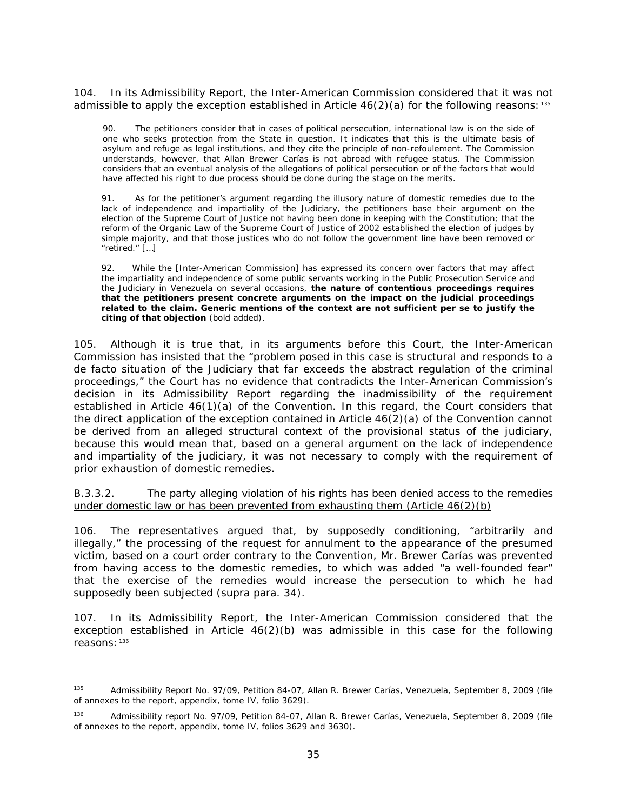104. In its Admissibility Report, the Inter-American Commission considered that it was not admissible to apply the exception established in Article  $46(2)(a)$  for the following reasons: <sup>[135](#page-34-1)</sup>

90. The petitioners consider that in cases of political persecution, international law is on the side of one who seeks protection from the State in question. It indicates that this is the ultimate basis of asylum and refuge as legal institutions, and they cite the principle of *non-refoulement*. The Commission understands, however, that Allan Brewer Carías is not abroad with refugee status. The Commission considers that an eventual analysis of the allegations of political persecution or of the factors that would have affected his right to due process should be done during the stage on the merits.

91. As for the petitioner's argument regarding the illusory nature of domestic remedies due to the lack of independence and impartiality of the Judiciary, the petitioners base their argument on the election of the Supreme Court of Justice not having been done in keeping with the Constitution; that the reform of the Organic Law of the Supreme Court of Justice of 2002 established the election of judges by simple majority, and that those justices who do not follow the government line have been removed or "retired." […]

92. While the [Inter-American Commission] has expressed its concern over factors that may affect the impartiality and independence of some public servants working in the Public Prosecution Service and the Judiciary in Venezuela on several occasions, **the nature of contentious proceedings requires that the petitioners present concrete arguments on the impact on the judicial proceedings related to the claim. Generic mentions of the context are not sufficient** *per se* **to justify the citing of that objection** (bold added).

105. Although it is true that, in its arguments before this Court, the Inter-American Commission has insisted that the "problem posed in this case is structural and responds to a *de facto* situation of the Judiciary that far exceeds the abstract regulation of the criminal proceedings," the Court has no evidence that contradicts the Inter-American Commission's decision in its Admissibility Report regarding the inadmissibility of the requirement established in Article 46(1)(a) of the Convention. In this regard, the Court considers that the direct application of the exception contained in Article 46(2)(a) of the Convention cannot be derived from an alleged structural context of the provisional status of the judiciary, because this would mean that, based on a general argument on the lack of independence and impartiality of the judiciary, it was not necessary to comply with the requirement of prior exhaustion of domestic remedies.

<span id="page-34-0"></span>B.3.3.2. The party alleging violation of his rights has been denied access to the remedies under domestic law or has been prevented from exhausting them (Article 46(2)(b)

106. The representatives argued that, by supposedly conditioning, "arbitrarily and illegally," the processing of the request for annulment to the appearance of the presumed victim, based on a court order contrary to the Convention, Mr. Brewer Carías was prevented from having access to the domestic remedies, to which was added "a well-founded fear" that the exercise of the remedies would increase the persecution to which he had supposedly been subjected (*supra* para. 34).

107. In its Admissibility Report, the Inter-American Commission considered that the exception established in Article  $46(2)(b)$  was admissible in this case for the following reasons: [136](#page-34-2)

<span id="page-34-1"></span><sup>135</sup> Admissibility Report No. 97/09, Petition 84-07, Allan R. Brewer Carías, Venezuela, September 8, 2009 (file of annexes to the report, appendix, tome IV, folio 3629).

<span id="page-34-2"></span><sup>136</sup> Admissibility report No. 97/09, Petition 84-07, Allan R. Brewer Carías, Venezuela, September 8, 2009 (file of annexes to the report, appendix, tome IV, folios 3629 and 3630).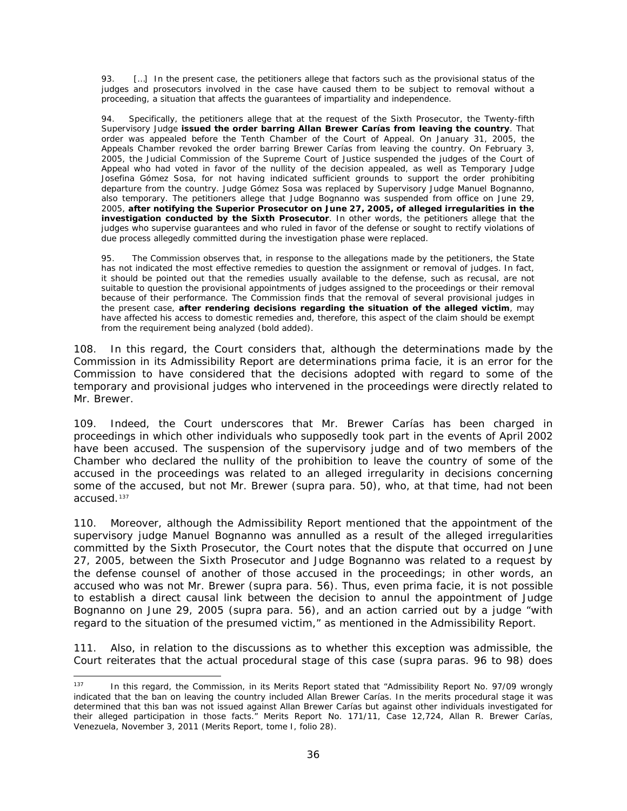93. […] In the present case, the petitioners allege that factors such as the provisional status of the judges and prosecutors involved in the case have caused them to be subject to removal without a proceeding, a situation that affects the guarantees of impartiality and independence.

Specifically, the petitioners allege that at the request of the Sixth Prosecutor, the Twenty-fifth Supervisory Judge **issued the order barring Allan Brewer Carías from leaving the country**. That order was appealed before the Tenth Chamber of the Court of Appeal. On January 31, 2005, the Appeals Chamber revoked the order barring Brewer Carías from leaving the country. On February 3, 2005, the Judicial Commission of the Supreme Court of Justice suspended the judges of the Court of Appeal who had voted in favor of the nullity of the decision appealed, as well as Temporary Judge Josefina Gómez Sosa, for not having indicated sufficient grounds to support the order prohibiting departure from the country. Judge Gómez Sosa was replaced by Supervisory Judge Manuel Bognanno, also temporary. The petitioners allege that Judge Bognanno was suspended from office on June 29, 2005, **after notifying the Superior Prosecutor on June 27, 2005, of alleged irregularities in the investigation conducted by the Sixth Prosecutor**. In other words, the petitioners allege that the judges who supervise guarantees and who ruled in favor of the defense or sought to rectify violations of due process allegedly committed during the investigation phase were replaced.

95. The Commission observes that, in response to the allegations made by the petitioners, the State has not indicated the most effective remedies to question the assignment or removal of judges. In fact, it should be pointed out that the remedies usually available to the defense, such as recusal, are not suitable to question the provisional appointments of judges assigned to the proceedings or their removal because of their performance. The Commission finds that the removal of several provisional judges in the present case, **after rendering decisions regarding the situation of the alleged victim**, may have affected his access to domestic remedies and, therefore, this aspect of the claim should be exempt from the requirement being analyzed (bold added).

108. In this regard, the Court considers that, although the determinations made by the Commission in its Admissibility Report are determinations *prima facie*, it is an error for the Commission to have considered that the decisions adopted with regard to some of the temporary and provisional judges who intervened in the proceedings were directly related to Mr. Brewer.

109. Indeed, the Court underscores that Mr. Brewer Carías has been charged in proceedings in which other individuals who supposedly took part in the events of April 2002 have been accused. The suspension of the supervisory judge and of two members of the Chamber who declared the nullity of the prohibition to leave the country of some of the accused in the proceedings was related to an alleged irregularity in decisions concerning some of the accused, but not Mr. Brewer (*supra* para. 50), who, at that time, had not been accused.[137](#page-35-0)

110. Moreover, although the Admissibility Report mentioned that the appointment of the supervisory judge Manuel Bognanno was annulled as a result of the alleged irregularities committed by the Sixth Prosecutor, the Court notes that the dispute that occurred on June 27, 2005, between the Sixth Prosecutor and Judge Bognanno was related to a request by the defense counsel of another of those accused in the proceedings; in other words, an accused who was not Mr. Brewer (*supra* para. 56). Thus, even *prima facie*, it is not possible to establish a direct causal link between the decision to annul the appointment of Judge Bognanno on June 29, 2005 (*supra* para. 56), and an action carried out by a judge "with regard to the situation of the presumed victim," as mentioned in the Admissibility Report.

111. Also, in relation to the discussions as to whether this exception was admissible, the Court reiterates that the actual procedural stage of this case (*supra* paras. 96 to 98) does

<span id="page-35-0"></span><sup>&</sup>lt;sup>137</sup> In this regard, the Commission, in its Merits Report stated that "Admissibility Report No. 97/09 wrongly indicated that the ban on leaving the country included Allan Brewer Carías. In the merits procedural stage it was determined that this ban was not issued against Allan Brewer Carías but against other individuals investigated for their alleged participation in those facts." Merits Report No. 171/11, Case 12,724, Allan R. Brewer Carías, Venezuela, November 3, 2011 (Merits Report, tome I, folio 28).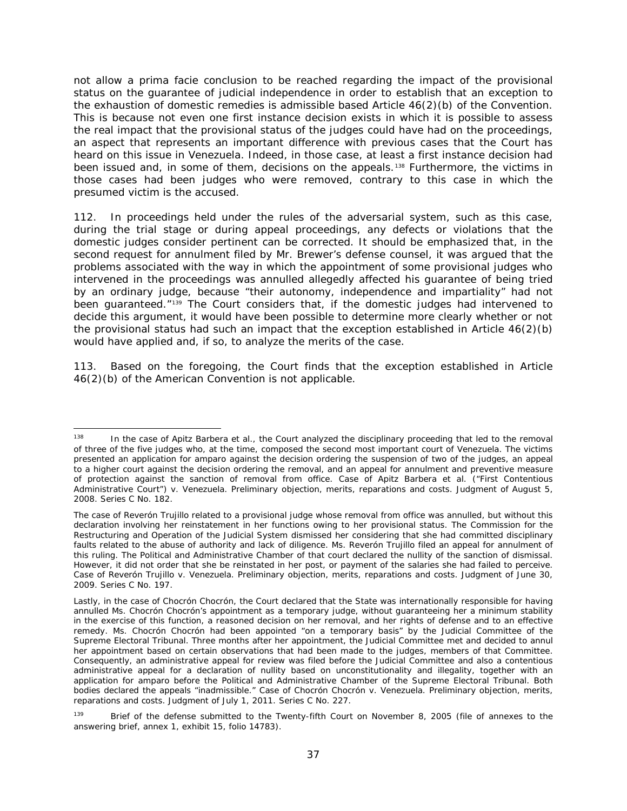not allow a *prima facie* conclusion to be reached regarding the impact of the provisional status on the guarantee of judicial independence in order to establish that an exception to the exhaustion of domestic remedies is admissible based Article 46(2)(b) of the Convention. This is because not even one first instance decision exists in which it is possible to assess the real impact that the provisional status of the judges could have had on the proceedings, an aspect that represents an important difference with previous cases that the Court has heard on this issue in Venezuela. Indeed, in those case, at least a first instance decision had been issued and, in some of them, decisions on the appeals.<sup>[138](#page-36-0)</sup> Furthermore, the victims in those cases had been judges who were removed, contrary to this case in which the presumed victim is the accused.

112. In proceedings held under the rules of the adversarial system, such as this case, during the trial stage or during appeal proceedings, any defects or violations that the domestic judges consider pertinent can be corrected. It should be emphasized that, in the second request for annulment filed by Mr. Brewer's defense counsel, it was argued that the problems associated with the way in which the appointment of some provisional judges who intervened in the proceedings was annulled allegedly affected his guarantee of being tried by an ordinary judge, because "their autonomy, independence and impartiality" had not been guaranteed."<sup>[139](#page-36-1)</sup> The Court considers that, if the domestic judges had intervened to decide this argument, it would have been possible to determine more clearly whether or not the provisional status had such an impact that the exception established in Article 46(2)(b) would have applied and, if so, to analyze the merits of the case.

113. Based on the foregoing, the Court finds that the exception established in Article 46(2)(b) of the American Convention is not applicable.

<span id="page-36-0"></span> <sup>138</sup> In the case of *Apitz Barbera et al.,* the Court analyzed the disciplinary proceeding that led to the removal of three of the five judges who, at the time, composed the second most important court of Venezuela. The victims presented an application for *amparo* against the decision ordering the suspension of two of the judges, an appeal to a higher court against the decision ordering the removal, and an appeal for annulment and preventive measure of protection against the sanction of removal from office. *Case of Apitz Barbera et al. ("First Contentious Administrative Court") v. Venezuela. Preliminary objection, merits, reparations and costs*. Judgment of August 5, 2008. Series C No. 182.

The case of *Reverón Trujillo* related to a provisional judge whose removal from office was annulled, but without this declaration involving her reinstatement in her functions owing to her provisional status. The Commission for the Restructuring and Operation of the Judicial System dismissed her considering that she had committed disciplinary faults related to the abuse of authority and lack of diligence. Ms. Reverón Trujillo filed an appeal for annulment of this ruling. The Political and Administrative Chamber of that court declared the nullity of the sanction of dismissal. However, it did not order that she be reinstated in her post, or payment of the salaries she had failed to perceive. *Case of Reverón Trujillo v. Venezuela. Preliminary objection, merits, reparations and costs*. Judgment of June 30, 2009. Series C No. 197.

Lastly, in the case of *Chocrón Chocrón,* the Court declared that the State was internationally responsible for having annulled Ms. Chocrón Chocrón's appointment as a temporary judge, without guaranteeing her a minimum stability in the exercise of this function, a reasoned decision on her removal, and her rights of defense and to an effective remedy. Ms. Chocrón Chocrón had been appointed "on a temporary basis" by the Judicial Committee of the Supreme Electoral Tribunal. Three months after her appointment, the Judicial Committee met and decided to annul her appointment based on certain observations that had been made to the judges, members of that Committee. Consequently, an administrative appeal for review was filed before the Judicial Committee and also a contentious administrative appeal for a declaration of nullity based on unconstitutionality and illegality, together with an application for *amparo* before the Political and Administrative Chamber of the Supreme Electoral Tribunal. Both bodies declared the appeals "inadmissible." *Case of Chocrón Chocrón v. Venezuela. Preliminary objection, merits, reparations and costs.* Judgment of July 1, 2011. Series C No. 227.

<span id="page-36-1"></span><sup>&</sup>lt;sup>139</sup> Brief of the defense submitted to the Twenty-fifth Court on November 8, 2005 (file of annexes to the answering brief, annex 1, exhibit 15, folio 14783).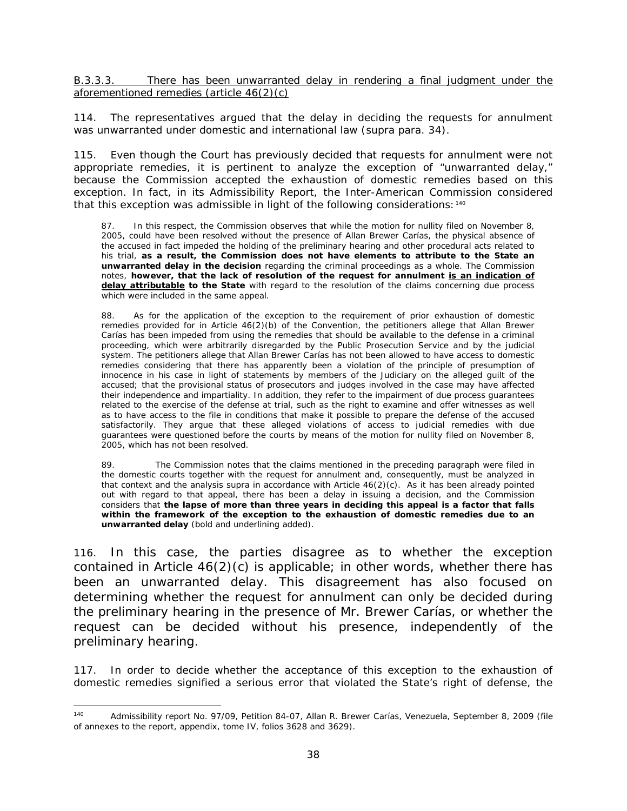B.3.3.3. There has been unwarranted delay in rendering a final judgment under the aforementioned remedies (article 46(2)(c)

114. The representatives argued that the delay in deciding the requests for annulment was unwarranted under domestic and international law (*supra* para. 34).

115. Even though the Court has previously decided that requests for annulment were not appropriate remedies, it is pertinent to analyze the exception of "unwarranted delay," because the Commission accepted the exhaustion of domestic remedies based on this exception. In fact, in its Admissibility Report, the Inter-American Commission considered that this exception was admissible in light of the following considerations: [140](#page-37-0)

87. In this respect, the Commission observes that while the motion for nullity filed on November 8, 2005, could have been resolved without the presence of Allan Brewer Carías, the physical absence of the accused in fact impeded the holding of the preliminary hearing and other procedural acts related to his trial, **as a result, the Commission does not have elements to attribute to the State an unwarranted delay in the decision** regarding the criminal proceedings as a whole. The Commission notes, **however, that the lack of resolution of the request for annulment is an indication of delay attributable to the State** with regard to the resolution of the claims concerning due process which were included in the same appeal.

88. As for the application of the exception to the requirement of prior exhaustion of domestic remedies provided for in Article 46(2)(b) of the Convention, the petitioners allege that Allan Brewer Carías has been impeded from using the remedies that should be available to the defense in a criminal proceeding, which were arbitrarily disregarded by the Public Prosecution Service and by the judicial system. The petitioners allege that Allan Brewer Carías has not been allowed to have access to domestic remedies considering that there has apparently been a violation of the principle of presumption of innocence in his case in light of statements by members of the Judiciary on the alleged guilt of the accused; that the provisional status of prosecutors and judges involved in the case may have affected their independence and impartiality. In addition, they refer to the impairment of due process guarantees related to the exercise of the defense at trial, such as the right to examine and offer witnesses as well as to have access to the file in conditions that make it possible to prepare the defense of the accused satisfactorily. They argue that these alleged violations of access to judicial remedies with due guarantees were questioned before the courts by means of the motion for nullity filed on November 8, 2005, which has not been resolved.

89. The Commission notes that the claims mentioned in the preceding paragraph were filed in the domestic courts together with the request for annulment and, consequently, must be analyzed in that context and the analysis *supra* in accordance with Article 46(2)(c). As it has been already pointed out with regard to that appeal, there has been a delay in issuing a decision, and the Commission considers that **the lapse of more than three years in deciding this appeal is a factor that falls within the framework of the exception to the exhaustion of domestic remedies due to an unwarranted delay** (bold and underlining added).

116. In this case, the parties disagree as to whether the exception contained in Article 46(2)(c) is applicable; in other words, whether there has been an unwarranted delay. This disagreement has also focused on determining whether the request for annulment can only be decided during the preliminary hearing in the presence of Mr. Brewer Carías, or whether the request can be decided without his presence, independently of the preliminary hearing.

117. In order to decide whether the acceptance of this exception to the exhaustion of domestic remedies signified a serious error that violated the State's right of defense, the

<span id="page-37-0"></span> <sup>140</sup> Admissibility report No. 97/09, Petition 84-07, Allan R. Brewer Carías, Venezuela, September 8, 2009 (file of annexes to the report, appendix, tome IV, folios 3628 and 3629).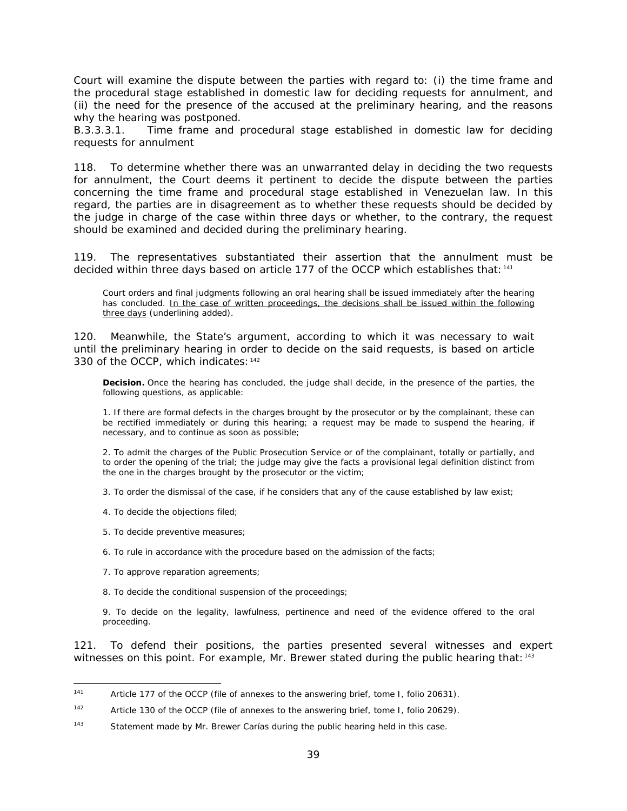Court will examine the dispute between the parties with regard to: (i) the time frame and the procedural stage established in domestic law for deciding requests for annulment, and (ii) the need for the presence of the accused at the preliminary hearing, and the reasons why the hearing was postponed.

*B.3.3.3.1. Time frame and procedural stage established in domestic law for deciding requests for annulment*

118. To determine whether there was an unwarranted delay in deciding the two requests for annulment, the Court deems it pertinent to decide the dispute between the parties concerning the time frame and procedural stage established in Venezuelan law. In this regard, the parties are in disagreement as to whether these requests should be decided by the judge in charge of the case within three days or whether, to the contrary, the request should be examined and decided during the preliminary hearing.

119. The representatives substantiated their assertion that the annulment must be decided within three days based on article 177 of the OCCP which establishes that: [141](#page-38-0)

Court orders and final judgments following an oral hearing shall be issued immediately after the hearing has concluded. In the case of written proceedings, the decisions shall be issued within the following three days (underlining added).

120. Meanwhile, the State's argument, according to which it was necessary to wait until the preliminary hearing in order to decide on the said requests, is based on article 330 of the OCCP, which indicates: [142](#page-38-1)

**Decision.** Once the hearing has concluded, the judge shall decide, in the presence of the parties, the following questions, as applicable:

1. If there are formal defects in the charges brought by the prosecutor or by the complainant, these can be rectified immediately or during this hearing; a request may be made to suspend the hearing, if necessary, and to continue as soon as possible;

2. To admit the charges of the Public Prosecution Service or of the complainant, totally or partially, and to order the opening of the trial; the judge may give the facts a provisional legal definition distinct from the one in the charges brought by the prosecutor or the victim;

3. To order the dismissal of the case, if he considers that any of the cause established by law exist;

- 4. To decide the objections filed;
- 5. To decide preventive measures;
- 6. To rule in accordance with the procedure based on the admission of the facts;
- 7. To approve reparation agreements;
- 8. To decide the conditional suspension of the proceedings;

9. To decide on the legality, lawfulness, pertinence and need of the evidence offered to the oral proceeding.

121. To defend their positions, the parties presented several witnesses and expert witnesses on this point. For example, Mr. Brewer stated during the public hearing that:  $143$ 

<span id="page-38-0"></span><sup>141</sup> Article 177 of the OCCP (file of annexes to the answering brief, tome I, folio 20631).

<span id="page-38-1"></span><sup>142</sup> Article 130 of the OCCP (file of annexes to the answering brief, tome I, folio 20629).

<span id="page-38-2"></span><sup>143</sup> Statement made by Mr. Brewer Carías during the public hearing held in this case.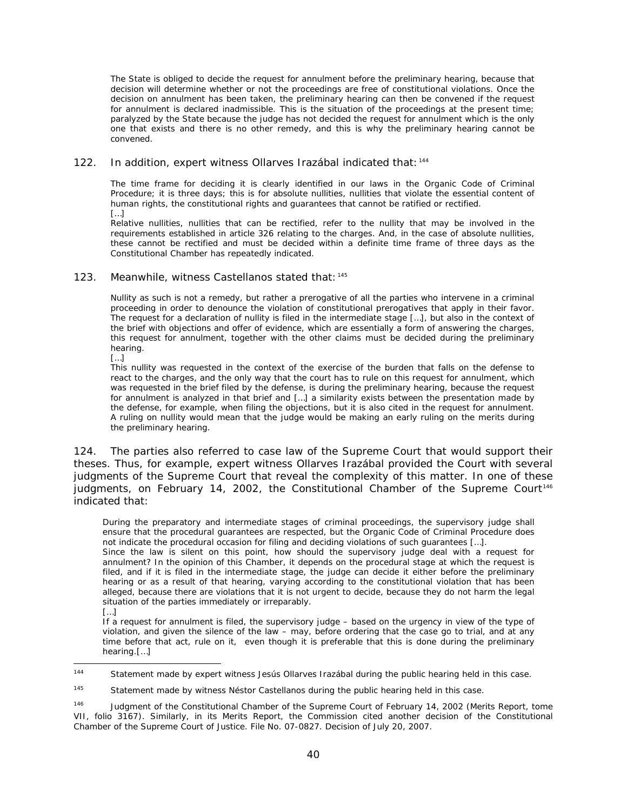The State is obliged to decide the request for annulment before the preliminary hearing, because that decision will determine whether or not the proceedings are free of constitutional violations. Once the decision on annulment has been taken, the preliminary hearing can then be convened if the request for annulment is declared inadmissible. This is the situation of the proceedings at the present time; paralyzed by the State because the judge has not decided the request for annulment which is the only one that exists and there is no other remedy, and this is why the preliminary hearing cannot be convened.

#### 122. In addition, expert witness Ollarves Irazábal indicated that: [144](#page-39-0)

The time frame for deciding it is clearly identified in our laws in the Organic Code of Criminal Procedure; it is three days; this is for absolute nullities, nullities that violate the essential content of human rights, the constitutional rights and guarantees that cannot be ratified or rectified. […]

Relative nullities, nullities that can be rectified, refer to the nullity that may be involved in the requirements established in article 326 relating to the charges. And, in the case of absolute nullities, these cannot be rectified and must be decided within a definite time frame of three days as the Constitutional Chamber has repeatedly indicated.

#### 123. Meanwhile, witness Castellanos stated that: [145](#page-39-1)

Nullity as such is not a remedy, but rather a prerogative of all the parties who intervene in a criminal proceeding in order to denounce the violation of constitutional prerogatives that apply in their favor. The request for a declaration of nullity is filed in the intermediate stage […], but also in the context of the brief with objections and offer of evidence, which are essentially a form of answering the charges, this request for annulment, together with the other claims must be decided during the preliminary hearing.

[…]

This nullity was requested in the context of the exercise of the burden that falls on the defense to react to the charges, and the only way that the court has to rule on this request for annulment, which was requested in the brief filed by the defense, is during the preliminary hearing, because the request for annulment is analyzed in that brief and […] a similarity exists between the presentation made by the defense, for example, when filing the objections, but it is also cited in the request for annulment. A ruling on nullity would mean that the judge would be making an early ruling on the merits during the preliminary hearing.

124. The parties also referred to case law of the Supreme Court that would support their theses. Thus, for example, expert witness Ollarves Irazábal provided the Court with several judgments of the Supreme Court that reveal the complexity of this matter. In one of these judgments, on February 14, 2002, the Constitutional Chamber of the Supreme Court<sup>[146](#page-39-2)</sup> indicated that:

During the preparatory and intermediate stages of criminal proceedings, the supervisory judge shall ensure that the procedural guarantees are respected, but the Organic Code of Criminal Procedure does not indicate the procedural occasion for filing and deciding violations of such guarantees […].

Since the law is silent on this point, how should the supervisory judge deal with a request for annulment? In the opinion of this Chamber, it depends on the procedural stage at which the request is filed, and if it is filed in the intermediate stage, the judge can decide it either before the preliminary hearing or as a result of that hearing, varying according to the constitutional violation that has been alleged, because there are violations that it is not urgent to decide, because they do not harm the legal situation of the parties immediately or irreparably.

If a request for annulment is filed, the supervisory judge – based on the urgency in view of the type of violation, and given the silence of the law – may, before ordering that the case go to trial, and at any time before that act, rule on it, even though it is preferable that this is done during the preliminary hearing.[…]

<sup>[…]</sup>

<span id="page-39-0"></span><sup>144</sup> Statement made by expert witness Jesús Ollarves Irazábal during the public hearing held in this case.

<span id="page-39-1"></span> $145$  Statement made by witness Néstor Castellanos during the public hearing held in this case.

<span id="page-39-2"></span><sup>&</sup>lt;sup>146</sup> Judgment of the Constitutional Chamber of the Supreme Court of February 14, 2002 (Merits Report, tome VII, folio 3167). Similarly, in its Merits Report, the Commission cited another decision of the Constitutional Chamber of the Supreme Court of Justice. File No. 07-0827. Decision of July 20, 2007.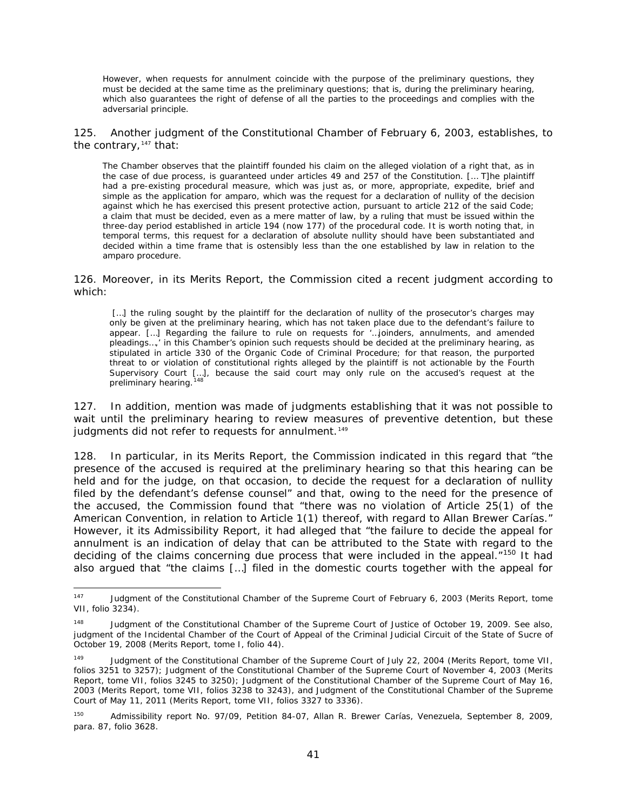However, when requests for annulment coincide with the purpose of the preliminary questions, they must be decided at the same time as the preliminary questions; that is, during the preliminary hearing, which also guarantees the right of defense of all the parties to the proceedings and complies with the adversarial principle.

125. Another judgment of the Constitutional Chamber of February 6, 2003, establishes, to the contrary,  $147$  that:

The Chamber observes that the plaintiff founded his claim on the alleged violation of a right that, as in the case of due process, is guaranteed under articles 49 and 257 of the Constitution. [… T]he plaintiff had a pre-existing procedural measure, which was just as, or more, appropriate, expedite, brief and simple as the application for *amparo,* which was the request for a declaration of nullity of the decision against which he has exercised this present protective action, pursuant to article 212 of the said Code; a claim that must be decided, even as a mere matter of law, by a ruling that must be issued within the three-day period established in article 194 (now 177) of the procedural code. It is worth noting that, in temporal terms, this request for a declaration of absolute nullity should have been substantiated and decided within a time frame that is ostensibly less than the one established by law in relation to the *amparo* procedure.

126. Moreover, in its Merits Report, the Commission cited a recent judgment according to which:

[...] the ruling sought by the plaintiff for the declaration of nullity of the prosecutor's charges may only be given at the preliminary hearing, which has not taken place due to the defendant's failure to appear. […] Regarding the failure to rule on requests for '…joinders, annulments, and amended pleadings…,' in this Chamber's opinion such requests should be decided at the preliminary hearing, as stipulated in article 330 of the Organic Code of Criminal Procedure; for that reason, the purported threat to or violation of constitutional rights alleged by the plaintiff is not actionable by the Fourth Supervisory Court […], because the said court may only rule on the accused's request at the preliminary hearing.<sup>[148](#page-40-1)</sup>

127. In addition, mention was made of judgments establishing that it was not possible to wait until the preliminary hearing to review measures of preventive detention, but these judgments did not refer to requests for annulment.<sup>[149](#page-40-2)</sup>

128. In particular, in its Merits Report, the Commission indicated in this regard that "the presence of the accused is required at the preliminary hearing so that this hearing can be held and for the judge, on that occasion, to decide the request for a declaration of nullity filed by the defendant's defense counsel" and that, owing to the need for the presence of the accused, the Commission found that "there was no violation of Article 25(1) of the American Convention, in relation to Article 1(1) thereof, with regard to Allan Brewer Carías." However, it its Admissibility Report, it had alleged that "the failure to decide the appeal for annulment is an indication of delay that can be attributed to the State with regard to the deciding of the claims concerning due process that were included in the appeal."<sup>[150](#page-40-3)</sup> It had also argued that "the claims […] filed in the domestic courts together with the appeal for

<span id="page-40-0"></span><sup>&</sup>lt;sup>147</sup> Judgment of the Constitutional Chamber of the Supreme Court of February 6, 2003 (Merits Report, tome VII, folio 3234).

<span id="page-40-1"></span><sup>&</sup>lt;sup>148</sup> Judgment of the Constitutional Chamber of the Supreme Court of Justice of October 19, 2009. See also, judgment of the Incidental Chamber of the Court of Appeal of the Criminal Judicial Circuit of the State of Sucre of October 19, 2008 (Merits Report, tome I, folio 44).

<span id="page-40-2"></span><sup>&</sup>lt;sup>149</sup> Judgment of the Constitutional Chamber of the Supreme Court of July 22, 2004 (Merits Report, tome VII, folios 3251 to 3257); Judgment of the Constitutional Chamber of the Supreme Court of November 4, 2003 (Merits Report, tome VII, folios 3245 to 3250); Judgment of the Constitutional Chamber of the Supreme Court of May 16, 2003 (Merits Report, tome VII, folios 3238 to 3243), and Judgment of the Constitutional Chamber of the Supreme Court of May 11, 2011 (Merits Report, tome VII, folios 3327 to 3336).

<span id="page-40-3"></span><sup>150</sup> Admissibility report No. 97/09, Petition 84-07, Allan R. Brewer Carías, Venezuela, September 8, 2009, para. 87, folio 3628.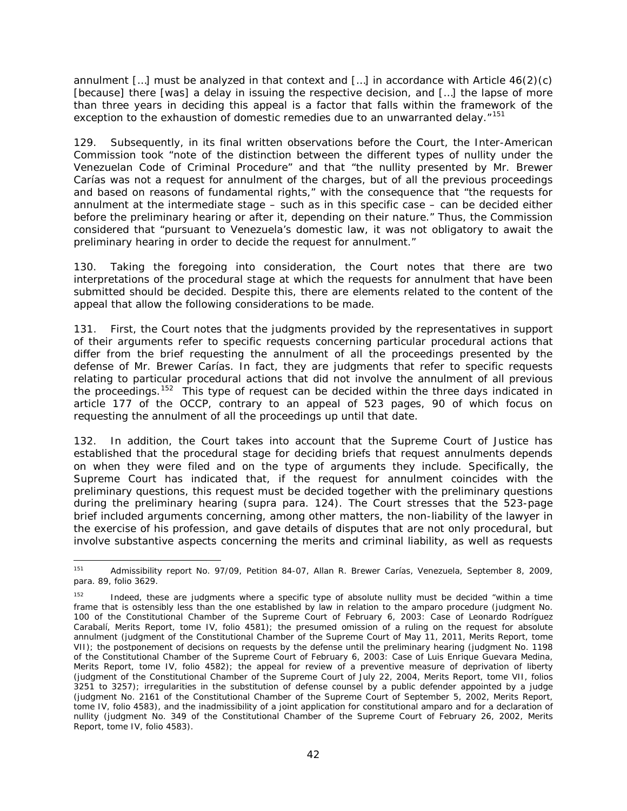annulment  $\lceil \ldots \rceil$  must be analyzed in that context and  $\lceil \ldots \rceil$  in accordance with Article 46(2)(c) [because] there [was] a delay in issuing the respective decision, and […] the lapse of more than three years in deciding this appeal is a factor that falls within the framework of the exception to the exhaustion of domestic remedies due to an unwarranted delay."<sup>[151](#page-41-0)</sup>

129. Subsequently, in its final written observations before the Court, the Inter-American Commission took "note of the distinction between the different types of nullity under the Venezuelan Code of Criminal Procedure" and that "the nullity presented by Mr. Brewer Carías was not a request for annulment of the charges, but of all the previous proceedings and based on reasons of fundamental rights," with the consequence that "the requests for annulment at the intermediate stage – such as in this specific case – can be decided either before the preliminary hearing or after it, depending on their nature." Thus, the Commission considered that "pursuant to Venezuela's domestic law, it was not obligatory to await the preliminary hearing in order to decide the request for annulment."

130. Taking the foregoing into consideration, the Court notes that there are two interpretations of the procedural stage at which the requests for annulment that have been submitted should be decided. Despite this, there are elements related to the content of the appeal that allow the following considerations to be made.

131. First, the Court notes that the judgments provided by the representatives in support of their arguments refer to specific requests concerning particular procedural actions that differ from the brief requesting the annulment of all the proceedings presented by the defense of Mr. Brewer Carías. In fact, they are judgments that refer to specific requests relating to particular procedural actions that did not involve the annulment of all previous the proceedings.<sup>[152](#page-41-1)</sup> This type of request can be decided within the three days indicated in article 177 of the OCCP, contrary to an appeal of 523 pages, 90 of which focus on requesting the annulment of all the proceedings up until that date.

132. In addition, the Court takes into account that the Supreme Court of Justice has established that the procedural stage for deciding briefs that request annulments depends on when they were filed and on the type of arguments they include. Specifically, the Supreme Court has indicated that, if the request for annulment coincides with the preliminary questions, this request must be decided together with the preliminary questions during the preliminary hearing (*supra* para. 124). The Court stresses that the 523-page brief included arguments concerning, among other matters, the non-liability of the lawyer in the exercise of his profession, and gave details of disputes that are not only procedural, but involve substantive aspects concerning the merits and criminal liability, as well as requests

<span id="page-41-0"></span> <sup>151</sup> Admissibility report No. 97/09, Petition 84-07, Allan R. Brewer Carías, Venezuela, September 8, 2009, para. 89, folio 3629.

<span id="page-41-1"></span>Indeed, these are judgments where a specific type of absolute nullity must be decided "within a time frame that is ostensibly less than the one established by law in relation to the *amparo* procedure (judgment No. 100 of the Constitutional Chamber of the Supreme Court of February 6, 2003: Case of *Leonardo Rodríguez Carabalí*, Merits Report, tome IV, folio 4581); the presumed omission of a ruling on the request for absolute annulment (judgment of the Constitutional Chamber of the Supreme Court of May 11, 2011, Merits Report, tome VII); the postponement of decisions on requests by the defense until the preliminary hearing (judgment No. 1198 of the Constitutional Chamber of the Supreme Court of February 6, 2003: Case of *Luis Enrique Guevara Medina*, Merits Report, tome IV, folio 4582); the appeal for review of a preventive measure of deprivation of liberty (judgment of the Constitutional Chamber of the Supreme Court of July 22, 2004, Merits Report, tome VII, folios 3251 to 3257); irregularities in the substitution of defense counsel by a public defender appointed by a judge (judgment No. 2161 of the Constitutional Chamber of the Supreme Court of September 5, 2002, Merits Report, tome IV, folio 4583), and the inadmissibility of a joint application for constitutional *amparo* and for a declaration of nullity (judgment No. 349 of the Constitutional Chamber of the Supreme Court of February 26, 2002, Merits Report, tome IV, folio 4583).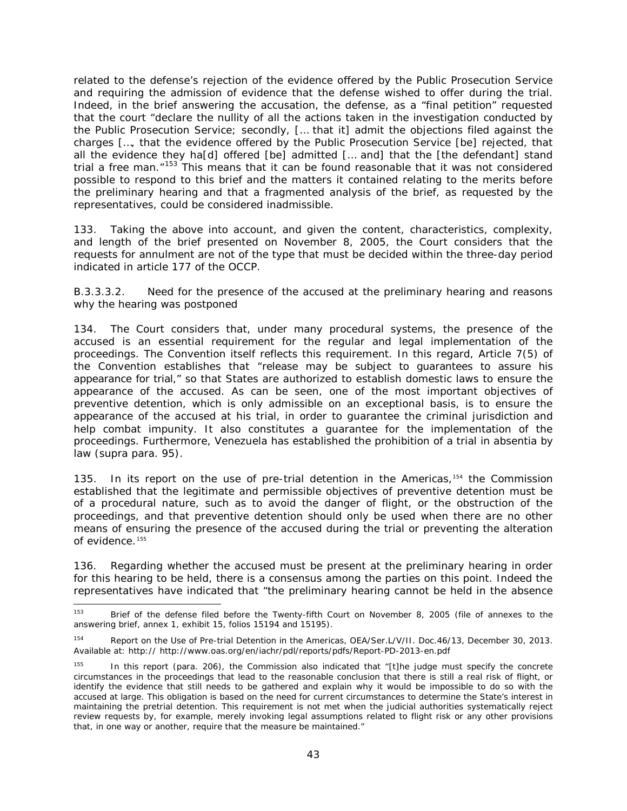related to the defense's rejection of the evidence offered by the Public Prosecution Service and requiring the admission of evidence that the defense wished to offer during the trial. Indeed, in the brief answering the accusation, the defense, as a "final petition" requested that the court "declare the nullity of all the actions taken in the investigation conducted by the Public Prosecution Service; secondly, [… that it] admit the objections filed against the charges […, that the evidence offered by the Public Prosecution Service [be] rejected, that all the evidence they ha[d] offered [be] admitted [… and] that the [the defendant] stand trial a free man.<sup>"[153](#page-42-0)</sup> This means that it can be found reasonable that it was not considered possible to respond to this brief and the matters it contained relating to the merits before the preliminary hearing and that a fragmented analysis of the brief, as requested by the representatives, could be considered inadmissible.

133. Taking the above into account, and given the content, characteristics, complexity, and length of the brief presented on November 8, 2005, the Court considers that the requests for annulment are not of the type that must be decided within the three-day period indicated in article 177 of the OCCP.

### *B.3.3.3.2. Need for the presence of the accused at the preliminary hearing and reasons why the hearing was postponed*

134. The Court considers that, under many procedural systems, the presence of the accused is an essential requirement for the regular and legal implementation of the proceedings. The Convention itself reflects this requirement. In this regard, Article 7(5) of the Convention establishes that "release may be subject to guarantees to assure his appearance for trial," so that States are authorized to establish domestic laws to ensure the appearance of the accused. As can be seen, one of the most important objectives of preventive detention, which is only admissible on an exceptional basis, is to ensure the appearance of the accused at his trial, in order to guarantee the criminal jurisdiction and help combat impunity. It also constitutes a guarantee for the implementation of the proceedings. Furthermore, Venezuela has established the prohibition of a trial *in absentia* by law (*supra* para. 95).

135. In its report on the use of pre-trial detention in the Americas*,*[154](#page-42-1) the Commission established that the legitimate and permissible objectives of preventive detention must be of a procedural nature, such as to avoid the danger of flight, or the obstruction of the proceedings, and that preventive detention should only be used when there are no other means of ensuring the presence of the accused during the trial or preventing the alteration of evidence.<sup>[155](#page-42-2)</sup>

136. Regarding whether the accused must be present at the preliminary hearing in order for this hearing to be held, there is a consensus among the parties on this point. Indeed the representatives have indicated that "the preliminary hearing cannot be held in the absence

<span id="page-42-0"></span><sup>&</sup>lt;sup>153</sup> Brief of the defense filed before the Twenty-fifth Court on November 8, 2005 (file of annexes to the answering brief, annex 1, exhibit 15, folios 15194 and 15195).

<span id="page-42-1"></span><sup>154</sup> Report on the Use of Pre-trial Detention in the Americas, OEA/Ser.L/V/II. Doc.46/13, December 30, 2013. Available at: http:// http://www.oas.org/en/iachr/pdl/reports/pdfs/Report-PD-2013-en.pdf

<span id="page-42-2"></span><sup>&</sup>lt;sup>155</sup> In this report (para. 206), the Commission also indicated that "[t]he judge must specify the concrete circumstances in the proceedings that lead to the reasonable conclusion that there is still a real risk of flight, or identify the evidence that still needs to be gathered and explain why it would be impossible to do so with the accused at large. This obligation is based on the need for current circumstances to determine the State's interest in maintaining the pretrial detention. This requirement is not met when the judicial authorities systematically reject review requests by, for example, merely invoking legal assumptions related to flight risk or any other provisions that, in one way or another, require that the measure be maintained."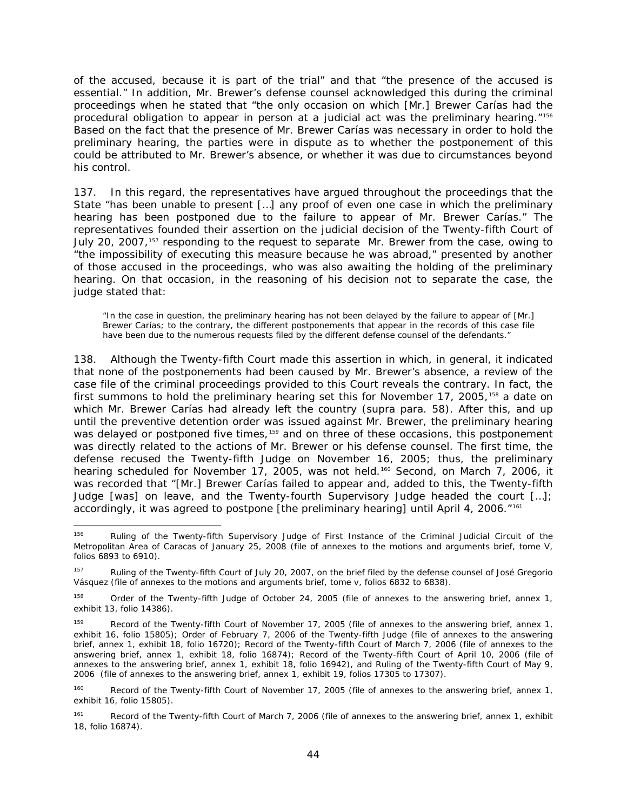of the accused, because it is part of the trial" and that "the presence of the accused is essential." In addition, Mr. Brewer's defense counsel acknowledged this during the criminal proceedings when he stated that "the only occasion on which [Mr.] Brewer Carías had the procedural obligation to appear in person at a judicial act was the preliminary hearing."<sup>[156](#page-43-0)</sup> Based on the fact that the presence of Mr. Brewer Carías was necessary in order to hold the preliminary hearing, the parties were in dispute as to whether the postponement of this could be attributed to Mr. Brewer's absence, or whether it was due to circumstances beyond his control.

137. In this regard, the representatives have argued throughout the proceedings that the State "has been unable to present […] any proof of even one case in which the preliminary hearing has been postponed due to the failure to appear of Mr. Brewer Carías." The representatives founded their assertion on the judicial decision of the Twenty-fifth Court of July 20, 2007,<sup>[157](#page-43-1)</sup> responding to the request to separate Mr. Brewer from the case, owing to "the impossibility of executing this measure because he was abroad," presented by another of those accused in the proceedings, who was also awaiting the holding of the preliminary hearing. On that occasion, in the reasoning of his decision not to separate the case, the judge stated that:

"In the case in question, the preliminary hearing has not been delayed by the failure to appear of [Mr.] Brewer Carías; to the contrary, the different postponements that appear in the records of this case file have been due to the numerous requests filed by the different defense counsel of the defendants."

138. Although the Twenty-fifth Court made this assertion in which, in general, it indicated that none of the postponements had been caused by Mr. Brewer's absence, a review of the case file of the criminal proceedings provided to this Court reveals the contrary. In fact, the first summons to hold the preliminary hearing set this for November 17, 2005,<sup>[158](#page-43-2)</sup> a date on which Mr. Brewer Carías had already left the country (*supra* para. 58). After this, and up until the preventive detention order was issued against Mr. Brewer, the preliminary hearing was delayed or postponed five times,<sup>[159](#page-43-3)</sup> and on three of these occasions, this postponement was directly related to the actions of Mr. Brewer or his defense counsel. The first time, the defense recused the Twenty-fifth Judge on November 16, 2005; thus, the preliminary hearing scheduled for November 17, 2005, was not held.<sup>[160](#page-43-4)</sup> Second, on March 7, 2006, it was recorded that "[Mr.] Brewer Carías failed to appear and, added to this, the Twenty-fifth Judge [was] on leave, and the Twenty-fourth Supervisory Judge headed the court […]; accordingly, it was agreed to postpone [the preliminary hearing] until April 4, 2006."[161](#page-43-5)

<span id="page-43-0"></span><sup>156</sup> Ruling of the Twenty-fifth Supervisory Judge of First Instance of the Criminal Judicial Circuit of the Metropolitan Area of Caracas of January 25, 2008 (file of annexes to the motions and arguments brief, tome V, folios 6893 to 6910).

<span id="page-43-1"></span><sup>&</sup>lt;sup>157</sup> Ruling of the Twenty-fifth Court of July 20, 2007, on the brief filed by the defense counsel of José Gregorio Vásquez (file of annexes to the motions and arguments brief, tome v, folios 6832 to 6838).

<span id="page-43-2"></span><sup>&</sup>lt;sup>158</sup> Order of the Twenty-fifth Judge of October 24, 2005 (file of annexes to the answering brief, annex 1, exhibit 13, folio 14386).

<span id="page-43-3"></span><sup>&</sup>lt;sup>159</sup> Record of the Twenty-fifth Court of November 17, 2005 (file of annexes to the answering brief, annex 1, exhibit 16, folio 15805); Order of February 7, 2006 of the Twenty-fifth Judge (file of annexes to the answering brief, annex 1, exhibit 18, folio 16720); Record of the Twenty-fifth Court of March 7, 2006 (file of annexes to the answering brief, annex 1, exhibit 18, folio 16874); Record of the Twenty-fifth Court of April 10, 2006 (file of annexes to the answering brief, annex 1, exhibit 18, folio 16942), and Ruling of the Twenty-fifth Court of May 9, 2006 (file of annexes to the answering brief, annex 1, exhibit 19, folios 17305 to 17307).

<span id="page-43-4"></span><sup>&</sup>lt;sup>160</sup> Record of the Twenty-fifth Court of November 17, 2005 (file of annexes to the answering brief, annex 1, exhibit 16, folio 15805).

<span id="page-43-5"></span><sup>&</sup>lt;sup>161</sup> Record of the Twenty-fifth Court of March 7, 2006 (file of annexes to the answering brief, annex 1, exhibit 18, folio 16874).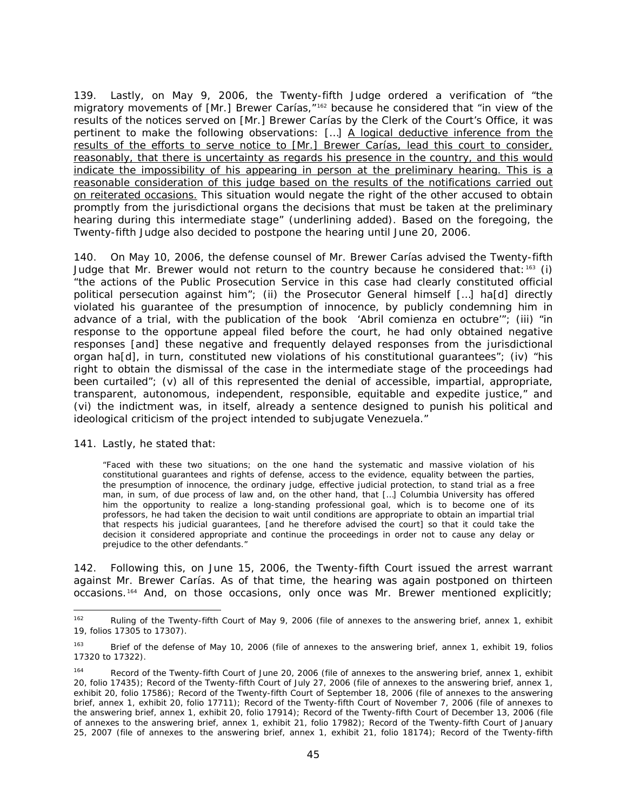139. Lastly, on May 9, 2006, the Twenty-fifth Judge ordered a verification of "the migratory movements of [Mr.] Brewer Carías,<sup>"[162](#page-44-0)</sup> because he considered that "in view of the results of the notices served on [Mr.] Brewer Carías by the Clerk of the Court's Office, it was pertinent to make the following observations: [...] A logical deductive inference from the results of the efforts to serve notice to [Mr.] Brewer Carías, lead this court to consider, reasonably, that there is uncertainty as regards his presence in the country, and this would indicate the impossibility of his appearing in person at the preliminary hearing. This is a reasonable consideration of this judge based on the results of the notifications carried out on reiterated occasions. This situation would negate the right of the other accused to obtain promptly from the jurisdictional organs the decisions that must be taken at the preliminary hearing during this intermediate stage" (underlining added). Based on the foregoing, the Twenty-fifth Judge also decided to postpone the hearing until June 20, 2006.

140. On May 10, 2006, the defense counsel of Mr. Brewer Carías advised the Twenty-fifth Judge that Mr. Brewer would not return to the country because he considered that:<sup>[163](#page-44-1)</sup> (i) "the actions of the Public Prosecution Service in this case had clearly constituted official political persecution against him"; (ii) the Prosecutor General himself […] ha[d] directly violated his guarantee of the presumption of innocence, by publicly condemning him in advance of a trial, with the publication of the book '*Abril comienza en octubre'*"; (iii) "in response to the opportune appeal filed before the court, he had only obtained negative responses [and] these negative and frequently delayed responses from the jurisdictional organ ha[d], in turn, constituted new violations of his constitutional guarantees"; (iv) "his right to obtain the dismissal of the case in the intermediate stage of the proceedings had been curtailed"; (v) all of this represented the denial of accessible, impartial, appropriate, transparent, autonomous, independent, responsible, equitable and expedite justice," and (vi) the indictment was, in itself, already a sentence designed to punish his political and ideological criticism of the project intended to subjugate Venezuela."

141. Lastly, he stated that:

"Faced with these two situations; on the one hand the systematic and massive violation of his constitutional guarantees and rights of defense, access to the evidence, equality between the parties, the presumption of innocence, the ordinary judge, effective judicial protection, to stand trial as a free man, in sum, of due process of law and, on the other hand, that […] Columbia University has offered him the opportunity to realize a long-standing professional goal, which is to become one of its professors, he had taken the decision to wait until conditions are appropriate to obtain an impartial trial that respects his judicial guarantees, [and he therefore advised the court] so that it could take the decision it considered appropriate and continue the proceedings in order not to cause any delay or prejudice to the other defendants."

142. Following this, on June 15, 2006, the Twenty-fifth Court issued the arrest warrant against Mr. Brewer Carías. As of that time, the hearing was again postponed on thirteen occasions.[164](#page-44-0) And, on those occasions, only once was Mr. Brewer mentioned explicitly;

<span id="page-44-0"></span><sup>&</sup>lt;sup>162</sup> Ruling of the Twenty-fifth Court of May 9, 2006 (file of annexes to the answering brief, annex 1, exhibit 19, folios 17305 to 17307).

<span id="page-44-1"></span><sup>163</sup> Brief of the defense of May 10, 2006 (file of annexes to the answering brief, annex 1, exhibit 19, folios 17320 to 17322).

<sup>&</sup>lt;sup>164</sup> Record of the Twenty-fifth Court of June 20, 2006 (file of annexes to the answering brief, annex 1, exhibit 20, folio 17435); Record of the Twenty-fifth Court of July 27, 2006 (file of annexes to the answering brief, annex 1, exhibit 20, folio 17586); Record of the Twenty-fifth Court of September 18, 2006 (file of annexes to the answering brief, annex 1, exhibit 20, folio 17711); Record of the Twenty-fifth Court of November 7, 2006 (file of annexes to the answering brief, annex 1, exhibit 20, folio 17914); Record of the Twenty-fifth Court of December 13, 2006 (file of annexes to the answering brief, annex 1, exhibit 21, folio 17982); Record of the Twenty-fifth Court of January 25, 2007 (file of annexes to the answering brief, annex 1, exhibit 21, folio 18174); Record of the Twenty-fifth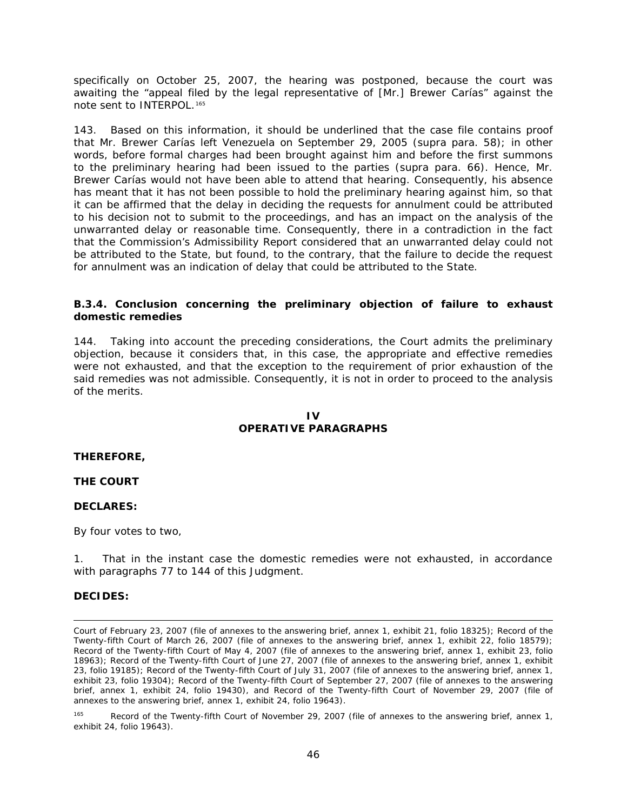specifically on October 25, 2007, the hearing was postponed, because the court was awaiting the "appeal filed by the legal representative of [Mr.] Brewer Carías" against the note sent to INTERPOL.<sup>[165](#page-45-0)</sup>

143. Based on this information, it should be underlined that the case file contains proof that Mr. Brewer Carías left Venezuela on September 29, 2005 (*supra* para. 58); in other words, before formal charges had been brought against him and before the first summons to the preliminary hearing had been issued to the parties (*supra* para. 66). Hence, Mr. Brewer Carías would not have been able to attend that hearing. Consequently, his absence has meant that it has not been possible to hold the preliminary hearing against him, so that it can be affirmed that the delay in deciding the requests for annulment could be attributed to his decision not to submit to the proceedings, and has an impact on the analysis of the unwarranted delay or reasonable time. Consequently, there in a contradiction in the fact that the Commission's Admissibility Report considered that an unwarranted delay could not be attributed to the State, but found, to the contrary, that the failure to decide the request for annulment was an indication of delay that could be attributed to the State.

### *B.3.4. Conclusion concerning the preliminary objection of failure to exhaust domestic remedies*

144. Taking into account the preceding considerations, the Court admits the preliminary objection, because it considers that, in this case, the appropriate and effective remedies were not exhausted, and that the exception to the requirement of prior exhaustion of the said remedies was not admissible. Consequently, it is not in order to proceed to the analysis of the merits.

### **IV OPERATIVE PARAGRAPHS**

#### **THEREFORE,**

#### **THE COURT**

#### **DECLARES:**

By four votes to two,

1. That in the instant case the domestic remedies were not exhausted, in accordance with paragraphs 77 to 144 of this Judgment.

#### **DECIDES:**

i, Court of February 23, 2007 (file of annexes to the answering brief, annex 1, exhibit 21, folio 18325); Record of the Twenty-fifth Court of March 26, 2007 (file of annexes to the answering brief, annex 1, exhibit 22, folio 18579); Record of the Twenty-fifth Court of May 4, 2007 (file of annexes to the answering brief, annex 1, exhibit 23, folio 18963); Record of the Twenty-fifth Court of June 27, 2007 (file of annexes to the answering brief, annex 1, exhibit 23, folio 19185); Record of the Twenty-fifth Court of July 31, 2007 (file of annexes to the answering brief, annex 1, exhibit 23, folio 19304); Record of the Twenty-fifth Court of September 27, 2007 (file of annexes to the answering brief, annex 1, exhibit 24, folio 19430), and Record of the Twenty-fifth Court of November 29, 2007 (file of annexes to the answering brief, annex 1, exhibit 24, folio 19643).

<span id="page-45-0"></span><sup>&</sup>lt;sup>165</sup> Record of the Twenty-fifth Court of November 29, 2007 (file of annexes to the answering brief, annex 1, exhibit 24, folio 19643).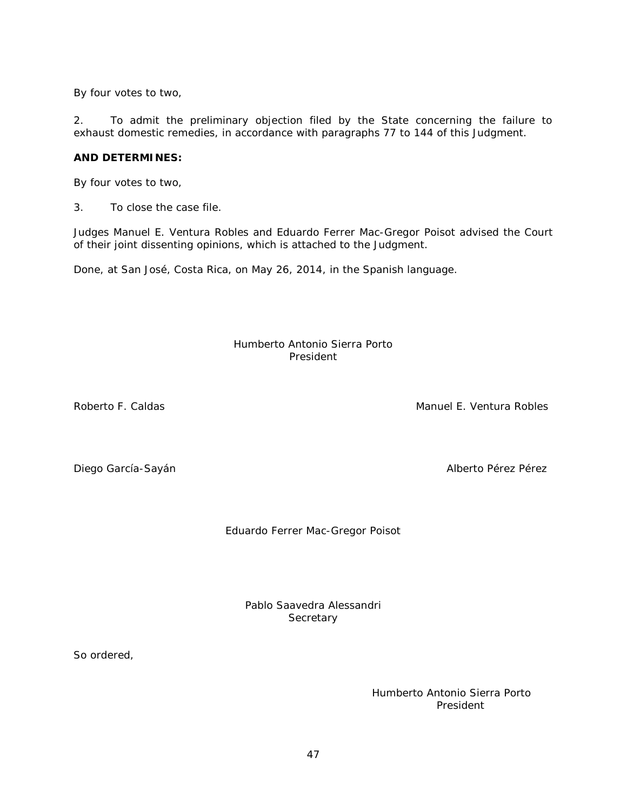By four votes to two,

2. To admit the preliminary objection filed by the State concerning the failure to exhaust domestic remedies, in accordance with paragraphs 77 to 144 of this Judgment.

## **AND DETERMINES:**

By four votes to two,

3. To close the case file.

Judges Manuel E. Ventura Robles and Eduardo Ferrer Mac-Gregor Poisot advised the Court of their joint dissenting opinions, which is attached to the Judgment.

Done, at San José, Costa Rica, on May 26, 2014, in the Spanish language.

### Humberto Antonio Sierra Porto President

Roberto F. Caldas **Manuel E. Ventura Robles** Manuel E. Ventura Robles

Diego García-Sayán **Alberto Pérez Pérez Pérez Pérez Alberto Pérez** Pérez

Eduardo Ferrer Mac-Gregor Poisot

Pablo Saavedra Alessandri **Secretary** 

So ordered,

Humberto Antonio Sierra Porto President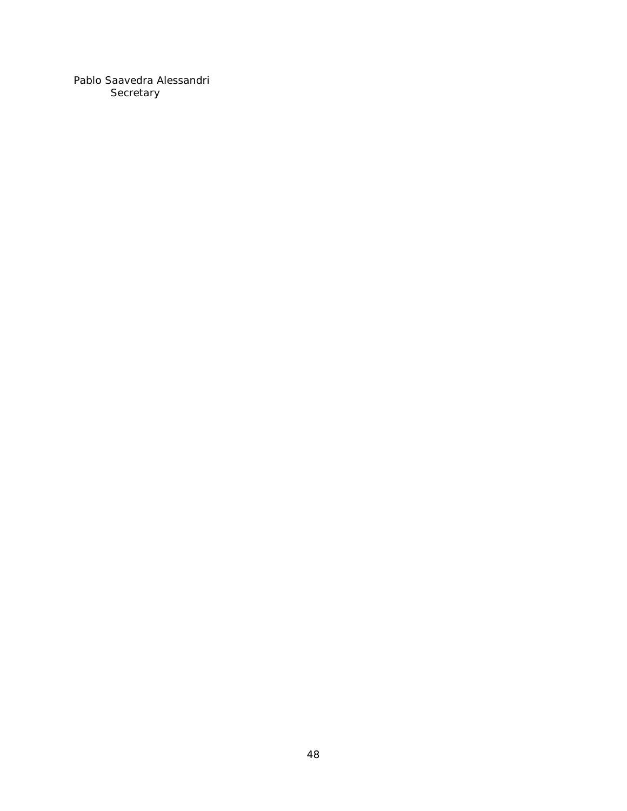Pablo Saavedra Alessandri Secretary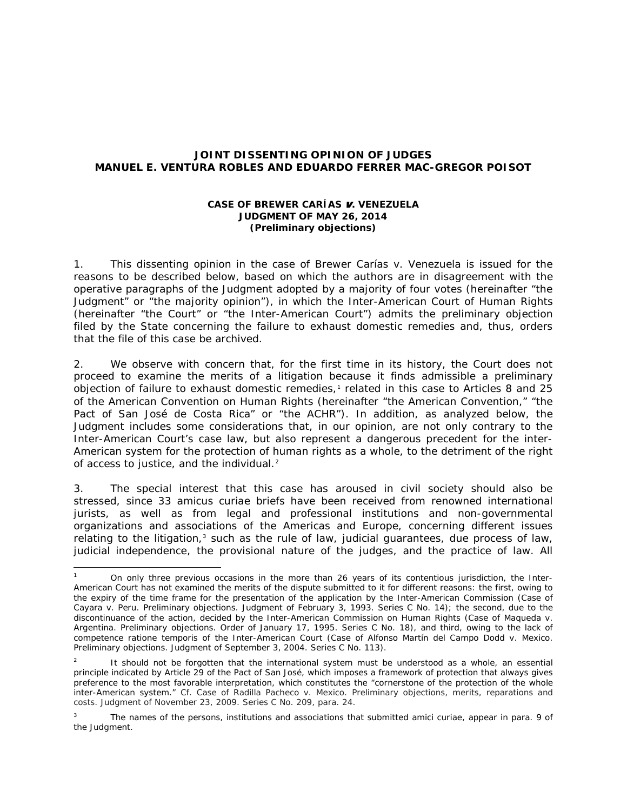## **JOINT DISSENTING OPINION OF JUDGES MANUEL E. VENTURA ROBLES AND EDUARDO FERRER MAC-GREGOR POISOT**

### *CASE OF BREWER CARÍAS* v*. VENEZUELA* **JUDGMENT OF MAY 26, 2014 (***Preliminary objections***)**

1. This dissenting opinion in the case of *Brewer Carías v. Venezuela* is issued for the reasons to be described below, based on which the authors are in disagreement with the operative paragraphs of the Judgment adopted by a majority of four votes (hereinafter "the Judgment" or "the majority opinion"), in which the Inter-American Court of Human Rights (hereinafter "the Court" or "the Inter-American Court") admits the preliminary objection filed by the State concerning the failure to exhaust domestic remedies and, thus, orders that the file of this case be archived.

2. We observe with concern that, for the first time in its history, the Court does not proceed to examine the merits of a litigation because it finds admissible a preliminary objection of failure to exhaust domestic remedies,<sup>[1](#page-48-0)</sup> related in this case to Articles 8 and 25 of the American Convention on Human Rights (hereinafter "the American Convention," "the Pact of San José de Costa Rica" or "the ACHR"). In addition, as analyzed below, the Judgment includes some considerations that, in our opinion, are not only contrary to the Inter-American Court's case law, but also represent a dangerous precedent for the inter-American system for the protection of human rights as a whole, to the detriment of the right of access to justice, and the individual.<sup>[2](#page-48-1)</sup>

3. The special interest that this case has aroused in civil society should also be stressed, since 33 *amicus curiae* briefs have been received from renowned international jurists, as well as from legal and professional institutions and non-governmental organizations and associations of the Americas and Europe, concerning different issues relating to the litigation,<sup>[3](#page-48-2)</sup> such as the rule of law, judicial guarantees, due process of law, judicial independence, the provisional nature of the judges, and the practice of law. All

<span id="page-48-0"></span> <sup>1</sup> On only three previous occasions in the more than 26 years of its contentious jurisdiction, the Inter-American Court has not examined the merits of the dispute submitted to it for different reasons: the first, owing to the expiry of the time frame for the presentation of the application by the Inter-American Commission (*Case of Cayara v. Peru. Preliminary objections*. Judgment of February 3, 1993. Series C No. 14); the second, due to the discontinuance of the action, decided by the Inter-American Commission on Human Rights (*Case of Maqueda v. Argentina*. *Preliminary objections.* Order of January 17, 1995. Series C No. 18), and third, owing to the lack of competence *ratione temporis* of the Inter-American Court (*Case of Alfonso Martín del Campo Dodd v. Mexico*. *Preliminary objections*. Judgment of September 3, 2004. Series C No. 113).

<span id="page-48-1"></span>It should not be forgotten that the international system must be understood as a whole, an essential principle indicated by Article 29 of the Pact of San José, which imposes a framework of protection that always gives preference to the most favorable interpretation, which constitutes the "cornerstone of the protection of the whole inter-American system." *Cf. Case of Radilla Pacheco v. Mexico. Preliminary objections, merits, reparations and costs.* Judgment of November 23, 2009. Series C No. 209, para. 24.

<span id="page-48-2"></span><sup>3</sup> The names of the persons, institutions and associations that submitted *amici curiae,* appear in para. 9 of the Judgment.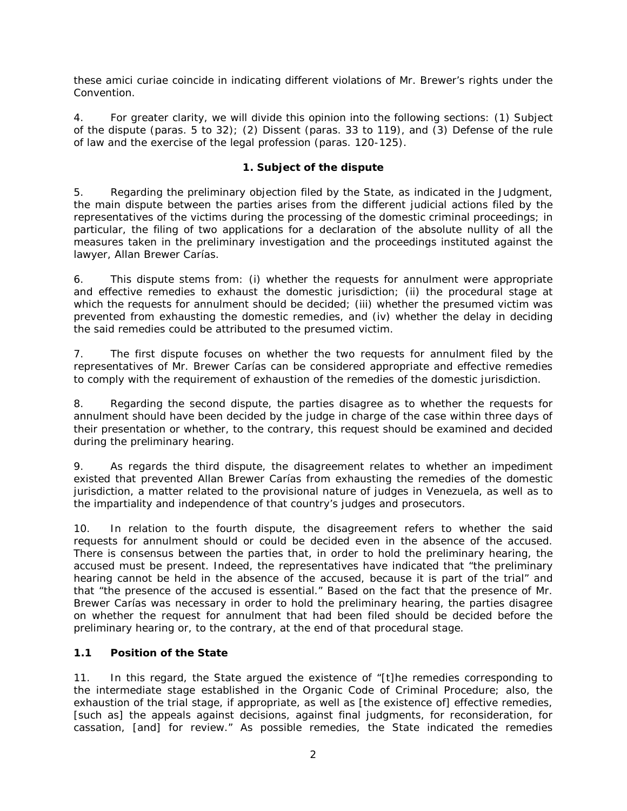these *amici curiae* coincide in indicating different violations of Mr. Brewer's rights under the Convention.

4. For greater clarity, we will divide this opinion into the following sections: (1) Subject of the dispute (paras. 5 to 32); (2) Dissent (paras. 33 to 119), and (3) Defense of the rule of law and the exercise of the legal profession (paras. 120-125).

## **1. Subject of the dispute**

5. Regarding the preliminary objection filed by the State, as indicated in the Judgment, the main dispute between the parties arises from the different judicial actions filed by the representatives of the victims during the processing of the domestic criminal proceedings; in particular, the filing of two applications for a declaration of the absolute nullity of all the measures taken in the preliminary investigation and the proceedings instituted against the lawyer, Allan Brewer Carías.

6. This dispute stems from: (i) whether the requests for annulment were appropriate and effective remedies to exhaust the domestic jurisdiction; (ii) the procedural stage at which the requests for annulment should be decided; (iii) whether the presumed victim was prevented from exhausting the domestic remedies, and (iv) whether the delay in deciding the said remedies could be attributed to the presumed victim.

7. The first dispute focuses on whether the two requests for annulment filed by the representatives of Mr. Brewer Carías can be considered appropriate and effective remedies to comply with the requirement of exhaustion of the remedies of the domestic jurisdiction.

8. Regarding the second dispute, the parties disagree as to whether the requests for annulment should have been decided by the judge in charge of the case within three days of their presentation or whether, to the contrary, this request should be examined and decided during the preliminary hearing.

9. As regards the third dispute, the disagreement relates to whether an impediment existed that prevented Allan Brewer Carías from exhausting the remedies of the domestic jurisdiction, a matter related to the provisional nature of judges in Venezuela, as well as to the impartiality and independence of that country's judges and prosecutors.

10. In relation to the fourth dispute, the disagreement refers to whether the said requests for annulment should or could be decided even in the absence of the accused. There is consensus between the parties that, in order to hold the preliminary hearing, the accused must be present. Indeed, the representatives have indicated that "the preliminary hearing cannot be held in the absence of the accused, because it is part of the trial" and that "the presence of the accused is essential." Based on the fact that the presence of Mr. Brewer Carías was necessary in order to hold the preliminary hearing, the parties disagree on whether the request for annulment that had been filed should be decided before the preliminary hearing or, to the contrary, at the end of that procedural stage.

# **1.1 Position of the State**

11. In this regard, the State argued the existence of "[t]he remedies corresponding to the intermediate stage established in the Organic Code of Criminal Procedure; also, the exhaustion of the trial stage, if appropriate, as well as [the existence of] effective remedies, [such as] the appeals against decisions, against final judgments, for reconsideration, for cassation, [and] for review." As possible remedies, the State indicated the remedies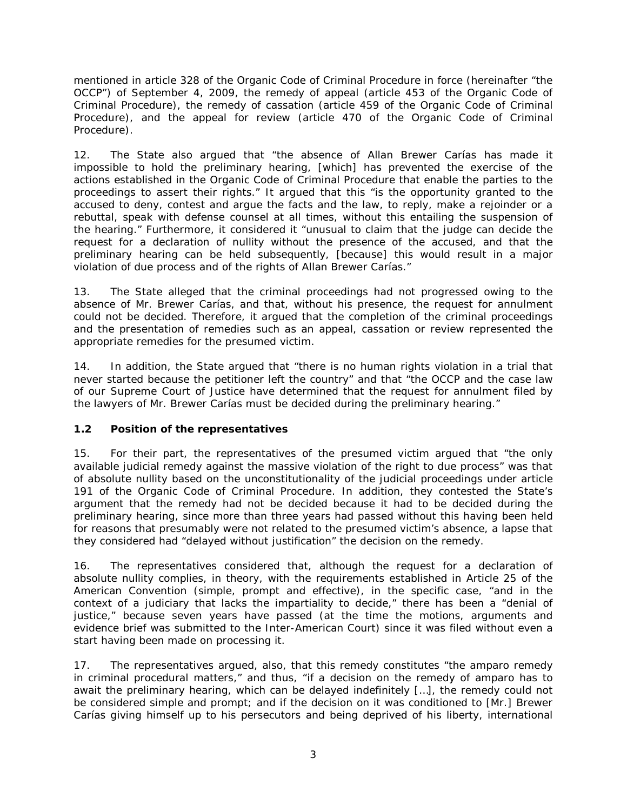mentioned in article 328 of the Organic Code of Criminal Procedure in force (hereinafter "the OCCP") of September 4, 2009, the remedy of appeal (article 453 of the Organic Code of Criminal Procedure), the remedy of cassation (article 459 of the Organic Code of Criminal Procedure), and the appeal for review (article 470 of the Organic Code of Criminal Procedure).

12. The State also argued that "the absence of Allan Brewer Carías has made it impossible to hold the preliminary hearing, [which] has prevented the exercise of the actions established in the Organic Code of Criminal Procedure that enable the parties to the proceedings to assert their rights." It argued that this "is the opportunity granted to the accused to deny, contest and argue the facts and the law, to reply, make a rejoinder or a rebuttal, speak with defense counsel at all times, without this entailing the suspension of the hearing." Furthermore, it considered it "unusual to claim that the judge can decide the request for a declaration of nullity without the presence of the accused, and that the preliminary hearing can be held subsequently, [because] this would result in a major violation of due process and of the rights of Allan Brewer Carías."

13. The State alleged that the criminal proceedings had not progressed owing to the absence of Mr. Brewer Carías, and that, without his presence, the request for annulment could not be decided. Therefore, it argued that the completion of the criminal proceedings and the presentation of remedies such as an appeal, cassation or review represented the appropriate remedies for the presumed victim.

14. In addition, the State argued that "there is no human rights violation in a trial that never started because the petitioner left the country" and that "the OCCP and the case law of our Supreme Court of Justice have determined that the request for annulment filed by the lawyers of Mr. Brewer Carías must be decided during the preliminary hearing."

# **1.2 Position of the representatives**

15. For their part, the representatives of the presumed victim argued that "the only available judicial remedy against the massive violation of the right to due process" was that of absolute nullity based on the unconstitutionality of the judicial proceedings under article 191 of the Organic Code of Criminal Procedure. In addition, they contested the State's argument that the remedy had not be decided because it had to be decided during the preliminary hearing, since more than three years had passed without this having been held for reasons that presumably were not related to the presumed victim's absence, a lapse that they considered had "delayed without justification" the decision on the remedy.

16. The representatives considered that, although the request for a declaration of absolute nullity complies, in theory, with the requirements established in Article 25 of the American Convention (simple, prompt and effective), in the specific case, "and in the context of a judiciary that lacks the impartiality to decide," there has been a "denial of justice," because seven years have passed (at the time the motions, arguments and evidence brief was submitted to the Inter-American Court) since it was filed without even a start having been made on processing it.

17. The representatives argued, also, that this remedy constitutes "the *amparo* remedy in criminal procedural matters," and thus, "if a decision on the remedy of *amparo* has to await the preliminary hearing, which can be delayed indefinitely […], the remedy could not be considered simple and prompt; and if the decision on it was conditioned to [Mr.] Brewer Carías giving himself up to his persecutors and being deprived of his liberty, international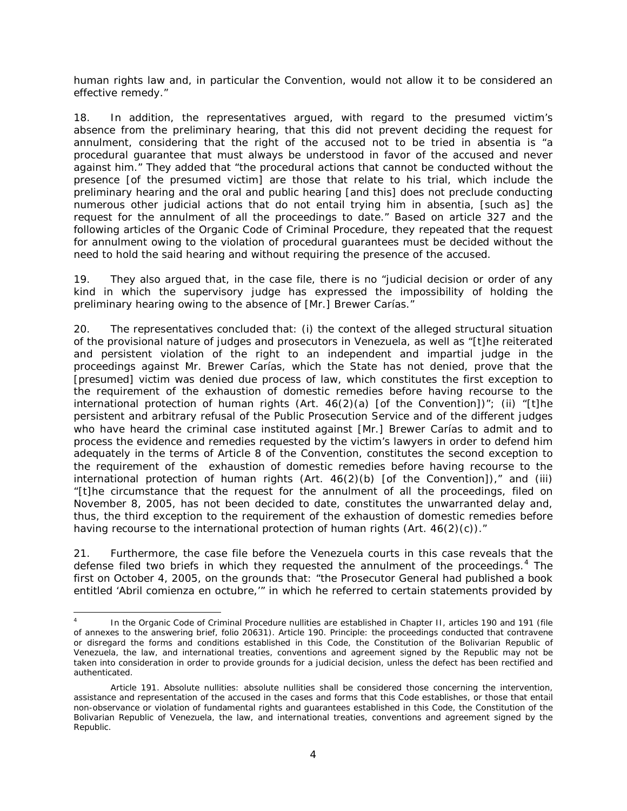human rights law and, in particular the Convention, would not allow it to be considered an effective remedy."

18. In addition, the representatives argued, with regard to the presumed victim's absence from the preliminary hearing, that this did not prevent deciding the request for annulment, considering that the right of the accused not to be tried *in absentia* is "a procedural guarantee that must always be understood in favor of the accused and never against him." They added that "the procedural actions that cannot be conducted without the presence [of the presumed victim] are those that relate to his trial, which include the preliminary hearing and the oral and public hearing [and this] does not preclude conducting numerous other judicial actions that do not entail trying him *in absentia,* [such as] the request for the annulment of all the proceedings to date." Based on article 327 and the following articles of the Organic Code of Criminal Procedure, they repeated that the request for annulment owing to the violation of procedural guarantees must be decided without the need to hold the said hearing and without requiring the presence of the accused.

19. They also argued that, in the case file, there is no "judicial decision or order of any kind in which the supervisory judge has expressed the impossibility of holding the preliminary hearing owing to the absence of [Mr.] Brewer Carías."

20. The representatives concluded that: (i) the context of the alleged structural situation of the provisional nature of judges and prosecutors in Venezuela, as well as "[t]he reiterated and persistent violation of the right to an independent and impartial judge in the proceedings against Mr. Brewer Carías, which the State has not denied, prove that the [presumed] victim was denied due process of law, which constitutes the first exception to the requirement of the exhaustion of domestic remedies before having recourse to the international protection of human rights (Art.  $46(2)(a)$  [of the Convention])"; (ii) "[t]he persistent and arbitrary refusal of the Public Prosecution Service and of the different judges who have heard the criminal case instituted against [Mr.] Brewer Carías to admit and to process the evidence and remedies requested by the victim's lawyers in order to defend him adequately in the terms of Article 8 of the Convention, constitutes the second exception to the requirement of the exhaustion of domestic remedies before having recourse to the international protection of human rights  $(Art. 46(2)(b)$  [of the Convention])," and (iii) *"*[t]he circumstance that the request for the annulment of all the proceedings, filed on November 8, 2005, has not been decided to date, constitutes the unwarranted delay and, thus, the third exception to the requirement of the exhaustion of domestic remedies before having recourse to the international protection of human rights (Art. 46(2)(c))."

21. Furthermore, the case file before the Venezuela courts in this case reveals that the defense filed two briefs in which they requested the annulment of the proceedings.<sup>[4](#page-51-0)</sup> The first on October 4, 2005, on the grounds that: "the Prosecutor General had published a book entitled '*Abril comienza en octubre,'*" in which he referred to certain statements provided by

<span id="page-51-0"></span>In the Organic Code of Criminal Procedure nullities are established in Chapter II, articles 190 and 191 (file of annexes to the answering brief, folio 20631). Article 190. Principle: the proceedings conducted that contravene or disregard the forms and conditions established in this Code, the Constitution of the Bolivarian Republic of Venezuela, the law, and international treaties, conventions and agreement signed by the Republic may not be taken into consideration in order to provide grounds for a judicial decision, unless the defect has been rectified and authenticated.

Article 191. Absolute nullities: absolute nullities shall be considered those concerning the intervention, assistance and representation of the accused in the cases and forms that this Code establishes, or those that entail non-observance or violation of fundamental rights and guarantees established in this Code, the Constitution of the Bolivarian Republic of Venezuela, the law, and international treaties, conventions and agreement signed by the Republic.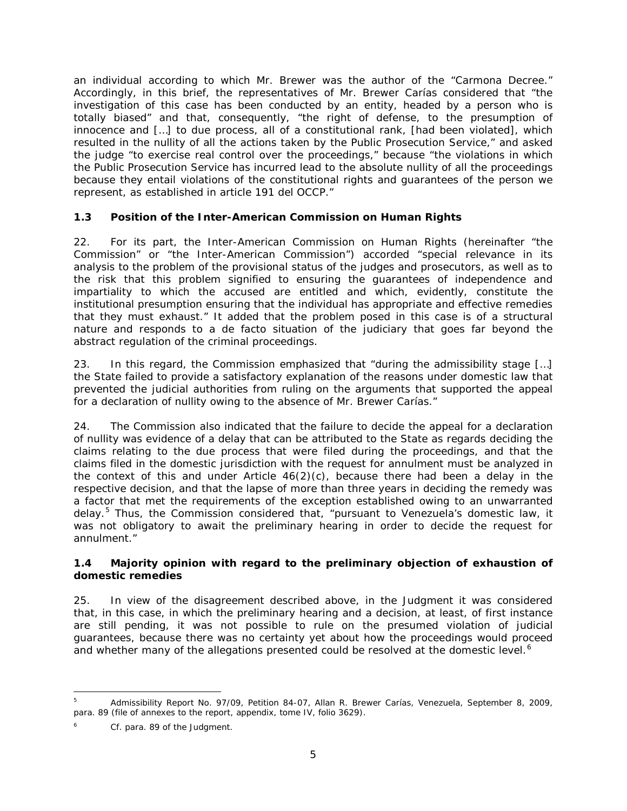an individual according to which Mr. Brewer was the author of the "Carmona Decree." Accordingly, in this brief, the representatives of Mr. Brewer Carías considered that "the investigation of this case has been conducted by an entity, headed by a person who is totally biased" and that, consequently, "the right of defense, to the presumption of innocence and […] to due process, all of a constitutional rank, [had been violated], which resulted in the nullity of all the actions taken by the Public Prosecution Service," and asked the judge "to exercise real control over the proceedings," because "the violations in which the Public Prosecution Service has incurred lead to the absolute nullity of all the proceedings because they entail violations of the constitutional rights and guarantees of the person we represent, as established in article 191 del OCCP."

# **1.3 Position of the Inter-American Commission on Human Rights**

22. For its part, the Inter-American Commission on Human Rights (hereinafter "the Commission" or "the Inter-American Commission") accorded "special relevance in its analysis to the problem of the provisional status of the judges and prosecutors, as well as to the risk that this problem signified to ensuring the guarantees of independence and impartiality to which the accused are entitled and which, evidently, constitute the institutional presumption ensuring that the individual has appropriate and effective remedies that they must exhaust." It added that the problem posed in this case is of a structural nature and responds to a *de facto* situation of the judiciary that goes far beyond the abstract regulation of the criminal proceedings.

23. In this regard, the Commission emphasized that "during the admissibility stage […] the State failed to provide a satisfactory explanation of the reasons under domestic law that prevented the judicial authorities from ruling on the arguments that supported the appeal for a declaration of nullity owing to the absence of Mr. Brewer Carías."

24. The Commission also indicated that the failure to decide the appeal for a declaration of nullity was evidence of a delay that can be attributed to the State as regards deciding the claims relating to the due process that were filed during the proceedings, and that the claims filed in the domestic jurisdiction with the request for annulment must be analyzed in the context of this and under Article  $46(2)(c)$ , because there had been a delay in the respective decision, and that the lapse of more than three years in deciding the remedy was a factor that met the requirements of the exception established owing to an unwarranted delay.<sup>[5](#page-52-0)</sup> Thus, the Commission considered that, "pursuant to Venezuela's domestic law, it was not obligatory to await the preliminary hearing in order to decide the request for annulment."

## **1.4 Majority opinion with regard to the preliminary objection of exhaustion of domestic remedies**

25. In view of the disagreement described above, in the Judgment it was considered that, in this case, in which the preliminary hearing and a decision, at least, of first instance are still pending, it was not possible to rule on the presumed violation of judicial guarantees, because there was no certainty yet about how the proceedings would proceed and whether many of the allegations presented could be resolved at the domestic level.<sup>[6](#page-52-1)</sup>

<span id="page-52-0"></span> <sup>5</sup> Admissibility Report No. 97/09, Petition 84-07, Allan R. Brewer Carías, Venezuela, September 8, 2009, para. 89 (file of annexes to the report, appendix, tome IV, folio 3629).

<span id="page-52-1"></span>Cf. para. 89 of the Judgment.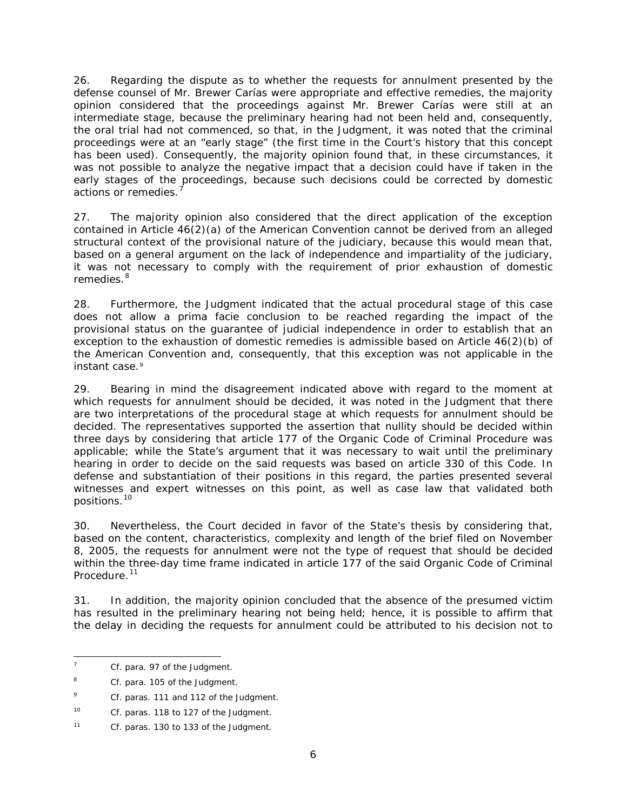26. Regarding the dispute as to whether the requests for annulment presented by the defense counsel of Mr. Brewer Carías were appropriate and effective remedies, the majority opinion considered that the proceedings against Mr. Brewer Carías were still at an intermediate stage, because the preliminary hearing had not been held and, consequently, the oral trial had not commenced, so that, in the Judgment, it was noted that the criminal proceedings were at an "early stage" (the first time in the Court's history that this concept has been used). Consequently, the majority opinion found that, in these circumstances, it was not possible to analyze the negative impact that a decision could have if taken in the early stages of the proceedings, because such decisions could be corrected by domestic actions or remedies.<sup>[7](#page-53-0)</sup>

27. The majority opinion also considered that the direct application of the exception contained in Article 46(2)(a) of the American Convention cannot be derived from an alleged structural context of the provisional nature of the judiciary, because this would mean that, based on a general argument on the lack of independence and impartiality of the judiciary, it was not necessary to comply with the requirement of prior exhaustion of domestic remedies.<sup>[8](#page-53-1)</sup>

28. Furthermore, the Judgment indicated that the actual procedural stage of this case does not allow a *prima facie* conclusion to be reached regarding the impact of the provisional status on the guarantee of judicial independence in order to establish that an exception to the exhaustion of domestic remedies is admissible based on Article 46(2)(b) of the American Convention and, consequently, that this exception was not applicable in the instant case.<sup>[9](#page-53-2)</sup>

29. Bearing in mind the disagreement indicated above with regard to the moment at which requests for annulment should be decided, it was noted in the Judgment that there are two interpretations of the procedural stage at which requests for annulment should be decided. The representatives supported the assertion that nullity should be decided within three days by considering that article 177 of the Organic Code of Criminal Procedure was applicable; while the State's argument that it was necessary to wait until the preliminary hearing in order to decide on the said requests was based on article 330 of this Code. In defense and substantiation of their positions in this regard, the parties presented several witnesses and expert witnesses on this point, as well as case law that validated both positions.[10](#page-53-3)

30. Nevertheless, the Court decided in favor of the State's thesis by considering that, based on the content, characteristics, complexity and length of the brief filed on November 8, 2005, the requests for annulment were not the type of request that should be decided within the three-day time frame indicated in article 177 of the said Organic Code of Criminal Procedure.<sup>[11](#page-53-4)</sup>

31. In addition, the majority opinion concluded that the absence of the presumed victim has resulted in the preliminary hearing not being held; hence, it is possible to affirm that the delay in deciding the requests for annulment could be attributed to his decision not to

<span id="page-53-0"></span> <sup>7</sup> *Cf.* para. 97 of the Judgment.

<span id="page-53-1"></span><sup>&</sup>lt;sup>8</sup> Cf. para. 105 of the Judgment.

<span id="page-53-2"></span><sup>&</sup>lt;sup>9</sup> *Cf.* paras. 111 and 112 of the Judgment.

<span id="page-53-3"></span><sup>10</sup> *Cf.* paras. 118 to 127 of the Judgment.

<span id="page-53-4"></span><sup>11</sup> *Cf.* paras. 130 to 133 of the Judgment.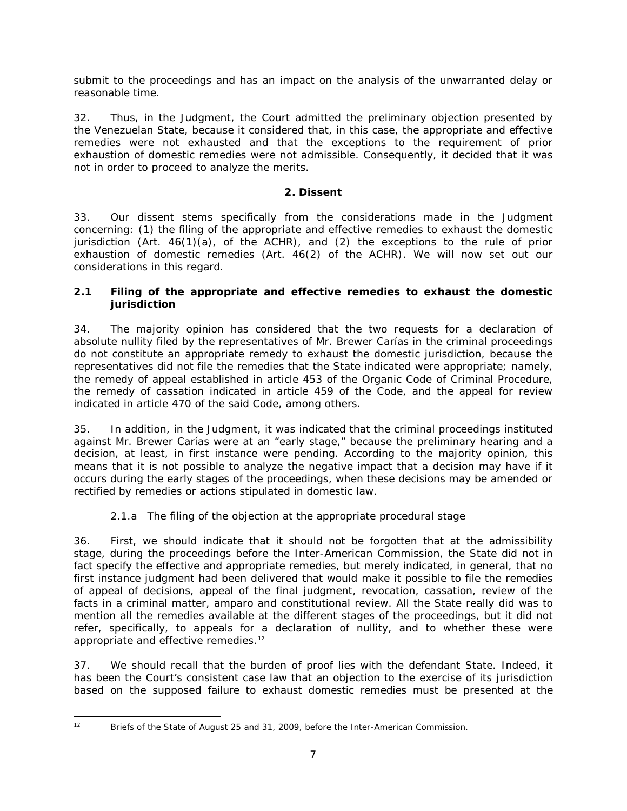submit to the proceedings and has an impact on the analysis of the unwarranted delay or reasonable time.

32. Thus, in the Judgment, the Court admitted the preliminary objection presented by the Venezuelan State, because it considered that, in this case, the appropriate and effective remedies were not exhausted and that the exceptions to the requirement of prior exhaustion of domestic remedies were not admissible. Consequently, it decided that it was not in order to proceed to analyze the merits.

# **2. Dissent**

33. Our dissent stems specifically from the considerations made in the Judgment concerning: (1) the filing of the appropriate and effective remedies to exhaust the domestic jurisdiction (Art. 46(1)(a), of the ACHR), and (2) the exceptions to the rule of prior exhaustion of domestic remedies (Art. 46(2) of the ACHR). We will now set out our considerations in this regard.

# **2.1 Filing of the appropriate and effective remedies to exhaust the domestic jurisdiction**

34. The majority opinion has considered that the two requests for a declaration of absolute nullity filed by the representatives of Mr. Brewer Carías in the criminal proceedings do not constitute an appropriate remedy to exhaust the domestic jurisdiction, because the representatives did not file the remedies that the State indicated were appropriate; namely, the remedy of appeal established in article 453 of the Organic Code of Criminal Procedure, the remedy of cassation indicated in article 459 of the Code, and the appeal for review indicated in article 470 of the said Code, among others.

35. In addition, in the Judgment, it was indicated that the criminal proceedings instituted against Mr. Brewer Carías were at an "early stage," because the preliminary hearing and a decision, at least, in first instance were pending. According to the majority opinion, this means that it is not possible to analyze the negative impact that a decision may have if it occurs during the early stages of the proceedings, when these decisions may be amended or rectified by remedies or actions stipulated in domestic law.

# *2.1.a The filing of the objection at the appropriate procedural stage*

36. First, we should indicate that it should not be forgotten that at the admissibility stage, during the proceedings before the Inter-American Commission, the State did not in fact specify the effective and appropriate remedies, but merely indicated, in general, that no first instance judgment had been delivered that would make it possible to file the remedies of appeal of decisions, appeal of the final judgment, revocation, cassation, review of the facts in a criminal matter, *amparo* and constitutional review. All the State really did was to mention all the remedies available at the different stages of the proceedings, but it did not refer, specifically, to appeals for a declaration of nullity, and to whether these were appropriate and effective remedies.<sup>[12](#page-54-0)</sup>

37. We should recall that the burden of proof lies with the defendant State. Indeed, it has been the Court's consistent case law that an objection to the exercise of its jurisdiction based on the supposed failure to exhaust domestic remedies must be presented at the

<span id="page-54-0"></span>

<sup>&</sup>lt;sup>12</sup> Briefs of the State of August 25 and 31, 2009, before the Inter-American Commission.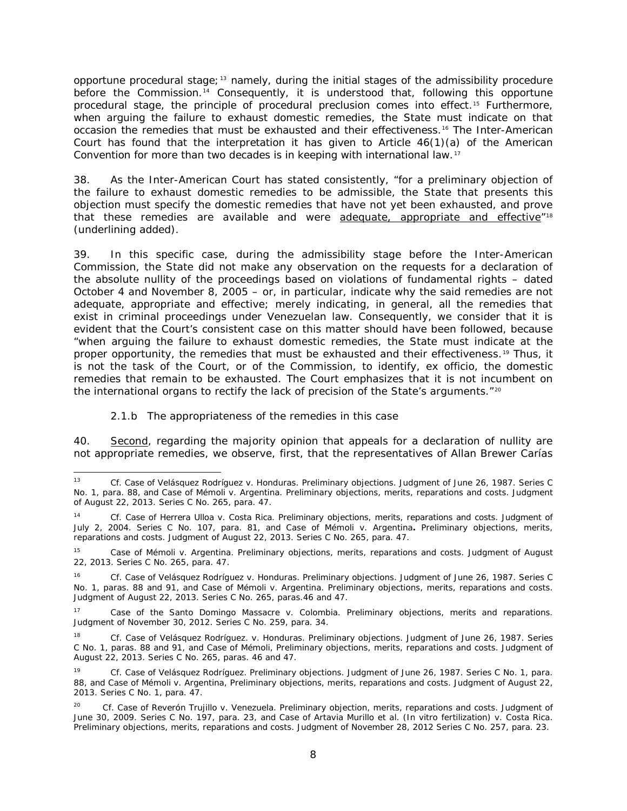opportune procedural stage;<sup>[13](#page-55-0)</sup> namely, during the initial stages of the admissibility procedure before the Commission.<sup>[14](#page-55-1)</sup> Consequently, it is understood that, following this opportune procedural stage, the principle of procedural preclusion comes into effect.[15](#page-55-2) Furthermore, when arguing the failure to exhaust domestic remedies, the State must indicate on that occasion the remedies that must be exhausted and their effectiveness.[16](#page-55-3) The Inter-American Court has found that the interpretation it has given to Article  $46(1)(a)$  of the American Convention for more than two decades is in keeping with international law.[17](#page-55-4)

38. As the Inter-American Court has stated consistently, "for a preliminary objection of the failure to exhaust domestic remedies to be admissible, the State that presents this objection must specify the domestic remedies that have not yet been exhausted, and prove that these remedies are available and were adequate, appropriate and effective<sup>"[18](#page-55-5)</sup> *(underlining added).*

39. In this specific case, during the admissibility stage before the Inter-American Commission, the State did not make any observation on the requests for a declaration of the absolute nullity of the proceedings based on violations of fundamental rights – dated October 4 and November 8, 2005 – or, in particular, indicate why the said remedies are not adequate, appropriate and effective; merely indicating, in general, all the remedies that exist in criminal proceedings under Venezuelan law. Consequently, we consider that it is evident that the Court's consistent case on this matter should have been followed, because "when arguing the failure to exhaust domestic remedies, the State must indicate at the proper opportunity, the remedies that must be exhausted and their effectiveness. [19](#page-55-6) Thus, it is not the task of the Court, or of the Commission, to identify, *ex officio,* the domestic remedies that remain to be exhausted. The Court emphasizes that it is not incumbent on the international organs to rectify the lack of precision of the State's arguments."<sup>[20](#page-55-7)</sup>

## *2.1.b The appropriateness of the remedies in this case*

40. Second, regarding the majority opinion that appeals for a declaration of nullity are not appropriate remedies, we observe, first, that the representatives of Allan Brewer Carías

<span id="page-55-0"></span> <sup>13</sup> *Cf. Case of Velásquez Rodríguez v. Honduras. Preliminary objections.* Judgment of June 26, 1987. Series C No. 1, para. 88, and *Case of Mémoli v. Argentina. Preliminary objections, merits, reparations and costs*. Judgment of August 22, 2013. Series C No. 265, para. 47.

<span id="page-55-1"></span><sup>14</sup> *Cf. Case of Herrera Ulloa v. Costa Rica. Preliminary objections, merits, reparations and costs.* Judgment of July 2, 2004. Series C No. 107, para. 81, and *Case of Mémoli v. Argentina. Preliminary objections, merits, reparations and costs*. Judgment of August 22, 2013. Series C No. 265, para. 47.

<span id="page-55-2"></span><sup>15</sup> *Case of Mémoli v. Argentina. Preliminary objections, merits, reparations and costs*. Judgment of August 22, 2013. Series C No. 265, para. 47.

<span id="page-55-3"></span><sup>16</sup> *Cf. Case of Velásquez Rodríguez v. Honduras. Preliminary objections.* Judgment of June 26, 1987. Series C No. 1, paras. 88 and 91, and *Case of Mémoli v. Argentina. Preliminary objections, merits, reparations and costs*. Judgment of August 22, 2013. Series C No. 265, paras.46 and 47.

<span id="page-55-4"></span><sup>17</sup> *Case of the Santo Domingo Massacre v. Colombia. Preliminary objections, merits and reparations.* Judgment of November 30, 2012. Series C No. 259, para. 34.

<span id="page-55-5"></span><sup>18</sup> *Cf. Case of Velásquez Rodríguez. v. Honduras. Preliminary objections.* Judgment of June 26, 1987. Series C No. 1, paras. 88 and 91, and *Case of Mémoli, Preliminary objections, merits, reparations and costs.* Judgment of August 22, 2013. Series C No. 265, paras. 46 and 47*.*

<span id="page-55-6"></span><sup>19</sup> *Cf. Case of Velásquez Rodríguez. Preliminary objections.* Judgment of June 26, 1987. Series C No. 1, para. 88, and *Case of Mémoli v. Argentina, Preliminary objections, merits, reparations and costs.* Judgment of August 22, 2013. Series C No. 1*,* para. 47.

<span id="page-55-7"></span><sup>20</sup> *Cf. Case of Reverón Trujillo v. Venezuela*. *Preliminary objection, merits, reparations and costs*. Judgment of June 30, 2009. Series C No. 197, para. 23, and *Case of Artavia Murillo et al. (In vitro fertilization) v. Costa Rica. Preliminary objections, merits, reparations and costs.* Judgment of November 28, 2012 Series C No. 257, para. 23.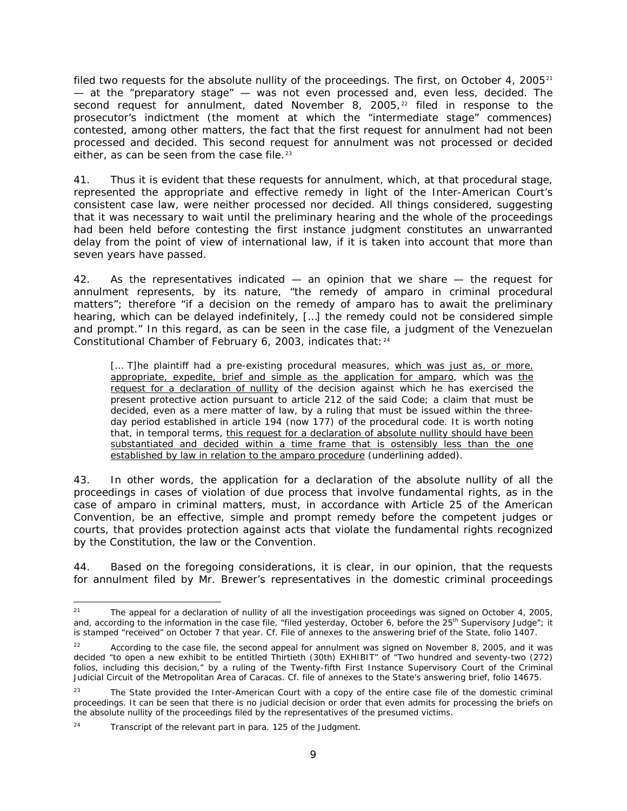filed two requests for the absolute nullity of the proceedings. The first, on October 4, 2005 $^{21}$  $^{21}$  $^{21}$ — at the "preparatory stage" — was not even processed and, even less, decided. The second request for annulment, dated November 8,  $2005<sup>22</sup>$  $2005<sup>22</sup>$  $2005<sup>22</sup>$  filed in response to the prosecutor's indictment (the moment at which the "intermediate stage" commences) contested, among other matters, the fact that the first request for annulment had not been processed and decided. This second request for annulment was not processed or decided either, as can be seen from the case file.<sup>[23](#page-56-2)</sup>

41. Thus it is evident that these requests for annulment, which, at that procedural stage, represented the appropriate and effective remedy in light of the Inter-American Court's consistent case law, were neither processed nor decided. All things considered, suggesting that it was necessary to wait until the preliminary hearing and the whole of the proceedings had been held before contesting the first instance judgment constitutes an unwarranted delay from the point of view of international law, if it is taken into account that more than seven years have passed.

42. As the representatives indicated — an opinion that we share — the request for annulment represents, by its nature, "the remedy of *amparo* in criminal procedural matters"; therefore "if a decision on the remedy of *amparo* has to await the preliminary hearing, which can be delayed indefinitely, […] the remedy could not be considered simple and prompt." In this regard, as can be seen in the case file, a judgment of the Venezuelan Constitutional Chamber of February 6, 2003, indicates that: [24](#page-56-3)

[... T]he plaintiff had a pre-existing procedural measures, which was just as, or more, appropriate, expedite, brief and simple as the application for *amparo,* which was the request for a declaration of nullity of the decision against which he has exercised the present protective action pursuant to article 212 of the said Code; a claim that must be decided, even as a mere matter of law, by a ruling that must be issued within the threeday period established in article 194 (now 177) of the procedural code. It is worth noting that, in temporal terms, this request for a declaration of absolute nullity should have been substantiated and decided within a time frame that is ostensibly less than the one established by law in relation to the *amparo* procedure *(underlining added).*

43. In other words, the application for a declaration of the absolute nullity of all the proceedings in cases of violation of due process that involve fundamental rights, as in the case of *amparo* in criminal matters, must, in accordance with Article 25 of the American Convention, be an effective, simple and prompt remedy before the competent judges or courts, that provides protection against acts that violate the fundamental rights recognized by the Constitution, the law or the Convention.

44. Based on the foregoing considerations, it is clear, in our opinion, that the requests for annulment filed by Mr. Brewer's representatives in the domestic criminal proceedings

<span id="page-56-0"></span><sup>&</sup>lt;sup>21</sup> The appeal for a declaration of nullity of all the investigation proceedings was signed on October 4, 2005, and, according to the information in the case file, "filed yesterday, October 6, before the 25<sup>th</sup> Supervisory Judge"; it is stamped "received" on October 7 that year. *Cf.* File of annexes to the answering brief of the State, folio 1407.

<span id="page-56-1"></span><sup>22</sup> According to the case file, the second appeal for annulment was signed on November 8, 2005, and it was decided "to open a new exhibit to be entitled Thirtieth (30th) EXHIBIT" of "Two hundred and seventy-two (272) folios, including this decision," by a ruling of the Twenty-fifth First Instance Supervisory Court of the Criminal Judicial Circuit of the Metropolitan Area of Caracas. *Cf.* file of annexes to the State's answering brief, folio 14675.

<span id="page-56-2"></span>The State provided the Inter-American Court with a copy of the entire case file of the domestic criminal proceedings. It can be seen that there is no judicial decision or order that even admits for processing the briefs on the absolute nullity of the proceedings filed by the representatives of the presumed victims.

<span id="page-56-3"></span>Transcript of the relevant part in para. 125 of the Judgment.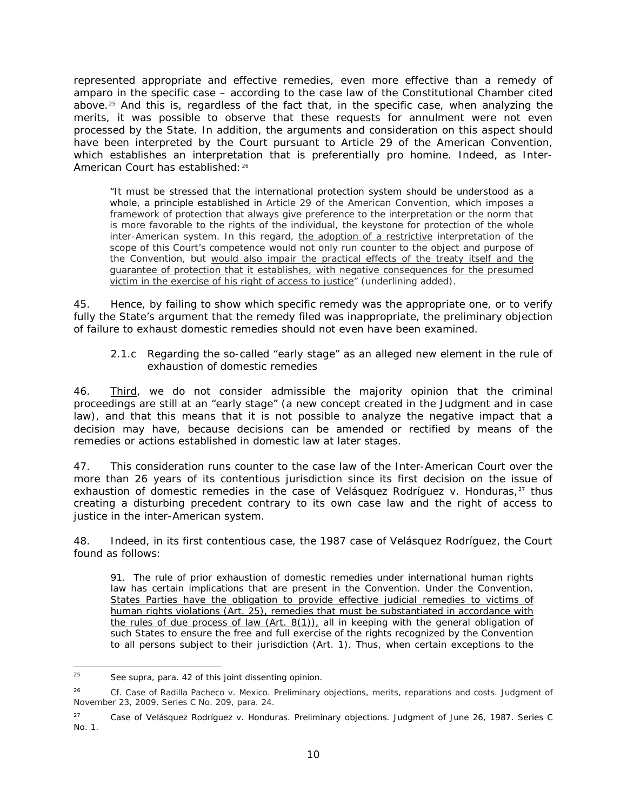represented appropriate and effective remedies, even more effective than a remedy of *amparo* in the specific case – according to the case law of the Constitutional Chamber cited above.[25](#page-57-0) And this is, regardless of the fact that, in the specific case, when analyzing the merits, it was possible to observe that these requests for annulment were not even processed by the State. In addition, the arguments and consideration on this aspect should have been interpreted by the Court pursuant to Article 29 of the American Convention, which establishes an interpretation that is preferentially *pro homine*. Indeed, as Inter-American Court has established: [26](#page-57-1)

"It must be stressed that the international protection system should be understood as a whole, a principle established in Article 29 of the American Convention, which imposes a framework of protection that always give preference to the interpretation or the norm that is more favorable to the rights of the individual, the keystone for protection of the whole inter-American system. In this regard, the adoption of a restrictive interpretation of the scope of this Court's competence would not only run counter to the object and purpose of the Convention, but would also impair the practical effects of the treaty itself and the guarantee of protection that it establishes, with negative consequences for the presumed victim in the exercise of his right of access to justice" *(underlining added).*

45. Hence, by failing to show which specific remedy was the appropriate one, or to verify fully the State's argument that the remedy filed was inappropriate, the preliminary objection of failure to exhaust domestic remedies should not even have been examined.

## *2.1.c Regarding the so-called "early stage" as an alleged new element in the rule of exhaustion of domestic remedies*

46. Third, we do not consider admissible the majority opinion that the criminal proceedings are still at an "early stage" (a new concept created in the Judgment and in case law), and that this means that it is not possible to analyze the negative impact that a decision may have, because decisions can be amended or rectified by means of the remedies or actions established in domestic law at later stages.

47. This consideration runs counter to the case law of the Inter-American Court over the more than 26 years of its contentious jurisdiction since its first decision on the issue of exhaustion of domestic remedies in the case of *Velásquez Rodríguez v. Honduras*,<sup>[27](#page-57-2)</sup> thus creating a disturbing precedent contrary to its own case law and the right of access to justice in the inter-American system.

48. Indeed, in its first contentious case, the 1987 case of *Velásquez Rodríguez*, the Court found as follows:

91. The rule of prior exhaustion of domestic remedies under international human rights law has certain implications that are present in the Convention. Under the Convention, States Parties have the obligation to provide effective judicial remedies to victims of human rights violations (Art. 25), remedies that must be substantiated in accordance with the rules of due process of law (Art. 8(1)), all in keeping with the general obligation of such States to ensure the free and full exercise of the rights recognized by the Convention to all persons subject to their jurisdiction (Art. 1). Thus, when certain exceptions to the

<span id="page-57-0"></span> <sup>25</sup> See *supra*, para. 42 of this joint dissenting opinion.

<span id="page-57-1"></span><sup>&</sup>lt;sup>26</sup> *Cf. Case of Radilla Pacheco v. Mexico. Preliminary objections, merits, reparations and costs. Judgment of* November 23, 2009. Series C No. 209, para. 24.

<span id="page-57-2"></span><sup>27</sup> *Case of Velásquez Rodríguez v. Honduras*. Preliminary objections. Judgment of June 26, 1987. Series C No. 1.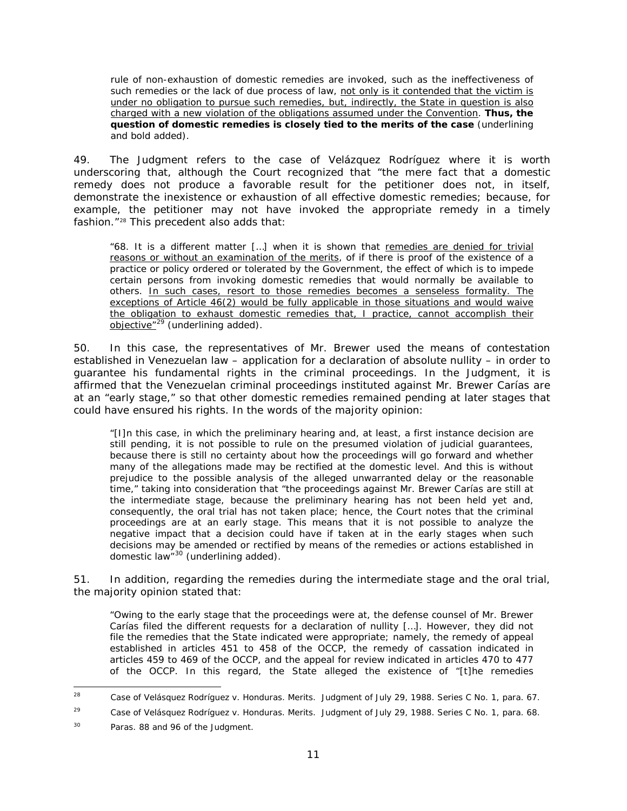rule of non-exhaustion of domestic remedies are invoked, such as the ineffectiveness of such remedies or the lack of due process of law, not only is it contended that the victim is under no obligation to pursue such remedies, but, indirectly, the State in question is also charged with a new violation of the obligations assumed under the Convention. **Thus, the question of domestic remedies is closely tied to the merits of the case** (underlining and bold added).

49. The Judgment refers to the *case of Velázquez Rodríguez* where it is worth underscoring that, although the Court recognized that "the mere fact that a domestic remedy does not produce a favorable result for the petitioner does not, in itself, demonstrate the inexistence or exhaustion of all effective domestic remedies; because, for example, the petitioner may not have invoked the appropriate remedy in a timely fashion."[28](#page-58-0) This precedent also adds that:

"68. It is a different matter […] when it is shown that remedies are denied for trivial reasons or without an examination of the merits, of if there is proof of the existence of a practice or policy ordered or tolerated by the Government, the effect of which is to impede certain persons from invoking domestic remedies that would normally be available to others. In such cases, resort to those remedies becomes a senseless formality. The exceptions of Article 46(2) would be fully applicable in those situations and would waive the obligation to exhaust domestic remedies that, I practice, cannot accomplish their <u>objective"</u> <sup>[29](#page-58-1)</sup> (underlining added).

50. In this case, the representatives of Mr. Brewer used the means of contestation established in Venezuelan law – application for a declaration of absolute nullity – in order to guarantee his fundamental rights in the criminal proceedings. In the Judgment, it is affirmed that the Venezuelan criminal proceedings instituted against Mr. Brewer Carías are at an "early stage," so that other domestic remedies remained pending at later stages that could have ensured his rights. In the words of the majority opinion:

"[I]n this case, in which the preliminary hearing and, at least, a first instance decision are still pending, it is not possible to rule on the presumed violation of judicial guarantees, because there is still no certainty about how the proceedings will go forward and whether many of the allegations made may be rectified at the domestic level. And this is without prejudice to the possible analysis of the alleged unwarranted delay or the reasonable time," taking into consideration that "the proceedings against Mr. Brewer Carías are still at the intermediate stage, because the preliminary hearing has not been held yet and, consequently, the oral trial has not taken place; hence, the Court notes that the criminal proceedings are at an early stage. This means that it is not possible to analyze the negative impact that a decision could have if taken at in the early stages when such decisions may be amended or rectified by means of the remedies or actions established in domestic law" [30](#page-58-2) *(underlining added).*

51. In addition, regarding the remedies during the intermediate stage and the oral trial, the majority opinion stated that:

"Owing to the early stage that the proceedings were at, the defense counsel of Mr. Brewer Carías filed the different requests for a declaration of nullity […]. However, they did not file the remedies that the State indicated were appropriate; namely, the remedy of appeal established in articles 451 to 458 of the OCCP, the remedy of cassation indicated in articles 459 to 469 of the OCCP, and the appeal for review indicated in articles 470 to 477 of the OCCP. In this regard, the State alleged the existence of "[t]he remedies

<span id="page-58-0"></span> <sup>28</sup> *Case of Velásquez Rodríguez v. Honduras. Merits.* Judgment of July 29, 1988. Series C No. 1, para. 67.

<span id="page-58-1"></span><sup>29</sup> *Case of Velásquez Rodríguez v. Honduras. Merits.* Judgment of July 29, 1988. Series C No. 1, para. 68.

<span id="page-58-2"></span><sup>&</sup>lt;sup>30</sup> Paras. 88 and 96 of the Judgment.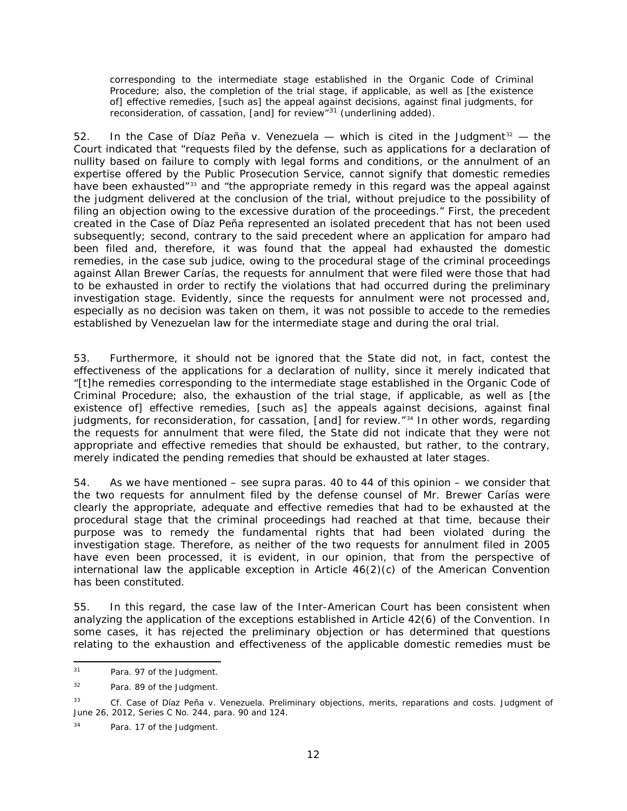corresponding to the intermediate stage established in the Organic Code of Criminal Procedure; also, the completion of the trial stage, if applicable, as well as [the existence of] effective remedies, [such as] the appeal against decisions, against final judgments, for reconsideration, of cassation, [and] for review<sup>"[31](#page-59-0)</sup> (underlining added).

52. In the *Case of Díaz Peña v. Venezuela* — which is cited in the Judgment<sup>[32](#page-59-1)</sup> — the Court indicated that "requests filed by the defense, such as applications for a declaration of nullity based on failure to comply with legal forms and conditions, or the annulment of an expertise offered by the Public Prosecution Service, cannot signify that domestic remedies have been exhausted"<sup>[33](#page-59-2)</sup> and "the appropriate remedy in this regard was the appeal against the judgment delivered at the conclusion of the trial, without prejudice to the possibility of filing an objection owing to the excessive duration of the proceedings." First, the precedent created in the *Case of Díaz Peña* represented an isolated precedent that has not been used subsequently; second, contrary to the said precedent where an application for *amparo* had been filed and, therefore, it was found that the appeal had exhausted the domestic remedies, in the case *sub judice,* owing to the procedural stage of the criminal proceedings against Allan Brewer Carías, the requests for annulment that were filed were those that had to be exhausted in order to rectify the violations that had occurred during the preliminary investigation stage. Evidently, since the requests for annulment were not processed and, especially as no decision was taken on them, it was not possible to accede to the remedies established by Venezuelan law for the intermediate stage and during the oral trial.

53. Furthermore, it should not be ignored that the State did not, in fact, contest the effectiveness of the applications for a declaration of nullity, since it merely indicated that "[t]he remedies corresponding to the intermediate stage established in the Organic Code of Criminal Procedure; also, the exhaustion of the trial stage, if applicable, as well as [the existence of] effective remedies, [such as] the appeals against decisions, against final judgments, for reconsideration, for cassation, [and] for review." [34](#page-59-3) In other words, regarding the requests for annulment that were filed, the State did not indicate that they were not appropriate and effective remedies that should be exhausted, but rather, to the contrary, merely indicated the pending remedies that should be exhausted at later stages.

54. As we have mentioned – see *supra* paras. 40 to 44 of this opinion – we consider that the two requests for annulment filed by the defense counsel of Mr. Brewer Carías were clearly the appropriate, adequate and effective remedies that had to be exhausted at the procedural stage that the criminal proceedings had reached at that time, because their purpose was to remedy the fundamental rights that had been violated during the investigation stage. Therefore, as neither of the two requests for annulment filed in 2005 have even been processed, it is evident, in our opinion, that from the perspective of international law the applicable exception in Article  $46(2)(c)$  of the American Convention has been constituted.

55. In this regard, the case law of the Inter-American Court has been consistent when analyzing the application of the exceptions established in Article 42(6) of the Convention. In some cases, it has rejected the preliminary objection or has determined that questions relating to the exhaustion and effectiveness of the applicable domestic remedies must be

<span id="page-59-0"></span> <sup>31</sup> Para. 97 of the Judgment.

<span id="page-59-1"></span><sup>32</sup> Para. 89 of the Judgment.

<span id="page-59-2"></span><sup>33</sup> *Cf. Case of Díaz Peña v. Venezuela. Preliminary objections, merits, reparations and costs.* Judgment of June 26, 2012, Series C No. 244, para. 90 and 124.

<span id="page-59-3"></span><sup>34</sup> Para. 17 of the Judgment.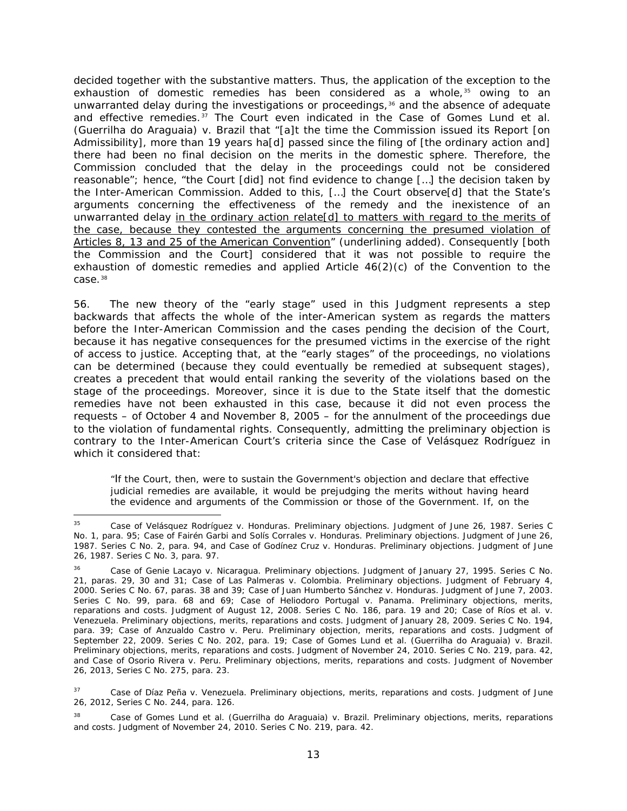decided together with the substantive matters. Thus, the application of the exception to the exhaustion of domestic remedies has been considered *as a whole,*[35](#page-60-0) owing to an unwarranted delay during the investigations or proceedings, $36$  and the absence of adequate and effective remedies.[37](#page-60-2) The Court even indicated in the *Case of Gomes Lund et al. (Guerrilha do Araguaia) v. Brazil* that "[a]t the time the Commission issued its Report [on Admissibility], more than 19 years ha[d] passed since the filing of [the ordinary action and] there had been no final decision on the merits in the domestic sphere. Therefore, the Commission concluded that the delay in the proceedings could not be considered reasonable"; hence, "the Court [did] not find evidence to change […] the decision taken by the Inter-American Commission. Added to this, […] the Court observe[d] that the State's arguments concerning the effectiveness of the remedy and the inexistence of an unwarranted delay in the ordinary action relate[d] to matters with regard to the merits of the case, because they contested the arguments concerning the presumed violation of Articles 8, 13 and 25 of the American Convention" (underlining added). Consequently [both the Commission and the Court] considered that it was not possible to require the exhaustion of domestic remedies and applied Article  $46(2)(c)$  of the Convention to the case.[38](#page-60-3)

56. The new theory of the "early stage" used in this Judgment represents a step backwards that affects the whole of the inter-American system as regards the matters before the Inter-American Commission and the cases pending the decision of the Court, because it has negative consequences for the presumed victims in the exercise of the right of access to justice. Accepting that, at the "early stages" of the proceedings, no violations can be determined (because they could eventually be remedied at subsequent stages), creates a precedent that would entail ranking the severity of the violations based on the stage of the proceedings. Moreover, since it is due to the State itself that the domestic remedies have not been exhausted in this case, because it did not even process the requests – of October 4 and November 8, 2005 – for the annulment of the proceedings due to the violation of fundamental rights. Consequently, admitting the preliminary objection is contrary to the Inter-American Court's criteria since the *Case of Velásquez Rodríguez* in which it considered that:

"If the Court, then, were to sustain the Government's objection and declare that effective judicial remedies are available, it would be prejudging the merits without having heard the evidence and arguments of the Commission or those of the Government. If, on the

<span id="page-60-0"></span> <sup>35</sup> *Case of Velásquez Rodríguez v. Honduras. Preliminary objections*. Judgment of June 26, 1987. Series C No. 1, para. 95; *Case of Fairén Garbi and Solís Corrales v. Honduras. Preliminary objections*. Judgment of June 26, 1987. Series C No. 2, para. 94, and *Case of Godínez Cruz v. Honduras. Preliminary objections*. Judgment of June 26, 1987. Series C No. 3, para. 97.

<span id="page-60-1"></span><sup>36</sup> *Case of Genie Lacayo v. Nicaragua. Preliminary objections*. Judgment of January 27, 1995. Series C No. 21, paras. 29, 30 and 31; *Case of Las Palmeras v. Colombia. Preliminary objections.* Judgment of February 4, 2000. Series C No. 67, paras. 38 and 39; *Case of Juan Humberto Sánchez v. Honduras.* Judgment of June 7, 2003. Series C No. 99, para. 68 and 69; *Case of Heliodoro Portugal v. Panama*. Preliminary objections, merits, reparations and costs. Judgment of August 12, 2008. Series C No. 186, para. 19 and 20; *Case of Ríos et al. v. Venezuela*. *Preliminary objections, merits, reparations and costs*. Judgment of January 28, 2009. Series C No. 194, para. 39; *Case of Anzualdo Castro v. Peru.* Preliminary objection, merits, reparations and costs. Judgment of September 22, 2009. Series C No. 202, para. 19; *Case of Gomes Lund et al. (Guerrilha do Araguaia) v. Brazil. Preliminary objections, merits, reparations and costs*. Judgment of November 24, 2010. Series C No. 219, para. 42, and *Case of Osorio Rivera v. Peru. Preliminary objections, merits, reparations and costs.* Judgment of November 26, 2013, Series C No. 275, para. 23.

<span id="page-60-2"></span>Case of Díaz Peña v. Venezuela. Preliminary objections, merits, reparations and costs. Judgment of June 26, 2012, Series C No. 244, para. 126.

<span id="page-60-3"></span><sup>38</sup> *Case of Gomes Lund et al. (Guerrilha do Araguaia) v. Brazil. Preliminary objections, merits, reparations and costs.* Judgment of November 24, 2010. Series C No. 219, para. 42.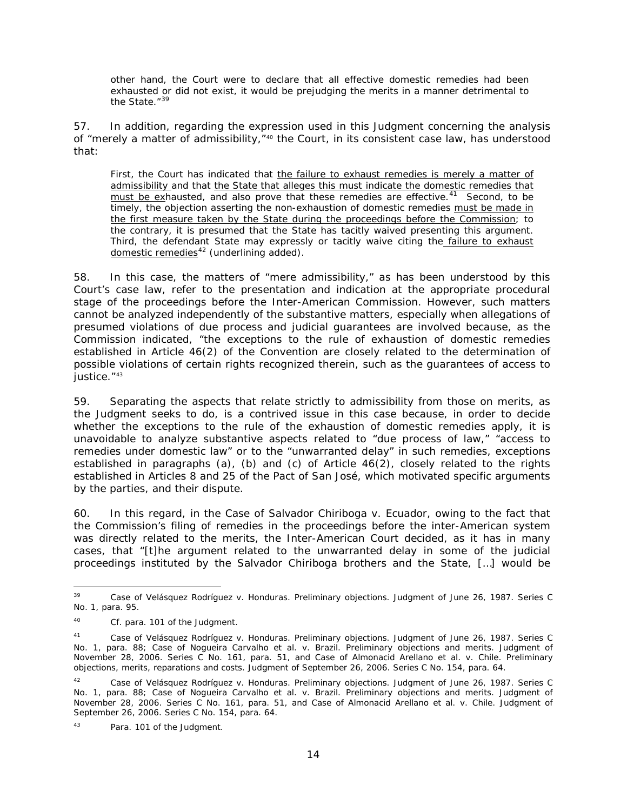other hand, the Court were to declare that all effective domestic remedies had been exhausted or did not exist, it would be prejudging the merits in a manner detrimental to the State."<sup>[39](#page-61-0)</sup>

57. In addition, regarding the expression used in this Judgment concerning the analysis of "merely a matter of admissibility,"<sup>[40](#page-61-1)</sup> the Court, in its consistent case law, has understood that:

First, the Court has indicated that the failure to exhaust remedies is merely a matter of admissibility and that the State that alleges this must indicate the domestic remedies that must be exhausted, and also prove that these remedies are effective.<sup>41</sup> Second, to be timely, the objection asserting the non-exhaustion of domestic remedies must be made in the first measure taken by the State during the proceedings before the Commission; to the contrary, it is presumed that the State has tacitly waived presenting this argument. Third, the defendant State may expressly or tacitly waive citing the failure to exhaust domestic remedies[42](#page-61-3) *(underlining added).*

58. In this case, the matters of "mere admissibility," as has been understood by this Court's case law, refer to the presentation and indication at the appropriate procedural stage of the proceedings before the Inter-American Commission. However, such matters cannot be analyzed independently of the substantive matters, especially when allegations of presumed violations of due process and judicial guarantees are involved because, as the Commission indicated, "the exceptions to the rule of exhaustion of domestic remedies established in Article 46(2) of the Convention are closely related to the determination of possible violations of certain rights recognized therein, such as the guarantees of access to justice." [43](#page-61-4)

59. Separating the aspects that relate strictly to admissibility from those on merits, as the Judgment seeks to do, is a contrived issue in this case because, in order to decide whether the exceptions to the rule of the exhaustion of domestic remedies apply, it is unavoidable to analyze substantive aspects related to "due process of law," "access to remedies under domestic law" or to the "unwarranted delay" in such remedies, exceptions established in paragraphs (a), (b) and (c) of Article  $46(2)$ , closely related to the rights established in Articles 8 and 25 of the Pact of San José, which motivated specific arguments by the parties, and their dispute.

60. In this regard, in the *Case of Salvador Chiriboga v. Ecuador,* owing to the fact that the Commission's filing of remedies in the proceedings before the inter-American system was directly related to the merits, the Inter-American Court decided, as it has in many cases, that "[t]he argument related to the unwarranted delay in some of the judicial proceedings instituted by the Salvador Chiriboga brothers and the State, […] would be

<span id="page-61-0"></span> <sup>39</sup> *Case of Velásquez Rodríguez v. Honduras. Preliminary objections*. Judgment of June 26, 1987. Series C No. 1, para. 95.

<span id="page-61-1"></span><sup>40</sup> *Cf.* para. 101 of the Judgment.

<span id="page-61-2"></span><sup>41</sup> *Case of Velásquez Rodríguez v. Honduras. Preliminary objections.* Judgment of June 26, 1987. Series C No. 1, para. 88; Case of Nogueira Carvalho et al. v. Brazil. Preliminary objections and merits. Judgment of November 28, 2006. Series C No. 161, para. 51, and *Case of Almonacid Arellano et al. v. Chile. Preliminary objections, merits, reparations and costs.* Judgment of September 26, 2006. Series C No. 154, para. 64.

<span id="page-61-3"></span><sup>42</sup> *Case of Velásquez Rodríguez v. Honduras. Preliminary objections.* Judgment of June 26, 1987. Series C No. 1, para. 88; Case of Nogueira Carvalho et al. v. Brazil. Preliminary objections and merits. Judgment of November 28, 2006. Series C No. 161, para. 51, and *Case of Almonacid Arellano et al. v. Chile.* Judgment of September 26, 2006. Series C No. 154, para. 64.

<span id="page-61-4"></span><sup>43</sup> Para. 101 of the Judgment.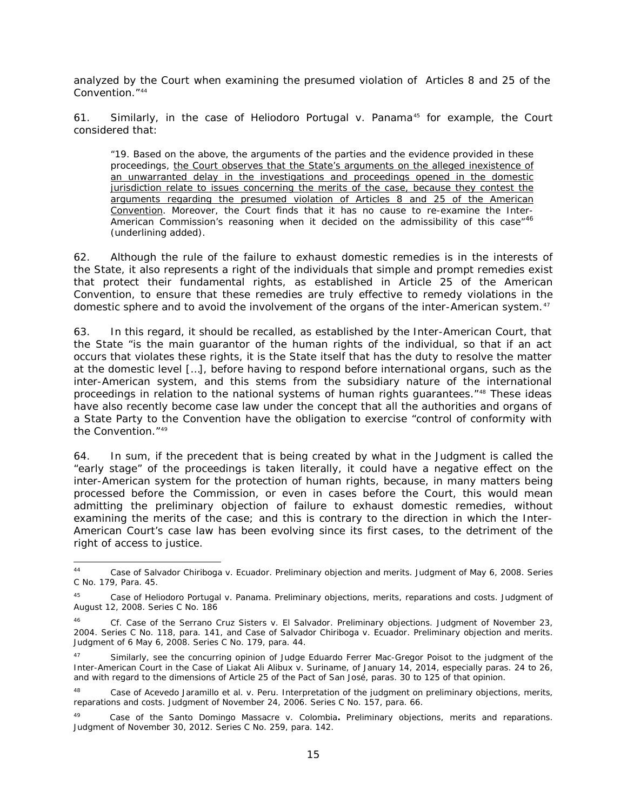analyzed by the Court when examining the presumed violation of Articles 8 and 25 of the Convention."[44](#page-62-0)

61. Similarly, in the case of *Heliodoro Portugal v. Panama<sup>[45](#page-62-1)</sup>* for example, the Court considered that:

"19. Based on the above, the arguments of the parties and the evidence provided in these proceedings, the Court observes that the State's arguments on the alleged inexistence of an unwarranted delay in the investigations and proceedings opened in the domestic jurisdiction relate to issues concerning the merits of the case, because they contest the arguments regarding the presumed violation of Articles 8 and 25 of the American Convention. Moreover, the Court finds that it has no cause to re-examine the Inter-American Commission's reasoning when it decided on the admissibility of this case<sup>"[46](#page-62-2)</sup> *(underlining added).*

62. Although the rule of the failure to exhaust domestic remedies is in the interests of the State, it also represents a right of the individuals that simple and prompt remedies exist that *protect their fundamental rights*, as established in Article 25 of the American Convention, to ensure that these remedies are truly effective to remedy violations in the domestic sphere and to avoid the involvement of the organs of the inter-American system.<sup>[47](#page-62-3)</sup>

63. In this regard, it should be recalled, as established by the Inter-American Court, that the State "is the main guarantor of the human rights of the individual, so that if an act occurs that violates these rights, it is the State itself that has the duty to resolve the matter at the domestic level […], before having to respond before international organs, such as the inter-American system, and this stems from the subsidiary nature of the international proceedings in relation to the national systems of human rights guarantees."[48](#page-62-4) These ideas have also recently become case law under the concept that all the authorities and organs of a State Party to the Convention have the obligation to exercise "control of conformity with the Convention<sup>"[49](#page-62-5)</sup>

64. In sum, if the precedent that is being created by what in the Judgment is called the "early stage" of the proceedings is taken literally, it could have a negative effect on the inter-American system for the protection of human rights, because, in many matters being processed before the Commission, or even in cases before the Court, this would mean admitting the preliminary objection of failure to exhaust domestic remedies, without examining the merits of the case; and this is contrary to the direction in which the Inter-American Court's case law has been evolving since its first cases, to the detriment of the right of access to justice.

<span id="page-62-0"></span> <sup>44</sup> *Case of Salvador Chiriboga v. Ecuador. Preliminary objection and merits*. Judgment of May 6, 2008. Series C No. 179, Para. 45.

<span id="page-62-1"></span><sup>45</sup> *[Case of Heliodoro Portugal v. Panama. Preliminary objections, merits, reparations and costs](http://joomla.corteidh.or.cr:8080/joomla/es/casos-contenciosos/38-jurisprudencia/772-corte-idh-caso-heliodoro-portugal-vs-panama-excepciones-preliminares-fondo-reparaciones-y-costas-sentencia-de-12-de-agosto-de-2008-serie-c-no-186)*. Judgment of [August 12, 2008. Series C No. 186](http://joomla.corteidh.or.cr:8080/joomla/es/casos-contenciosos/38-jurisprudencia/772-corte-idh-caso-heliodoro-portugal-vs-panama-excepciones-preliminares-fondo-reparaciones-y-costas-sentencia-de-12-de-agosto-de-2008-serie-c-no-186)

<span id="page-62-2"></span><sup>46</sup> *Cf. Case of the Serrano Cruz Sisters v. El Salvador. Preliminary objections.* Judgment of November 23, 2004. Series C No. 118, para. 141, and *Case of Salvador Chiriboga v. Ecuador. Preliminary objection and merits.*  Judgment of 6 May 6, 2008. Series C No. 179, para. 44.

<span id="page-62-3"></span><sup>&</sup>lt;sup>47</sup> Similarly, see the concurring opinion of Judge Eduardo Ferrer Mac-Gregor Poisot to the judgment of the Inter-American Court in the *Case of Liakat Ali Alibux v. Suriname*, of January 14, 2014, especially paras. 24 to 26, and with regard to the dimensions of Article 25 of the Pact of San José, paras. 30 to 125 of that opinion.

<span id="page-62-4"></span><sup>48</sup> *Case of Acevedo Jaramillo et al. v. Peru. Interpretation of the judgment on preliminary objections, merits, reparations and costs.* Judgment of November 24, 2006. Series C No. 157, para. 66.

<span id="page-62-5"></span><sup>49</sup> *Case of the Santo Domingo Massacre v. Colombia***.** *Preliminary objections, merits and reparations*. Judgment of November 30, 2012. Series C No. 259, para. 142.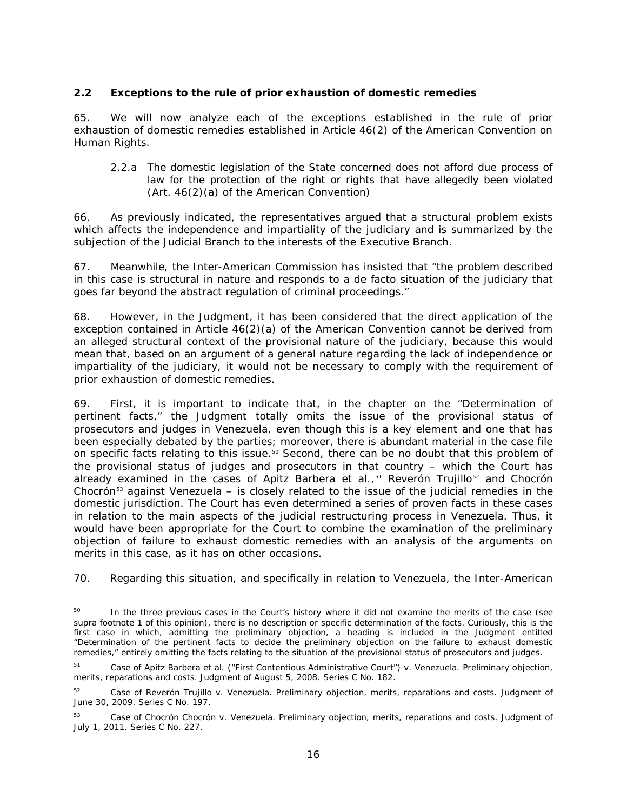## **2.2 Exceptions to the rule of prior exhaustion of domestic remedies**

65. We will now analyze each of the exceptions established in the rule of prior exhaustion of domestic remedies established in Article 46(2) of the American Convention on Human Rights.

### *2.2.a The domestic legislation of the State concerned does not afford due process of law for the protection of the right or rights that have allegedly been violated (Art. 46(2)(a) of the American Convention)*

66. As previously indicated, the representatives argued that a structural problem exists which affects the independence and impartiality of the judiciary and is summarized by the subjection of the Judicial Branch to the interests of the Executive Branch.

67. Meanwhile, the Inter-American Commission has insisted that "the problem described in this case is structural in nature and responds to a *de facto* situation of the judiciary that goes far beyond the abstract regulation of criminal proceedings."

68. However, in the Judgment, it has been considered that the direct application of the exception contained in Article 46(2)(a) of the American Convention cannot be derived from an alleged structural context of the provisional nature of the judiciary, because this would mean that, based on an argument of a general nature regarding the lack of independence or impartiality of the judiciary, it would not be necessary to comply with the requirement of prior exhaustion of domestic remedies.

69. First, it is important to indicate that, in the chapter on the "Determination of pertinent facts," the Judgment totally omits the issue of the provisional status of prosecutors and judges in Venezuela, even though this is a key element and one that has been especially debated by the parties; moreover, there is abundant material in the case file on specific facts relating to this issue.<sup>[50](#page-63-0)</sup> Second, there can be no doubt that this problem of the provisional status of judges and prosecutors in that country – which the Court has already examined in the cases of *Apitz Barbera et al.*,[51](#page-63-1) *Reverón Trujillo*[52](#page-63-2) and *Chocrón Chocrón*[53](#page-63-3) against Venezuela – is closely related to the issue of the judicial remedies in the domestic jurisdiction. The Court has even determined a series of proven facts in these cases in relation to the main aspects of the judicial restructuring process in Venezuela. Thus, it would have been appropriate for the Court to combine the examination of the preliminary objection of failure to exhaust domestic remedies with an analysis of the arguments on merits in this case, as it has on other occasions.

70. Regarding this situation, and specifically in relation to Venezuela, the Inter-American

<span id="page-63-0"></span><sup>&</sup>lt;sup>50</sup> In the three previous cases in the Court's history where it did not examine the merits of the case (see *supra* footnote 1 of this opinion), there is no description or specific determination of the facts. Curiously, this is the first case in which, admitting the preliminary objection, a heading is included in the Judgment entitled "Determination of the pertinent facts to decide the preliminary objection on the failure to exhaust domestic remedies," entirely omitting the facts relating to the situation of the provisional status of prosecutors and judges.

<span id="page-63-1"></span><sup>51</sup> *Case of Apitz Barbera et al. ("First Contentious Administrative Court") v. Venezuela*. *Preliminary objection, merits, reparations and costs*. Judgment of August 5, 2008. Series C No. 182.

<span id="page-63-2"></span><sup>52</sup> *Case of Reverón Trujillo v. Venezuela*. *Preliminary objection, merits, reparations and costs*. Judgment of June 30, 2009. Series C No. 197.

<span id="page-63-3"></span><sup>53</sup> *[Case of Chocrón Chocrón v. Venezuela. Preliminary objection, merits, reparations and costs.](http://joomla.corteidh.or.cr:8080/joomla/es/casos-contenciosos/38-jurisprudencia/1428-caso-chocron-chocron-vs-venezuela-excepcion-preliminar-fondo-reparaciones-y-costas-sentencia-de-1-de-julio-de-2011-serie-c-no-227)* Judgment of [July 1, 2011. Series C No. 227.](http://joomla.corteidh.or.cr:8080/joomla/es/casos-contenciosos/38-jurisprudencia/1428-caso-chocron-chocron-vs-venezuela-excepcion-preliminar-fondo-reparaciones-y-costas-sentencia-de-1-de-julio-de-2011-serie-c-no-227)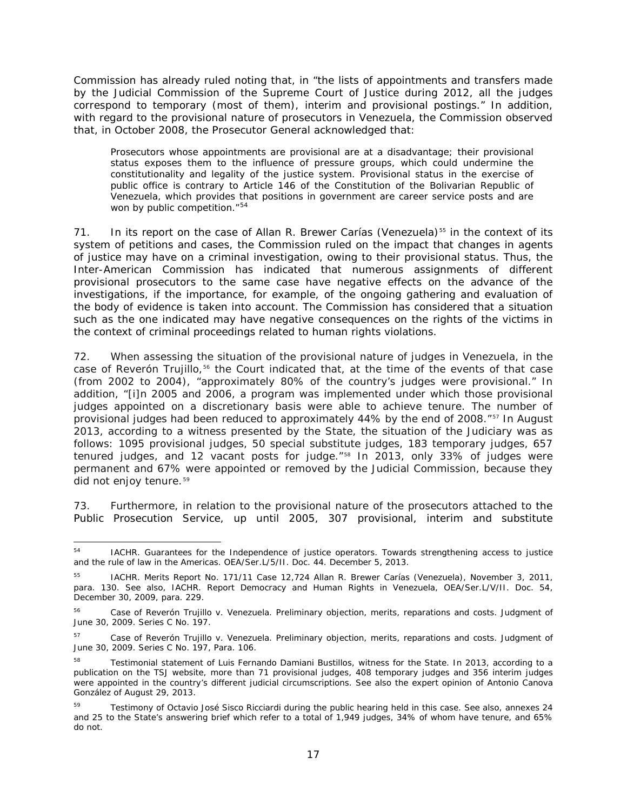Commission has already ruled noting that, in "the lists of appointments and transfers made by the Judicial Commission of the Supreme Court of Justice during 2012, all the judges correspond to temporary (most of them), interim and provisional postings." In addition, with regard to the provisional nature of prosecutors in Venezuela, the Commission observed that, in October 2008, the Prosecutor General acknowledged that:

Prosecutors whose appointments are provisional are at a disadvantage; their provisional status exposes them to the influence of pressure groups, which could undermine the constitutionality and legality of the justice system. Provisional status in the exercise of public office is contrary to Article 146 of the Constitution of the Bolivarian Republic of Venezuela, which provides that positions in government are career service posts and are won by public competition."<sup>[54](#page-64-0)</sup>

71. In its report on the case of *Allan R. Brewer Carías (Venezuela)*<sup>[55](#page-64-1)</sup> in the context of its system of petitions and cases, the Commission ruled on the impact that changes in agents of justice may have on a criminal investigation, owing to their provisional status. Thus, the Inter-American Commission has indicated that numerous assignments of different provisional prosecutors to the same case have negative effects on the advance of the investigations, if the importance, for example, of the ongoing gathering and evaluation of the body of evidence is taken into account. The Commission has considered that a situation such as the one indicated may have negative consequences on the rights of the victims in the context of criminal proceedings related to human rights violations.

72. When assessing the situation of the provisional nature of judges in Venezuela, in the case of *Reverón Trujillo,* [56](#page-64-2) the Court indicated that, at the time of the events of that case (from 2002 to 2004), "approximately 80% of the country's judges were provisional." In addition, "[i]n 2005 and 2006, a program was implemented under which those provisional judges appointed on a discretionary basis were able to achieve tenure. The number of provisional judges had been reduced to approximately 44% by the end of 2008."[57](#page-64-3) In August 2013, according to a witness presented by the State, the situation of the Judiciary was as follows: 1095 provisional judges, 50 special substitute judges, 183 temporary judges, 657 tenured judges, and 12 vacant posts for judge."[58](#page-64-4) In 2013, only 33% of judges were permanent and 67% were appointed or removed by the Judicial Commission, because they did not enjoy tenure.<sup>[59](#page-64-5)</sup>

73. Furthermore, in relation to the provisional nature of the prosecutors attached to the Public Prosecution Service, up until 2005, 307 provisional, interim and substitute

<span id="page-64-0"></span> <sup>54</sup> IACHR. *Guarantees for the Independence of justice operators. Towards strengthening access to justice and the rule of law in the Americas.* OEA/Ser.L/5/II. Doc. 44. December 5, 2013.

<span id="page-64-1"></span><sup>55</sup> IACHR. *Merits Report No. 171/11 Case 12,724 Allan R. Brewer Carías (Venezuela),* November 3, 2011, para. 130. See also, IACHR. Report *Democracy and Human Rights in Venezuela*, OEA/Ser.L/V/II. Doc. 54, December 30, 2009, para. 229.

<span id="page-64-2"></span><sup>56</sup> *[Case of Reverón Trujillo v. Venezuela. Preliminary objection, merits, reparations and costs.](http://joomla.corteidh.or.cr:8080/joomla/es/casos-contenciosos/38-jurisprudencia/825-corte-idh-caso-reveron-trujillo-vs-venezuela-excepcion-preliminar-fondo-reparaciones-y-costas-sentencia-de-30-de-junio-de-2009-serie-c-no-197)* Judgment of [June 30, 2009. Series C No. 197.](http://joomla.corteidh.or.cr:8080/joomla/es/casos-contenciosos/38-jurisprudencia/825-corte-idh-caso-reveron-trujillo-vs-venezuela-excepcion-preliminar-fondo-reparaciones-y-costas-sentencia-de-30-de-junio-de-2009-serie-c-no-197)

<span id="page-64-3"></span><sup>57</sup> *[Case of Reverón Trujillo v. Venezuela. Preliminary objection, merits, reparations and costs.](http://joomla.corteidh.or.cr:8080/joomla/es/casos-contenciosos/38-jurisprudencia/825-corte-idh-caso-reveron-trujillo-vs-venezuela-excepcion-preliminar-fondo-reparaciones-y-costas-sentencia-de-30-de-junio-de-2009-serie-c-no-197)* Judgment of [June 30, 2009. Series C No. 197,](http://joomla.corteidh.or.cr:8080/joomla/es/casos-contenciosos/38-jurisprudencia/825-corte-idh-caso-reveron-trujillo-vs-venezuela-excepcion-preliminar-fondo-reparaciones-y-costas-sentencia-de-30-de-junio-de-2009-serie-c-no-197) Para. 106.

<span id="page-64-4"></span>Testimonial statement of Luis Fernando Damiani Bustillos, witness for the State. In 2013, according to a publication on the TSJ website, more than 71 provisional judges, 408 temporary judges and 356 interim judges were appointed in the country's different judicial circumscriptions. See also the expert opinion of Antonio Canova González of August 29, 2013.

<span id="page-64-5"></span><sup>&</sup>lt;sup>59</sup> Testimony of Octavio José Sisco Ricciardi during the public hearing held in this case. See also, annexes 24 and 25 to the State's answering brief which refer to a total of 1,949 judges, 34% of whom have tenure, and 65% do not.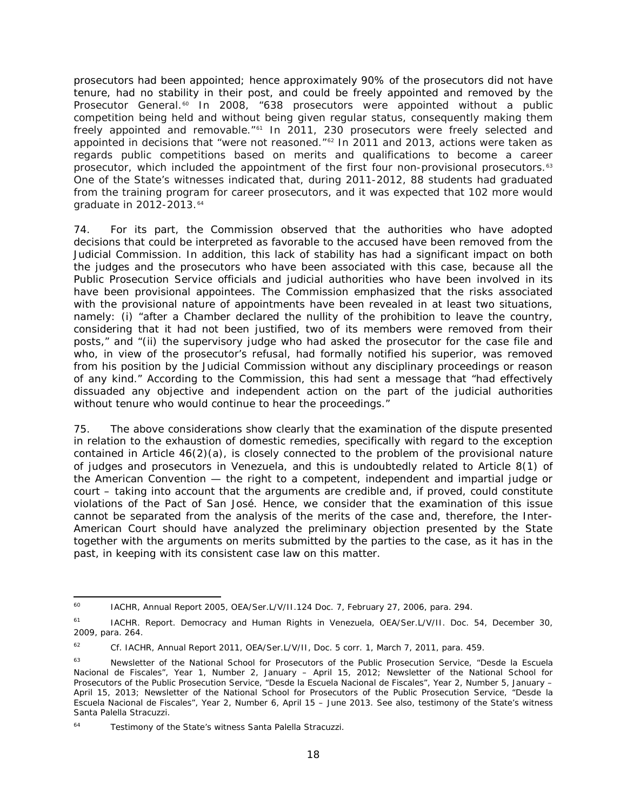prosecutors had been appointed; hence approximately 90% of the prosecutors did not have tenure, had no stability in their post, and could be freely appointed and removed by the Prosecutor General.<sup>[60](#page-65-0)</sup> In 2008, "638 prosecutors were appointed without a public competition being held and without being given regular status, consequently making them freely appointed and removable."[61](#page-65-1) In 2011, 230 prosecutors were freely selected and appointed in decisions that "were not reasoned."[62](#page-65-2) In 2011 and 2013, actions were taken as regards public competitions based on merits and qualifications to become a career prosecutor, which included the appointment *of the first four non-provisional prosecutors.*[63](#page-65-3) One of the State's witnesses indicated that, during 2011-2012, 88 students had graduated from the training program for career prosecutors, and it was expected that 102 more would graduate in 2012-2013.<sup>[64](#page-65-4)</sup>

74. For its part, the Commission observed that the authorities who have adopted decisions that could be interpreted as favorable to the accused have been removed from the Judicial Commission. In addition, this lack of stability has had a significant impact on both the judges and the prosecutors who have been associated with this case, because all the Public Prosecution Service officials and judicial authorities who have been involved in its have been provisional appointees. The Commission emphasized that the risks associated with the provisional nature of appointments have been revealed in at least two situations, namely: (i) "after a Chamber declared the nullity of the prohibition to leave the country, considering that it had not been justified, two of its members were removed from their posts," and "(ii) the supervisory judge who had asked the prosecutor for the case file and who, in view of the prosecutor's refusal, had formally notified his superior, was removed from his position by the Judicial Commission without any disciplinary proceedings or reason of any kind." According to the Commission, this had sent a message that "had effectively dissuaded any objective and independent action on the part of the judicial authorities without tenure who would continue to hear the proceedings."

75. The above considerations show clearly that the examination of the dispute presented in relation to the exhaustion of domestic remedies, specifically with regard to the exception contained in Article  $46(2)(a)$ , is closely connected to the problem of the provisional nature of judges and prosecutors in Venezuela, and this is undoubtedly related to Article 8(1) of the American Convention — the right to a competent, independent and impartial judge or court – taking into account that the arguments are credible and, if proved, could constitute violations of the Pact of San José. Hence, we consider that the examination of this issue cannot be separated from the analysis of the merits of the case and, therefore, the Inter-American Court should have analyzed the preliminary objection presented by the State together with the arguments on merits submitted by the parties to the case, as it has in the past, in keeping with its consistent case law on this matter.

<span id="page-65-0"></span> <sup>60</sup> IACHR, Annual Report 2005, OEA/Ser.L/V/II.124 Doc. 7, February 27, 2006, para. 294.

<span id="page-65-1"></span><sup>&</sup>lt;sup>61</sup> IACHR. Report. Democracy and Human Rights in Venezuela, OEA/Ser.L/V/II. Doc. 54, December 30, 2009, para. 264.

<span id="page-65-2"></span><sup>62</sup> *Cf.* IACHR, Annual Report 2011, OEA/Ser.L/V/II, Doc. 5 corr. 1, March 7, 2011, para. 459.

<span id="page-65-3"></span><sup>63</sup> Newsletter of the National School for Prosecutors of the Public Prosecution Service, "*Desde la Escuela Nacional de Fiscales*", Year 1, Number 2, January – April 15, 2012; Newsletter of the National School for Prosecutors of the Public Prosecution Service, "*Desde la Escuela Nacional de Fiscales*", Year 2, Number 5, January – April 15, 2013; Newsletter of the National School for Prosecutors of the Public Prosecution Service, "*Desde la Escuela Nacional de Fiscales*", Year 2, Number 6, April 15 – June 2013. See also, testimony of the State's witness Santa Palella Stracuzzi.

<span id="page-65-4"></span>Testimony of the State's witness Santa Palella Stracuzzi.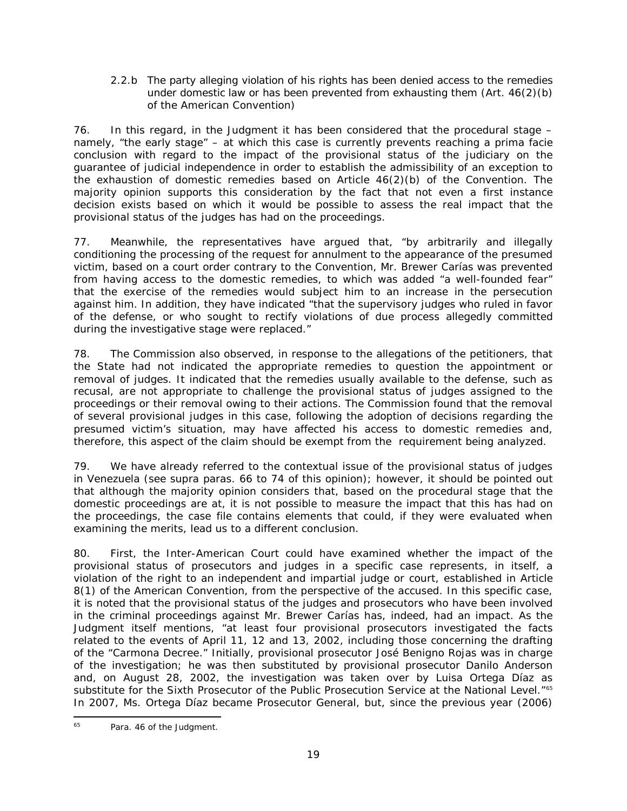## *2.2.b The party alleging violation of his rights has been denied access to the remedies under domestic law or has been prevented from exhausting them (Art. 46(2)(b) of the American Convention)*

76. In this regard, in the Judgment it has been considered that the procedural stage – namely, "the early stage" – at which this case is currently prevents reaching a *prima facie*  conclusion with regard to the impact of the provisional status of the judiciary on the guarantee of judicial independence in order to establish the admissibility of an exception to the exhaustion of domestic remedies based on Article 46(2)(b) of the Convention. The majority opinion supports this consideration by the fact that not even a first instance decision exists based on which it would be possible to assess the real impact that the provisional status of the judges has had on the proceedings.

77. Meanwhile, the representatives have argued that, "by arbitrarily and illegally conditioning the processing of the request for annulment to the appearance of the presumed victim, based on a court order contrary to the Convention, Mr. Brewer Carías was prevented from having access to the domestic remedies, to which was added "a well-founded fear" that the exercise of the remedies would subject him to an increase in the persecution against him. In addition, they have indicated "that the supervisory judges who ruled in favor of the defense, or who sought to rectify violations of due process allegedly committed during the investigative stage were replaced."

78. The Commission also observed, in response to the allegations of the petitioners, that the State had not indicated the appropriate remedies to question the appointment or removal of judges. It indicated that the remedies usually available to the defense, such as recusal, are not appropriate to challenge the provisional status of judges assigned to the proceedings or their removal owing to their actions. The Commission found that the removal of several provisional judges in this case, following the adoption of decisions regarding the presumed victim's situation, may have affected his access to domestic remedies and, therefore, this aspect of the claim should be exempt from the requirement being analyzed.

79. We have already referred to the contextual issue of the provisional status of judges in Venezuela (see *supra* paras. 66 to 74 of this opinion); however, it should be pointed out that although the majority opinion considers that, based on the procedural stage that the domestic proceedings are at, it is not possible to measure the impact that this has had on the proceedings, the case file contains elements that could, if they were evaluated when examining the merits, lead us to a different conclusion.

80. First, the Inter-American Court could have examined whether the impact of the provisional status of prosecutors and judges in a specific case represents, in itself, a violation of the right to an independent and impartial judge or court, established in Article 8(1) of the American Convention, from the perspective of the accused. In this specific case, it is noted that the provisional status of the judges and prosecutors who have been involved in the criminal proceedings against Mr. Brewer Carías has, indeed, had an impact. As the Judgment itself mentions, "at least four provisional prosecutors investigated the facts related to the events of April 11, 12 and 13, 2002, including those concerning the drafting of the "Carmona Decree." Initially, provisional prosecutor José Benigno Rojas was in charge of the investigation; he was then substituted by provisional prosecutor Danilo Anderson and, on August 28, 2002, the investigation was taken over by Luisa Ortega Díaz as substitute for the Sixth Prosecutor of the Public Prosecution Service at the National Level."[65](#page-66-0) In 2007, Ms. Ortega Díaz became Prosecutor General, but, since the previous year (2006)

<span id="page-66-0"></span> <sup>65</sup> Para. 46 of the Judgment.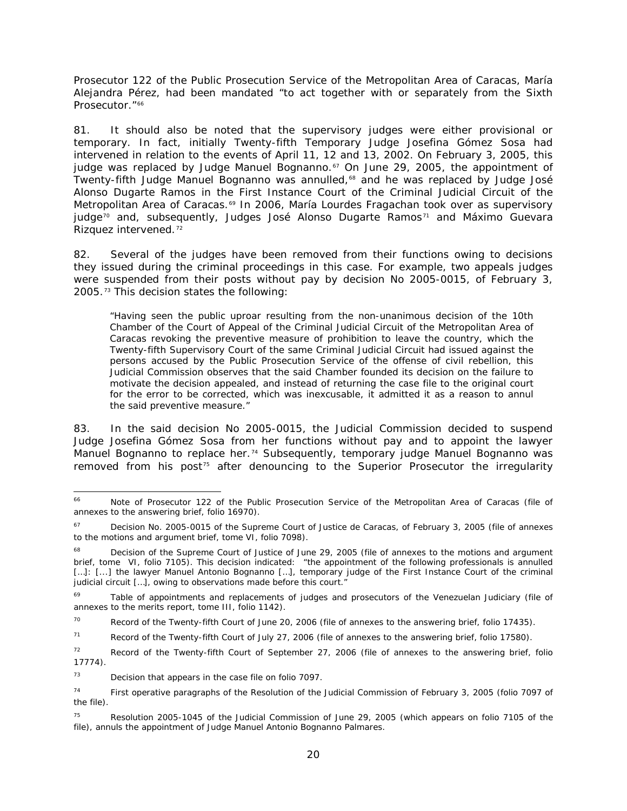Prosecutor 122 of the Public Prosecution Service of the Metropolitan Area of Caracas, María Alejandra Pérez, had been mandated "to act together with or separately from the Sixth Prosecutor."<sup>[66](#page-67-0)</sup>

81. It should also be noted that the supervisory judges were either provisional or temporary. In fact, initially Twenty-fifth Temporary Judge Josefina Gómez Sosa had intervened in relation to the events of April 11, 12 and 13, 2002. On February 3, 2005, this judge was replaced by Judge Manuel Bognanno.<sup>[67](#page-67-1)</sup> On June 29, 2005, the appointment of Twenty-fifth Judge Manuel Bognanno was annulled,<sup>[68](#page-67-2)</sup> and he was replaced by Judge José Alonso Dugarte Ramos in the First Instance Court of the Criminal Judicial Circuit of the Metropolitan Area of Caracas.<sup>[69](#page-67-3)</sup> In 2006, María Lourdes Fragachan took over as supervisory judge<sup>[70](#page-67-4)</sup> and, subsequently, Judges José Alonso Dugarte Ramos<sup>[71](#page-67-5)</sup> and Máximo Guevara Rizquez intervened.<sup>[72](#page-67-6)</sup>

82. Several of the judges have been removed from their functions owing to decisions they issued during the criminal proceedings in this case. For example, two appeals judges were suspended from their posts without pay by decision No 2005-0015, of February 3, 2005.[73](#page-67-7) This decision states the following:

"Having seen the public uproar resulting from the non-unanimous decision of the 10th Chamber of the Court of Appeal of the Criminal Judicial Circuit of the Metropolitan Area of Caracas revoking the preventive measure of prohibition to leave the country, which the Twenty-fifth Supervisory Court of the same Criminal Judicial Circuit had issued against the persons accused by the Public Prosecution Service of the offense of civil rebellion, this Judicial Commission observes that the said Chamber founded its decision on the failure to motivate the decision appealed, and instead of returning the case file to the original court for the error to be corrected, which was inexcusable, it admitted it as a reason to annul the said preventive measure."

83. In the said decision No 2005-0015, the Judicial Commission decided to suspend Judge Josefina Gómez Sosa from her functions without pay and to appoint the lawyer Manuel Bognanno to replace her.<sup>[74](#page-67-8)</sup> Subsequently, temporary judge Manuel Bognanno was removed from his post<sup>[75](#page-67-9)</sup> after denouncing to the Superior Prosecutor the irregularity

<span id="page-67-7"></span> $73$  Decision that appears in the case file on folio 7097.

<span id="page-67-0"></span> <sup>66</sup> Note of Prosecutor 122 of the Public Prosecution Service of the Metropolitan Area of Caracas (file of annexes to the answering brief, folio 16970).

<span id="page-67-1"></span><sup>&</sup>lt;sup>67</sup> Decision No. 2005-0015 of the Supreme Court of Justice de Caracas, of February 3, 2005 (file of annexes to the motions and argument brief, tome VI, folio 7098).

<span id="page-67-2"></span><sup>&</sup>lt;sup>68</sup> Decision of the Supreme Court of Justice of June 29, 2005 (file of annexes to the motions and argument brief, tome VI, folio 7105). This decision indicated: "the appointment of the following professionals is annulled [...]: [...] the lawyer Manuel Antonio Bognanno [...], temporary judge of the First Instance Court of the criminal judicial circuit [...], owing to observations made before this court."

<span id="page-67-3"></span>Table of appointments and replacements of judges and prosecutors of the Venezuelan Judiciary (file of annexes to the merits report, tome III, folio 1142).

<span id="page-67-4"></span> $70$  Record of the Twenty-fifth Court of June 20, 2006 (file of annexes to the answering brief, folio 17435).

<span id="page-67-5"></span><sup>&</sup>lt;sup>71</sup> Record of the Twenty-fifth Court of July 27, 2006 (file of annexes to the answering brief, folio 17580).

<span id="page-67-6"></span><sup>72</sup> Record of the Twenty-fifth Court of September 27, 2006 (file of annexes to the answering brief, folio 17774).

<span id="page-67-8"></span><sup>&</sup>lt;sup>74</sup> First operative paragraphs of the Resolution of the Judicial Commission of February 3, 2005 (folio 7097 of the file).

<span id="page-67-9"></span> $75$  Resolution 2005-1045 of the Judicial Commission of June 29, 2005 (which appears on folio 7105 of the file), annuls the appointment of Judge Manuel Antonio Bognanno Palmares.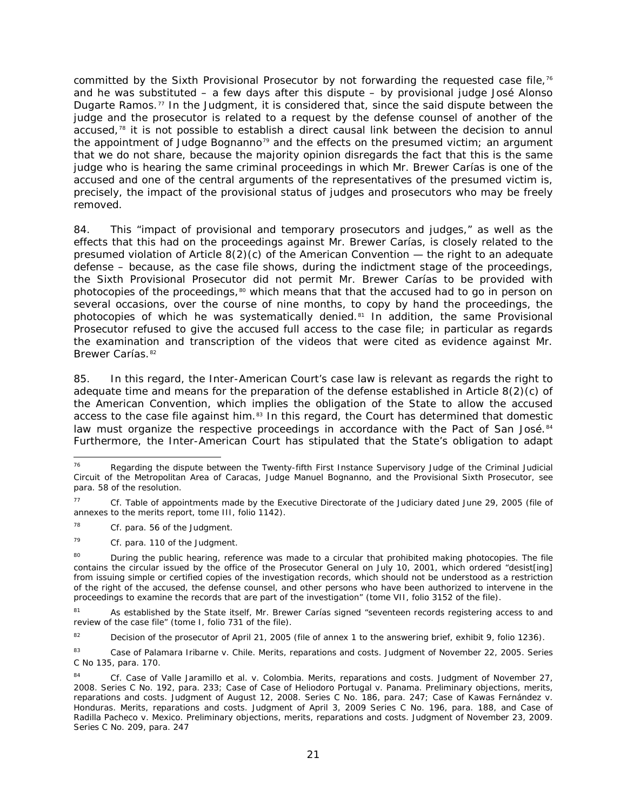committed by the Sixth Provisional Prosecutor by not forwarding the requested case file,<sup>[76](#page-68-0)</sup> and he was substituted – a few days after this dispute – by provisional judge José Alonso Dugarte Ramos.<sup>[77](#page-68-1)</sup> In the Judgment, it is considered that, since the said dispute between the judge and the prosecutor is related to a request by the defense counsel of another of the accused,<sup>[78](#page-68-2)</sup> it is not possible to establish a direct causal link between the decision to annul the appointment of Judge Bognanno<sup>[79](#page-68-3)</sup> and the effects on the presumed victim; an argument that we do not share, because the majority opinion disregards the fact that this is *the same*  judge who is hearing the same criminal proceedings in which Mr. Brewer Carías is one of the accused and one of the central arguments of the representatives of the presumed victim is, precisely, the impact of the provisional status of judges and prosecutors who may be freely removed.

84. This "impact of provisional and temporary prosecutors and judges," as well as the effects that this had on the proceedings against Mr. Brewer Carías, is closely related to the presumed violation of Article 8(2)(c) of the American Convention — the right to an adequate defense – because, as the case file shows, during the indictment stage of the proceedings, the Sixth Provisional Prosecutor did not permit Mr. Brewer Carías to be provided with photocopies of the proceedings,<sup>[80](#page-68-4)</sup> which means that that the accused had to go in person on several occasions, over the course of nine months, to copy by hand the proceedings, the photocopies of which he was systematically denied. $81$  In addition, the same Provisional Prosecutor refused to give the accused full access to the case file; in particular as regards the examination and transcription of the videos that were cited as evidence against Mr. Brewer Carías.<sup>[82](#page-68-6)</sup>

85. In this regard, the Inter-American Court's case law is relevant as regards the right to adequate time and means for the preparation of the defense established in Article 8(2)(c) of the American Convention, which implies the obligation of the State to allow the accused access to the case file against him.<sup>[83](#page-68-7)</sup> In this regard, the Court has determined that domestic law must organize the respective proceedings in accordance with the Pact of San José.<sup>[84](#page-68-8)</sup> Furthermore, the Inter-American Court has stipulated that the State's obligation to adapt

<span id="page-68-0"></span>Regarding the dispute between the Twenty-fifth First Instance Supervisory Judge of the Criminal Judicial Circuit of the Metropolitan Area of Caracas, Judge Manuel Bognanno, and the Provisional Sixth Prosecutor, see para. 58 of the resolution.

<span id="page-68-1"></span><sup>77</sup> *Cf.* Table of appointments made by the Executive Directorate of the Judiciary dated June 29, 2005 (file of annexes to the merits report, tome III, folio 1142).

<span id="page-68-2"></span><sup>78</sup> *Cf.* para. 56 of the Judgment.

<span id="page-68-3"></span><sup>79</sup> *Cf.* para. 110 of the Judgment.

<span id="page-68-4"></span><sup>&</sup>lt;sup>80</sup> During the public hearing, reference was made to a circular that prohibited making photocopies. The file contains the circular issued by the office of the Prosecutor General on July 10, 2001, which ordered "desist[ing] from issuing simple or certified copies of the investigation records, which should not be understood as a restriction of the right of the accused, the defense counsel, and other persons who have been authorized to intervene in the proceedings to examine the records that are part of the investigation" (tome VII, folio 3152 of the file).

<span id="page-68-5"></span><sup>81</sup> As established by the State itself, Mr. Brewer Carías signed "seventeen records registering access to and review of the case file" (tome I, folio 731 of the file).

<span id="page-68-6"></span><sup>&</sup>lt;sup>82</sup> Decision of the prosecutor of April 21, 2005 (file of annex 1 to the answering brief, exhibit 9, folio 1236).

<span id="page-68-7"></span><sup>83</sup> *Case of Palamara Iribarne v. Chile*. *Merits, reparations and costs.* Judgment of November 22, 2005. Series C No 135, para. 170.

<span id="page-68-8"></span><sup>84</sup> *Cf. Case of Valle Jaramillo et al. v. Colombia*. *Merits, reparations and costs*. Judgment of November 27, 2008. Series C No. 192, para. 233; *Case of Case of Heliodoro Portugal v. Panama*. *Preliminary objections, merits, reparations and costs*. Judgment of August 12, 2008. Series C No. 186, para. 247; *Case of Kawas Fernández v. Honduras*. *Merits, reparations and costs*. Judgment of April 3, 2009 Series C No. 196, para. 188, and *Case of Radilla Pacheco v. Mexico. Preliminary objections, merits, reparations and costs*. Judgment of November 23, 2009. Series C No. 209, para. 247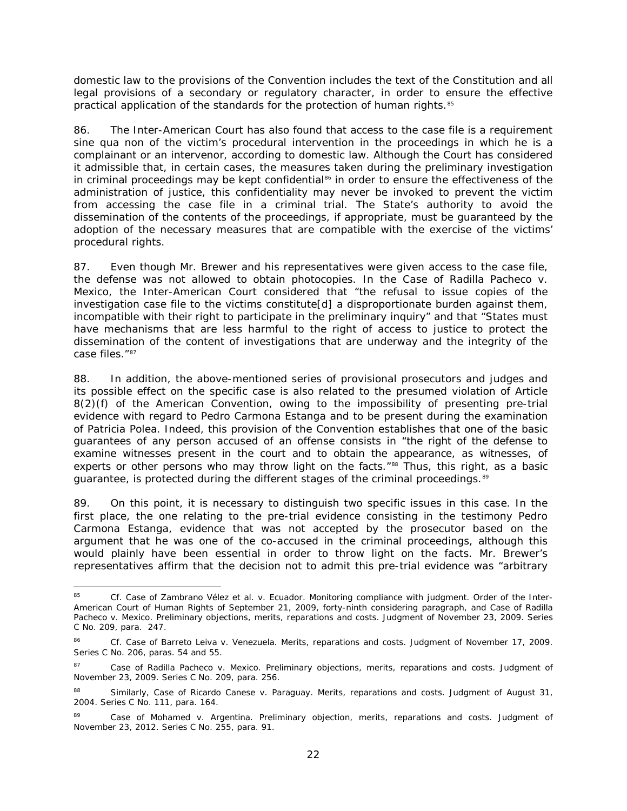domestic law to the provisions of the Convention includes the text of the Constitution and all legal provisions of a secondary or regulatory character, in order to ensure the effective practical application of the standards for the protection of human rights.<sup>[85](#page-69-0)</sup>

86. The Inter-American Court has also found that access to the case file is a requirement *sine qua non* of the victim's procedural intervention in the proceedings in which he is a complainant or an intervenor, according to domestic law. Although the Court has considered it admissible that, in certain cases, the measures taken during the preliminary investigation in criminal proceedings may be kept confidential<sup>[86](#page-69-1)</sup> in order to ensure the effectiveness of the administration of justice, this confidentiality may never be invoked to prevent the victim from accessing the case file in a criminal trial. The State's authority to avoid the dissemination of the contents of the proceedings, if appropriate, must be guaranteed by the adoption of the necessary measures that are compatible with the exercise of the victims' procedural rights.

87. Even though Mr. Brewer and his representatives were given access to the case file, the defense was not allowed to obtain photocopies. In the *Case of Radilla Pacheco v. Mexico*, the Inter-American Court considered that "the refusal to issue copies of the investigation case file to the victims constitute[d] a disproportionate burden against them, incompatible with their right to participate in the preliminary inquiry" and that "States must have mechanisms that are less harmful to the right of access to justice to protect the dissemination of the content of investigations that are underway and the integrity of the case files." [87](#page-69-2)

88. In addition, the above-mentioned series of provisional prosecutors and judges and its possible effect on the specific case is also related to the presumed violation of Article 8(2)(f) of the American Convention, owing to the impossibility of presenting pre-trial evidence with regard to Pedro Carmona Estanga and to be present during the examination of Patricia Polea. Indeed, this provision of the Convention establishes that one of the basic guarantees of any person accused of an offense consists in "the right of the defense to examine witnesses present in the court and to obtain the appearance, as witnesses, of experts or other persons who may throw light on the facts.<sup>"[88](#page-69-3)</sup> Thus, this right, as a basic guarantee, is protected during the different stages of the criminal proceedings.<sup>[89](#page-69-4)</sup>

89. On this point, it is necessary to distinguish two specific issues in this case. In the first place, the one relating to the pre-trial evidence consisting in the testimony Pedro Carmona Estanga, evidence that was not accepted by the prosecutor based on the argument that he was one of the co-accused in the criminal proceedings, although this would plainly have been essential in order to throw light on the facts. Mr. Brewer's representatives affirm that the decision not to admit this pre-trial evidence was "arbitrary

<span id="page-69-0"></span> <sup>85</sup> *Cf. Case of Zambrano Vélez et al. v. Ecuador. Monitoring compliance with judgment.* Order of the Inter-American Court of Human Rights of September 21, 2009, forty-ninth considering paragraph, and *Case of Radilla Pacheco v. Mexico.* Preliminary objections, merits, reparations and costs. Judgment of November 23, 2009. Series C No. 209, para. 247.

<span id="page-69-1"></span><sup>86</sup> *Cf. Case of Barreto Leiva v. Venezuela. Merits, reparations and costs.* Judgment of November 17, 2009. Series C No. 206, paras. 54 and 55.

<span id="page-69-2"></span><sup>87</sup> *Case of Radilla Pacheco v. Mexico. Preliminary objections, merits, reparations and costs*. Judgment of November 23, 2009. Series C No. 209, para. 256.

<span id="page-69-3"></span><sup>88</sup> Similarly, *Case of Ricardo Canese v. Paraguay*. *Merits, reparations and costs.* Judgment of August 31, 2004. Series C No. 111*,* para. 164.

<span id="page-69-4"></span><sup>89</sup> Case of *Mohamed v. Argentina. Preliminary objection, merits, reparations and costs.* Judgment of [November 23, 2012. Series C No. 255,](http://joomla.corteidh.or.cr:8080/joomla/es/casos-contenciosos/38-jurisprudencia/1948-corte-idh-caso-mohamed-vs-argentina-excepcion-preliminar-fondo-reparaciones-y-costas-sentencia-de-23-noviembre-de-2012-serie-c-no-255) para. 91.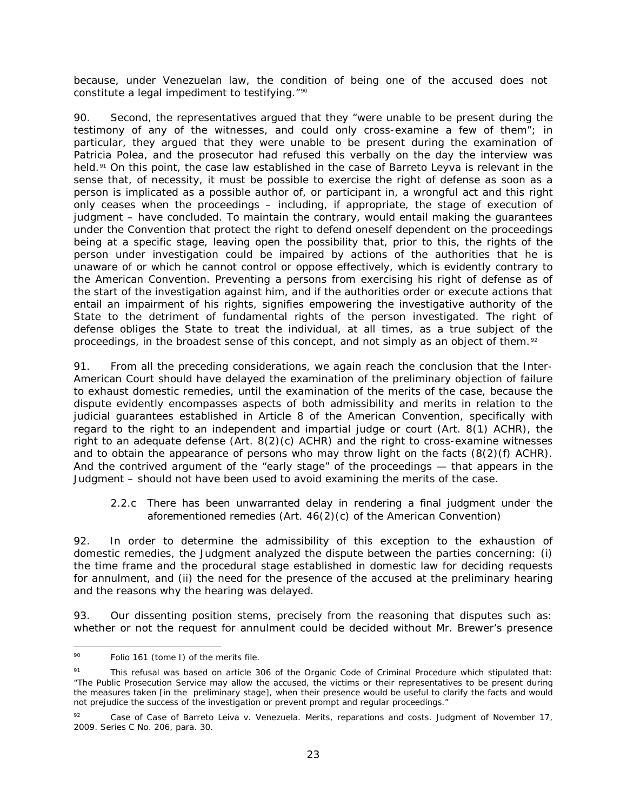because, under Venezuelan law, the condition of being one of the accused does not constitute a legal impediment to testifying."<sup>[90](#page-70-0)</sup>

90. Second, the representatives argued that they "were unable to be present during the testimony of any of the witnesses, and could only cross-examine a few of them"; in particular, they argued that they were unable to be present during the examination of Patricia Polea, and the prosecutor had refused this verbally on the day the interview was held.[91](#page-70-1) On this point, the case law established in the case of *Barreto Leyva* is relevant in the sense that, of necessity, it must be possible to exercise the right of defense as soon as a person is implicated as a possible author of, or participant in, a wrongful act and this right only ceases when the proceedings – including, if appropriate, the stage of execution of judgment – have concluded. To maintain the contrary, would entail making the guarantees under the Convention that protect the right to defend oneself dependent on the proceedings being at a specific stage, leaving open the possibility that, prior to this, the rights of the person under investigation could be impaired by actions of the authorities that he is unaware of or which he cannot control or oppose effectively, which is evidently contrary to the American Convention. Preventing a persons from exercising his right of defense as of the start of the investigation against him, and if the authorities order or execute actions that entail an impairment of his rights, signifies empowering the investigative authority of the State to the detriment of fundamental rights of the person investigated. The right of defense obliges the State to treat the individual, at all times, as a true subject of the proceedings, in the broadest sense of this concept, and not simply as an object of them.<sup>[92](#page-70-2)</sup>

91. From all the preceding considerations, we again reach the conclusion that the Inter-American Court should have delayed the examination of the preliminary objection of failure to exhaust domestic remedies, until the examination of the merits of the case, because the dispute evidently encompasses aspects of both admissibility and merits in relation to the judicial guarantees established in Article 8 of the American Convention, specifically with regard to the right to an independent and impartial judge or court (Art. 8(1) ACHR), the right to an adequate defense (Art. 8(2)(c) ACHR) and the right to cross-examine witnesses and to obtain the appearance of persons who may throw light on the facts  $(8(2)(f)$  ACHR). And the contrived argument of the "early stage" of the proceedings — that appears in the Judgment – should not have been used to avoid examining the merits of the case.

## *2.2.c There has been unwarranted delay in rendering a final judgment under the aforementioned remedies (Art. 46(2)(c) of the American Convention)*

92. In order to determine the admissibility of this exception to the exhaustion of domestic remedies, the Judgment analyzed the dispute between the parties concerning: (i) the time frame and the procedural stage established in domestic law for deciding requests for annulment, and (ii) the need for the presence of the accused at the preliminary hearing and the reasons why the hearing was delayed.

93. Our dissenting position stems, precisely from the reasoning that disputes such as: whether or not the request for annulment could be decided without Mr. Brewer's presence

<span id="page-70-0"></span><sup>&</sup>lt;sup>90</sup> Folio 161 (tome I) of the merits file.

<span id="page-70-1"></span><sup>&</sup>lt;sup>91</sup> This refusal was based on article 306 of the Organic Code of Criminal Procedure which stipulated that: "*The Public Prosecution Service may allow the accused, the victims or their representatives to be present during the measures taken [in the preliminary stage], when their presence would be useful to clarify the facts and would not prejudice the success of the investigation or prevent prompt and regular proceedings."*

<span id="page-70-2"></span><sup>92</sup> *Case of Case of Barreto Leiva v. Venezuela. Merits, reparations and costs*. Judgment of November 17, 2009. Series C No. 206, para. 30.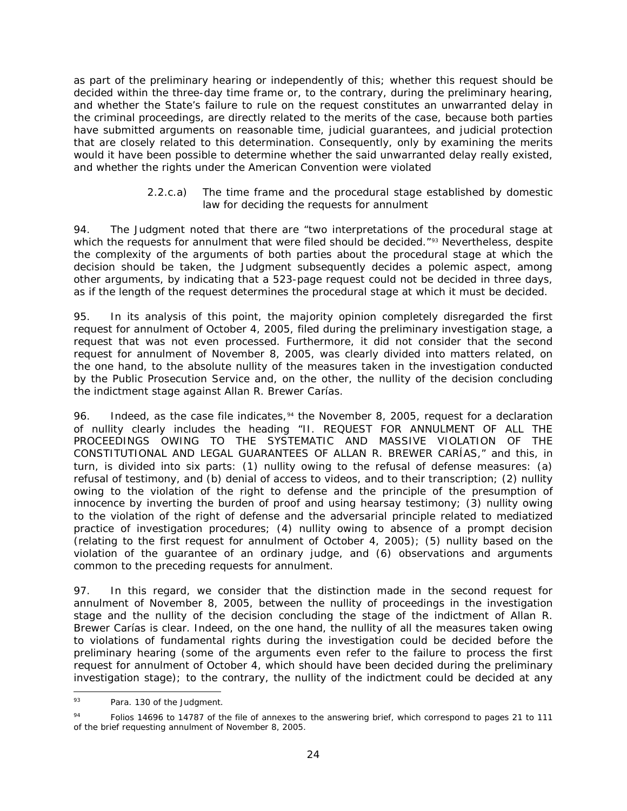as part of the preliminary hearing or independently of this; whether this request should be decided within the three-day time frame or, to the contrary, during the preliminary hearing, and whether the State's failure to rule on the request constitutes an unwarranted delay in the criminal proceedings, *are directly related to the merits of the case*, because both parties have submitted arguments on reasonable time, judicial guarantees, and judicial protection that are closely related to this determination. Consequently, only by examining the merits would it have been possible to determine whether the said unwarranted delay really existed, and whether the rights under the American Convention were violated

## *2.2.c.a) The time frame and the procedural stage established by domestic law for deciding the requests for annulment*

94. The Judgment noted that there are "two interpretations of the procedural stage at which the requests for annulment that were filed should be decided."<sup>[93](#page-71-0)</sup> Nevertheless, despite the complexity of the arguments of both parties about the procedural stage at which the decision should be taken, the Judgment subsequently decides a polemic aspect, among other arguments, by indicating that a 523-page request could not be decided in three days, as if the length of the request determines the procedural stage at which it must be decided.

95. In its analysis of this point, the majority opinion completely disregarded the first request for annulment of October 4, 2005, filed during the preliminary investigation stage, a request that was not even processed. Furthermore, it did not consider that the second request for annulment of November 8, 2005, was clearly divided into matters related, on the one hand, to the absolute nullity of the measures taken in the investigation conducted by the Public Prosecution Service and, on the other, the nullity of the decision concluding the indictment stage against Allan R. Brewer Carías.

96. Indeed, as the case file indicates,<sup>[94](#page-71-1)</sup> the November 8, 2005, request for a declaration of nullity clearly includes the heading "II. REQUEST FOR ANNULMENT OF ALL THE PROCEEDINGS OWING TO THE SYSTEMATIC AND MASSIVE VIOLATION OF THE CONSTITUTIONAL AND LEGAL GUARANTEES OF ALLAN R. BREWER CARÍAS," and this, in turn, is divided into six parts: (1) nullity owing to the refusal of defense measures: (a) refusal of testimony, and (b) denial of access to videos, and to their transcription; (2) nullity owing to the violation of the right to defense and the principle of the presumption of innocence by inverting the burden of proof and using hearsay testimony; (3) nullity owing to the violation of the right of defense and the adversarial principle related to mediatized practice of investigation procedures; (4) nullity owing to absence of a prompt decision (relating to the first request for annulment of October 4, 2005); (5) nullity based on the violation of the guarantee of an ordinary judge, and (6) observations and arguments common to the preceding requests for annulment.

97. In this regard, we consider that the distinction made in the second request for annulment of November 8, 2005, between the nullity of proceedings in the investigation stage and the nullity of the decision concluding the stage of the indictment of Allan R. Brewer Carías is clear. Indeed, on the one hand, the nullity of all the measures taken owing to violations of fundamental rights during the investigation could be decided *before the preliminary hearing* (some of the arguments even refer to the failure to process the first request for annulment of October 4, which should have been decided during the preliminary investigation stage); to the contrary, the nullity of the indictment could be decided at any

<span id="page-71-0"></span><sup>93</sup> Para. 130 of the Judgment.

<span id="page-71-1"></span><sup>&</sup>lt;sup>94</sup> Folios 14696 to 14787 of the file of annexes to the answering brief, which correspond to pages 21 to 111 of the brief requesting annulment of November 8, 2005.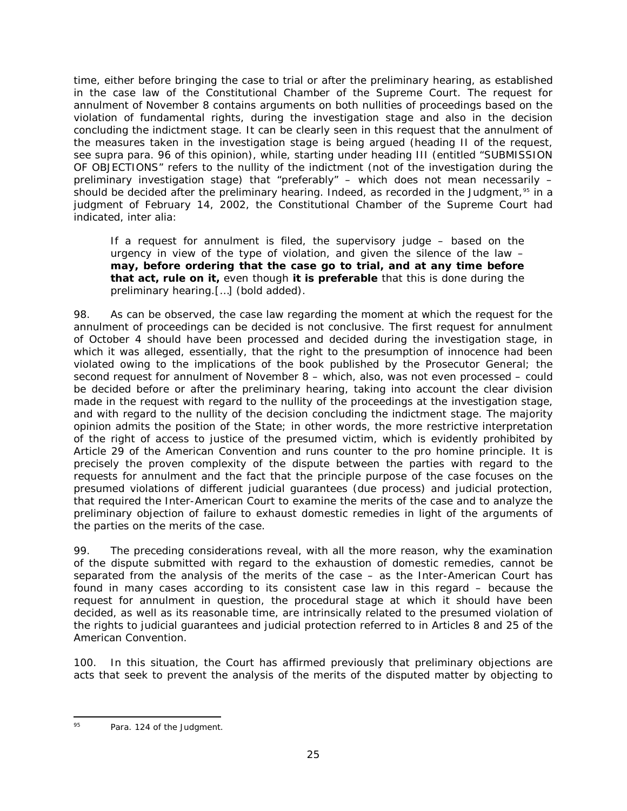time, either before bringing the case to trial or after the preliminary hearing, as established in the case law of the Constitutional Chamber of the Supreme Court. The request for annulment of November 8 contains arguments on both nullities of proceedings based on the violation of fundamental rights, during the investigation stage and also in the decision concluding the indictment stage. It can be clearly seen in this request that the annulment of the measures taken in the investigation stage is being argued (heading II of the request, see *supra* para. 96 of this opinion), while, starting under heading III (entitled "SUBMISSION OF OBJECTIONS" refers to the nullity of the indictment (not of the investigation during the preliminary investigation stage) that "preferably" – which does not mean necessarily – should be decided after the preliminary hearing. Indeed, as recorded in the Judgment, $^{\circ\mathfrak{S}}$  in a judgment of February 14, 2002, the Constitutional Chamber of the Supreme Court had indicated, *inter alia*:

If a request for annulment is filed, the supervisory judge – based on the urgency in view of the type of violation, and given the silence of the law – **may, before ordering that the case go to trial, and at any time before that act, rule on it,** even though **it is preferable** that this is done during the preliminary hearing.[…] *(bold added).*

98. As can be observed, the case law regarding the moment at which the request for the annulment of proceedings can be decided is not conclusive. The first request for annulment of October 4 should have been processed and decided during the investigation stage, in which it was alleged, essentially, that the right to the presumption of innocence had been violated owing to the implications of the book published by the Prosecutor General; the second request for annulment of November 8 – which, also, was not even processed – could be decided before or after the preliminary hearing, taking into account the clear division made in the request with regard to the nullity of the proceedings at the investigation stage, and with regard to the nullity of the decision concluding the indictment stage. The majority opinion admits the position of the State; in other words, the more restrictive interpretation of the right of access to justice of the presumed victim, which is evidently prohibited by Article 29 of the American Convention and runs counter to the *pro homine* principle. It is precisely the proven complexity of the dispute between the parties with regard to the requests for annulment and the fact that the principle purpose of the case focuses on the presumed violations of different *judicial guarantees (due process) and judicial protection*, that required the Inter-American Court to examine the merits of the case and to analyze the preliminary objection of failure to exhaust domestic remedies in light of the arguments of the parties on the merits of the case.

99. The preceding considerations reveal, with all the more reason, why the examination of the dispute submitted with regard to the exhaustion of domestic remedies, cannot be separated from the analysis of the merits of the case – as the Inter-American Court has found in many cases according to its consistent case law in this regard – because the request for annulment in question, the procedural stage at which it should have been decided, as well as its reasonable time, are intrinsically related to the presumed violation of the rights to judicial guarantees and judicial protection referred to in Articles 8 and 25 of the American Convention.

100. In this situation, the Court has affirmed previously that preliminary objections are acts that seek to prevent the analysis of the merits of the disputed matter by objecting to

<span id="page-72-0"></span><sup>95</sup> Para. 124 of the Judgment.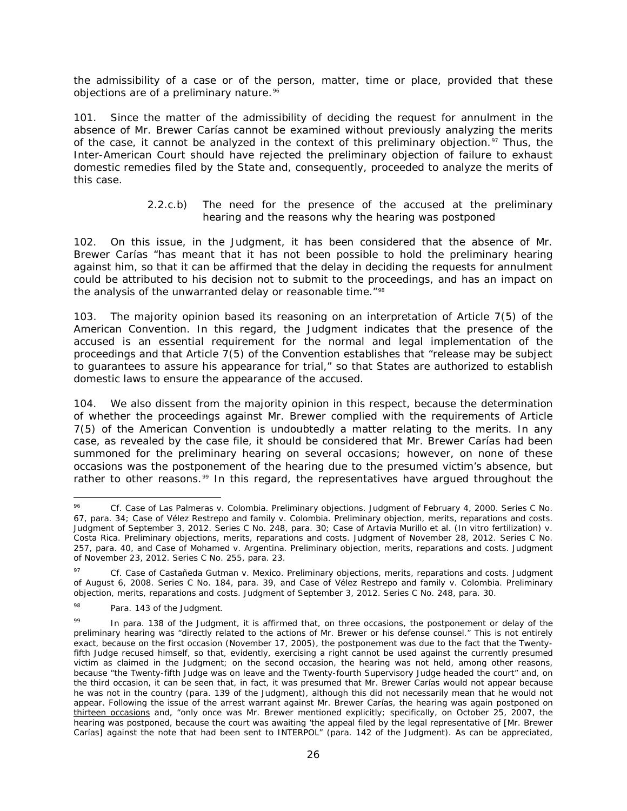the admissibility of a case or of the person, matter, time or place, *provided that these objections are of a preliminary nature*.[96](#page-73-0)

101. Since the matter of the admissibility of deciding the request for annulment in the absence of Mr. Brewer Carías cannot be examined without previously analyzing the merits of the case, it cannot be analyzed in the context of this preliminary objection.<sup>[97](#page-73-1)</sup> Thus, the Inter-American Court should have rejected the preliminary objection of failure to exhaust domestic remedies filed by the State and, consequently, proceeded to analyze the merits of this case.

## *2.2.c.b) The need for the presence of the accused at the preliminary hearing and the reasons why the hearing was postponed*

102. On this issue, in the Judgment, it has been considered that the absence of Mr. Brewer Carías "has meant that it has not been possible to hold the preliminary hearing against him, so that it can be affirmed that the delay in deciding the requests for annulment could be attributed to his decision not to submit to the proceedings, and has an impact on the analysis of the unwarranted delay or reasonable time."<sup>[98](#page-73-2)</sup>

103. The majority opinion based its reasoning on an interpretation of Article 7(5) of the American Convention. In this regard, the Judgment indicates that the presence of the accused is an essential requirement for the normal and legal implementation of the proceedings and that Article 7(5) of the Convention establishes that "release may be subject to guarantees to assure his appearance for trial," so that States are authorized to establish domestic laws to ensure the appearance of the accused.

104. We also dissent from the majority opinion in this respect, because the determination of whether the proceedings against Mr. Brewer complied with the requirements of Article 7(5) of the American Convention is undoubtedly a matter relating to the merits. In any case, as revealed by the case file, it should be considered that Mr. Brewer Carías had been summoned for the preliminary hearing on several occasions; however, on none of these occasions was the postponement of the hearing due to the presumed victim's absence, but rather to other reasons.<sup>[99](#page-73-3)</sup> In this regard, the representatives have argued throughout the

<span id="page-73-0"></span> <sup>96</sup> *Cf. [Case of Las Palmeras v. Colombia. Preliminary objections.](http://joomla.corteidh.or.cr:8080/joomla/es/casos-contenciosos/38-jurisprudencia/468-corte-idh-caso-las-palmeras-vs-colombia-excepciones-preliminares-sentencia-de-4-de-febrero-de-2000-serie-c-no-67)* Judgment of February 4, 2000. Series C No. [67,](http://joomla.corteidh.or.cr:8080/joomla/es/casos-contenciosos/38-jurisprudencia/468-corte-idh-caso-las-palmeras-vs-colombia-excepciones-preliminares-sentencia-de-4-de-febrero-de-2000-serie-c-no-67) para. 34; *Case of Vélez Restrepo and family v. Colombia. Preliminary objection, merits, reparations and costs.* Judgment of September 3, 2012. Series C No. 248, para. 30; Case of *[Artavia Murillo et al. \(In vitro fertilization\) v.](http://joomla.corteidh.or.cr:8080/joomla/es/casos-contenciosos/38-jurisprudencia/1950-corte-idh-caso-artavia-murillo-y-otros-fecundacion-in-vitro-vs-costa-rica-excepciones-preliminares-fondo-reparaciones-y-costas-sentencia-de-28-noviembre-de-2012-serie-c-no-257)  [Costa Rica. Preliminary objections, merits, reparations and costs.](http://joomla.corteidh.or.cr:8080/joomla/es/casos-contenciosos/38-jurisprudencia/1950-corte-idh-caso-artavia-murillo-y-otros-fecundacion-in-vitro-vs-costa-rica-excepciones-preliminares-fondo-reparaciones-y-costas-sentencia-de-28-noviembre-de-2012-serie-c-no-257)* Judgment of November 28, 2012. Series C No. [257,](http://joomla.corteidh.or.cr:8080/joomla/es/casos-contenciosos/38-jurisprudencia/1950-corte-idh-caso-artavia-murillo-y-otros-fecundacion-in-vitro-vs-costa-rica-excepciones-preliminares-fondo-reparaciones-y-costas-sentencia-de-28-noviembre-de-2012-serie-c-no-257) para. 40, and Case of *[Mohamed v. Argentina. Preliminary objection, merits, reparations and costs.](http://joomla.corteidh.or.cr:8080/joomla/es/casos-contenciosos/38-jurisprudencia/1948-corte-idh-caso-mohamed-vs-argentina-excepcion-preliminar-fondo-reparaciones-y-costas-sentencia-de-23-noviembre-de-2012-serie-c-no-255)* Judgment [of November 23, 2012. Series C No. 255,](http://joomla.corteidh.or.cr:8080/joomla/es/casos-contenciosos/38-jurisprudencia/1948-corte-idh-caso-mohamed-vs-argentina-excepcion-preliminar-fondo-reparaciones-y-costas-sentencia-de-23-noviembre-de-2012-serie-c-no-255) para. 23.

<span id="page-73-1"></span><sup>97</sup> *Cf. [Case of Castañeda Gutman v. Mexico. Preliminary objections, merits, reparations and costs.](http://joomla.corteidh.or.cr:8080/joomla/es/casos-contenciosos/38-jurisprudencia/770-corte-idh-caso-castaneda-gutman-vs-mexico-excepciones-preliminares-fondo-reparaciones-y-costas-sentencia-de-6-de-agosto-de-2008-serie-c-no-184)* Judgment [of August 6, 2008. Series C No. 184,](http://joomla.corteidh.or.cr:8080/joomla/es/casos-contenciosos/38-jurisprudencia/770-corte-idh-caso-castaneda-gutman-vs-mexico-excepciones-preliminares-fondo-reparaciones-y-costas-sentencia-de-6-de-agosto-de-2008-serie-c-no-184) para. 39, and *Case of Vélez Restrepo and family v. Colombia. Preliminary objection, merits, reparations and costs.* Judgment of September 3, 2012. Series C No. 248, para. 30.

<span id="page-73-2"></span><sup>98</sup> Para. 143 of the Judgment.

<span id="page-73-3"></span>In para. 138 of the Judgment, it is affirmed that, on three occasions, the postponement or delay of the preliminary hearing was "directly related to the actions of Mr. Brewer or his defense counsel." This is not entirely exact, because on the first occasion (November 17, 2005), the postponement was due to the fact that the Twentyfifth Judge recused himself, so that, evidently, exercising a right cannot be used against the currently presumed victim as claimed in the Judgment; on the second occasion, the hearing was not held, among other reasons, because "the Twenty-fifth Judge was on leave and the Twenty-fourth Supervisory Judge headed the court" and, on the third occasion, it can be seen that, in fact, it was presumed that Mr. Brewer Carías would not appear because he was not in the country (para. 139 of the Judgment), although this did not necessarily mean that he would not appear. Following the issue of the arrest warrant against Mr. Brewer Carías, the hearing was again postponed on thirteen occasions and, "only once was Mr. Brewer mentioned explicitly; specifically, on October 25, 2007, the hearing was postponed, because the court was awaiting 'the appeal filed by the legal representative of [Mr. Brewer Carías] against the note that had been sent to INTERPOL" (para. 142 of the Judgment). As can be appreciated,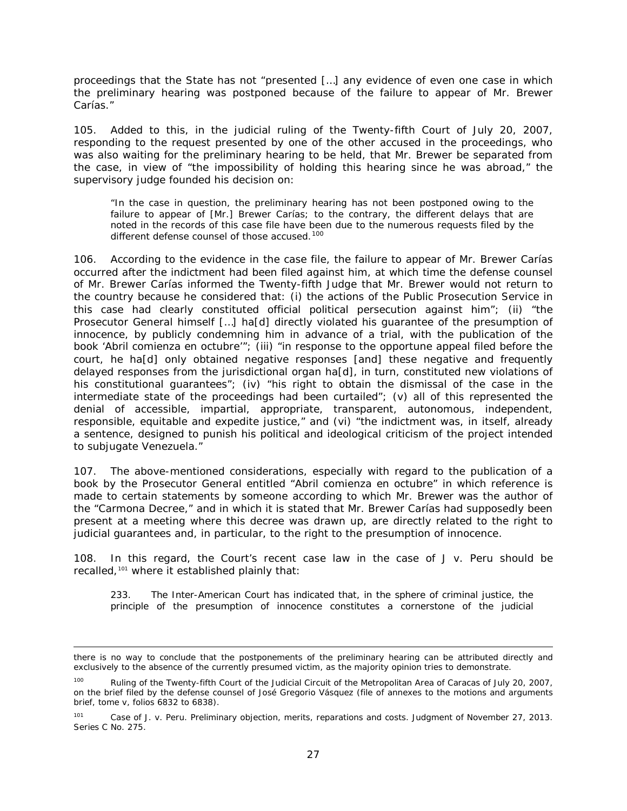proceedings that the State has not "presented […] any evidence of even one case in which the preliminary hearing was postponed because of the failure to appear of Mr. Brewer Carías."

105. Added to this, in the judicial ruling of the Twenty-fifth Court of July 20, 2007, responding to the request presented by one of the other accused in the proceedings, who was also waiting for the preliminary hearing to be held, that Mr. Brewer be separated from the case, in view of "the impossibility of holding this hearing since he was abroad," the supervisory judge founded his decision on:

"In the case in question, the preliminary hearing has not been postponed owing to the failure to appear of [Mr.] Brewer Carías; to the contrary, the different delays that are noted in the records of this case file have been due to the numerous requests filed by the different defense counsel of those accused.<sup>[100](#page-74-0)</sup>

106. According to the evidence in the case file, the failure to appear of Mr. Brewer Carías occurred *after the indictment had been filed against him*, at which time the defense counsel of Mr. Brewer Carías informed the Twenty-fifth Judge that Mr. Brewer would not return to the country because he considered that: (i) the actions of the Public Prosecution Service in this case had clearly constituted official political persecution against him"; (ii) "the Prosecutor General himself […] ha[d] directly violated his guarantee of the presumption of innocence, by publicly condemning him in advance of a trial, with the publication of the book '*Abril comienza en octubre'*"; (iii) "in response to the opportune appeal filed before the court, he ha[d] only obtained negative responses [and] these negative and frequently delayed responses from the jurisdictional organ ha[d], in turn, constituted new violations of his constitutional quarantees"; (iv) "his right to obtain the dismissal of the case in the intermediate state of the proceedings had been curtailed"; (v) all of this represented the denial of accessible, impartial, appropriate, transparent, autonomous, independent, responsible, equitable and expedite justice," and (vi) "the indictment was, in itself, already a sentence, designed to punish his political and ideological criticism of the project intended to subjugate Venezuela."

107. The above-mentioned considerations, especially with regard to the publication of a book by the Prosecutor General entitled "*Abril comienza en octubre*" in which reference is made to certain statements by someone according to which Mr. Brewer was the author of the "Carmona Decree," and in which it is stated that Mr. Brewer Carías had supposedly been present at a meeting where this decree was drawn up, are directly related to the right to judicial guarantees and, in particular, to the right to the presumption of innocence.

108. In this regard, the Court's recent case law in the case of *J v. Peru* should be recalled*,* [101](#page-74-1) where it established plainly that:

233. The Inter-American Court has indicated that, in the sphere of criminal justice, the principle of the presumption of innocence constitutes a cornerstone of the judicial

i, there is no way to conclude that the postponements of the preliminary hearing can be attributed directly and exclusively to the absence of the currently presumed victim, as the majority opinion tries to demonstrate.

<span id="page-74-0"></span><sup>&</sup>lt;sup>100</sup> Ruling of the Twenty-fifth Court of the Judicial Circuit of the Metropolitan Area of Caracas of July 20, 2007, on the brief filed by the defense counsel of José Gregorio Vásquez (file of annexes to the motions and arguments brief, tome v, folios 6832 to 6838).

<span id="page-74-1"></span><sup>101</sup> *[Case of J. v. Peru. Preliminary objection, merits, reparations and costs.](http://joomla.corteidh.or.cr:8080/joomla/es/casos-contenciosos/38-jurisprudencia/2120-corte-idh-caso-j-vs-peru-excepcion-preliminar-fondo-reparaciones-y-costas-sentencia-de-27-de-noviembre-de-2013-serie-c-no-275)* Judgment of November 27, 2013. [Series C No. 275.](http://joomla.corteidh.or.cr:8080/joomla/es/casos-contenciosos/38-jurisprudencia/2120-corte-idh-caso-j-vs-peru-excepcion-preliminar-fondo-reparaciones-y-costas-sentencia-de-27-de-noviembre-de-2013-serie-c-no-275)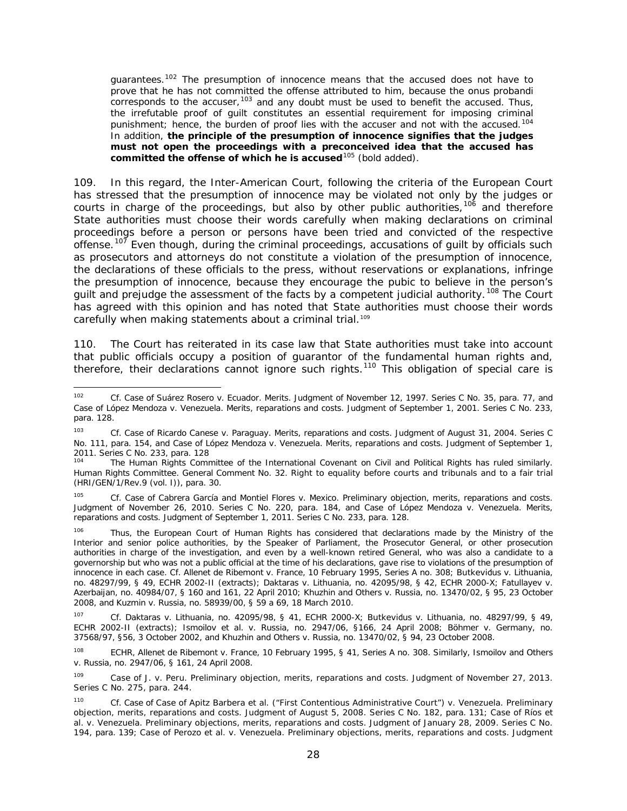guarantees.<sup>[102](#page-75-0)</sup> The presumption of innocence means that the accused does not have to prove that he has not committed the offense attributed to him, because the *onus probandi* corresponds to the accuser,  $103$  and any doubt must be used to benefit the accused. Thus, the irrefutable proof of guilt constitutes an essential requirement for imposing criminal punishment; hence, the burden of proof lies with the accuser and not with the accused.<sup>[104](#page-75-2)</sup> In addition, **the principle of the presumption of innocence signifies that the judges must not open the proceedings with a preconceived idea that the accused has committed the offense of which he is accused**[105](#page-75-3) *(bold added).*

109. In this regard, the Inter-American Court, following the criteria of the European Court has stressed that the presumption of innocence may be violated not only by the judges or courts in charge of the proceedings, but also by other public authorities, <sup>[106](#page-75-4)</sup> and therefore State authorities must choose their words carefully when making declarations on criminal proceedings before a person or persons have been tried and convicted of the respective offense.<sup>[107](#page-75-5)</sup> Even though, during the criminal proceedings, accusations of guilt by officials such as prosecutors and attorneys do not constitute a violation of the presumption of innocence, the declarations of these officials to the press, without reservations or explanations, infringe the presumption of innocence, because they encourage the pubic to believe in the person's guilt and prejudge the assessment of the facts by a competent judicial authority.<sup>[108](#page-75-6)</sup> The Court has agreed with this opinion and has noted that State authorities must choose their words carefully when making statements about a criminal trial.<sup>[109](#page-75-7)</sup>

110. The Court has reiterated in its case law that State authorities must take into account that public officials occupy a position of guarantor of the fundamental human rights and, therefore, their declarations cannot ignore such rights.<sup>[110](#page-75-0)</sup> This obligation of special care is

<span id="page-75-3"></span><sup>105</sup> *Cf. Case of Cabrera García and Montiel Flores v. Mexico. Preliminary objection, merits, reparations and costs.*  Judgment of November 26, 2010. Series C No. 220, para. 184, and *Case of López Mendoza v. Venezuela. Merits, reparations and costs.* Judgment of September 1, 2011. Series C No. 233, para. 128.

<span id="page-75-4"></span>Thus, the European Court of Human Rights has considered that declarations made by the Ministry of the Interior and senior police authorities, by the Speaker of Parliament, the Prosecutor General, or other prosecution authorities in charge of the investigation, and even by a well-known retired General, who was also a candidate to a governorship but who was not a public official at the time of his declarations, gave rise to violations of the presumption of innocence in each case. *Cf. Allenet de Ribemont v. France*, 10 February 1995, Series A no. 308; *Butkevičius v. Lithuania*, no. 48297/99, § 49, ECHR 2002-II (extracts); *Daktaras v. Lithuania,* no. 42095/98, § 42, ECHR 2000-X; *Fatullayev v. Azerbaijan*, no. 40984/07, § 160 and 161, 22 April 2010; *Khuzhin and Others v. Russia,* no. 13470/02, § 95, 23 October 2008, and *Kuzmin v. Russia*, no. 58939/00, § 59 a 69, 18 March 2010.

<span id="page-75-5"></span><sup>107</sup> *Cf. Daktaras v. Lithuania,* no. 42095/98, § 41, ECHR 2000-X; *Butkevičius v. Lithuania*, no. 48297/99, § 49, ECHR 2002-II (extracts); *Ismoilov et al. v. Russia*, no. 2947/06, §166, 24 April 2008; *Böhmer v. Germany*, no. 37568/97, §56, 3 October 2002, and *Khuzhin and Others v. Russia,* no. 13470/02, § 94, 23 October 2008.

<span id="page-75-6"></span><sup>108</sup> ECHR, *Allenet de Ribemont v. France*, 10 February 1995, § 41, Series A no. 308. Similarly, *Ismoilov and Others v. Russia*, no. 2947/06, § 161, 24 April 2008.

<span id="page-75-7"></span><sup>109</sup> *Case of J. v. Peru. Preliminary objection, merits, reparations and costs.* Judgment of November 27, 2013. Series C No. 275, para. 244.

<span id="page-75-0"></span> <sup>102</sup> *Cf. Case of Suárez Rosero v. Ecuador. Merits.* Judgment of November 12, 1997. Series C No. 35, para. 77, and Case of López Mendoza v. Venezuela. Merits, reparations and costs. Judgment of September 1, 2001. Series C No. 233, para. 128.

<span id="page-75-1"></span><sup>&</sup>lt;sup>103</sup> *Cf. Case of Ricardo Canese v. Paraguay. Merits, reparations and costs. Judgment of August 31, 2004. Series C* No. 111, para. 154, and *Case of López Mendoza v. Venezuela. Merits, reparations and costs.* Judgment of September 1, 2011. Series C No. 233, para. 128

<span id="page-75-2"></span>The Human Rights Committee of the International Covenant on Civil and Political Rights has ruled similarly. Human Rights Committee. General Comment No. 32. Right to equality before courts and tribunals and to a fair trial (HRI/GEN/1/Rev.9 (vol. I)), para. 30.

<sup>110</sup> *Cf. Case of Case of Apitz Barbera et al. ("First Contentious Administrative Court") v. Venezuela. Preliminary objection, merits, reparations and costs.* Judgment of August 5, 2008. Series C No. 182, para. 131; *Case of Ríos et al. v. Venezuela*. *Preliminary objections, merits, reparations and costs*. Judgment of January 28, 2009. Series C No. 194, para. 139; *Case of Perozo et al. v. Venezuela*. *Preliminary objections, merits, reparations and costs*. Judgment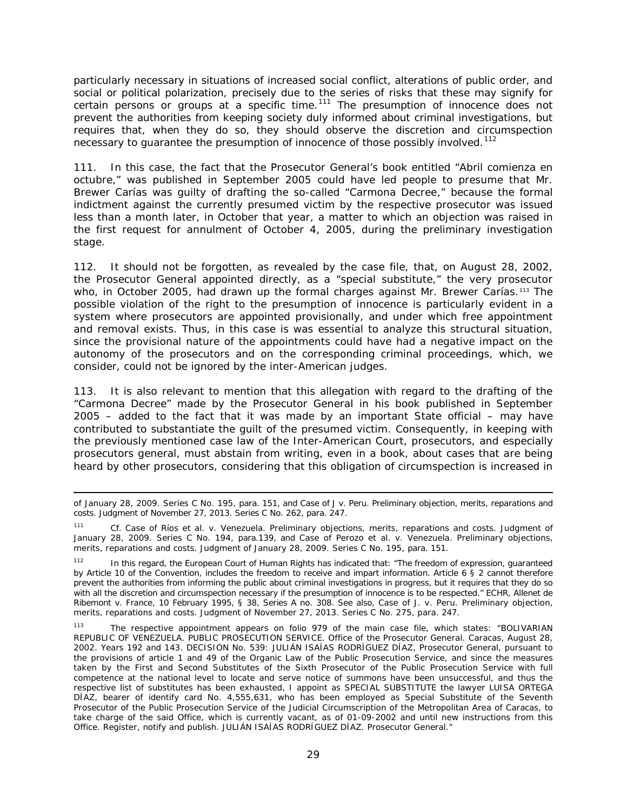particularly necessary in situations of increased social conflict, alterations of public order, and social or political polarization, precisely due to the series of risks that these may signify for certain persons or groups at a specific time.<sup>[111](#page-76-0)</sup> The presumption of innocence does not prevent the authorities from keeping society duly informed about criminal investigations, but requires that, when they do so, they should observe the discretion and circumspection necessary to quarantee the presumption of innocence of those possibly involved.<sup>[112](#page-76-1)</sup>

111. In this case, the fact that the Prosecutor General's book entitled "*Abril comienza en octubre*," was published in September 2005 could have led people to presume that Mr. Brewer Carías was guilty of drafting the so-called "Carmona Decree," because the formal indictment against the currently presumed victim by the respective prosecutor was issued less than a month later, in October that year, a matter to which an objection was raised in the first request for annulment of October 4, 2005, during the preliminary investigation stage.

112. It should not be forgotten, as revealed by the case file, that, on August 28, 2002, the Prosecutor General appointed directly, as a "special substitute," the very prosecutor who, in October 2005, had drawn up the formal charges against Mr. Brewer Carías.<sup>[113](#page-76-2)</sup> The possible violation of the right to the presumption of innocence is particularly evident in a system where prosecutors are appointed provisionally, and under which free appointment and removal exists. Thus, in this case is was essential to analyze this structural situation, since the provisional nature of the appointments could have had a negative impact on the autonomy of the prosecutors and on the corresponding criminal proceedings, which, we consider, could not be ignored by the inter-American judges.

113. It is also relevant to mention that this allegation with regard to the drafting of the "Carmona Decree" made by the Prosecutor General in his book published in September 2005 – added to the fact that it was made by an important State official – may have contributed to substantiate the guilt of the presumed victim. Consequently, in keeping with the previously mentioned case law of the Inter-American Court, prosecutors, and especially prosecutors general, must abstain from writing, even in a book, about cases that are being heard by other prosecutors, considering that this obligation of circumspection is increased in

l

of January 28, 2009. Series C No. 195, para. 151, and *Case of J v. Peru. Preliminary objection, merits, reparations and costs.* Judgment of November 27, 2013. Series C No. 262, para. 247.

<span id="page-76-0"></span><sup>111</sup> *Cf. Case of Ríos et al. v. Venezuela*. *Preliminary objections, merits, reparations and costs*. Judgment of January 28, 2009. Series C No. 194, para.139, and *Case of Perozo et al. v. Venezuela*. *Preliminary objections, merits, reparations and costs*. Judgment of January 28, 2009. Series C No. 195, para. 151.

<span id="page-76-1"></span>In this regard, the European Court of Human Rights has indicated that: "The freedom of expression, guaranteed by Article 10 of the Convention, includes the freedom to receive and impart information. Article 6 § 2 cannot therefore prevent the authorities from informing the public about criminal investigations in progress, but it requires that they do so with all the discretion and circumspection necessary if the presumption of innocence is to be respected." ECHR, *Allenet de Ribemont v. France*, 10 February 1995, § 38, Series A no. 308. See also, *Case of J. v. Peru. Preliminary objection, merits, reparations and costs.* Judgment of November 27, 2013. Series C No. 275, para. 247.

<span id="page-76-2"></span><sup>113</sup> The respective appointment appears on folio 979 of the main case file, which states: "BOLIVARIAN REPUBLIC OF VENEZUELA. PUBLIC PROSECUTION SERVICE. Office of the Prosecutor General. Caracas, August 28, 2002. Years 192 and 143. DECISION No. 539: JULIÁN ISAÍAS RODRÍGUEZ DÍAZ, Prosecutor General, pursuant to the provisions of article 1 and 49 of the Organic Law of the Public Prosecution Service, and since the measures taken by the First and Second Substitutes of the Sixth Prosecutor of the Public Prosecution Service with full competence at the national level to locate and serve notice of summons have been unsuccessful, and thus the respective list of substitutes has been exhausted, I appoint as SPECIAL SUBSTITUTE the lawyer LUISA ORTEGA DÍAZ, bearer of identify card No. 4,555,631, who has been employed as Special Substitute of the Seventh Prosecutor of the Public Prosecution Service of the Judicial Circumscription of the Metropolitan Area of Caracas, to take charge of the said Office, which is currently vacant, as of 01-09-2002 and until new instructions from this Office. Register, notify and publish. JULIÁN ISAÍAS RODRÍGUEZ DÍAZ. Prosecutor General."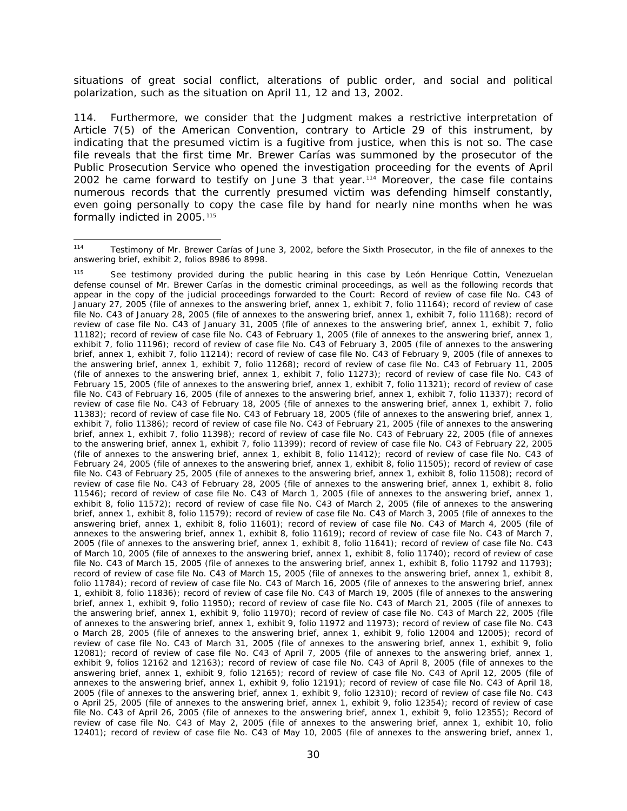situations of great social conflict, alterations of public order, and social and political polarization, such as the situation on April 11, 12 and 13, 2002.

114. Furthermore, we consider that the Judgment makes a restrictive interpretation of Article 7(5) of the American Convention, contrary to Article 29 of this instrument, by indicating that the presumed victim is a fugitive from justice, when this is not so. The case file reveals that the first time Mr. Brewer Carías was summoned by the prosecutor of the Public Prosecution Service who opened the investigation proceeding for the events of April 2002 he came forward to testify on June 3 that year.<sup>[114](#page-77-0)</sup> Moreover, the case file contains numerous records that the currently presumed victim was defending himself constantly, even going personally to copy the case file by hand for nearly nine months when he was formally indicted in 2005.<sup>[115](#page-77-1)</sup>

<span id="page-77-0"></span> <sup>114</sup> Testimony of Mr. Brewer Carías of June 3, 2002, before the Sixth Prosecutor, in the file of annexes to the answering brief, exhibit 2, folios 8986 to 8998.

<span id="page-77-1"></span><sup>115</sup> See testimony provided during the public hearing in this case by León Henrique Cottin, Venezuelan defense counsel of Mr. Brewer Carías in the domestic criminal proceedings, as well as the following records that appear in the copy of the judicial proceedings forwarded to the Court: Record of review of case file No. C43 of January 27, 2005 (file of annexes to the answering brief, annex 1, exhibit 7, folio 11164); record of review of case file No. C43 of January 28, 2005 (file of annexes to the answering brief, annex 1, exhibit 7, folio 11168); record of review of case file No. C43 of January 31, 2005 (file of annexes to the answering brief, annex 1, exhibit 7, folio 11182); record of review of case file No. C43 of February 1, 2005 (file of annexes to the answering brief, annex 1, exhibit 7, folio 11196); record of review of case file No. C43 of February 3, 2005 (file of annexes to the answering brief, annex 1, exhibit 7, folio 11214); record of review of case file No. C43 of February 9, 2005 (file of annexes to the answering brief, annex 1, exhibit 7, folio 11268); record of review of case file No. C43 of February 11, 2005 (file of annexes to the answering brief, annex 1, exhibit 7, folio 11273); record of review of case file No. C43 of February 15, 2005 (file of annexes to the answering brief, annex 1, exhibit 7, folio 11321); record of review of case file No. C43 of February 16, 2005 (file of annexes to the answering brief, annex 1, exhibit 7, folio 11337); record of review of case file No. C43 of February 18, 2005 (file of annexes to the answering brief, annex 1, exhibit 7, folio 11383); record of review of case file No. C43 of February 18, 2005 (file of annexes to the answering brief, annex 1, exhibit 7, folio 11386); record of review of case file No. C43 of February 21, 2005 (file of annexes to the answering brief, annex 1, exhibit 7, folio 11398); record of review of case file No. C43 of February 22, 2005 (file of annexes to the answering brief, annex 1, exhibit 7, folio 11399); record of review of case file No. C43 of February 22, 2005 (file of annexes to the answering brief, annex 1, exhibit 8, folio 11412); record of review of case file No. C43 of February 24, 2005 (file of annexes to the answering brief, annex 1, exhibit 8, folio 11505); record of review of case file No. C43 of February 25, 2005 (file of annexes to the answering brief, annex 1, exhibit 8, folio 11508); record of review of case file No. C43 of February 28, 2005 (file of annexes to the answering brief, annex 1, exhibit 8, folio 11546); record of review of case file No. C43 of March 1, 2005 (file of annexes to the answering brief, annex 1, exhibit 8, folio 11572); record of review of case file No. C43 of March 2, 2005 (file of annexes to the answering brief, annex 1, exhibit 8, folio 11579); record of review of case file No. C43 of March 3, 2005 (file of annexes to the answering brief, annex 1, exhibit 8, folio 11601); record of review of case file No. C43 of March 4, 2005 (file of annexes to the answering brief, annex 1, exhibit 8, folio 11619); record of review of case file No. C43 of March 7, 2005 (file of annexes to the answering brief, annex 1, exhibit 8, folio 11641); record of review of case file No. C43 of March 10, 2005 (file of annexes to the answering brief, annex 1, exhibit 8, folio 11740); record of review of case file No. C43 of March 15, 2005 (file of annexes to the answering brief, annex 1, exhibit 8, folio 11792 and 11793); record of review of case file No. C43 of March 15, 2005 (file of annexes to the answering brief, annex 1, exhibit 8, folio 11784); record of review of case file No. C43 of March 16, 2005 (file of annexes to the answering brief, annex 1, exhibit 8, folio 11836); record of review of case file No. C43 of March 19, 2005 (file of annexes to the answering brief, annex 1, exhibit 9, folio 11950); record of review of case file No. C43 of March 21, 2005 (file of annexes to the answering brief, annex 1, exhibit 9, folio 11970); record of review of case file No. C43 of March 22, 2005 (file of annexes to the answering brief, annex 1, exhibit 9, folio 11972 and 11973); record of review of case file No. C43 o March 28, 2005 (file of annexes to the answering brief, annex 1, exhibit 9, folio 12004 and 12005); record of review of case file No. C43 of March 31, 2005 (file of annexes to the answering brief, annex 1, exhibit 9, folio 12081); record of review of case file No. C43 of April 7, 2005 (file of annexes to the answering brief, annex 1, exhibit 9, folios 12162 and 12163); record of review of case file No. C43 of April 8, 2005 (file of annexes to the answering brief, annex 1, exhibit 9, folio 12165); record of review of case file No. C43 of April 12, 2005 (file of annexes to the answering brief, annex 1, exhibit 9, folio 12191); record of review of case file No. C43 of April 18, 2005 (file of annexes to the answering brief, annex 1, exhibit 9, folio 12310); record of review of case file No. C43 o April 25, 2005 (file of annexes to the answering brief, annex 1, exhibit 9, folio 12354); record of review of case file No. C43 of April 26, 2005 (file of annexes to the answering brief, annex 1, exhibit 9, folio 12355); Record of review of case file No. C43 of May 2, 2005 (file of annexes to the answering brief, annex 1, exhibit 10, folio 12401); record of review of case file No. C43 of May 10, 2005 (file of annexes to the answering brief, annex 1,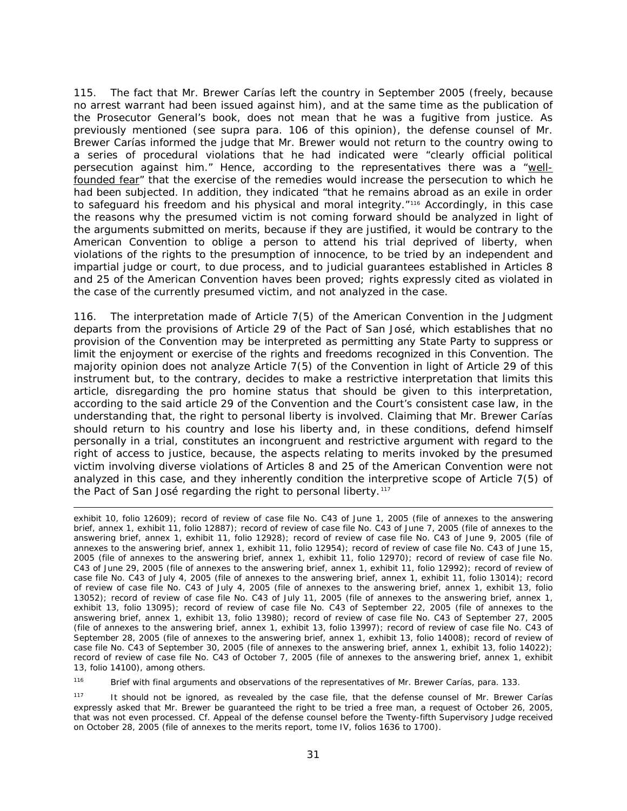115. The fact that Mr. Brewer Carías left the country in September 2005 (freely, because no arrest warrant had been issued against him), and at the same time as the publication of the Prosecutor General's book, does not mean that he was a fugitive from justice. As previously mentioned (see *supra* para. 106 of this opinion), the defense counsel of Mr. Brewer Carías informed the judge that Mr. Brewer would not return to the country owing to a series of procedural violations that he had indicated were "clearly official political persecution against him." Hence, according to the representatives there was a "wellfounded fear" that the exercise of the remedies would increase the persecution to which he had been subjected. In addition, they indicated "that he remains abroad as an exile in order to safeguard his freedom and his physical and moral integrity."<sup>[116](#page-78-0)</sup> Accordingly, in this case the reasons why the presumed victim is not coming forward should be analyzed in light of the arguments submitted on merits, because if they are justified, it would be contrary to the American Convention to oblige a person to attend his trial deprived of liberty, when violations of the rights to *the presumption of innocence, to be tried by an independent and impartial judge or court, to due process, and to judicial guarantees* established in Articles 8 and 25 of the American Convention haves been proved; rights expressly cited as violated in the case of the currently presumed victim, and not analyzed in the case.

116. The interpretation made of Article 7(5) of the American Convention in the Judgment departs from the provisions of Article 29 of the Pact of San José, which establishes that no provision of the Convention may be interpreted as permitting any State Party to *suppress or limit the enjoyment or exercise of the rights and freedoms recognized in this Convention*. The majority opinion does not analyze Article 7(5) of the Convention in light of Article 29 of this instrument but, to the contrary, decides to make a restrictive interpretation that limits this article, disregarding the *pro homine* status that should be given to this interpretation, according to the said article 29 of the Convention and the Court's consistent case law, in the understanding that, the right to personal liberty is involved. Claiming that Mr. Brewer Carías should return to his country and lose his liberty and, in these conditions, defend himself personally in a trial, constitutes an incongruent and restrictive argument with regard to the right of access to justice, because, the aspects relating to merits invoked by the presumed victim involving diverse violations of Articles 8 and 25 of the American Convention were not analyzed in this case, and they inherently condition the interpretive scope of Article 7(5) of the Pact of San José regarding the right to personal liberty.<sup>[117](#page-78-1)</sup>

l exhibit 10, folio 12609); record of review of case file No. C43 of June 1, 2005 (file of annexes to the answering brief, annex 1, exhibit 11, folio 12887); record of review of case file No. C43 of June 7, 2005 (file of annexes to the answering brief, annex 1, exhibit 11, folio 12928); record of review of case file No. C43 of June 9, 2005 (file of annexes to the answering brief, annex 1, exhibit 11, folio 12954); record of review of case file No. C43 of June 15, 2005 (file of annexes to the answering brief, annex 1, exhibit 11, folio 12970); record of review of case file No. C43 of June 29, 2005 (file of annexes to the answering brief, annex 1, exhibit 11, folio 12992); record of review of case file No. C43 of July 4, 2005 (file of annexes to the answering brief, annex 1, exhibit 11, folio 13014); record of review of case file No. C43 of July 4, 2005 (file of annexes to the answering brief, annex 1, exhibit 13, folio 13052); record of review of case file No. C43 of July 11, 2005 (file of annexes to the answering brief, annex 1, exhibit 13, folio 13095); record of review of case file No. C43 of September 22, 2005 (file of annexes to the answering brief, annex 1, exhibit 13, folio 13980); record of review of case file No. C43 of September 27, 2005 (file of annexes to the answering brief, annex 1, exhibit 13, folio 13997); record of review of case file No. C43 of September 28, 2005 (file of annexes to the answering brief, annex 1, exhibit 13, folio 14008); record of review of case file No. C43 of September 30, 2005 (file of annexes to the answering brief, annex 1, exhibit 13, folio 14022); record of review of case file No. C43 of October 7, 2005 (file of annexes to the answering brief, annex 1, exhibit 13, folio 14100), among others.

<span id="page-78-0"></span>116 Brief with final arguments and observations of the representatives of Mr. Brewer Carías, para. 133.

<span id="page-78-1"></span><sup>117</sup> It should not be ignored, as revealed by the case file, that the defense counsel of Mr. Brewer Carías expressly asked that Mr. Brewer be guaranteed the right to be tried a free man, a request of October 26, 2005, that was not even processed. *Cf.* Appeal of the defense counsel before the Twenty-fifth Supervisory Judge received on October 28, 2005 (file of annexes to the merits report, tome IV, folios 1636 to 1700).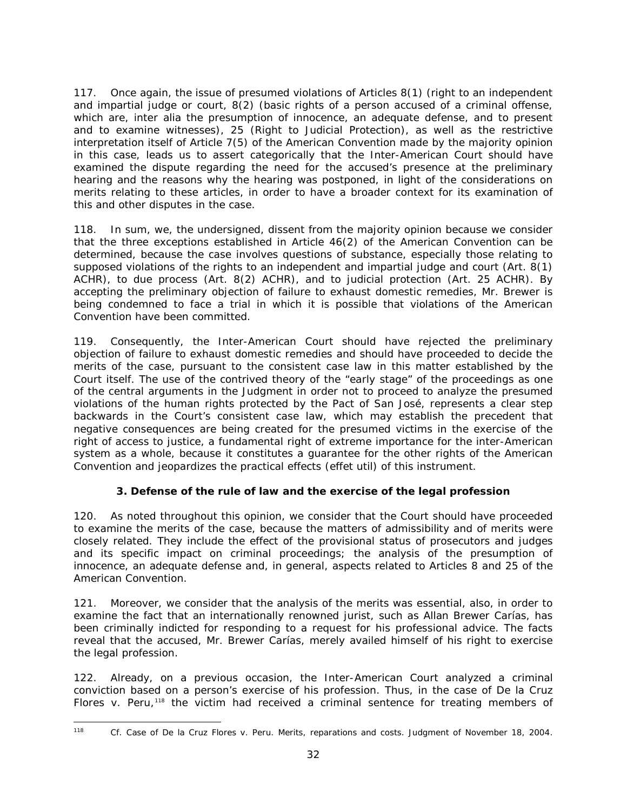117. Once again, the issue of presumed violations of Articles 8(1) (right to an independent and impartial judge or court, 8(2) (basic rights of a person accused of a criminal offense, which are, *inter alia* the presumption of innocence, an adequate defense, and to present and to examine witnesses), 25 (Right to Judicial Protection), as well as the restrictive interpretation itself of Article 7(5) of the American Convention made by the majority opinion in this case, leads us to assert categorically that the Inter-American Court should have examined the dispute regarding the need for the accused's presence at the preliminary hearing and the reasons why the hearing was postponed, in light of the considerations on merits relating to these articles, in order to have a broader context for its examination of this and other disputes in the case.

118. In sum, we, the undersigned, dissent from the majority opinion because we consider that the three exceptions established in Article 46(2) of the American Convention can be determined, because the case involves questions of substance, especially those relating to supposed violations of the rights to an independent and impartial judge and court (Art. 8(1) ACHR), to due process (Art. 8(2) ACHR), and to judicial protection (Art. 25 ACHR). By accepting the preliminary objection of failure to exhaust domestic remedies, Mr. Brewer is being condemned to face a trial in which it is possible that violations of the American Convention have been committed.

119. Consequently, the Inter-American Court should have rejected the preliminary objection of failure to exhaust domestic remedies and should have proceeded to decide the merits of the case, pursuant to the consistent case law in this matter established by the Court itself. The use of the contrived theory of the "early stage" of the proceedings as one of the central arguments in the Judgment in order not to proceed to analyze the presumed violations of the human rights protected by the Pact of San José, represents a clear step backwards in the Court's consistent case law, which may establish the precedent that negative consequences are being created for the presumed victims in the exercise of the right of access to justice, a fundamental right of extreme importance for the inter-American system as a whole, because it constitutes a guarantee for the other rights of the American Convention and jeopardizes the practical effects (*effet util*) of this instrument.

## **3. Defense of the rule of law and the exercise of the legal profession**

120. As noted throughout this opinion, we consider that the Court should have proceeded to examine the merits of the case, because the matters of admissibility and of merits were closely related. They include the effect of the provisional status of prosecutors and judges and its specific impact on criminal proceedings; the analysis of the presumption of innocence, an adequate defense and, in general, aspects related to Articles 8 and 25 of the American Convention.

121. Moreover, we consider that the analysis of the merits was essential, also, in order to examine the fact that an internationally renowned jurist, such as Allan Brewer Carías, has been criminally indicted for responding to a request for his professional advice. The facts reveal that the accused, Mr. Brewer Carías, merely availed himself of his right to exercise the legal profession.

122. Already, on a previous occasion, the Inter-American Court analyzed a criminal conviction based on a person's exercise of his profession. Thus, in the case of *De la Cruz Flores v. Peru*,<sup>[118](#page-79-0)</sup> the victim had received a criminal sentence for treating members of

<span id="page-79-0"></span>

 <sup>118</sup> *Cf. Case of De la Cruz Flores v. Peru. Merits, reparations and costs.* Judgment of November 18, 2004.